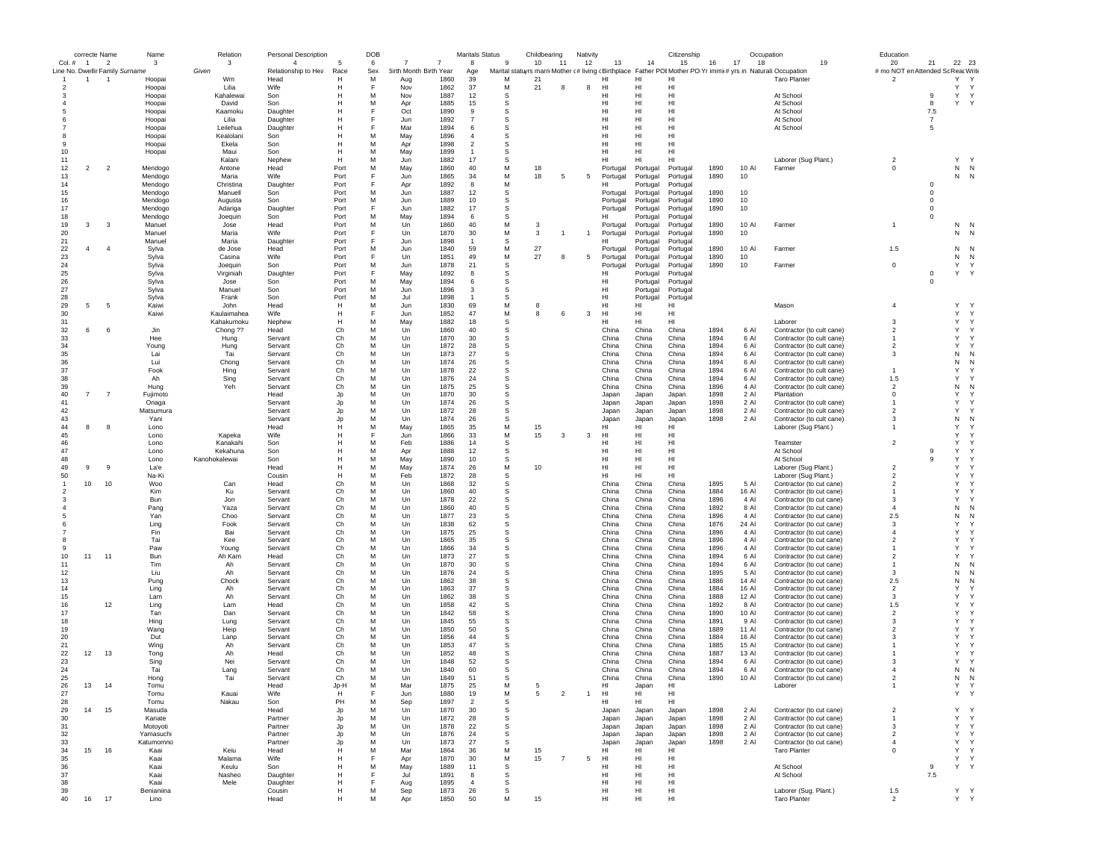|                                             | correcte Name  |                | Name               | Relation            | <b>Personal Description</b>           |                    | DOB      |                                                            |                      | Maritals Status | Childbearing                                                                                                        |                | Nativity       |                      |                      | Citizenship              |              | Occupation     |                                                        | Education                                |                            |             |              |
|---------------------------------------------|----------------|----------------|--------------------|---------------------|---------------------------------------|--------------------|----------|------------------------------------------------------------|----------------------|-----------------|---------------------------------------------------------------------------------------------------------------------|----------------|----------------|----------------------|----------------------|--------------------------|--------------|----------------|--------------------------------------------------------|------------------------------------------|----------------------------|-------------|--------------|
| $Col.$ #<br>Line No. Dwellir Family Surname | $\overline{1}$ | $\overline{2}$ | 3                  | 3<br>Given          | $\overline{4}$<br>Relationship to Hea | 5<br>Race          | 6<br>Sex | $\overline{7}$<br>$\overline{7}$<br>3irth Month Birth Year | 8<br>Age             | 9               | 10<br>Marital statuyrs marri Mother (# living (Birthplace Father POI Mother PO Yr immi(# yrs in Naturali Occupation | 11             | 12             | 13                   | 14                   | 15                       | 16           | 17<br>18       | 19                                                     | 20<br># mo NOT en Attended Sc Reac Write | 21                         | 22 23       |              |
| $\overline{1}$                              | $\mathbf{1}$   | -1             | Hoopai             | Wm                  | Head                                  | н                  | M        | 1860<br>Aug                                                | 39                   | M               | 21                                                                                                                  |                |                | HI                   | HI                   | HI                       |              |                | <b>Taro Planter</b>                                    | $\overline{2}$                           |                            | Y<br>Y      |              |
| $\overline{2}$                              |                |                | Hoopai             | Lilia               | Wife                                  | Н                  | E        | 1862<br>Nov                                                | 37                   | M               | 21                                                                                                                  | 8              | 8              | HI                   | HI                   | HI                       |              |                |                                                        |                                          |                            | Υ           | Y            |
| -3                                          |                |                | Hoopai             | Kahalewai           | Son                                   | н                  | M        | Nov<br>1887                                                | 12                   | s               |                                                                                                                     |                |                | HI                   | HI                   | HI                       |              |                | At School                                              |                                          | 9                          | Υ           | Y            |
|                                             |                |                | Hoopai<br>Hoopai   | David<br>Kaamoku    | Son<br>Daughter                       |                    | M        | 1885<br>Apr<br>Oct<br>1890                                 | 15<br>9              | s<br>s          |                                                                                                                     |                |                | HI<br>HI             | HI<br>HI             | HI<br>HI                 |              |                | At School<br>At School                                 |                                          | 8<br>7.5                   | Y Y         |              |
|                                             |                |                | Hoopai             | Lilia               | Daughter                              |                    |          | 1892<br>Jun                                                | $\overline{7}$       | s               |                                                                                                                     |                |                | HI                   | HI                   | HI                       |              |                | At School                                              |                                          | $\overline{7}$             |             |              |
|                                             |                |                | Hoopai             | Leilehua            | Daughter                              |                    |          | 1894<br>Mar                                                | 6                    | s               |                                                                                                                     |                |                | HI                   | HI                   | H <sub>1</sub>           |              |                | At School                                              |                                          | 5                          |             |              |
|                                             |                |                | Hoopai             | Kealolani           | Son                                   |                    | M        | May<br>1896                                                | $\overline{4}$       | s               |                                                                                                                     |                |                | HI                   | HI                   | HI                       |              |                |                                                        |                                          |                            |             |              |
|                                             |                |                | Hoopai             | Ekela               | Son                                   | н<br>Н             | M        | 1898<br>Apr                                                | $\overline{2}$       | s               |                                                                                                                     |                |                | HI                   | HI                   | HI<br>HI                 |              |                |                                                        |                                          |                            |             |              |
| 10<br>11                                    |                |                | Hoopai             | Maui<br>Kalani      | Son<br>Nephew                         | H                  | M<br>M   | May<br>1899<br>1882<br>Jun                                 | $\overline{1}$<br>17 | s<br>s          |                                                                                                                     |                |                | HI<br>HI             | HI<br>HI             | HI                       |              |                | Laborer (Sug Plant.)                                   | $\overline{2}$                           |                            | Υ<br>Y      |              |
| 12                                          | $\overline{a}$ | $\overline{2}$ | Mendogo            | Antone              | Head                                  | Port               | M        | 1860<br>May                                                | 40                   | M               | 18                                                                                                                  |                |                | Portugal             | Portugal             | Portugal                 | 1890         | 10 AI          | Farmer                                                 | $\mathbf 0$                              |                            | $N$ $N$     |              |
| 13                                          |                |                | Mendogo            | Maria               | Wife                                  | Port               | E        | 1865<br>Jun                                                | 34                   | М               | 18                                                                                                                  | 5              | 5              | Portugal             | Portugal             | Portugal                 | 1890         | 10             |                                                        |                                          |                            | N<br>N      |              |
| 14                                          |                |                | Mendogo            | Christina           | Daughter                              | Port               | F        | 1892<br>Apr                                                | 8                    | М               |                                                                                                                     |                |                | HI                   | Portugal             | Portugal                 |              |                |                                                        |                                          | $\mathbf 0$                |             |              |
| 15                                          |                |                | Mendogo            | Manuell             | Son                                   | Port               | M        | 1887<br>Jun                                                | 12                   | s               |                                                                                                                     |                |                | Portugal             | Portugal             | Portugal                 | 1890         | 10             |                                                        |                                          | $\mathbf 0$                |             |              |
| 16<br>17                                    |                |                | Mendogo<br>Mendogo | Augusta<br>Adariga  | Son                                   | Port<br>Port       | м<br>F   | Jun<br>1889<br>1882<br>Jun                                 | 10<br>17             | s<br>s          |                                                                                                                     |                |                | Portugal             | Portugal<br>Portugal | Portugal                 | 1890<br>1890 | 10<br>10       |                                                        |                                          | $\mathbf 0$<br>$\mathbf 0$ |             |              |
| 18                                          |                |                | Mendogo            | Joequin             | Daughter<br>Son                       | Port               | M        | May<br>1894                                                | 6                    | s               |                                                                                                                     |                |                | Portugal<br>HI       | Portugal             | Portugal<br>Portugal     |              |                |                                                        |                                          | $\mathbf 0$                |             |              |
| 19                                          | 3              | 3              | Manuel             | Jose                | Head                                  | Port               | M        | Un<br>1860                                                 | 40                   | М               | 3                                                                                                                   |                |                | Portugal             | Portugal             | Portugal                 | 1890         | 10 Al          | Farmer                                                 | $\overline{1}$                           |                            | N N         |              |
| 20                                          |                |                | Manuel             | Maria               | Wife                                  | Port               | F        | Un<br>1870                                                 | 30                   | М               | 3                                                                                                                   |                | $\overline{1}$ | Portugal             | Portugal             | Portugal                 | 1890         | 10             |                                                        |                                          |                            | N           | N            |
| 21                                          |                | $\overline{4}$ | Manuel             | Maria               | Daughter                              | Port               | M        | Jun<br>1898                                                | $\overline{1}$       | s               |                                                                                                                     |                |                | нı                   | Portugal             | Portugal                 |              |                |                                                        |                                          |                            |             |              |
| 22<br>23                                    | $\overline{4}$ |                | Sylva<br>Sylva     | de Jose<br>Casina   | Head<br>Wife                          | Port<br>Port       |          | 1840<br>Jun<br>1851<br>$_{\text{Un}}$                      | 59<br>49             | M<br>М          | 27<br>27                                                                                                            | 8              | -5             | Portugal<br>Portugal | Portugal<br>Portugal | Portugal<br>Portugal     | 1890<br>1890 | 10 Al<br>10    | Farmer                                                 | 1.5                                      |                            | N<br>N<br>N | N            |
| 24                                          |                |                | Sylva              | Joeauin             | Son                                   | Port               | M        | Jun<br>1878                                                | 21                   | s               |                                                                                                                     |                |                | Portugal             | Portugal             | Portugal                 | 1890         | 10             | Farmer                                                 | $\mathsf 0$                              |                            | Υ           | Y            |
| 25                                          |                |                | Sylva              | Virginiah           | Daughter                              | Port               |          | 1892<br>May                                                | 8                    | s               |                                                                                                                     |                |                |                      | Portugal             | Portugal                 |              |                |                                                        |                                          | $\mathbf 0$                | Y           | Y            |
| 26                                          |                |                | Sylva              | Jose                | Son                                   | Port               | M        | May<br>1894                                                | 6                    | s               |                                                                                                                     |                |                | HI                   | Portugal             | Portugal                 |              |                |                                                        |                                          | 0                          |             |              |
| 27                                          |                |                | Sylva              | Manuel              | Son                                   | Port               | M        | Jun<br>1896                                                | 3                    | s               |                                                                                                                     |                |                | HI                   | Portugal             | Portugal                 |              |                |                                                        |                                          |                            |             |              |
| 28                                          |                |                | Sylva              | Frank               | Son                                   | Port               | M        | 1898<br>Jul                                                | $\overline{1}$       | s               |                                                                                                                     |                |                | HI                   | Portugal             | Portugal                 |              |                |                                                        |                                          |                            |             |              |
| 29<br>30                                    | 5              | -5             | Kaiwi<br>Kaiwi     | John<br>Kaulaimahea | Head<br>Wife                          | H<br>Н             | M        | 1830<br>Jun<br>1852<br>Jun                                 | 69<br>47             | М<br>М          | 8<br>8                                                                                                              |                | 3              | HI<br>HI             | HI<br>HI             | HI<br>HI                 |              |                | Mason                                                  | $\overline{4}$                           |                            | Y<br>Y<br>Υ | Y            |
| 31                                          |                |                |                    | Kahakumoku          | Nephew                                | H                  | M        | 1882<br>May                                                | 18                   | s               |                                                                                                                     |                |                | HI                   | HI                   | HI                       |              |                | Laborer                                                | 3                                        |                            | Υ           | Y            |
| 32                                          | 6              | 6              | Jin                | Chong ??            | Head                                  | Ch                 | M        | 1860<br>Un                                                 | 40                   | s               |                                                                                                                     |                |                | China                | China                | China                    | 1894         | 6 Al           | Contractor (to cult cane)                              | 2                                        |                            | Υ           | Υ            |
| 33                                          |                |                | Hee                | Hung                | Servant                               | Ch                 | M        | 1870<br>Un                                                 | 30                   | s               |                                                                                                                     |                |                | China                | China                | China                    | 1894         | 6 AI           | Contractor (to cult cane)                              | $\mathbf{1}$                             |                            | Y           | Y            |
| 34                                          |                |                | Young              | Hung                | Servant                               | Ch                 | M        | Un<br>1872                                                 | 28                   | s               |                                                                                                                     |                |                | China                | China                | China                    | 1894         | 6 Al           | Contractor (to cult cane)                              | $\overline{2}$                           |                            | Υ           | Y            |
| 35                                          |                |                | Lai                | Tai                 | Servant                               | Ch                 | M        | Un<br>1873                                                 | 27                   | s               |                                                                                                                     |                |                | China                | China                | China                    | 1894         | 6 Al           | Contractor (to cult cane)                              | 3                                        |                            | N           | N            |
| 36<br>37                                    |                |                | Lui<br>Fook        | Chong               | Servant<br>Servant                    | Ch<br>Ch           | M<br>м   | Un<br>1874<br>Un<br>1878                                   | 26<br>22             | s<br>s          |                                                                                                                     |                |                | China<br>China       | China<br>China       | China<br>China           | 1894<br>1894 | 6 Al<br>6 Al   | Contractor (to cult cane)<br>Contractor (to cult cane) | $\mathbf{1}$                             |                            | Ν<br>Y      | N<br>Y       |
| 38                                          |                |                | Ah                 | Hing<br>Sing        | Servant                               | Ch                 | м        | 1876<br>Un                                                 | 24                   | s               |                                                                                                                     |                |                | China                | China                | China                    | 1894         | 6 Al           | Contractor (to cult cane)                              | 1.5                                      |                            | Υ           | Y            |
| 39                                          |                |                | Hung               | Yeh                 | Servant                               | Ch                 | M        | 1875<br>Un                                                 | 25                   | -S              |                                                                                                                     |                |                | China                | China                | China                    | 1896         | 4 Al           | Contractor (to cult cane)                              | $\overline{2}$                           |                            | N           | N            |
| 40                                          | $\overline{7}$ | $\overline{7}$ | Fujimoto           |                     | Head                                  | Jp                 | M        | Un<br>1870                                                 | 30                   | s               |                                                                                                                     |                |                | Japan                | Japan                | Japan                    | 1898         | 2 Al           | Plantation                                             | $^{\circ}$                               |                            | Y           | Y            |
| 41                                          |                |                | Onaga              |                     | Servant                               | Jp                 | M        | Un<br>1874                                                 | 26                   | s               |                                                                                                                     |                |                | Japan                | Japan                | Japan                    | 1898         | 2 Al           | Contractor (to cult cane)                              | $\overline{1}$                           |                            | Υ           | Y            |
| 42                                          |                |                | Matsumura          |                     | Servant                               | Jp                 | M        | Un<br>1872                                                 | 28                   | s               |                                                                                                                     |                |                | Japan                | Japan                | Japan                    | 1898         | 2 Al           | Contractor (to cult cane)                              | $\overline{2}$                           |                            | Υ           | Y            |
| 43                                          |                |                | Yani               |                     | Servant                               | Jp<br>$\mathsf{H}$ | M<br>M   | Un<br>1874<br>1865                                         | 26                   | s<br>M          |                                                                                                                     |                |                | Japan<br>HI          | Japan                | Japan<br>H <sub>II</sub> | 1898         | 2 Al           | Contractor (to cult cane)                              | 3<br>$\mathbf{1}$                        |                            | Ν<br>Y      | N<br>Y       |
| 44<br>45                                    | 8              | -8             | Lono<br>Lono       | Kapeka              | Head<br>Wife                          | Н                  |          | May<br>1866<br>Jun                                         | 35<br>33             | М               | 15<br>15                                                                                                            | 3              | 3              | HI                   | нı<br>HI             | HI                       |              |                | Laborer (Sug Plant.)                                   |                                          |                            | Y           | Y            |
| 46                                          |                |                | Lono               | Kanakahi            | Son                                   | Н                  | M        | Feb<br>1886                                                | 14                   | s               |                                                                                                                     |                |                | HI                   | HI                   | HI                       |              |                | Teamster                                               | $\overline{2}$                           |                            | Υ           | Y            |
| 47                                          |                |                | Lono               | Kekahuna            | Son                                   | Н                  | M        | 1888<br>Apr                                                | 12                   | s               |                                                                                                                     |                |                | HI                   | HI                   | HI                       |              |                | At School                                              |                                          | 9                          | Υ           | Y            |
| 48                                          |                |                | Lono               | Kanohokalewai       | Son                                   | H                  | M        | May<br>1890                                                | 10                   | s               |                                                                                                                     |                |                | HI                   | HI                   | HI                       |              |                | At School                                              |                                          | 9                          | Υ           | Y            |
| 49                                          | 9              | -9             | La'e               |                     | Head                                  | н                  | M        | 1874<br>May                                                | 26                   | М               | 10                                                                                                                  |                |                | HI                   | HI                   | H <sub>1</sub>           |              |                | Laborer (Sug Plant.)                                   | $\overline{2}$                           |                            | Y           | Y            |
| 50                                          |                |                | Na-Ki              |                     | Cousin                                | Н                  | M<br>M   | 1872<br>Feb                                                | 28                   | s               |                                                                                                                     |                |                | HI                   | HI                   | HI                       |              |                | Laborer (Sug Plant.)                                   | $\mathcal{P}$<br>$\overline{2}$          |                            | Y<br>Y      | Y<br>Y       |
| $\mathbf{1}$                                | 10             | 10             | Woo<br>Kim         | Can<br>Ku           | Head<br>Servant                       | Ch<br>Ch           | M        | Un<br>1868<br>1860<br>Un                                   | 32<br>40             | s<br>s          |                                                                                                                     |                |                | China<br>China       | China<br>China       | China<br>China           | 1895<br>1884 | 5 Al<br>16 AI  | Contractor (to cut cane)<br>Contractor (to cut cane)   |                                          |                            | Υ           | Y            |
| 3                                           |                |                | Bun                | Jon                 | Servant                               | Ch                 | M        | Un<br>1878                                                 | 22                   | s               |                                                                                                                     |                |                | China                | China                | China                    | 1896         | 4 Al           | Contractor (to cut cane)                               | 3                                        |                            | Υ           | Y            |
|                                             |                |                | Pang               | Yaza                | Servant                               | Ch                 | M        | 1860<br>Un                                                 | 40                   | s               |                                                                                                                     |                |                | China                | China                | China                    | 1892         | 8 AI           | Contractor (to cut cane)                               | $\overline{4}$                           |                            | Ν           | N            |
|                                             |                |                | Yan                | Choo                | Servant                               | Ch                 | M        | Un<br>1877                                                 | 23                   | s               |                                                                                                                     |                |                | China                | China                | China                    | 1896         | 4 Al           | Contractor (to cut cane)                               | 2.5                                      |                            | N           | N            |
|                                             |                |                | Ling               | Fook                | Servant                               | Ch                 | M        | Un<br>1838                                                 | 62                   | s               |                                                                                                                     |                |                | China                | China                | China                    | 1876         | 24 Al          | Contractor (to cut cane)                               | 3                                        |                            | Y           | Y            |
|                                             |                |                | Fin                | Bai                 | Servant                               | Ch<br>Ch           | M<br>M   | Un<br>1875<br>1865                                         | 25<br>35             | s<br>s          |                                                                                                                     |                |                | China<br>China       | China<br>China       | China<br>China           | 1896<br>1896 | 4 Al<br>4 Al   | Contractor (to cut cane)                               | $\overline{4}$<br>$\overline{2}$         |                            | Υ<br>Υ      | Y<br>Y       |
| -9                                          |                |                | Tai<br>Paw         | Kee<br>Young        | Servant<br>Servant                    | Ch                 | м        | Un<br>1866<br>Un                                           | -34                  | s               |                                                                                                                     |                |                | China                | China                | China                    | 1896         | 4 Al           | Contractor (to cut cane)<br>Contractor (to cut cane)   | -1                                       |                            | Υ           | Y            |
| 10                                          | 11             | 11             | Bun                | Ah Kam              | Head                                  | Ch                 | M        | 1873<br>Un                                                 | 27                   | -S              |                                                                                                                     |                |                | China                | China                | China                    | 1894         | 6 Al           | Contractor (to cut cane)                               | $\overline{2}$                           |                            | Y           | Y            |
| 11                                          |                |                | Tim                | Ah                  | Servant                               | Ch                 | M        | Un<br>1870                                                 | 30                   | s               |                                                                                                                     |                |                | China                | China                | China                    | 1894         | 6 Al           | Contractor (to cut cane)                               | $\mathbf{1}$                             |                            | N           | N            |
| 12                                          |                |                | Liu                | Ah                  | Servant                               | Ch                 | M        | Un<br>1876                                                 | 24                   | s               |                                                                                                                     |                |                | China                | China                | China                    | 1895         | 5 Al           | Contractor (to cut cane)                               | 3                                        |                            | N           | N            |
| 13                                          |                |                | Pung               | Chock               | Servant                               | Ch                 | M<br>M   | Un<br>1862                                                 | 38                   | s               |                                                                                                                     |                |                | China                | China                | China                    | 1886         | 14 Al          | Contractor (to cut cane)                               | 2.5                                      |                            | Ν<br>Y      | N            |
| 14<br>15                                    |                |                | Ling<br>Lam        | Ah<br>Ah            | Servant<br>Servant                    | Ch<br>Ch           | M        | 1863<br>Un<br>1862<br>Un                                   | 37<br>38             | s<br>s          |                                                                                                                     |                |                | China<br>China       | China<br>China       | China<br>China           | 1884<br>1888 | 16 Al<br>12 Al | Contractor (to cut cane)<br>Contractor (to cut cane)   | $\overline{2}$<br>3                      |                            | Y           | Υ<br>Y       |
| 16                                          |                | 12             | Ling               | Lam                 | Head                                  | Ch                 | M        | 1858<br>$_{\text{Un}}$                                     | 42                   | s               |                                                                                                                     |                |                | China                | China                | China                    | 1892         | 8 AI           | Contractor (to cut cane)                               | 1.5                                      |                            | Y           | Y            |
| 17                                          |                |                | Tan                | Dan                 | Servant                               | Ch                 | M        | Un<br>1842                                                 | 58                   | s               |                                                                                                                     |                |                | China                | China                | China                    | 1890         | 10 Al          | Contractor (to cut cane)                               | $\overline{2}$                           |                            | Y           | Y            |
| 18                                          |                |                | Hing               | Lung                | Servant                               | Ch                 | M        | Un<br>1845                                                 | 55                   | s               |                                                                                                                     |                |                | China                | China                | China                    | 1891         | 9 Al           | Contractor (to cut cane)                               | 3                                        |                            | Υ           | Y            |
| 19                                          |                |                | Wang               | Heip                | Servant                               | Ch                 | M        | 1850<br>Un                                                 | 50                   | s               |                                                                                                                     |                |                | China                | China                | China                    | 1889         | 11 Al          | Contractor (to cut cane)                               | 2                                        |                            | Υ           | Y            |
| 20                                          |                |                | Dut                | Lanp                | Servant                               | Ch                 | M        | Un<br>1856                                                 | 44                   | s               |                                                                                                                     |                |                | China                | China                | China                    | 1884         | 16 Al          | Contractor (to cut cane)                               | 3                                        |                            | Υ           | Y            |
| 21<br>22                                    | 12             | 13             | Wing<br>Tona       | Ah<br>Ah            | Servant<br>Head                       | Ch<br>Ch           | M<br>M   | 1853<br>Un<br>Un<br>1852                                   | 47<br>48             | s<br>s          |                                                                                                                     |                |                | China<br>China       | China<br>China       | China<br>China           | 1885<br>1887 | 15 AI<br>13 Al | Contractor (to cut cane)<br>Contractor (to cut cane)   |                                          |                            | Y<br>Y      | Y<br>Y       |
| 23                                          |                |                | Sing               | Nei                 | Servant                               | Ch                 | M        | 1848<br>Un                                                 | 52                   | s               |                                                                                                                     |                |                | China                | China                | China                    | 1894         | 6 Al           | Contractor (to cut cane)                               | 3                                        |                            | Υ           | Y            |
| 24                                          |                |                | Tai                | Lang                | Servant                               | Ch                 | M        | Un<br>1840                                                 | 60                   | s               |                                                                                                                     |                |                | China                | China                | China                    | 1894         | 6 Al           | Contractor (to cut cane)                               | $\overline{4}$                           |                            | Ν<br>N      |              |
| 25                                          |                |                | Hong               | Tai                 | Servant                               | Ch                 | M        | Un<br>1849                                                 | 51                   | S               |                                                                                                                     |                |                | China                | China                | China                    | 1890         | 10 AI          | Contractor (to cut cane)                               | $\mathcal{P}$                            |                            | Ν           | N            |
| 26                                          | 13             | 14             | Tomu               |                     | Head                                  | Jp-l               | M        | Mai<br>1875                                                | -25                  | м               | 5                                                                                                                   |                |                | нı                   | Japar                | н                        |              |                | Laborer                                                |                                          |                            |             | Y            |
| 27                                          |                |                | Tomu               | Kauai               | Wife                                  | H                  | F        | Jun<br>1880                                                | 19                   | М               | 5                                                                                                                   | $\overline{2}$ | -1             | HI                   | HI                   | HI                       |              |                |                                                        |                                          |                            | Y Y         |              |
| 28                                          |                |                | Tomu               | Nakau               | Son                                   | PH                 | M        | 1897<br>Sep                                                | $\overline{2}$       | s               |                                                                                                                     |                |                | HI                   | HI                   | HI                       |              |                |                                                        |                                          |                            | Υ           | Y            |
| 29<br>30                                    | 14             | 15             | Masuda<br>Kanate   |                     | Head<br>Partner                       | Jp<br>Jp           | M<br>м   | Un<br>1870<br>1872<br>Un                                   | 30<br>28             | s<br>s          |                                                                                                                     |                |                | Japan<br>Japan       | Japan<br>Japan       | Japan<br>Japan           | 1898<br>1898 | 2 Al<br>2 Al   | Contractor (to cut cane)<br>Contractor (to cut cane)   | $\overline{2}$<br>$\mathbf{1}$           |                            | Υ           | $\mathsf{Y}$ |
| 31                                          |                |                | Motoyoti           |                     | Partner                               | Jp                 | M        | 1878<br>Un                                                 | 22                   | s               |                                                                                                                     |                |                | Japan                | Japan                | Japan                    | 1898         | 2 Al           | Contractor (to cut cane)                               | 3                                        |                            | Υ           | Y            |
| 32                                          |                |                | Yamasuchi          |                     | Partner                               | Jp                 | M        | Un<br>1876                                                 | 24                   | s               |                                                                                                                     |                |                | Japan                | Japan                | Japan                    | 1898         | 2 Al           | Contractor (to cut cane)                               | $\overline{2}$                           |                            | Υ           | Y            |
| 33                                          |                |                | Katumomno          |                     | Partner                               | Jp                 | M        | Un<br>1873                                                 | 27                   | s               |                                                                                                                     |                |                | Japan                | Japan                | Japan                    | 1898         | 2 Al           | Contractor (to cut cane)                               | $\overline{4}$                           |                            | Υ           | Y            |
| 34                                          | 15             | 16             | Kaai               | Keiu                | Head                                  | $\mathsf{H}$       | M        | Mar<br>1864                                                | 36                   | М               | 15                                                                                                                  |                |                | HI                   | HI                   | HI                       |              |                | <b>Taro Planter</b>                                    | $\mathbf 0$                              |                            | Y<br>Y      |              |
| 35                                          |                |                | Kaai               | Malama              | Wife                                  | H                  | F        | 1870<br>Apr                                                | 30                   | М               | 15                                                                                                                  | $\overline{7}$ | 5              | HI                   | HI                   | HI                       |              |                |                                                        |                                          |                            | Y Y         |              |
| 36<br>37                                    |                |                | Kaai<br>Kaai       | Keulu<br>Nasheo     | Son<br>Daughter                       | H<br>H             | M<br>F   | 1889<br>May<br>Jul<br>1891                                 | 11<br>8              | s<br>s          |                                                                                                                     |                |                | HI<br>HI.            | HI<br>HI             | HI<br>H <sub>II</sub>    |              |                | At School<br>At School                                 |                                          | 9<br>7.5                   | Y Y         |              |
| 38                                          |                |                | Kaai               | Mele                | Daughter                              | H                  | F        | Aug<br>1895                                                | $\overline{4}$       | s               |                                                                                                                     |                |                | HI                   | HI                   | HI                       |              |                |                                                        |                                          |                            |             |              |
| 39                                          |                |                | Benianiina         |                     | Cousin                                | H                  | М        | 1873<br>Sep                                                | 26                   | s               |                                                                                                                     |                |                | HI                   | HI                   | HI                       |              |                | Laborer (Sug. Plant.)                                  | 1.5                                      |                            | Y Y         |              |
| 40                                          | 16             | 17             | Lino               |                     | Head                                  | H                  | М        | 1850<br>Apr                                                | 50                   | М               | 15                                                                                                                  |                |                | HI                   | HI                   | HI                       |              |                | <b>Taro Planter</b>                                    | $\overline{2}$                           |                            | Y Y         |              |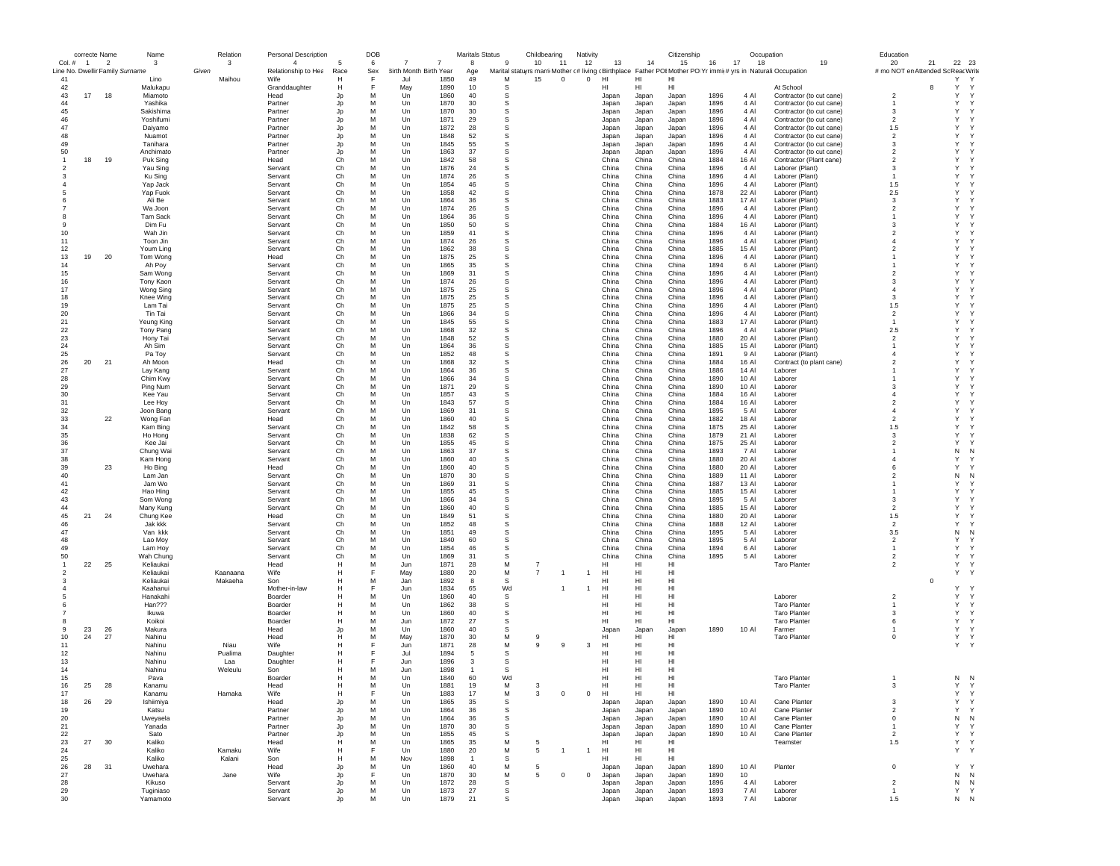|                | correcte Name  |                          | Name                                    | Relation   | Personal Description                  |                      | DOB      |                                               |              | <b>Maritals Status</b> |          | Childbearing      | Nativity       |                 |                | Citizenship                                                                                                           |              | Occupation     |                                                      | Education                  |                                                   |
|----------------|----------------|--------------------------|-----------------------------------------|------------|---------------------------------------|----------------------|----------|-----------------------------------------------|--------------|------------------------|----------|-------------------|----------------|-----------------|----------------|-----------------------------------------------------------------------------------------------------------------------|--------------|----------------|------------------------------------------------------|----------------------------|---------------------------------------------------|
| Col.#          | $\overline{1}$ | $\overline{\phantom{a}}$ | 3                                       | 3<br>Given | $\overline{4}$<br>Relationship to Hea | 5                    | 6<br>Sex | $\overline{7}$<br>7<br>3irth Month Birth Year |              | 8                      | 9        | 10<br>11          | 12             | 13              | 14             | 15<br>Marital statuyrs marri Mother (# living (Birthplace Father POI Mother PO Yr immit # yrs in Naturali: Occupation | 16           | 17<br>18       | 19                                                   | 20                         | 22 23<br>21<br># mo NOT en Attended Sc Reac Write |
| 41             |                |                          | Line No. Dwellir Family Surname<br>Lino | Maihou     | Wife                                  | Race<br>H            | F        | Jul                                           | 1850         | Age<br>49              | M        | 15<br>$\mathbf 0$ | $\mathbf{0}$   | HI              | HI             | HI                                                                                                                    |              |                |                                                      |                            | Υ<br>Y                                            |
| 42             |                |                          | Malukapu                                |            | Granddaughter                         | Н                    |          | May                                           | 1890         | 10                     | s        |                   |                | нı              | HI             | HI                                                                                                                    |              |                | At School                                            |                            | Y<br>Y<br>8                                       |
| 43             | 17             | 18                       | Miamoto                                 |            | Head                                  | Jp                   | M        | Un                                            | 1860         | 40                     | s        |                   |                | Japan           | Japan          | Japan                                                                                                                 | 1896         | 4 Al           | Contractor (to cut cane)                             | $\overline{2}$             | Υ<br>Y                                            |
| 44             |                |                          | Yashika                                 |            | Partner                               | Jp                   | M        | Un                                            | 1870         | 30                     | s        |                   |                | Japan           | Japan          | Japan                                                                                                                 | 1896         | 4 Al           | Contractor (to cut cane)                             | -1                         | Υ<br>Y                                            |
| 45             |                |                          | Sakishima                               |            | Partner                               | Jp                   | M        | Un                                            | 1870         | 30                     | s        |                   |                | Japan           | Japan          | Japan                                                                                                                 | 1896         | 4 Al           | Contractor (to cut cane)                             | 3                          | Y<br>Y                                            |
| 46             |                |                          | Yoshifumi                               |            | Partner                               | Jo                   | M        | Un                                            | 1871         | 29                     | S        |                   |                | Japan           | Japan          | Japan                                                                                                                 | 1896         | 4 Al           | Contractor (to cut cane)                             | $\overline{2}$             | Y<br>Y                                            |
| 47             |                |                          | Daiyamo                                 |            | Partner                               | Jo                   | M        | Un                                            | 1872         | 28                     | S        |                   |                | Japan           | Japan          | Japan                                                                                                                 | 1896         | 4 Al           | Contractor (to cut cane)                             | 1.5                        | Y<br>Y.                                           |
| 48<br>49       |                |                          | Nuamot                                  |            | Partner                               | Jp                   | M<br>M   | Un                                            | 1848<br>1845 | 52<br>55               | s<br>s   |                   |                | Japan           | Japan          | Japan                                                                                                                 | 1896<br>1896 | 4 Al<br>4 Al   | Contractor (to cut cane)                             | $\overline{2}$<br>3        | Y<br>Y<br>Y<br>Y                                  |
| 50             |                |                          | Tanihara<br>Anchimato                   |            | Partner<br>Partner                    | Jp<br>Jp             | M        | Un<br>Un                                      | 1863         | 37                     | S        |                   |                | Japan<br>Japan  | Japan<br>Japan | Japan<br>Japan                                                                                                        | 1896         | 4 Al           | Contractor (to cut cane)<br>Contractor (to cut cane) | $\overline{2}$             | Y<br>Y                                            |
|                | 18             | 19                       | Puk Sing                                |            | Head                                  | Ch                   | M        | $_{\text{Un}}$                                | 1842         | 58                     | s        |                   |                | China           | China          | China                                                                                                                 | 1884         | 16 AI          | Contractor (Plant cane)                              | $\mathfrak{p}$             | Y<br>Y                                            |
|                |                |                          | Yau Sing                                |            | Servant                               | Ch                   | M        | Un                                            | 1876         | 24                     | S        |                   |                | China           | China          | China                                                                                                                 | 1896         | 4 Al           | Laborer (Plant)                                      | 3                          | Y<br>Υ                                            |
|                |                |                          | Ku Sing                                 |            | Servant                               | Ch                   | M        | Un                                            | 1874         | 26                     | s        |                   |                | China           | China          | China                                                                                                                 | 1896         | 4 Al           | Laborer (Plant)                                      | $\mathbf{1}$               | Y<br>Y                                            |
|                |                |                          | Yap Jack                                |            | Servant                               | Ch                   | M        | Un                                            | 1854         | 46                     | s        |                   |                | China           | China          | China                                                                                                                 | 1896         | 4 Al           | Laborer (Plant)                                      | 1.5                        | Y<br>Y                                            |
|                |                |                          | Yap Fuok                                |            | Servant                               | Ch                   | M        | Un                                            | 1858         | 42                     | s        |                   |                | China           | China          | China                                                                                                                 | 1878         | 22 Al          | Laborer (Plant)                                      | 2.5                        | Y<br>Y.                                           |
|                |                |                          | Ali Be                                  |            | Servant                               | Ch                   | M        | Un                                            | 1864         | 36                     | S        |                   |                | China           | China          | China                                                                                                                 | 1883         | 17 AI          | Laborer (Plant)                                      | 3                          | Y<br>Y.                                           |
|                |                |                          | Wa Joon                                 |            | Servant                               | Ch                   | M        | Un                                            | 1874         | 26                     | S        |                   |                | China           | China          | China                                                                                                                 | 1896         | 4 Al           | Laborer (Plant)                                      | $\overline{2}$             | Y<br>Y                                            |
|                |                |                          | <b>Tam Sack</b>                         |            | Servant                               | Ch                   | M        | Un                                            | 1864         | 36                     | s        |                   |                | China           | China          | China                                                                                                                 | 1896         | 4 Al           | Laborer (Plant)                                      | $\mathbf{1}$               | Υ<br>Y                                            |
| 9<br>10        |                |                          | Dim Fu                                  |            | Servant                               | Ch                   | M<br>M   | Un                                            | 1850<br>1859 | 50<br>41               | s<br>s   |                   |                | China           | China<br>China | China                                                                                                                 | 1884<br>1896 | 16 Al<br>4 Al  | Laborer (Plant)                                      | 3<br>$\overline{2}$        | Υ<br>Y<br>Y<br>Y                                  |
| 11             |                |                          | Wah Jin<br>Toon Jin                     |            | Servant<br>Servant                    | Ch<br>Ch             | M        | Un<br>$_{\text{Un}}$                          | 1874         | 26                     | S        |                   |                | China<br>China  | China          | China<br>China                                                                                                        | 1896         | 4 Al           | Laborer (Plant)<br>Laborer (Plant)                   | $\overline{4}$             | Y<br>Y                                            |
| 12             |                |                          | Youm Ling                               |            | Servant                               | Ch                   | M        | Un                                            | 1862         | 38                     | S        |                   |                | China           | China          | China                                                                                                                 | 1885         | 15 Al          | Laborer (Plant)                                      | $\overline{2}$             | Y<br>Y                                            |
| 13             | 19             | 20                       | Tom Wong                                |            | Head                                  | Ch                   | M        | Un                                            | 1875         | 25                     | S        |                   |                | China           | China          | China                                                                                                                 | 1896         | 4 Al           | Laborer (Plant)                                      |                            | Y<br>Y                                            |
| 14             |                |                          | Ah Poy                                  |            | Servant                               | Ch                   | M        | Un                                            | 1865         | 35                     | s        |                   |                | China           | China          | China                                                                                                                 | 1894         | 6 Al           | Laborer (Plant)                                      |                            | Υ<br>Y                                            |
| 15             |                |                          | Sam Wong                                |            | Servant                               | Ch                   | M        | Un                                            | 1869         | 31                     | s        |                   |                | China           | China          | China                                                                                                                 | 1896         | 4 Al           | Laborer (Plant)                                      | $\overline{\mathbf{c}}$    | Υ<br>Y.                                           |
| 16             |                |                          | Tony Kaor                               |            | Servant                               | Ch                   | M        | Un                                            | 1874         | 26                     | S        |                   |                | China           | China          | China                                                                                                                 | 1896         | 4 Al           | Laborer (Plant)                                      | 3                          | Y<br>Y                                            |
| 17             |                |                          | Wong Sing                               |            | Servant                               | Ch                   | M        | Un                                            | 1875         | 25                     | S        |                   |                | China           | China          | China                                                                                                                 | 1896         | 4 Al           | Laborer (Plant)                                      | $\overline{4}$             | Y<br>Y.                                           |
| 18             |                |                          | Knee Wing                               |            | Servant                               | Ch                   | M        | Un                                            | 1875         | 25                     | S        |                   |                | China           | China          | China                                                                                                                 | 1896         | 4 Al           | Laborer (Plant)                                      | 3                          | Y<br>Y                                            |
| 19             |                |                          | Lam Tai                                 |            | Servant                               | Ch                   | M        | Un                                            | 1875         | 25                     | s        |                   |                | China           | China          | China                                                                                                                 | 1896         | 4 Al           | Laborer (Plant)                                      | 1.5                        | Υ<br>Y                                            |
| 20             |                |                          | Tin Tai                                 |            | Servant                               | Ch                   | M<br>M   | Un                                            | 1866         | 34                     | s        |                   |                | China           | China          | China                                                                                                                 | 1896         | 4 Al           | Laborer (Plant)                                      | $\overline{2}$             | Υ<br>Y<br>Y<br>Y.                                 |
| 21<br>22       |                |                          | Yeung King<br>Tony Pang                 |            | Servant<br>Servant                    | Ch<br>C <sub>h</sub> | M        | Un<br>$_{\text{Un}}$                          | 1845<br>1868 | 55<br>32               | s<br>S   |                   |                | China<br>China  | China<br>China | China<br>China                                                                                                        | 1883<br>1896 | 17 AI<br>4 Al  | Laborer (Plant)<br>Laborer (Plant)                   | $\mathbf{1}$<br>2.5        | Y<br>Y                                            |
| 23             |                |                          | Hony Tai                                |            | Servant                               | Ch                   | M        | Un                                            | 1848         | 52                     | S        |                   |                | China           | China          | China                                                                                                                 | 1880         | 20 Al          | Laborer (Plant)                                      | $\overline{2}$             | Y<br>Y                                            |
| 24             |                |                          | Ah Sim                                  |            | Servant                               | Ch                   | M        | Un                                            | 1864         | 36                     | s        |                   |                | China           | China          | China                                                                                                                 | 1885         | 15 Al          | Laborer (Plant)                                      | $\overline{1}$             | Υ<br>Y                                            |
| 25             |                |                          | Pa Toy                                  |            | Servant                               | Ch                   | M        | Un                                            | 1852         | 48                     | s        |                   |                | China           | China          | China                                                                                                                 | 1891         | 9 Al           | Laborer (Plant)                                      | $\overline{4}$             | Y<br>Y                                            |
| 26             | 20             | 21                       | Ah Moon                                 |            | Head                                  | Ch                   | M        | Un                                            | 1868         | 32                     | s        |                   |                | China           | China          | China                                                                                                                 | 1884         | 16 Al          | Contract (to plant cane)                             | $\overline{\mathbf{c}}$    | Y<br>٠Y                                           |
| 27             |                |                          | Lay Kang                                |            | Servant                               | Ch                   | M        | Un                                            | 1864         | 36                     | s        |                   |                | China           | China          | China                                                                                                                 | 1886         | 14 Al          | Laborer                                              |                            | Y<br>Y.                                           |
| 28             |                |                          | Chim Kwy                                |            | Servant                               | Ch                   | M        | Un                                            | 1866         | 34                     | S        |                   |                | China           | China          | China                                                                                                                 | 1890         | 10 Al          | Laborer                                              |                            | Y<br>Y.                                           |
| 29             |                |                          | Ping Num                                |            | Servant                               | Ch                   | M        | Un                                            | 1871         | 29                     | S        |                   |                | China           | China          | China                                                                                                                 | 1890         | 10 Al          | Laborer                                              | 3                          | Y<br>Y                                            |
| 30             |                |                          | Kee Yau                                 |            | Servant                               | Ch                   | M        | Un                                            | 1857         | 43                     | s        |                   |                | China           | China          | China                                                                                                                 | 1884         | 16 Al          | Laborer                                              | $\overline{4}$             | Υ<br>-Y                                           |
| 31             |                |                          | Lee Hoy                                 |            | Servant                               | Ch                   | M        | Un                                            | 1843         | 57                     | s        |                   |                | China           | China          | China                                                                                                                 | 1884         | 16 Al          | Laborer                                              | $\overline{2}$             | Y<br>Y                                            |
| 32<br>33       |                |                          | Joon Bang                               |            | Servant<br>Head                       | Ch<br>Ch             | M<br>M   | Un<br>$_{\text{Un}}$                          | 1869<br>1860 | 31<br>40               | s<br>S   |                   |                | China<br>China  | China<br>China | China<br>China                                                                                                        | 1895<br>1882 | 5 Al<br>18 AI  | Laborer                                              | $\Delta$<br>$\mathfrak{p}$ | Y<br>Y<br>Y<br>Y                                  |
| 34             |                | 22                       | Wong Fan<br>Kam Bing                    |            | Servant                               | Ch                   | M        | Un                                            | 1842         | 58                     | S        |                   |                | China           | China          | China                                                                                                                 | 1875         | 25 AI          | Laborer<br>Laborer                                   | 1.5                        | Y<br>Y                                            |
| 35             |                |                          | Ho Hong                                 |            | Servant                               | Ch                   | M        | Un                                            | 1838         | 62                     | s        |                   |                | China           | China          | China                                                                                                                 | 1879         | 21 Al          | Laborer                                              | 3                          | Υ<br>Y                                            |
| 36             |                |                          | Kee Jai                                 |            | Servant                               | Ch                   | M        | Un                                            | 1855         | 45                     | s        |                   |                | China           | China          | China                                                                                                                 | 1875         | 25 Al          | Laborer                                              | $\overline{2}$             | Υ<br>٠Y                                           |
| 37             |                |                          | Chung Wai                               |            | Servant                               | Ch                   | M        | Un                                            | 1863         | 37                     | s        |                   |                | China           | China          | China                                                                                                                 | 1893         | 7 Al           | Laborer                                              |                            | Ν<br>N                                            |
| 38             |                |                          | Kam Hong                                |            | Servant                               | Ch                   | M        | Un                                            | 1860         | 40                     | S        |                   |                | China           | China          | China                                                                                                                 | 1880         | 20 AI          | Laborer                                              | $\overline{4}$             | Y<br>Y.                                           |
| 39             |                | 23                       | Ho Bing                                 |            | Head                                  | Ch                   | M        | Un                                            | 1860         | 40                     | S        |                   |                | China           | China          | China                                                                                                                 | 1880         | 20 AI          | Laborer                                              | 6                          | Y<br>Y.                                           |
| 40             |                |                          | Lam Jan                                 |            | Servant                               | Ch                   | M        | Un                                            | 1870         | 30                     | S        |                   |                | China           | China          | China                                                                                                                 | 1889         | 11 Al          | Laborer                                              | $\overline{2}$             | N<br>N                                            |
| 41             |                |                          | Jam Wo                                  |            | Servant                               | Ch                   | M        | Un                                            | 1869         | 31                     | s        |                   |                | China           | China          | China                                                                                                                 | 1887         | 13 Al          | Laborer                                              |                            | Y<br>Y                                            |
| 42             |                |                          | Hao Hing                                |            | Servant                               | Ch                   | M        | Un                                            | 1855         | 45                     | s        |                   |                | China           | China          | China                                                                                                                 | 1885         | 15 AI          | Laborer                                              |                            | Y<br>Y                                            |
| 43             |                |                          | Som Wong                                |            | Servant                               | Ch                   | M        | Un                                            | 1866         | 34                     | s        |                   |                | China           | China          | China                                                                                                                 | 1895         | 5 Al           | Laborer                                              | 3                          | Y<br>Y.<br>Y                                      |
| 44<br>45       | 21             | 24                       | Many Kung                               |            | Servant<br>Head                       | Ch<br>Ch             | M<br>M   | $_{\text{Un}}$<br>Un                          | 1860<br>1849 | 40<br>51               | s<br>S   |                   |                | China<br>China  | China<br>China | China<br>China                                                                                                        | 1885<br>1880 | 15 AI<br>20 Al | Laborer<br>Laborer                                   | $\mathcal{P}$<br>1.5       | Y<br>Y<br>Y                                       |
| 46             |                |                          | Chung Kee<br>Jak kkk                    |            | Servant                               | Ch                   | M        | Un                                            | 1852         | 48                     | s        |                   |                | China           | China          | China                                                                                                                 | 1888         | 12 Al          | Laborer                                              | $\overline{2}$             | Y<br>٠Y                                           |
| 47             |                |                          | Van kkk                                 |            | Servant                               | Ch                   | M        | Un                                            | 1851         | 49                     | s        |                   |                | China           | China          | China                                                                                                                 | 1895         | 5 Al           | Laborer                                              | 3.5                        | Ν<br>N                                            |
| 48             |                |                          | Lao Moy                                 |            | Servant                               | Ch                   | M        | Un                                            | 1840         | 60                     | s        |                   |                | China           | China          | China                                                                                                                 | 1895         | 5 Al           | Laborer                                              | $\overline{2}$             | Y<br>٠Y                                           |
| 49             |                |                          | Lam Hoy                                 |            | Servant                               | Ch                   | M        | Un                                            | 1854         | 46                     | S        |                   |                | China           | China          | China                                                                                                                 | 1894         | 6 Al           | Laborer                                              | $\mathbf{1}$               | Y<br>Y.                                           |
| 50             |                |                          | Wah Chung                               |            | Servant                               | Ch                   | M        | Un                                            | 1869         | 31                     | S        |                   |                | China           | China          | China                                                                                                                 | 1895         | 5 Al           | Laborer                                              | $\overline{2}$             | Υ<br>Y                                            |
| $\overline{1}$ | 22             | 25                       | Keliaukai                               |            | Head                                  | H                    | M        | Jun                                           | 1871         | 28                     | M        | $\overline{7}$    |                | HI              | HI             | HI                                                                                                                    |              |                | <b>Taro Planter</b>                                  | $\overline{2}$             | Υ<br>Y                                            |
| $\overline{2}$ |                |                          | Keliaukai                               | Kaanaana   | Wife                                  | Н                    | E        | May                                           | 1880         | 20                     | М        | $\overline{7}$    | $\overline{1}$ | HI              | HI             | HI                                                                                                                    |              |                |                                                      |                            | Υ<br>-Y                                           |
| 3              |                |                          | Keliaukai                               | Makaeha    | Son                                   | Н                    | M        | Jan                                           | 1892         | 8                      | S        |                   |                | HI              | HI             | HI                                                                                                                    |              |                |                                                      |                            | $\mathbf 0$                                       |
|                |                |                          | Kaahanui                                |            | Mother-in-law                         | H                    | E<br>M   | Jun                                           | 1834         | 65                     | Wd       |                   | $\overline{1}$ | H <sub>II</sub> | HI             | H <sub>II</sub>                                                                                                       |              |                |                                                      |                            | Y<br>Y<br>Y<br>Y                                  |
|                |                |                          | Hanakahi                                |            | Boarder                               | Н<br>H               | M        | Un                                            | 1860         | 40                     | S        |                   |                | HI<br>HI        | HI             | HI                                                                                                                    |              |                | Laborer                                              | $\overline{2}$             | Y<br>Y                                            |
|                |                |                          | Han???<br>Ikuwa                         |            | Boarder<br>Boarder                    | Н                    | M        | Un<br>Un                                      | 1862<br>1860 | 38<br>40               | S<br>s   |                   |                | HI              | HI<br>HI       | HI<br>HI                                                                                                              |              |                | <b>Taro Planter</b><br><b>Taro Planter</b>           | $\mathbf{1}$<br>3          | Υ<br>Y                                            |
|                |                |                          | Koikoi                                  |            | Boarder                               | н                    | M        | Jun                                           | 1872         | 27                     | s        |                   |                | HI              | HI             | HI                                                                                                                    |              |                | <b>Taro Planter</b>                                  | 6                          | Υ<br>Y                                            |
| -9             | 23             | 26                       | Makura                                  |            | Head                                  | Jp                   | M        | Un                                            | 1860         | 40                     | s        |                   |                | Japan           | Japan          | Japan                                                                                                                 | 1890         | 10 Al          | Farmer                                               | $\mathbf{1}$               | Υ<br>Y                                            |
| 10             | 24             | 27                       | Nahinu                                  |            | Head                                  | н                    | M        | May                                           | 1870         | 30                     | M        | 9                 |                | HI              | HI             | HI                                                                                                                    |              |                | <b>Taro Planter</b>                                  | $\mathbf 0$                | Υ<br>Y                                            |
| 11             |                |                          | Nahinu                                  | Niau       | Wife                                  | H                    |          | Jun                                           | 1871         | 28                     | M        | 9<br>9            | 3              | HI              | HI             | HI                                                                                                                    |              |                |                                                      |                            | Υ<br>$\mathsf{Y}$                                 |
| 12             |                |                          | Nahinu                                  | Pualima    | Daughter                              | Н                    | Е        | Jul                                           | 1894         | -5                     | s        |                   |                | HI              | HI             | HI                                                                                                                    |              |                |                                                      |                            |                                                   |
| 13             |                |                          | Nahinu                                  | Laa        | Daughter                              | Н                    | F        | Jun                                           | 1896         | 3                      | s        |                   |                | HI              | н              | HI                                                                                                                    |              |                |                                                      |                            |                                                   |
| 14             |                |                          | Nahinu                                  | Weleulu    | Son                                   | н                    | M        | Jun                                           | 1898         | $\overline{1}$         | S        |                   |                | HI              | HI             | HI                                                                                                                    |              |                |                                                      |                            |                                                   |
| 15             |                |                          | Pava                                    |            | Boarder                               | H                    | M        | $_{\text{Un}}$                                | 1840         | 60                     | Wd       |                   |                | HI.             | HI             | HI                                                                                                                    |              |                | <b>Taro Planter</b>                                  | $\mathbf{1}$               | $N$ $N$                                           |
| 16             | 25             | 28                       | Kanamu                                  |            | Head                                  | н                    |          | Un                                            | 1881         | 19                     | M        |                   |                | нı              | HI             | н                                                                                                                     |              |                | Taro Planter                                         | -3                         |                                                   |
| 17             |                |                          | Kanamu                                  | Hamaka     | Wife                                  | н                    | F        | Un                                            | 1883         | 17                     | М        | 3<br>$\,0\,$      | $^{\circ}$     | HI              | HI             | HI                                                                                                                    |              |                |                                                      |                            | Υ<br>Υ                                            |
| 18             | 26             | 29                       | Ishiimiya                               |            | Head                                  | Jp                   | M<br>M   | Un                                            | 1865         | 35                     | s<br>s   |                   |                | Japan           | Japan          | Japan                                                                                                                 | 1890         | 10 Al          | Cane Planter                                         | 3<br>$\overline{2}$        | Υ<br>Υ<br>Υ<br>Υ                                  |
| 19<br>20       |                |                          | Katsu<br>Uweyaela                       |            | Partner<br>Partner                    | Jp                   | M        | Un<br>Un                                      | 1864<br>1864 | 36<br>36               | s        |                   |                | Japan<br>Japan  | Japan          | Japan<br>Japan                                                                                                        | 1890<br>1890 | 10 Al<br>10 Al | Cane Planter<br>Cane Planter                         | $\mathbf 0$                | Ν<br>N                                            |
| 21             |                |                          | Yanada                                  |            | Partner                               | Jp<br>Jp             | M        | Un                                            | 1870         | 30                     | S        |                   |                | Japan           | Japan<br>Japan | Japan                                                                                                                 | 1890         | 10 Al          | Cane Planter                                         | $\overline{1}$             | Υ<br>Υ                                            |
| 22             |                |                          | Sato                                    |            | Partner                               | Jp                   | M        | Un                                            | 1855         | 45                     | S        |                   |                | Japan           | Japan          | Japan                                                                                                                 | 1890         | 10 Al          | Cane Planter                                         | $\overline{2}$             | Υ<br>Y                                            |
| 23             | 27             | 30                       | Kaliko                                  |            | Head                                  | Н                    | M        | Un                                            | 1865         | 35                     | M        | 5                 |                | HI              | HI             | HI                                                                                                                    |              |                | Teamster                                             | 1.5                        | Υ<br>Y                                            |
| 24             |                |                          | Kaliko                                  | Kamaku     | Wife                                  | н                    | F        | Un                                            | 1880         | 20                     | М        | 5<br>$\mathbf{1}$ | $\overline{1}$ | HI              | HI             | HI                                                                                                                    |              |                |                                                      |                            | Υ<br>Y                                            |
| 25             |                |                          | Kaliko                                  | Kalani     | Son                                   | H                    | M        | Nov                                           | 1898         | $\overline{1}$         | <b>S</b> |                   |                | H <sub>II</sub> | HI.            | H <sub>II</sub>                                                                                                       |              |                |                                                      |                            |                                                   |
| 26             | 28             | 31                       | Uwehara                                 |            | Head                                  | Jp                   | M        | Un                                            | 1860         | 40                     | M        | 5                 |                | Japan           | Japan          | Japan                                                                                                                 | 1890         | 10 Al          | Planter                                              | $\mathbf 0$                | Y<br>Y                                            |
| 27             |                |                          | Uwehara                                 | Jane       | Wife                                  | Jp                   | F        | Un                                            | 1870         | 30                     | М        | 5<br>$\mathbf 0$  | $^{\circ}$     | Japan           | Japan          | Japan                                                                                                                 | 1890         | 10             |                                                      |                            | N<br>N                                            |
| 28             |                |                          | Kikuso                                  |            | Servant                               | Jp                   | M        | Un                                            | 1872         | 28                     | s        |                   |                | Japan           | Japan          | Japan                                                                                                                 | 1896         | 4 Al           | Laborer                                              | $\overline{2}$             | N<br>N                                            |
| 29             |                |                          | Tuginiaso                               |            | Servant                               | Jp                   | м        | Un                                            | 1873         | 27                     | s        |                   |                | Japan           | Japan          | Japan                                                                                                                 | 1893         | 7 Al           | Laborer                                              | $\overline{1}$             | Υ<br>Y                                            |
| 30             |                |                          | Yamamoto                                |            | Servant                               | Jo                   | М        | Un                                            | 1879         | 21                     | s        |                   |                | Japan           | Japan          | Japan                                                                                                                 | 1893         | 7 AI           | Laborer                                              | 1.5                        | ${\sf N}-{\sf N}$                                 |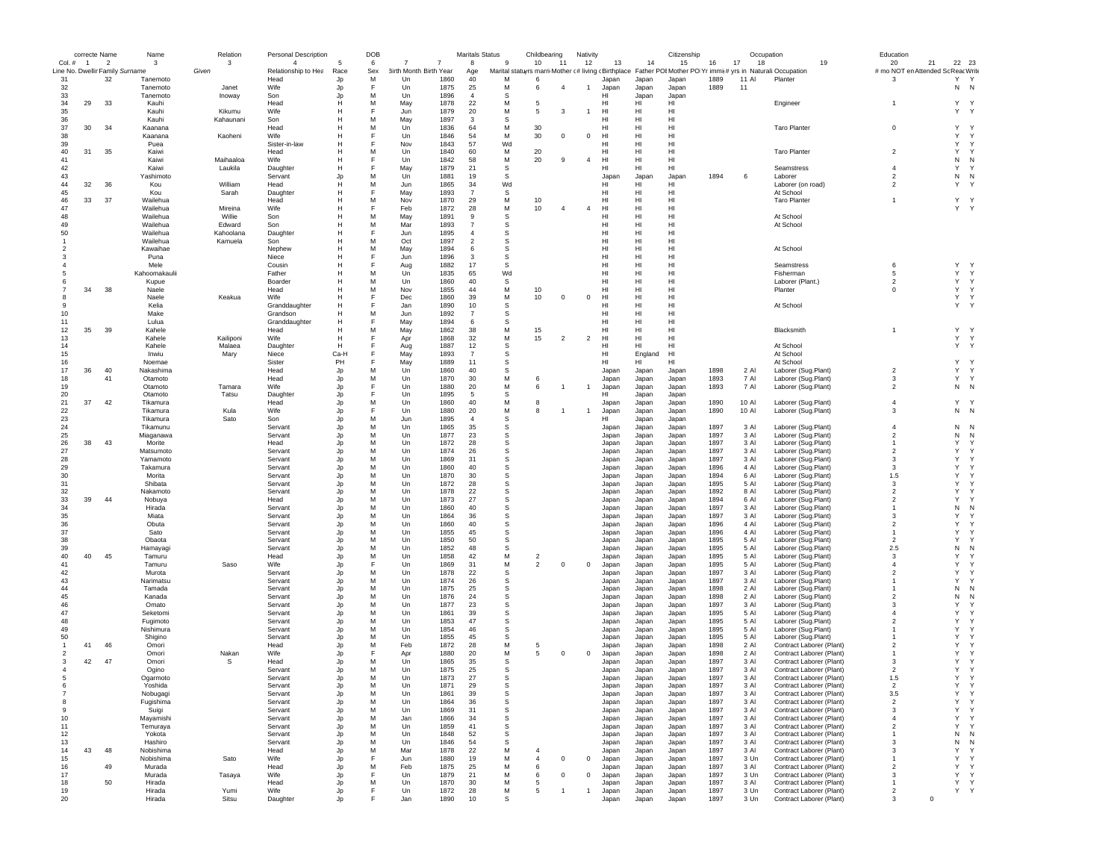|                                           | correcte Name  |    |               | Name                  | Relation            | Personal Description                  |            | DOB      |                        |              | <b>Maritals Status</b> |              | Childbearing   |                | Nativity       |                |                 | Citizenship     |              |              | Occupation                                                                                                    |    | Education                                |          |                             |
|-------------------------------------------|----------------|----|---------------|-----------------------|---------------------|---------------------------------------|------------|----------|------------------------|--------------|------------------------|--------------|----------------|----------------|----------------|----------------|-----------------|-----------------|--------------|--------------|---------------------------------------------------------------------------------------------------------------|----|------------------------------------------|----------|-----------------------------|
| Col. #<br>Line No. Dwellir Family Surname | $\overline{1}$ |    | $\mathcal{P}$ | 3                     | 3<br>Given          | $\overline{4}$<br>Relationship to Hea | -5<br>Race | 6<br>Sex | 3irth Month Birth Year |              | $\mathbf{a}$           | $\mathbf{g}$ | 10             | 11             | 12             | 13             | 14              | 15              | 16           | 17<br>18     | Marital statuyrs marri Mother (# living (Birthplace Father POI Mother PO Yr immi(# yrs in Naturali:Occupation | 19 | 20<br># mo NOT en Attended Sc Reac Write | 21       | 22 23                       |
| 31                                        |                | 32 |               | Tanemoto              |                     | Head                                  | Jp         | M        | Un                     | 1860         | Age<br>40              | M            | 6              |                |                | Japan          | Japan           | Japan           | 1889         | 11 Al        | Planter                                                                                                       |    | 3                                        |          | Y<br>Y                      |
| 32                                        |                |    |               | Tanemoto              | Janet               | Wife                                  | Jp         | F        | Un                     | 1875         | 25                     | M            | 6              | $\overline{4}$ | $\overline{1}$ | Japan          | Japan           | Japan           | 1889         | 11           |                                                                                                               |    |                                          |          | N<br>N                      |
| 33                                        |                |    |               | Tanemoto              | Inoway              | Son                                   | Jp         | М        | Un                     | 1896         | $\overline{4}$         | s            |                |                |                | HI             | Japan           | Japan           |              |              |                                                                                                               |    |                                          |          |                             |
| 34                                        | 29             | 33 |               | Kauhi                 |                     | Head                                  | н          | M        | May                    | 1878         | 22                     | M            | -5             |                |                | HI             | HI              | HI              |              |              | Engineer                                                                                                      |    | $\overline{1}$                           |          | Y Y                         |
| 35<br>36                                  |                |    |               | Kauhi<br>Kauhi        | Kikumu<br>Kahaunani | Wife<br>Son                           | н          | F<br>М   | Jun<br>May             | 1879<br>1897 | 20<br>3                | M<br>S       | 5              | 3              | $\overline{1}$ | HI<br>HI       | HI<br>HI        | HI<br>HI        |              |              |                                                                                                               |    |                                          |          | Υ<br>Y                      |
| 37                                        | 30             | 34 |               | Kaanana               |                     | Head                                  | н          | М        | Un                     | 1836         | 64                     | М            | 30             |                |                | HI             | HI              | HI              |              |              | <b>Taro Planter</b>                                                                                           |    | $\mathbf 0$                              |          | Υ<br>Y                      |
| 38                                        |                |    |               | Kaanana               | Kaoheni             | Wife                                  | н          | E        | Un                     | 1846         | 54                     | M            | 30             | $^{\circ}$     | $^{\circ}$     | HI             | HI              | HI              |              |              |                                                                                                               |    |                                          |          | Υ<br>Y                      |
| 39                                        |                |    |               | Puea                  |                     | Sister-in-law                         | н          | E        | Nov                    | 1843         | 57                     | Wd           |                |                |                | HI             | HI              | H <sub>II</sub> |              |              |                                                                                                               |    |                                          |          | Y<br>$\mathsf{Y}$           |
| 40                                        | 31             | 35 |               | Kaiwi                 |                     | Head                                  | н          | M        | Un                     | 1840         | 60                     | M            | 20             |                |                | HI             | HI              | HI              |              |              | <b>Taro Planter</b>                                                                                           |    | $\overline{2}$                           |          | Y<br>Y                      |
| 41<br>42                                  |                |    |               | Kaiwi<br>Kaiwi        | Maihaaloa           | Wife                                  | н<br>н     | F<br>F   | Un                     | 1842<br>1879 | 58<br>21               | M            | 20             | 9              | $\overline{4}$ | HI<br>HI       | HI<br>HI        | HI<br>HI        |              |              |                                                                                                               |    | $\overline{4}$                           | N<br>Y   | N<br>Y                      |
| 43                                        |                |    |               | Yashimoto             | Laukila             | Daughter<br>Servant                   | Jp         | М        | May<br>Un              | 1881         | 19                     | s<br>s       |                |                |                | Japar          | Japar           | Japan           | 1894         | 6            | Seamstress<br>Laborer                                                                                         |    | 2                                        | N        | N                           |
| 44                                        | 32             | 36 |               | Kou                   | William             | Head                                  | н          | М        | Jun                    | 1865         | 34                     | Wd           |                |                |                | HI             | HI              | HI              |              |              | Laborer (on road)                                                                                             |    | $\overline{2}$                           |          | Y<br><sup>Y</sup>           |
| 45                                        |                |    |               | Kou                   | Sarah               | Daughter                              | H          | F        | May                    | 1893         | $\overline{7}$         | s            |                |                |                | HI             | H <sub>II</sub> | HI              |              |              | At School                                                                                                     |    |                                          |          |                             |
| 46                                        | 33             | 37 |               | Wailehua              |                     | Head                                  | н          | М        | Nov                    | 1870         | 29                     | M            | 10             |                |                | HI             | HI              | HI              |              |              | <b>Taro Planter</b>                                                                                           |    | $\mathbf{1}$                             |          | Y<br>Y                      |
| 47                                        |                |    |               | Wailehua              | Mireina             | Wife                                  | н<br>н     | F        | Feb                    | 1872         | 28                     | М            | 10             | $\overline{a}$ | $\overline{4}$ | HI             | HI              | HI              |              |              |                                                                                                               |    |                                          |          | Y Y                         |
| 48<br>49                                  |                |    |               | Wailehua<br>Wailehua  | Willie<br>Edward    | Son<br>Son                            | н          | M<br>M   | May<br>Mar             | 1891<br>1893 | 9<br>$\overline{7}$    | s<br>s       |                |                |                | HI<br>HI       | HI<br>HI        | HI<br>HI        |              |              | At School<br>At School                                                                                        |    |                                          |          |                             |
| 50                                        |                |    |               | Wailehua              | Kahoolana           | Daughter                              | н          | E        | Jun                    | 1895         | $\overline{4}$         | s            |                |                |                | HI.            | HI              | H <sub>II</sub> |              |              |                                                                                                               |    |                                          |          |                             |
|                                           |                |    |               | Wailehua              | Kamuela             | Son                                   | н          | M        | Oct                    | 1897         | $\overline{2}$         | s            |                |                |                | HI             | HI              | HI              |              |              |                                                                                                               |    |                                          |          |                             |
|                                           |                |    |               | Kawaihae              |                     | Nephew                                |            | M        | May                    | 1894         | 6                      | S            |                |                |                | HI             | HI              | HI              |              |              | At School                                                                                                     |    |                                          |          |                             |
|                                           |                |    |               | Puna                  |                     | Niece                                 |            | F        | Jun                    | 1896         | 3                      | S            |                |                |                | HI             | HI              | HI              |              |              |                                                                                                               |    |                                          |          |                             |
|                                           |                |    |               | Mele<br>Kahoomakaulii |                     | Cousin<br>Father                      |            | F<br>M   | Aug<br>Un              | 1882<br>1835 | 17                     | s<br>Wd      |                |                |                | HI<br>HI       | HI<br>HI        | HI<br>HI        |              |              | Seamstress<br>Fisherman                                                                                       |    | 6<br>5                                   |          | Υ<br><sup>Y</sup><br>Y<br>Y |
|                                           |                |    |               | Kupue                 |                     | Boarder                               |            | М        | Un                     | 1860         | 65<br>40               | s            |                |                |                | HI             | HI              | HI              |              |              | Laborer (Plant.)                                                                                              |    | $\overline{2}$                           |          | Υ<br>Y                      |
|                                           | 34             | 38 |               | Naele                 |                     | Head                                  |            | М        | Nov                    | 1855         | 44                     | M            | 10             |                |                | HI             | HI              | HI              |              |              | Planter                                                                                                       |    | $\mathbf 0$                              |          | Y<br>Y                      |
|                                           |                |    |               | Naele                 | Keakua              | Wife                                  |            | F        | Dec                    | 1860         | 39                     | М            | 10             | $^{\circ}$     | $^{\circ}$     | HI             | HI              | HI              |              |              |                                                                                                               |    |                                          | Y        | Y                           |
| 9                                         |                |    |               | Kelia                 |                     | Granddaughter                         | Н          | F        | Jan                    | 1890         | 10                     | s            |                |                |                | HI             | HI              | HI              |              |              | At School                                                                                                     |    |                                          |          | Y<br>Y                      |
| 10                                        |                |    |               | Make                  |                     | Grandson                              | H          | M        | Jun                    | 1892         | $\overline{7}$         | s            |                |                |                | HI             | HI              | H1              |              |              |                                                                                                               |    |                                          |          |                             |
| 11                                        |                |    |               | Lulua                 |                     | Granddaughter                         | H          | E        | May                    | 1894         | 6                      | s            |                |                |                | HI.            | HI              | H1              |              |              |                                                                                                               |    |                                          |          |                             |
| 12                                        | 35             | 39 |               | Kahele<br>Kahele      |                     | Head<br>Wife                          | H<br>Н     | M<br>F   | May                    | 1862<br>1868 | 38                     | M<br>М       | 15             | $\overline{2}$ | $\overline{2}$ | HI<br>HI       | HI<br>HI        | HI<br>HI        |              |              | Blacksmith                                                                                                    |    | $\mathbf{1}$                             |          | Υ<br>Y<br>Y<br><sup>Y</sup> |
| 13<br>14                                  |                |    |               | Kahele                | Kailiponi<br>Malaea | Daughter                              | н          | F        | Apr<br>Aug             | 1887         | 32<br>12               | s            | 15             |                |                | HI             | HI              | HI              |              |              | At School                                                                                                     |    |                                          |          | Υ<br>Y                      |
| 15                                        |                |    |               | Inwiu                 | Mary                | Niece                                 | Ca-H       | E        | May                    | 1893         | $\overline{7}$         | s            |                |                |                | HI             | England         | HI              |              |              | At School                                                                                                     |    |                                          |          |                             |
| 16                                        |                |    |               | Noemae                |                     | Sister                                | PH         | F        | May                    | 1889         | 11                     | s            |                |                |                | HI             | HI              | H <sub>II</sub> |              |              | At School                                                                                                     |    |                                          |          | Y<br>Y                      |
| 17                                        | 36             | 40 |               | Nakashima             |                     | Head                                  | Jp         | М        | Un                     | 1860         | 40                     | S            |                |                |                | Japan          | Japan           | Japan           | 1898         | 2 Al         | Laborer (Sug.Plant)                                                                                           |    | $\overline{2}$                           |          | Y<br>Y                      |
| 18                                        |                | 41 |               | Otamoto               |                     | Head                                  | Jp         | М        | Un                     | 1870         | 30                     | M            | 6              |                |                | Japan          | Japan           | Japan           | 1893         | 7 Al         | Laborer (Sug.Plant)                                                                                           |    | 3                                        |          | Y<br>Y                      |
| 19                                        |                |    |               | Otamoto               | Tamara              | Wife                                  | Jp         | F        | Un                     | 1880         | 20                     | М            | 6              |                | $\overline{1}$ | Japan          | Japan           | Japan           | 1893         | 7 Al         | Laborer (Sug.Plant)                                                                                           |    | $\overline{2}$                           |          | N<br>$\overline{N}$         |
| 20<br>21                                  | 37             | 42 |               | Otamoto<br>Tikamura   | Tatsu               | Daughter<br>Head                      | Jp         | Е<br>M   | Un<br>Un               | 1895<br>1860 | -5<br>40               | s<br>M       | -8             |                |                | HI             | Japan           | Japan           | 1890         | 10 AI        |                                                                                                               |    | $\overline{4}$                           |          | Y<br>Y                      |
| 22                                        |                |    |               | Tikamura              | Kula                | Wife                                  | Jp<br>Jp   | F        | Un                     | 1880         | 20                     | M            | 8              |                | $\mathbf{1}$   | Japan<br>Japan | Japan<br>Japan  | Japan<br>Japan  | 1890         | 10 Al        | Laborer (Sug.Plant)<br>Laborer (Sug.Plant)                                                                    |    | 3                                        |          | N<br>$\overline{N}$         |
| 23                                        |                |    |               | Tikamura              | Sato                | Son                                   | Jp         | М        | Jun                    | 1895         | $\overline{4}$         | s            |                |                |                | HI             | Japan           | Japan           |              |              |                                                                                                               |    |                                          |          |                             |
| 24                                        |                |    |               | Tikamunu              |                     | Servant                               | Jp         | М        | Un                     | 1865         | 35                     | s            |                |                |                | Japan          | Japan           | Japan           | 1897         | 3 Al         | Laborer (Sug.Plant)                                                                                           |    | $\overline{4}$                           |          | N<br>N                      |
| 25                                        |                |    |               | Miaganawa             |                     | Servant                               | Jp         | M        | Un                     | 1877         | 23                     | s            |                |                |                | Japan          | Japan           | Japan           | 1897         | 3 AI         | Laborer (Sug.Plant)                                                                                           |    | $\overline{2}$                           |          | N<br>N                      |
| 26                                        | 38             | 43 |               | Morite                |                     | Head                                  | Jp         | М        | Un                     | 1872         | 28                     | s            |                |                |                | Japan          | Japan           | Japan           | 1897         | 3 AI         | Laborer (Sug.Plant)                                                                                           |    | -1                                       | Υ        | <sup>Y</sup>                |
| 27                                        |                |    |               | Matsumoto             |                     | Servant                               | Jp         | M        | Un                     | 1874         | 26                     | S            |                |                |                | Japan          | Japan           | Japan           | 1897         | 3 Al         | Laborer (Sug.Plant)                                                                                           |    | $\overline{2}$                           | Y        | Y                           |
| 28                                        |                |    |               | Yamamoto              |                     | Servant                               | Jp         | М        | Un                     | 1869         | 31                     | S            |                |                |                | Japan          | Japan           | Japan           | 1897         | 3 Al         | Laborer (Sug.Plant)                                                                                           |    | 3                                        | Υ        | Y                           |
| 29<br>30                                  |                |    |               | Takamura              |                     | Servant                               | Jp         | M<br>М   | Un                     | 1860<br>1870 | 40<br>30               | S<br>S       |                |                |                | Japan          | Japan           | Japan           | 1896<br>1894 | 4 Al<br>6 Al | Laborer (Sug.Plant)                                                                                           |    | 3                                        | Y<br>Y   | Y<br>Y                      |
| 31                                        |                |    |               | Morita<br>Shibata     |                     | Servant<br>Servant                    | Jp<br>Jp   | M        | Un<br>Un               | 1872         | 28                     | s            |                |                |                | Japan<br>Japan | Japan<br>Japan  | Japan<br>Japan  | 1895         | 5 AI         | Laborer (Sug.Plant)<br>Laborer (Sug.Plant)                                                                    |    | 1.5<br>3                                 | Υ        | Y                           |
| 32                                        |                |    |               | Nakamoto              |                     | Servant                               | Jp         | M        | Un                     | 1878         | 22                     | s            |                |                |                | Japan          | Japan           | Japan           | 1892         | 8 AI         | Laborer (Sug.Plant)                                                                                           |    | $\overline{2}$                           | Y        | Υ                           |
| 33                                        | 39             | 44 |               | Nobuya                |                     | Head                                  | Jp         | М        | Un                     | 1873         | 27                     | s            |                |                |                | Japan          | Japan           | Japan           | 1894         | 6 Al         | Laborer (Sug.Plant)                                                                                           |    | $\overline{2}$                           | Υ        | Υ                           |
| 34                                        |                |    |               | Hirada                |                     | Servant                               | Jp         | М        | Un                     | 1860         | 40                     | s            |                |                |                | Japan          | Japan           | Japan           | 1897         | 3 Al         | Laborer (Sug.Plant)                                                                                           |    | $\mathbf{1}$                             | N        | N                           |
| 35                                        |                |    |               | Miata                 |                     | Servant                               | Jp         | М        | Un                     | 1864         | 36                     | s            |                |                |                | Japan          | Japan           | Japan           | 1897         | 3 Al         | Laborer (Sug.Plant)                                                                                           |    | 3                                        | Y        | Υ                           |
| 36<br>37                                  |                |    |               | Obuta<br>Sato         |                     | Servant<br>Servant                    | Jp         | М<br>М   | Un<br>Un               | 1860<br>1855 | 40<br>45               | s<br>s       |                |                |                | Japan          | Japan           | Japan           | 1896<br>1896 | 4 Al<br>4 Al | Laborer (Sug.Plant)                                                                                           |    | $\overline{2}$<br>$\mathbf{1}$           | Υ<br>Y   | Y<br>Y                      |
| 38                                        |                |    |               | Obaota                |                     | Servant                               | Jp<br>Jp   | M        | Un                     | 1850         | 50                     | S            |                |                |                | Japan<br>Japan | Japan<br>Japan  | Japan<br>Japan  | 1895         | 5 Al         | Laborer (Sug.Plant)<br>Laborer (Sug.Plant)                                                                    |    | $\overline{2}$                           | Y        | Υ                           |
| 39                                        |                |    |               | Hamayagi              |                     | Servant                               | Jp         | М        | Un                     | 1852         | 48                     | S            |                |                |                | Japan          | Japan           | Japan           | 1895         | 5 Al         | Laborer (Sug.Plant)                                                                                           |    | 2.5                                      | N        | N                           |
| 40                                        | 40             | 45 |               | Tamuru                |                     | Head                                  | Jp         | М        | Un                     | 1858         | 42                     | M            | $\overline{2}$ |                |                | Japan          | Japan           | Japan           | 1895         | 5 Al         | Laborer (Sug.Plant)                                                                                           |    | 3                                        | Y        | Y                           |
| 41                                        |                |    |               | Tamuru                | Saso                | Wife                                  | Jp         | F        | Un                     | 1869         | 31                     | M            | $\overline{2}$ | $^{\circ}$     | $\,0\,$        | Japan          | Japan           | Japan           | 1895         | 5 Al         | Laborer (Sug.Plant)                                                                                           |    | 4                                        | Υ        | Y                           |
| 42                                        |                |    |               | Murota                |                     | Servant                               | Jp         | M        | Un                     | 1878         | 22                     | s            |                |                |                | Japan          | Japan           | Japan           | 1897         | 3 Al         | Laborer (Sug.Plant)                                                                                           |    | $\overline{2}$                           | Y        | Y                           |
| 43<br>44                                  |                |    |               | Narimatsu<br>Tamada   |                     | Servant<br>Servant                    | Jp<br>Jp   | M<br>M   | Un<br>Un               | 1874<br>1875 | 26<br>25               | s<br>s       |                |                |                | Japan<br>Japan | Japan           | Japan<br>Japan  | 1897<br>1898 | 3 AI<br>2 Al | Laborer (Sug.Plant)                                                                                           |    | -1<br>-1                                 | Y<br>N   | Y<br>N                      |
| 45                                        |                |    |               | Kanada                |                     | Servant                               | Jp         | M        | Un                     | 1876         | 24                     | S            |                |                |                | Japan          | Japan<br>Japan  | Japan           | 1898         | 2 Al         | Laborer (Sug.Plant)<br>Laborer (Sug.Plant)                                                                    |    | $\overline{2}$                           |          | N<br>$\mathbb{N}$           |
| 46                                        |                |    |               | Omato                 |                     | Servant                               | Jp         | M        | Un                     | 1877         | 23                     | S            |                |                |                | Japan          | Japan           | Japan           | 1897         | 3 Al         | Laborer (Sug.Plant)                                                                                           |    | 3                                        | Y        | Y                           |
| 47                                        |                |    |               | Seketomi              |                     | Servant                               | Jp         | M        | Un                     | 1861         | 39                     | s            |                |                |                | Japan          | Japan           | Japan           | 1895         | 5 AI         | Laborer (Sug.Plant)                                                                                           |    | $\overline{4}$                           | Υ        | Y                           |
| 48                                        |                |    |               | Fugimoto              |                     | Servant                               | Jp         | M        | Un                     | 1853         | 47                     | S            |                |                |                | Japan          | Japan           | Japan           | 1895         | 5 Al         | Laborer (Sug.Plant)                                                                                           |    | $\mathfrak{p}$                           | Y        | Y                           |
| 49                                        |                |    |               | Nishimura             |                     | Servant                               | Jp         | М        | Un                     | 1854         | 46                     | S            |                |                |                | Japan          | Japan           | Japan           | 1895         | 5 Al         | Laborer (Sug.Plant)                                                                                           |    | -1                                       |          | Y<br>Y                      |
| 50                                        |                |    |               | Shigino               |                     | Servant                               | Jp         | М        | Un                     | 1855         | 45                     | S<br>M       |                |                |                | Japan          | Japan           | Japan           | 1895         | 5 Al         | Laborer (Sug.Plant)                                                                                           |    | $\overline{2}$                           | Y        | Y<br><sup>Y</sup><br>Y      |
| $\overline{2}$                            | 41             | 46 |               | Omori<br>Omori        | Nakan               | Head<br>Wife                          | Jp<br>Jp   | М<br>E   | Feb<br>Apr             | 1872<br>1880 | 28<br>20               | M            | 5<br>5         | $\Omega$       | $^{\circ}$     | Japan<br>Japan | Japan<br>Japan  | Japan<br>Japan  | 1898<br>1898 | 2 Al<br>2 Al | Contract Laborer (Plant)<br>Contract Laborer (Plant)                                                          |    | -1                                       | Υ        | Y                           |
| 3                                         | 42             | 47 |               | Omori                 | -S                  | Head                                  | Jp         | M        | Un                     | 1865         | 35                     | s            |                |                |                | Japar          | Japan           | Japan           | 1897         | 3 AI         | Contract Laborer (Plant)                                                                                      |    | 3                                        | Y        | Y                           |
|                                           |                |    |               | Ogino                 |                     | Servant                               | Jp         | M        | Un                     | 1875         | 25                     | <b>S</b>     |                |                |                | Japar          | Japan           | Japan           | 1897         | 3 AI         | Contract Laborer (Plant)                                                                                      |    | $\overline{2}$                           |          | Y<br>Y                      |
|                                           |                |    |               | Ogarmoto              |                     | Servant                               | .ln        | M        | Un                     | 1873         | 27                     | <b>S</b>     |                |                |                | Japan          | Japan           | Japan           | 1897         | 3 Al         | Contract Laborer (Plant)                                                                                      |    | 1.5                                      |          | Y<br>Y                      |
|                                           |                |    |               | r osniga              |                     | servant                               |            |          | Un                     | 1871         | 29                     | ১            |                |                |                | Japar          | Japan           | Japar           | 1897         | 3 Al         | Contract Laborer (Plant                                                                                       |    | $\epsilon$                               |          |                             |
| $\overline{7}$                            |                |    |               | Nobugagi              |                     | Servant                               | Jp         | М        | Un                     | 1861         | 39                     | s            |                |                |                | Japan          | Japan           | Japan           | 1897         | 3 AI         | Contract Laborer (Plant)                                                                                      |    | 3.5                                      |          | Υ<br>Y                      |
| 8                                         |                |    |               | Fugishima             |                     | Servant                               | Jp         | М        | Un                     | 1864         | 36                     | s            |                |                |                | Japan          | Japan           | Japan           | 1897         | 3 AI         | Contract Laborer (Plant)                                                                                      |    | $\overline{2}$                           |          | Y<br>Y                      |
| -9<br>10                                  |                |    |               | Suigi<br>Mayamishi    |                     | Servant<br>Servant                    | Jp         | М<br>М   | Un<br>Jan              | 1869<br>1866 | 31<br>34               | s<br>s       |                |                |                | Japan<br>Japan | Japan           | Japan<br>Japan  | 1897<br>1897 | 3 Al<br>3 Al | Contract Laborer (Plant)<br>Contract Laborer (Plant)                                                          |    | 3<br>$\overline{4}$                      | Y        | Y<br>Y<br>Y                 |
| 11                                        |                |    |               | Temuraya              |                     | Servant                               | Jp<br>Jp   | М        | Un                     | 1859         | 41                     | s            |                |                |                | Japan          | Japan<br>Japan  | Japan           | 1897         | 3 Al         | Contract Laborer (Plant)                                                                                      |    | $\overline{2}$                           |          | Y<br><sup>Y</sup>           |
| 12                                        |                |    |               | Yokota                |                     | Servant                               | Jp         | М        | Un                     | 1848         | 52                     | s            |                |                |                | Japan          | Japan           | Japan           | 1897         | 3 Al         | Contract Laborer (Plant)                                                                                      |    | $\mathbf{1}$                             | N        | N                           |
| 13                                        |                |    |               | Hashiro               |                     | Servant                               | Jp         | М        | Un                     | 1846         | 54                     | s            |                |                |                | Japan          | Japan           | Japan           | 1897         | 3 Al         | Contract Laborer (Plant)                                                                                      |    | 3                                        | N        | N                           |
| 14                                        | 43             | 48 |               | Nobishima             |                     | Head                                  | Jp         | M        | Mar                    | 1878         | 22                     | M            |                |                |                | Japan          | Japan           | Japan           | 1897         | 3 Al         | Contract Laborer (Plant)                                                                                      |    | $\mathbf{3}$                             |          | Y<br>Y                      |
| 15                                        |                |    |               | Nobishima             | Sato                | Wife                                  | Jp         | E        | Jun                    | 1880         | 19                     | M            | $\overline{4}$ | $^{\circ}$     | $\mathbf{0}$   | Japan          | Japan           | Japan           | 1897         | 3 Un         | Contract Laborer (Plant)                                                                                      |    | $\mathbf{1}$                             |          | Y<br>Y                      |
| 16                                        |                | 49 |               | Murada                |                     | Head                                  | Jp         | М        | Feb                    | 1875         | 25                     | M            | 6              |                |                | Japan          | Japan           | Japan           | 1897         | 3 Al         | Contract Laborer (Plant)                                                                                      |    | $\overline{2}$                           | Y        | Y                           |
| 17                                        |                | 50 |               | Murada                | Tasaya              | Wife                                  | Jp         | F        | Un                     | 1879         | 21                     | М<br>М       | 6<br>5         | $^{\circ}$     | $^{\circ}$     | Japan          | Japan           | Japan           | 1897         | 3 Un         | Contract Laborer (Plant)                                                                                      |    | 3<br>1                                   |          | Υ<br>Y<br>Y<br>Y            |
| 18<br>19                                  |                |    |               | Hirada<br>Hirada      | Yumi                | Head<br>Wife                          | Jp<br>Jp   | М<br>F   | Un<br>Un               | 1870<br>1872 | 30<br>28               | М            | 5              | $\mathbf{1}$   | $\overline{1}$ | Japan<br>Japan | Japan<br>Japan  | Japan<br>Japan  | 1897<br>1897 | 3 AI<br>3 Un | Contract Laborer (Plant)<br>Contract Laborer (Plant)                                                          |    | $\overline{2}$                           | Υ        | Y                           |
| 20                                        |                |    |               | Hirada                | Sitsu               | Daughter                              |            |          | Jan                    | 1890         | 10                     | S            |                |                |                | Japan          | Japan           | Japan           | 1897         | 3 Un         | Contract Laborer (Plant)                                                                                      |    | 3                                        | $\Omega$ |                             |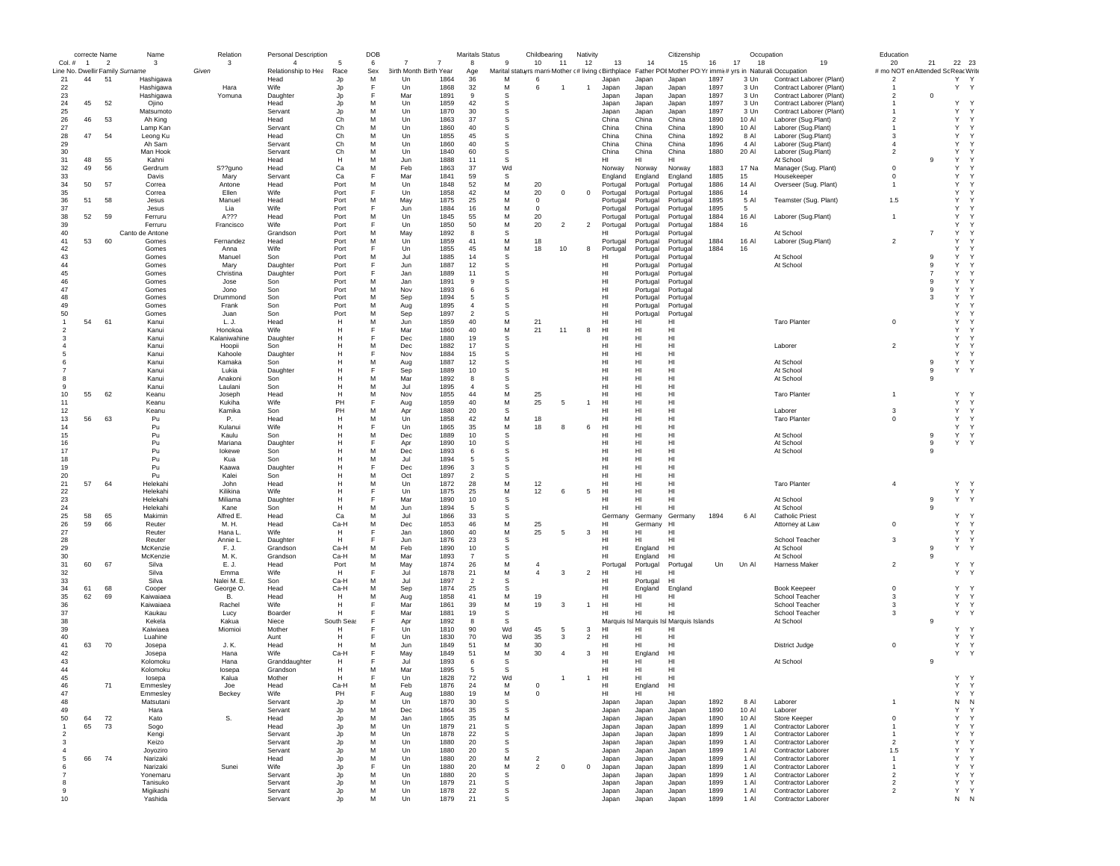|                | correcte Name |                | Name                                         | Relation        | <b>Personal Description</b>           |              | DOB      |                                     |              | <b>Maritals Status</b> |                                                          | Childbearing   |                | Nativity       |                 |                      | Citizenship                             |      | Occupation |                                                                  | Education                               |                |              |              |
|----------------|---------------|----------------|----------------------------------------------|-----------------|---------------------------------------|--------------|----------|-------------------------------------|--------------|------------------------|----------------------------------------------------------|----------------|----------------|----------------|-----------------|----------------------|-----------------------------------------|------|------------|------------------------------------------------------------------|-----------------------------------------|----------------|--------------|--------------|
| Col. # 1       |               | $\overline{2}$ | 3                                            | 3               | $\overline{4}$<br>Relationship to Hea | 5            | 6        | -7                                  |              | 8                      | 9                                                        | 10             | 11             | 12             | 13              | 14                   | 15                                      | 16   | 17<br>18   | 19<br>Father POI Mother PO Yr immi(# yrs in Naturali: Occupation | 20<br># mo NOT en Attended Sc ReacWrite | 21             | 22 23        |              |
| 21             | 44            | 51             | Line No. Dwellir Family Surname<br>Hashigawa | Given           | Head                                  | Race<br>Jp   | Sex<br>м | <b>3irth Month Birth Year</b><br>Un | 1864         | Age<br>36              | Marital statuyrs marri Mother c# living cBirthplace<br>M | -6             |                |                | Japan           | Japan                | Japan                                   | 1897 | 3 Un       | Contract Laborer (Plant)                                         | $\overline{2}$                          |                | Y Y          |              |
| 22             |               |                | Hashigawa                                    | Hara            | <b>Wife</b>                           | Jp           | F        | Un                                  | 1868         | 32                     | M                                                        | -6             |                | $\overline{1}$ | Japan           | Japan                | Japan                                   | 1897 | 3 Un       | Contract Laborer (Plant)                                         |                                         |                | Y            | Y            |
| 23             |               |                | Hashigawa                                    | Yomuna          | Daughter                              | Jp           | F        | Mar                                 | 1891         | -9                     | S                                                        |                |                |                | Japan           | Japan                | Japan                                   | 1897 | 3 Un       | Contract Laborer (Plant)                                         | $\overline{2}$                          | $\Omega$       |              |              |
| 24             | 45            | 52             | Ojino                                        |                 | Head                                  | Jp           | M        | Un                                  | 1859         | 42                     | S                                                        |                |                |                | Japan           | Japan                | Japan                                   | 1897 | 3 Un       | Contract Laborer (Plant)                                         |                                         |                | Υ            |              |
| 25             |               |                | Matsumoto                                    |                 | Servant                               | Jp           | M        | Un                                  | 1870         | 30                     | s                                                        |                |                |                | Japan           | Japan                | Japan                                   | 1897 | 3 Un       | Contract Laborer (Plant)                                         |                                         |                | Y            |              |
| 26             | 46            | 53             | Ah King                                      |                 | Head                                  | Ch           | м        | Un                                  | 1863         | 37                     | s                                                        |                |                |                | China           | China                | China                                   | 1890 | 10 AI      | Laborer (Sug.Plant)                                              | $\overline{2}$                          |                | Y            | Y            |
| 27             |               |                | Lamp Kan                                     |                 | Servant                               | Ch           | M        | Un                                  | 1860         | 40                     | s                                                        |                |                |                | China           | China                | China                                   | 1890 | 10 Al      | Laborer (Sug.Plant)                                              | -1                                      |                | Y            |              |
| 28             | 47            | 54             | Leong Ku                                     |                 | Head                                  | Ch           | M        | Un                                  | 1855         | 45                     | s                                                        |                |                |                | China           | China                | China                                   | 1892 | 8 AI       | Laborer (Sug.Plant)                                              | $\mathbf{3}$                            |                | Y            |              |
| 29             |               |                | Ah Sam                                       |                 | Servant                               | Ch           | M        | Un                                  | 1860         | 40                     | S                                                        |                |                |                | China           | China                | China                                   | 1896 | 4 Al       | Laborer (Sug.Plant)                                              | $\overline{4}$                          |                | Y            |              |
| 30             |               |                | Man Hook                                     |                 | Servant                               | Ch           | M        | Un                                  | 1840         | 60                     | s                                                        |                |                |                | China           | China                | China                                   | 1880 | 20 Al      | Laborer (Sug.Plant)                                              | $\overline{2}$                          |                | Y            |              |
| 31             | 48            | 55             | Kahni                                        |                 | Head                                  | н            | M        | Jun                                 | 1888         | 11                     | S                                                        |                |                |                | HI              | HI                   | HI                                      |      |            | At School                                                        |                                         | -9             | Y            |              |
| 32             | 49            | 56             | Gerdrum                                      | S??guno         | Head                                  | Ca           | M        | Feb                                 | 1863         | 37                     | Wd                                                       |                |                |                | Norway          | Norway               | Norway                                  | 1883 | 17 Na      | Manager (Sug. Plant)                                             | $\mathbf 0$                             |                | Y            |              |
| 33             |               |                | Davis                                        | Mary            | Servant                               | Ca           | F        | Mar                                 | 1841         | 59                     | S                                                        |                |                |                | England         | England              | England                                 | 1885 | 15         | Housekeeper                                                      | $\Omega$                                |                | Y            |              |
| 34             | 50            | 57             | Correa                                       | Antone          | Head                                  | Port         | М        | Un                                  | 1848         | 52                     | M                                                        | 20             |                |                | Portugal        | Portugal             | Portugal                                | 1886 | 14 Al      | Overseer (Sug. Plant)                                            |                                         |                | Y            |              |
| 35             |               |                | Correa                                       | Ellen           | Wife                                  | Port         | F        | Un                                  | 1858         | 42                     | M                                                        | 20             | $^{\circ}$     | $^{\circ}$     | Portugal        | Portugal             | Portugal                                | 1886 | 14         |                                                                  |                                         |                | Y            |              |
| 36             | 51            | 58             | Jesus                                        | Manuel          | Head                                  | Port         | M        | May                                 | 1875         | 25                     | M                                                        | $^{\circ}$     |                |                | Portugal        | Portugal             | Portugal                                | 1895 | 5 Al       | Teamster (Sug. Plant)                                            | 1.5                                     |                | Y            |              |
| 37             |               |                | Jesus                                        | Lia             | Wife                                  | Port         | E        | Jun                                 | 1884         | 16                     | M                                                        | $\mathbf 0$    |                |                | Portugal        | Portugal             | Portugal                                | 1895 | - 5        |                                                                  |                                         |                | Y            |              |
| 38             | 52            | 59             | Ferruru                                      | A???            | Head                                  | Port         | M        | Un                                  | 1845         | 55                     | M                                                        | 20             |                |                | Portugal        | Portugal             | Portugal                                | 1884 | 16 Al      | Laborer (Sug.Plant)                                              | $\overline{1}$                          |                | Y            |              |
| 39             |               |                | Ferruru                                      | Francisco       | <b>Wife</b>                           | Port         | F<br>M   | Un                                  | 1850         | 50                     | M                                                        | 20             | $\overline{2}$ | $\overline{2}$ | Portugal<br>HI  | Portugal             | Portugal                                | 1884 | 16         |                                                                  |                                         |                | Y            |              |
| 40             |               |                | Canto de Antone                              |                 | Grandson                              | Port         |          | May                                 | 1892         | 8                      | S                                                        |                |                |                |                 | Portugal             | Portugal                                |      |            | At School                                                        | $\overline{2}$                          | $\overline{7}$ | Y<br>Y       |              |
| 41<br>42       | 53            | 60             | Gomes                                        | Fernandez       | Head<br>Wife                          | Port         | M<br>F   | Un                                  | 1859         | 41                     | M                                                        | 18             |                |                | Portugal        | Portugal             | Portugal                                | 1884 | 16 Al      | Laborer (Sug.Plant)                                              |                                         |                | Y            | Y            |
|                |               |                | Gomes                                        | Anna            |                                       | Port         | М        | Un                                  | 1855<br>1885 | 45<br>14               | M                                                        | 18             | 10             | 8              | Portugal<br>HI  | Portugal             | Portugal                                | 1884 | 16         |                                                                  |                                         | 9              | Y            |              |
| 43<br>44       |               |                | Gomes<br>Gomes                               | Manuel<br>Mary  | Son<br>Daughter                       | Port<br>Port | F        | Jul<br>Jun                          | 1887         | 12                     | s<br>s                                                   |                |                |                | нı              | Portugal             | Portugal<br>Portugal                    |      |            | At School<br>At School                                           |                                         | -9             | Y            |              |
| 45             |               |                | Gomes                                        | Christina       | Daughter                              | Port         | F        | Jan                                 | 1889         | 11                     | S                                                        |                |                |                | HI              | Portugal<br>Portugal | Portugal                                |      |            |                                                                  |                                         |                | Y            |              |
| 46             |               |                | Gomes                                        | Jose            | Son                                   | Port         | M        | Jan                                 | 1891         | 9                      | s                                                        |                |                |                | HI              | Portugal             | Portugal                                |      |            |                                                                  |                                         | -9             | Y            |              |
| 47             |               |                | Gomes                                        | Jono            | Son                                   | Port         | М        | Nov                                 | 1893         | 6                      | S                                                        |                |                |                | HI              | Portugal             | Portugal                                |      |            |                                                                  |                                         | 9              | Y            |              |
| 48             |               |                | Gomes                                        | Drummond        | Son                                   | Port         | M        | Sep                                 | 1894         | -5                     | s                                                        |                |                |                | HI              | Portugal             | Portugal                                |      |            |                                                                  |                                         | -3             | Y            |              |
| 49             |               |                | Gomes                                        | Frank           | Son                                   | Port         | M        | Aug                                 | 1895         | $\overline{4}$         | s                                                        |                |                |                | H <sub>II</sub> | Portugal             | Portugal                                |      |            |                                                                  |                                         |                | Y            |              |
| 50             |               |                | Gomes                                        | Juan            | Son                                   | Port         | M        | Sep                                 | 1897         | $\overline{2}$         | s                                                        |                |                |                | HI              | Portugal             | Portugal                                |      |            |                                                                  |                                         |                | Y            |              |
| $\overline{1}$ | 54            | 61             | Kanui                                        | L. J.           | Head                                  | H            | M        | Jun                                 | 1859         | 40                     | M                                                        | 21             |                |                | HI              | HI                   | HI                                      |      |            | <b>Taro Planter</b>                                              | $^{\circ}$                              |                | Y            |              |
|                |               |                | Kanui                                        | Honokoa         | Wife                                  | н            | F        | Mar                                 | 1860         | 40                     | M                                                        | 21             | 11             | 8              | HI              | HI                   | HI                                      |      |            |                                                                  |                                         |                | Y            |              |
|                |               |                | Kanui                                        | Kalaniwahine    | Daughter                              | н            | Е        | Dec                                 | 1880         | 19                     | s                                                        |                |                |                | HI              | HI                   | HI                                      |      |            |                                                                  |                                         |                | Y            |              |
|                |               |                | Kanui                                        | Hoopii          | Son                                   | н            | М        | Dec                                 | 1882         | 17                     | s                                                        |                |                |                | HI              | HI                   | HI                                      |      |            | Laborer                                                          | $\overline{2}$                          |                | Y            |              |
|                |               |                | Kanui                                        | Kahoole         | Daughter                              | н            | F        | Nov                                 | 1884         | 15                     | s                                                        |                |                |                | HI              | HI                   | HI                                      |      |            |                                                                  |                                         |                | Y            | $\mathsf{v}$ |
|                |               |                | Kanui                                        | Kamaka          | Son                                   | н            | М        | Aug                                 | 1887         | 12                     | S                                                        |                |                |                | HI              | HI                   | HI                                      |      |            | At School                                                        |                                         | 9              | Y            | $\mathsf{Y}$ |
|                |               |                | Kanui                                        | Lukia           | Daughter                              | н            | F        | Sep                                 | 1889         | 10                     | s                                                        |                |                |                | HI              | HI                   | HI                                      |      |            | At School                                                        |                                         | 9              | Y            | Y            |
|                |               |                | Kanui                                        | Anakoni         | Son                                   | н            | M        | Mar                                 | 1892         | 8                      | s                                                        |                |                |                | HI              | HI                   | HI                                      |      |            | At School                                                        |                                         | 9              |              |              |
|                |               |                | Kanui                                        | Laulani         | Son                                   | н            | M        | Jul                                 | 1895         | $\overline{4}$         | s                                                        |                |                |                | HI              | HI                   | HI                                      |      |            |                                                                  |                                         |                |              |              |
| 10             | 55            | 62             | Keanu                                        | Joseph          | Head                                  | H            | M        | Nov                                 | 1855         | 44                     | M                                                        | 25             |                |                | HI              | HI                   | H <sub>II</sub>                         |      |            | <b>Taro Planter</b>                                              | $\overline{1}$                          |                | Y            | <b>V</b>     |
| 11             |               |                | Keanu                                        | Kukiha          | Wife                                  | PH           | F        | Aug                                 | 1859         | 40                     | M                                                        | 25             | 5              | $\overline{1}$ | HI              | HI                   | HI                                      |      |            |                                                                  |                                         |                | Y            | Y            |
| 12             |               |                | Keanu                                        | Kamika          | Son                                   | PH           | M        | Apr                                 | 1880         | 20                     | s                                                        |                |                |                | HI              | HI                   | HI                                      |      |            | Laborer                                                          | 3                                       |                | Y            | Y            |
| 13             | 56            | 63             | Pu                                           | Р.              | Head                                  | н            | M        | Un                                  | 1858         | 42                     | M                                                        | 18             |                |                | HI              | HI                   | HI                                      |      |            | <b>Taro Planter</b>                                              | $^{\circ}$                              |                | Y            | Y            |
| 14             |               |                | Pu                                           | Kulanui         | Wife                                  | н            |          | Un                                  | 1865         | 35                     | M                                                        | 18             | 8              | 6              | HI              | HI                   | HI                                      |      |            |                                                                  |                                         |                | Y            | Y            |
| 15             |               |                | Pu                                           | Kaulu           | Son                                   | н            | M        | Dec                                 | 1889         | 10                     | S                                                        |                |                |                | HI              | HI                   | HI                                      |      |            | At School                                                        |                                         | 9              | Υ            | Y            |
| 16             |               |                | Pu                                           | Mariana         | Daughter                              | н            | Е        | Apr                                 | 1890         | 10                     | s                                                        |                |                |                | HI              | HI                   | H <sub>II</sub>                         |      |            | At School                                                        |                                         | 9              | Y            | $\mathsf{Y}$ |
| 17             |               |                | Pu                                           | lokewe          | Son                                   | н            | М        | Dec                                 | 1893         | 6                      | S                                                        |                |                |                | HI              | HI                   | HI                                      |      |            | At School                                                        |                                         | 9              |              |              |
| 18             |               |                | Pu                                           | Kua             | Son                                   | н            | M<br>E   | Jul                                 | 1894         | -5                     | s                                                        |                |                |                | HI              | HI                   | HI<br>H <sub>1</sub>                    |      |            |                                                                  |                                         |                |              |              |
| 19             |               |                | Pu                                           | Kaawa           | Daughter                              | н            | M        | Dec                                 | 1896         | 3                      | s                                                        |                |                |                | HI              | HI                   | H <sub>1</sub>                          |      |            |                                                                  |                                         |                |              |              |
| 20<br>21       | 57            | 64             | Pu<br>Helekahi                               | Kalei<br>John   | Son<br>Head                           | н<br>н       | M        | Oct<br>Un                           | 1897<br>1872 | $\overline{2}$<br>28   | s<br>M                                                   |                |                |                | HI<br>HI        | HI<br>HI             | H <sub>II</sub>                         |      |            | <b>Taro Planter</b>                                              | $\overline{4}$                          |                | Y            | Y            |
| 22             |               |                | Helekahi                                     | Kilikina        | Wife                                  | н            | F        | Un                                  | 1875         | 25                     | M                                                        | 12<br>12       | 6              | 5              | HI              | HI                   | HI                                      |      |            |                                                                  |                                         |                | Y            | Y            |
| 23             |               |                | Helekahi                                     | Miliama         | Daughter                              | н            | F        | Mar                                 | 1890         | 10                     | s                                                        |                |                |                | HI              | HI                   | HI                                      |      |            | At School                                                        |                                         | 9              | Y            | $\mathsf{Y}$ |
| 24             |               |                | Helekahi                                     | Kane            | Son                                   | н            | М        | Jun                                 | 1894         | 5                      | s                                                        |                |                |                | HI              | HI                   | HI                                      |      |            | At School                                                        |                                         | 9              |              |              |
| 25             | 58            | 65             | Makimin                                      | Alfred E.       | Head                                  | Ca           | M        | Jul                                 | 1866         | 33                     | s                                                        |                |                |                | Germany         | Germany              | Germany                                 | 1894 | 6 AI       | <b>Catholic Priest</b>                                           |                                         |                | Y            |              |
| 26             | 59            | 66             | Reuter                                       | M. H.           | Head                                  | Ca-H         | M        | Dec                                 | 1853         | 46                     | M                                                        | 25             |                |                | H <sub>II</sub> | Germany HI           |                                         |      |            | Attorney at Law                                                  | $^{\circ}$                              |                | Y            | $\mathsf{Y}$ |
| 27             |               |                | Reuter                                       | Hana L.         | Wife                                  | H            | F        | Jan                                 | 1860         | 40                     | M                                                        | 25             | 5              | 3              | HI              | HI                   | HI                                      |      |            |                                                                  |                                         |                | Y            | $\mathsf{Y}$ |
| 28             |               |                | Reuter                                       | Annie L.        | Daughter                              | н            | F        | Jun                                 | 1876         | 23                     | s                                                        |                |                |                | HI              | HI                   | HI                                      |      |            | School Teacher                                                   | 3                                       |                | Y            | $\mathsf{Y}$ |
| 29             |               |                | McKenzie                                     | F.J.            | Grandson                              | Ca-H         | M        | Feb                                 | 1890         | 10                     | s                                                        |                |                |                | HI              | England              | HI                                      |      |            | At School                                                        |                                         | 9              | Y            | Y            |
| 30             |               |                | McKenzie                                     | M. K.           | Grandson                              | Ca-H         | M        | Mar                                 | 1893         | $\overline{7}$         | s                                                        |                |                |                | HI              | England              | HI                                      |      |            | At School                                                        |                                         | 9              |              |              |
| 31             | 60            | 67             | Silva                                        | E. J.           | Head                                  | Port         | M        | May                                 | 1874         | 26                     | M                                                        |                |                |                | Portugal        | Portugal             | Portugal                                | Un   | Un Al      | Harness Maker                                                    | $\overline{2}$                          |                | Y            | <b>V</b>     |
| 32             |               |                | Silva                                        | Emma            | Wife                                  | H            | F        | Jul                                 | 1878         | 21                     | M                                                        | $\overline{4}$ | 3              | $\overline{2}$ | H <sub>II</sub> | HI                   | н                                       |      |            |                                                                  |                                         |                | Y            | $\mathsf{Y}$ |
| 33             |               |                | Silva                                        | Nalei M. E.     | Son                                   | Ca-H         | M        | Jul                                 | 1897         | $\overline{2}$         | s                                                        |                |                |                | HI              | Portugal             | H <sub>1</sub>                          |      |            |                                                                  |                                         |                |              |              |
| 34             | 61            | 68             | Cooper                                       | George O.       | Head                                  | Ca-H         | M        | Sep                                 | 1874         | 25                     | s                                                        |                |                |                | HI              | England              | England                                 |      |            | Book Keepeer                                                     | $^{\circ}$                              |                | Y            |              |
| 35             | 62            | 69             | Kaiwaiaea                                    | В.              | Head                                  | H            | M        | Aug                                 | 1858         | 41                     | M                                                        | 19             |                |                | HI              | HI                   | HI                                      |      |            | School Teacher                                                   | 3                                       |                | Y            | Y            |
| 36             |               |                | Kaiwaiaea                                    | Rachel          | Wife                                  | н            |          | Mar                                 | 1861         | 39                     | M                                                        | 19             | -3             | $\overline{1}$ | HI              | HI                   | HI                                      |      |            | School Teacher                                                   | 3                                       |                | Y            | Y            |
| 37             |               |                | Kaukau                                       | Lucy            | Boarder                               | н            |          | Mar                                 | 1881         | 19                     | -S                                                       |                |                |                | HI              | HI                   | н                                       |      |            | School Teacher                                                   | 3                                       |                | Y            | $\mathsf{Y}$ |
| 38             |               |                | Kekela                                       | Kakua           | Niece                                 | South Seas   | F        | Apr                                 | 1892         | 8                      | S                                                        |                |                |                |                 |                      | Marquis Isl Marquis Isl Marquis Islands |      |            | At School                                                        |                                         | 9              |              |              |
| 39             |               |                | Kaiwiaea                                     | Miomioi         | Mother                                | н            |          | Un                                  | 1810         | 90                     | Wd                                                       | 45             | 5              | 3              | HI              | HI                   | HI                                      |      |            |                                                                  |                                         |                | Y            |              |
| 40             |               |                | Luahine                                      |                 | Aunt                                  | н            | F        | Un                                  | 1830         | 70                     | Wd                                                       | 35             | 3              | $\overline{2}$ | HI              | HI                   | HI                                      |      |            |                                                                  |                                         |                | Y            | Y            |
| 41             | 63            | 70             | Josepa                                       | J. K.           | Head                                  | н            | M        | Jun                                 | 1849         | 51                     | M                                                        | 30             |                |                | HI              | HI                   | н                                       |      |            | District Judge                                                   | $^{\circ}$                              |                | $\mathsf{Y}$ | Y            |
| 42             |               |                | Josepa                                       | Hana            | <b>Wife</b>                           | Ca-H         | F        | May                                 | 1849         | 51                     | M                                                        | 30             | $\overline{4}$ | -3             | H <sub>II</sub> | England              | H <sub>1</sub>                          |      |            |                                                                  |                                         |                | Y            | $\mathsf{Y}$ |
| 43             |               |                | Kolomoku                                     | Hana            | Granddaughter                         | н            |          | Jul                                 | 1893         | 6                      | s                                                        |                |                |                | HI              | HI                   | HI                                      |      |            | At School                                                        |                                         | 9              |              |              |
| 44<br>45       |               |                | Kolomoku                                     | losepa<br>Kalua | Grandson<br>Mother                    | н<br>н       | М<br>F   | Mar<br>Un                           | 1895<br>1828 | 5                      | S<br>Wd                                                  |                | $\overline{1}$ | $\overline{1}$ | HI<br>HI        | HI<br>HI             | HI<br>HI                                |      |            |                                                                  |                                         |                | Y Y          |              |
| 46             |               | 71             | losepa                                       |                 |                                       |              | M        |                                     |              | 72                     | м                                                        | $\Omega$       |                |                | нı              |                      |                                         |      |            |                                                                  |                                         |                |              | $\vee$       |
| 47             |               |                | Emmesley<br>Emmesley                         | Joe<br>Beckey   | Head<br>Wife                          | Ca-H<br>PH   | F        | Feb                                 | 1876<br>1880 | 24<br>19               | М                                                        | $\mathbf 0$    |                |                | HI              | Engla<br>anu<br>HI   | HI<br>HI                                |      |            |                                                                  |                                         |                | Y            | Y            |
| 48             |               |                | Matsutani                                    |                 | Servant                               | Jp           | M        | Aug<br>Un                           | 1870         | 30                     | s                                                        |                |                |                | Japan           | Japan                | Japan                                   | 1892 | 8 AI       | Laborer                                                          | $\overline{1}$                          |                | ${\sf N}$    | N            |
| 49             |               |                | Hara                                         |                 | Servant                               | Jp           | М        | Dec                                 | 1864         | 35                     | S                                                        |                |                |                | Japan           | Japan                | Japan                                   | 1890 | 10 AI      | Laborer                                                          |                                         |                | Y            | Y            |
| 50             | 64            | 72             | Kato                                         | S.              | Head                                  | Jp           | M        | Jan                                 | 1865         | 35                     | M                                                        |                |                |                | Japan           | Japan                | Japan                                   | 1890 | 10 Al      | Store Keeper                                                     | $^{\circ}$                              |                | Y            | Y            |
| $\overline{1}$ | 65            | 73             | Sogo                                         |                 | Head                                  | Jp           | м        | Un                                  | 1879         | 21                     | $\mathbb S$                                              |                |                |                | Japan           | Japan                | Japan                                   | 1899 | 1 Al       | Contractor Laborer                                               | $\mathbf{1}$                            |                | $\mathsf{Y}$ | Y            |
| $\overline{2}$ |               |                | Kengi                                        |                 | Servant                               | Jp           | M        | Un                                  | 1878         | 22                     | s                                                        |                |                |                | Japan           | Japan                | Japan                                   | 1899 | 1 Al       | Contractor Laborer                                               | $\overline{1}$                          |                | Y            | Y            |
| 3              |               |                | Keizo                                        |                 | Servant                               | Jp           | M        | Un                                  | 1880         | 20                     | s                                                        |                |                |                | Japan           | Japan                | Japan                                   | 1899 | 1 AI       | Contractor Laborer                                               | $\overline{2}$                          |                | Y            | Y            |
| $\overline{4}$ |               |                | Joyoziro                                     |                 | Servant                               | Jp           | M        | Un                                  | 1880         | 20                     | S                                                        |                |                |                | Japan           | Japan                | Japan                                   | 1899 | 1 Al       | Contractor Laborer                                               | 1.5                                     |                | Y            | Y            |
| 5              | 66            | 74             | Narizaki                                     |                 | Head                                  | Jp           | M        | Un                                  | 1880         | 20                     | M                                                        | $\overline{2}$ |                |                | Japan           | Japan                | Japan                                   | 1899 | 1 Al       | Contractor Laborer                                               | $\mathbf{1}$                            |                | Y            | Y            |
| 6              |               |                | Narizaki                                     | Sunei           | Wife                                  | Jp           | F        | Un                                  | 1880         | 20                     | M                                                        | $\overline{2}$ | $^{\circ}$     | $^{\circ}$     | Japan           | Japan                | Japan                                   | 1899 | 1 Al       | Contractor Laborer                                               | $\mathbf{1}$                            |                | Y            | Y            |
| 7              |               |                | Yonemaru                                     |                 | Servant                               | Jp           | M        | Un                                  | 1880         | 20                     | s                                                        |                |                |                | Japan           | Japan                | Japan                                   | 1899 | 1 Al       | Contractor Laborer                                               | $\overline{2}$                          |                | Y            | Y            |
| 8              |               |                | Tanisuko                                     |                 | Servant                               | Jp           | M        | Un                                  | 1879         | 21                     | s                                                        |                |                |                | Japan           | Japan                | Japan                                   | 1899 | 1 Al       | Contractor Laborer                                               | $\overline{2}$                          |                | Y            | $\mathsf{Y}$ |
| 9              |               |                | Migikashi                                    |                 | Servant                               | Jp           | M        | Un                                  | 1878         | 22                     | s                                                        |                |                |                | Japan           | Japan                | Japan                                   | 1899 | 1 Al       | Contractor Laborer                                               | $\overline{2}$                          |                | Y Y          |              |
| 10             |               |                | Yashida                                      |                 | Servant                               |              | M        | Un                                  | 1879         | 21                     | s                                                        |                |                |                | Japan           | Japan                | Japan                                   | 1899 | 1 Al       | Contractor Laborer                                               |                                         |                | N N          |              |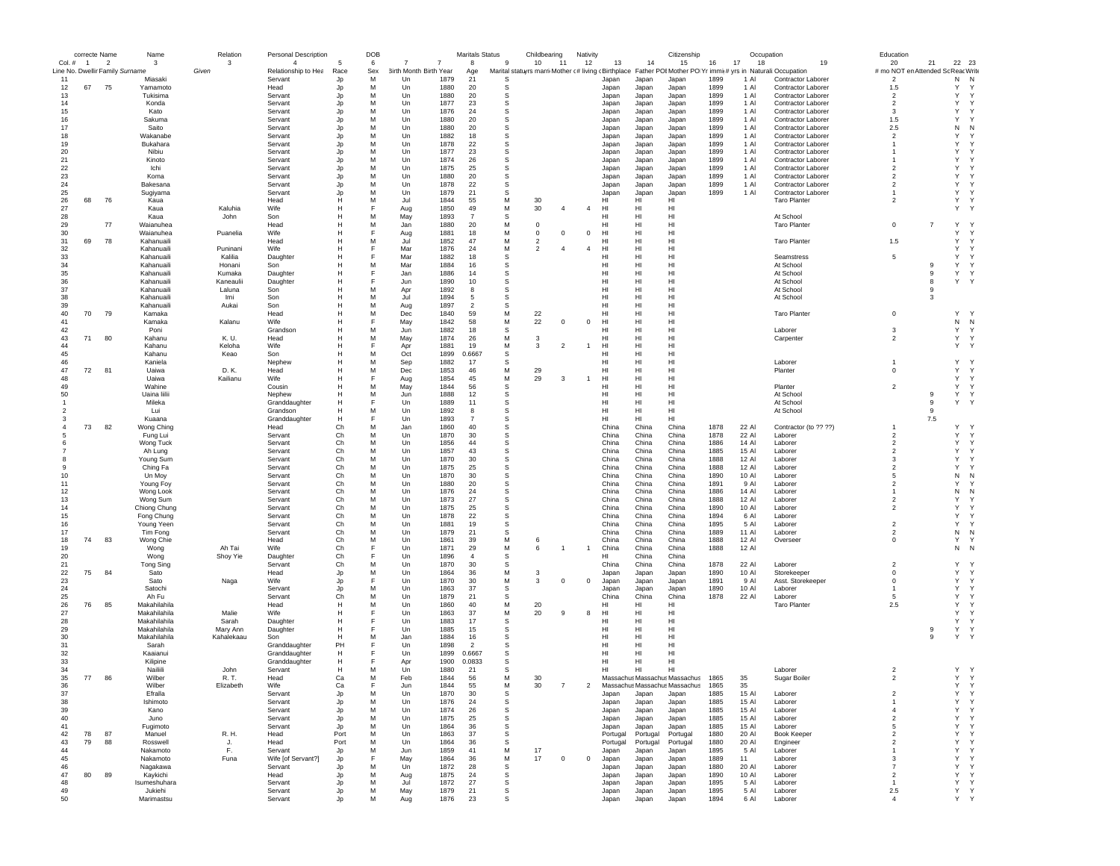|                                           |                | correcte Name            | Name                         | Relation   | <b>Personal Description</b>           |          | DOB      |                        |              | Maritals Status      |          | Childbearing   |                | Nativity       |                |                | Citizenship                   |              |                | Occupation                                                                                                   |    | Education                                |                |                    |  |
|-------------------------------------------|----------------|--------------------------|------------------------------|------------|---------------------------------------|----------|----------|------------------------|--------------|----------------------|----------|----------------|----------------|----------------|----------------|----------------|-------------------------------|--------------|----------------|--------------------------------------------------------------------------------------------------------------|----|------------------------------------------|----------------|--------------------|--|
| Col. #<br>Line No. Dwellir Family Surname | $\overline{1}$ | $\overline{\phantom{a}}$ | 3                            | 3<br>Given | $\overline{4}$<br>Relationship to Hea | Race     | 6<br>Sex | 3irth Month Birth Year | 7            | 8<br>Age             | -9       | 10             | $-11$          | 12             | 13             | 14             | 15                            | 16           | 17<br>18       | Marital statuyrs marri Mother (# living cBirthplace Father POIMother PO Yr immit# yrs in Naturali:Occupation | 19 | 20<br># mo NOT en Attended Sc Reac Write | 21             | 22<br>23           |  |
| 11                                        |                |                          | Miasak                       |            | Servant                               | Jp       | M        | Un                     | 1879         | 21                   | S        |                |                |                | Japan          | Japan          | Japan                         | 1899         | 1 A            | <b>Contractor Laborer</b>                                                                                    |    | $\overline{2}$                           |                | N<br>- N           |  |
| 12                                        | 67             | 75                       | Yamamoto                     |            | Head                                  | Jp       | M        | Un                     | 1880         | 20                   | s        |                |                |                | Japan          | Japan          | Japan                         | 1899         | 1 Al           | Contractor Laborer                                                                                           |    | 1.5                                      |                | Y<br>Y             |  |
| 13                                        |                |                          | Tukisima                     |            | Servant                               | Jp       | M        | Un                     | 1880         | 20                   | s        |                |                |                | Japan          | Japan          | Japan                         | 1899         | 1 Al           | Contractor Laborer                                                                                           |    | $\overline{2}$                           |                | Υ<br>Y             |  |
| 14                                        |                |                          | Konda                        |            | Servant                               | Jp       | M        | Un                     | 1877         | 23                   | s        |                |                |                | Japan          | Japan          | Japan                         | 1899         | 1 Al           | <b>Contractor Laborer</b>                                                                                    |    | $\overline{2}$                           |                | Y<br>Y             |  |
| 15                                        |                |                          | Kato                         |            | Servant                               | Jp       | M        | Un                     | 1876         | 24                   | S        |                |                |                | Japan          | Japan          | Japan                         | 1899         | 1 Al           | Contractor Laborer                                                                                           |    | 3                                        |                | Y<br>Y             |  |
| 16                                        |                |                          | Sakuma                       |            | Servant                               | Jp       | M        | Un                     | 1880         | 20                   | s        |                |                |                | Japan          | Japan          | Japan                         | 1899         | 1 Al           | Contractor Laborer                                                                                           |    | 1.5                                      |                | Υ<br>Y             |  |
| 17                                        |                |                          | Saito                        |            | Servant                               | Jp       | M<br>M   | Un                     | 1880<br>1882 | 20                   | s        |                |                |                | Japan          | Japan          | Japan                         | 1899<br>1899 | 1 Al<br>1 AI   | Contractor Laborer                                                                                           |    | 2.5                                      |                | Ν<br>N<br>Y<br>Y   |  |
| 18<br>19                                  |                |                          | Wakanabe<br>Bukahara         |            | Servant<br>Servant                    | Jp<br>Jp | M        | Un<br>Un               | 1878         | 18<br>22             | s<br>S   |                |                |                | Japan<br>Japan | Japan<br>Japan | Japan<br>Japan                | 1899         | 1 Al           | Contractor Laborer<br>Contractor Laborer                                                                     |    | $\overline{2}$<br>-1                     |                | Y<br>Y             |  |
| 20                                        |                |                          | Nibiu                        |            | Servant                               | Jo       | M        | Un                     | 1877         | 23                   | S        |                |                |                | Japan          | Japan          | Japan                         | 1899         | 1 Al           | <b>Contractor Laborer</b>                                                                                    |    |                                          |                | Y<br>Y             |  |
| 21                                        |                |                          | Kinoto                       |            | Servant                               | Jp       | M        | Un                     | 1874         | 26                   | S        |                |                |                | Japan          | Japan          | Japan                         | 1899         | 1 Al           | Contractor Laborer                                                                                           |    |                                          |                | Y<br>Y             |  |
| 22                                        |                |                          | Ichi                         |            | Servant                               | Jp       | M        | Un                     | 1875         | 25                   | s        |                |                |                | Japan          | Japan          | Japan                         | 1899         | 1 Al           | Contractor Laborer                                                                                           |    | $\overline{2}$                           |                | Y<br>Y             |  |
| 23                                        |                |                          | Koma                         |            | Servant                               | Jp       | M        | Un                     | 1880         | 20                   | s        |                |                |                | Japan          | Japan          | Japan                         | 1899         | 1 AI           | Contractor Laborer                                                                                           |    | $\overline{2}$                           |                | Y<br>٠Y            |  |
| 24                                        |                |                          | Bakesana                     |            | Servant                               | Jp       | M        | Un                     | 1878         | 22                   | -S       |                |                |                | Japan          | Japan          | Japan                         | 1899         | 1 Al           | <b>Contractor Laborer</b>                                                                                    |    | $\overline{2}$                           |                | Y<br>Y             |  |
| 25                                        |                |                          | Sugiyama                     |            | Servant                               | Jp       | M        | Un                     | 1879         | 21                   | S        |                |                |                | Japan          | Japan          | Japan                         | 1899         | 1 Al           | <b>Contractor Laborer</b>                                                                                    |    | -1                                       |                | Y<br>Y             |  |
| 26                                        | 68             | 76                       | Kaua                         |            | Head                                  | Н        | M        | Jul                    | 1844         | 55                   | M        | 30             |                |                | HI             | HI             | HI                            |              |                | <b>Taro Planter</b>                                                                                          |    | $\overline{2}$                           |                | Υ<br>Y             |  |
| 27                                        |                |                          | Kaua                         | Kaluhia    | Wife                                  | Н<br>Н   | E<br>M   | Aug                    | 1850         | 49<br>$\overline{7}$ | M<br>s   | 30             | $\overline{4}$ | $\overline{4}$ | HI<br>HI       | HI<br>HI       | HI<br>HI                      |              |                |                                                                                                              |    |                                          |                | Υ<br>Y             |  |
| 28<br>29                                  |                | 77                       | Kaua<br>Waianuhea            | John       | Son<br>Head                           | H        | M        | May<br>Jan             | 1893<br>1880 | 20                   | M        | $^{\circ}$     |                |                | HI             | HI             | HI                            |              |                | At School<br><b>Taro Planter</b>                                                                             |    | $\mathsf 0$                              | $\overline{7}$ | Y<br>Y             |  |
| 30                                        |                |                          | Waianuhea                    | Puanelia   | Wife                                  | H        |          | Aug                    | 1881         | 18                   | M        | $^{\circ}$     | $^{\circ}$     | $\Omega$       | HI             | HI             | H <sub>II</sub>               |              |                |                                                                                                              |    |                                          |                | Y<br>Y             |  |
| 31                                        | 69             | 78                       | Kahanuaili                   |            | Head                                  | Н        | M        | Jul                    | 1852         | 47                   | M        | $\overline{2}$ |                |                | HI             | HI             | HI                            |              |                | <b>Taro Planter</b>                                                                                          |    | 1.5                                      |                | Y<br>Y             |  |
| 32                                        |                |                          | Kahanuaili                   | Puninani   | Wife                                  | Н        |          | Mar                    | 1876         | 24                   | M        | $\overline{2}$ | $\overline{4}$ | $\overline{a}$ | HI             | HI             | HI                            |              |                |                                                                                                              |    |                                          |                | Υ<br>Y             |  |
| 33                                        |                |                          | Kahanuaili                   | Kalilia    | Daughter                              | Н        |          | Mar                    | 1882         | 18                   | s        |                |                |                | HI             | HI             | HI                            |              |                | Seamstress                                                                                                   |    | 5                                        |                | Υ<br>Y             |  |
| 34                                        |                |                          | Kahanuaili                   | Honani     | Son                                   | Н        | M        | Mar                    | 1884         | 16                   | s        |                |                |                | HI             | н              | HI                            |              |                | At School                                                                                                    |    |                                          | 9              | Υ<br>Y             |  |
| 35                                        |                |                          | Kahanuaili                   | Kumaka     | Daughter                              | Н        |          | Jan                    | 1886         | 14                   | s        |                |                |                | HI             | HI             | H <sub>1</sub>                |              |                | At School                                                                                                    |    |                                          | 9              | Y<br>Y             |  |
| 36                                        |                |                          | Kahanuaili                   | Kaneaulii  | Daughter                              | Н        |          | Jun                    | 1890         | 10                   | S        |                |                |                | HI             | HI             | HI                            |              |                | At School                                                                                                    |    |                                          | 8              | Υ<br>Y             |  |
| 37                                        |                |                          | Kahanuaili                   | Laluna     | Son                                   | Н        | M        | Apr                    | 1892         | 8                    | S        |                |                |                | HI             | HI             | HI                            |              |                | At School                                                                                                    |    |                                          | 9              |                    |  |
| 38                                        |                |                          | Kahanuaili                   | Imi        | Son                                   | Н        | M<br>M   | Jul                    | 1894         | 5                    | s        |                |                |                | HI<br>HI       | HI<br>HI       | HI                            |              |                | At School                                                                                                    |    |                                          | 3              |                    |  |
| 39<br>40                                  | 70             | 79                       | Kahanuaili<br>Kamaka         | Aukai      | Son<br>Head                           | Н<br>H   | M        | Aug<br>$_{\rm Dec}$    | 1897<br>1840 | $\overline{2}$<br>59 | s<br>М   | 22             |                |                | HI             | HI             | HI<br>H <sub>II</sub>         |              |                | <b>Taro Planter</b>                                                                                          |    | $\mathbf 0$                              |                | Y<br>Y             |  |
| 41                                        |                |                          | Kamaka                       | Kalanu     | Wife                                  | H        |          | May                    | 1842         | 58                   | M        | $22\,$         | $^{\circ}$     | $^{\circ}$     | HI             | HI             | H <sub>II</sub>               |              |                |                                                                                                              |    |                                          |                | N<br>N             |  |
| 42                                        |                |                          | Poni                         |            | Grandson                              | H        | M        | Jun                    | 1882         | 18                   | s        |                |                |                | HI             | HI             | HI                            |              |                | Laborer                                                                                                      |    | $\mathbf{3}$                             |                | Υ<br>Υ             |  |
| 43                                        | 71             | 80                       | Kahanu                       | K. U.      | Head                                  | Н        | M        | May                    | 1874         | 26                   | M        | 3              |                |                | HI             | HI             | HI                            |              |                | Carpenter                                                                                                    |    | $\overline{c}$                           |                | Υ<br>Y             |  |
| 44                                        |                |                          | Kahanu                       | Keloha     | Wife                                  | н        | E        | Apr                    | 1881         | 19                   | М        | 3              | $\overline{2}$ | $\overline{1}$ | HI             | HI             | HI                            |              |                |                                                                                                              |    |                                          |                | Υ<br>Y             |  |
| 45                                        |                |                          | Kahanu                       | Keao       | Son                                   | н        | M        | Oct                    | 1899         | 0.6667               | s        |                |                |                | HI             | HI             | HI                            |              |                |                                                                                                              |    |                                          |                |                    |  |
| 46                                        |                |                          | Kaniela                      |            | Nephew                                | н        | M        | Sep                    | 1882         | 17                   | -S       |                |                |                | HI             | HI             | HI                            |              |                | Laborer                                                                                                      |    | $\overline{1}$                           |                | Y<br>$\mathbf{v}$  |  |
| 47                                        | 72             | 81                       | Uaiwa                        | D. K.      | Head                                  | н        | M        | Dec                    | 1853         | 46                   | M        | 29             |                |                | HI             | HI             | HI                            |              |                | Planter                                                                                                      |    | $\mathbf 0$                              |                | Υ<br>Y             |  |
| 48                                        |                |                          | Uaiwa                        | Kailianu   | Wife                                  | H        | F        | Aug                    | 1854         | 45                   | M        | 29             | 3              | -1             | HI             | HI             | HI                            |              |                |                                                                                                              |    |                                          |                | Υ<br>Y             |  |
| 49                                        |                |                          | Wahine                       |            | Cousin                                | Н        | M        | May                    | 1844         | 56                   | s        |                |                |                | HI             | HI             | HI                            |              |                | Planter                                                                                                      |    | $\overline{2}$                           |                | Υ<br>Y             |  |
| 50                                        |                |                          | Uaina liilii                 |            | Nephew                                | Н        | M        | Jun                    | 1888<br>1889 | 12                   | s        |                |                |                | HI<br>HI       | HI<br>HI       | HI<br>H <sub>II</sub>         |              |                | At School                                                                                                    |    |                                          | 9              | Υ<br>Y<br>Y        |  |
|                                           |                |                          | Mileka<br>Lui                |            | Granddaughter                         | Н<br>H   | M        | Un<br>$_{\text{Un}}$   | 1892         | 11<br>8              | s<br>s   |                |                |                | HI             | HI             | H <sub>II</sub>               |              |                | At School                                                                                                    |    |                                          | 9<br>$_{9}$    | Υ                  |  |
|                                           |                |                          | Kuaana                       |            | Grandson<br>Granddaughter             | н        |          | Un                     | 1893         | $\overline{7}$       | S        |                |                |                | HI             | HI             | HI                            |              |                | At School                                                                                                    |    |                                          | 7.5            |                    |  |
|                                           | 73             | 82                       | Wong Ching                   |            | Head                                  | Ch       | M        | Jan                    | 1860         | 40                   | s        |                |                |                | China          | China          | China                         | 1878         | 22 Al          | Contractor (to ?? ??)                                                                                        |    |                                          |                | Y<br>Y.            |  |
|                                           |                |                          | Fung Lui                     |            | Servant                               | Ch       | M        | Un                     | 1870         | 30                   | s        |                |                |                | China          | China          | China                         | 1878         | 22 Al          | Laborer                                                                                                      |    | $\overline{\mathbf{c}}$                  |                | Y<br>Y             |  |
|                                           |                |                          | Wong Tuck                    |            | Servant                               | Ch       | M        | Un                     | 1856         | 44                   | s        |                |                |                | China          | China          | China                         | 1886         | 14 Al          | Laborer                                                                                                      |    | $\overline{\mathbf{c}}$                  |                | Y<br>Υ             |  |
|                                           |                |                          | Ah Lung                      |            | Servant                               | Ch       | M        | Un                     | 1857         | 43                   | S        |                |                |                | China          | China          | China                         | 1885         | 15 Al          | Laborer                                                                                                      |    | $\overline{2}$                           |                | Y<br>Y             |  |
|                                           |                |                          | Young Sum                    |            | Servant                               | Ch       | M        | Un                     | 1870         | 30                   | S        |                |                |                | China          | China          | China                         | 1888         | 12 Al          | Laborer                                                                                                      |    | 3                                        |                | Y<br>Y             |  |
|                                           |                |                          | Ching Fa                     |            | Servant                               | Ch       | M        | Un                     | 1875         | 25                   | s        |                |                |                | China          | China          | China                         | 1888         | 12 Al          | Laborer                                                                                                      |    | $\overline{2}$                           |                | Υ<br>Y             |  |
| 10                                        |                |                          | Un Moy                       |            | Servant                               | Ch       | M        | Un                     | 1870         | 30                   | s        |                |                |                | China          | China          | China                         | 1890         | 10 Al          | Laborer                                                                                                      |    | 5                                        |                | Ν<br>N             |  |
| 11                                        |                |                          | Young Foy                    |            | Servant                               | Ch       | M        | Un                     | 1880         | 20                   | s        |                |                |                | China          | China          | China                         | 1891         | 9 AI           | Laborer                                                                                                      |    | $\overline{2}$                           |                | Y.<br>Y            |  |
| 12                                        |                |                          | Wong Look                    |            | Servant                               | Ch       | M        | $_{\text{Un}}$         | 1876         | 24                   | S        |                |                |                | China          | China          | China                         | 1886         | 14 AI          | Laborer                                                                                                      |    | -1                                       |                | N<br>N             |  |
| 13                                        |                |                          | Wong Sum                     |            | Servant                               | Ch       | M<br>M   | Un                     | 1873         | 27                   | S        |                |                |                | China          | China          | China                         | 1888         | 12 Al          | Laborer                                                                                                      |    | $\overline{2}$                           |                | Y<br>Y.<br>Y<br>Y. |  |
| 14<br>15                                  |                |                          | Chiong Chung                 |            | Servant                               | Ch<br>Ch | M        | Un<br>Un               | 1875<br>1878 | 25<br>22             | S<br>s   |                |                |                | China<br>China | China<br>China | China<br>China                | 1890<br>1894 | 10 AI<br>6 Al  | Laborer                                                                                                      |    | $\overline{2}$                           |                | Y<br>Y             |  |
| 16                                        |                |                          | Fong Chung<br>Young Yeen     |            | Servant<br>Servant                    | Ch       | M        | Un                     | 1881         | 19                   | s        |                |                |                | China          | China          | China                         | 1895         | 5 Al           | Laborer<br>Laborer                                                                                           |    | $\overline{2}$                           |                | Υ<br>Y             |  |
| 17                                        |                |                          | Tim Fong                     |            | Servant                               | Ch       | M        | Un                     | 1879         | 21                   | -S       |                |                |                | China          | China          | China                         | 1889         | 11 Al          | Laborer                                                                                                      |    | $\overline{2}$                           |                | N<br>N             |  |
| 18                                        | 74             | 83                       | Wong Chie                    |            | Head                                  | Ch       | M        | Un                     | 1861         | 39                   | M        | 6              |                |                | China          | China          | China                         | 1888         | 12 Al          | Overseer                                                                                                     |    | $\mathbf 0$                              |                | Y<br>Y             |  |
| 19                                        |                |                          | Wong                         | Ah Tai     | Wife                                  | Ch       | F        | Un                     | 1871         | 29                   | M        | 6              | $\overline{1}$ | $\overline{1}$ | China          | China          | China                         | 1888         | 12 Al          |                                                                                                              |    |                                          |                | N<br>N             |  |
| 20                                        |                |                          | Wong                         | Shoy Yie   | Daughter                              | Ch       | F        | Un                     | 1896         | $\overline{4}$       | s        |                |                |                | HI             | China          | China                         |              |                |                                                                                                              |    |                                          |                |                    |  |
| 21                                        |                |                          | Tong Sing                    |            | Servant                               | Ch       | M        | Un                     | 1870         | 30                   | s        |                |                |                | China          | China          | China                         | 1878         | 22 Al          | Laborer                                                                                                      |    | $\overline{2}$                           |                | Y<br><sup>1</sup>  |  |
| 22                                        | 75             | 84                       | Sato                         |            | Head                                  | Jp       | M        | Un                     | 1864         | 36                   | M        | 3              |                |                | Japan          | Japan          | Japan                         | 1890         | 10 Al          | Storekeeper                                                                                                  |    | 0                                        |                | Y<br>Y             |  |
| 23                                        |                |                          | Sato                         | Naga       | Wife                                  | Jp       |          | $_{\text{Un}}$         | 1870         | 30                   | M        | 3              | $\mathbf 0$    | $\Omega$       | Japan          | Japan          | Japan                         | 1891         | 9 AI           | Asst. Storekeeper                                                                                            |    | $\Omega$                                 |                | Y<br>Y             |  |
| 24                                        |                |                          | Satochi                      |            | Servant                               | Jp       | M        | Un                     | 1863         | 37                   | S        |                |                |                | Japan          | Japan          | Japan                         | 1890         | 10 AI          | Laborer                                                                                                      |    | $\mathbf{1}$                             |                | Y<br>Y             |  |
| 25                                        |                |                          | Ah Fu                        |            | Servant                               | Ch       | M<br>M   | Un                     | 1879         | 21                   | s        |                |                |                | China          | China          | China                         | 1878         | 22 Al          | Laborer                                                                                                      |    | 5                                        |                | Υ<br>Y             |  |
| 26<br>27                                  | 76             | 85                       | Makahilahila<br>Makahilahila | Malie      | Head<br>Wife                          | Н<br>Н   |          | Un<br>Un               | 1860<br>1863 | 40<br>37             | M<br>М   | 20<br>20       | 9              | 8              | HI<br>HI       | HI<br>HI       | HI<br>HI                      |              |                | <b>Taro Planter</b>                                                                                          |    | 2.5                                      |                | Υ<br>Y<br>Υ<br>Y   |  |
| 28                                        |                |                          | Makahilahila                 | Sarah      | Daughter                              | Н        |          | Un                     | 1883         | 17                   | S        |                |                |                | HI             | HI             | HI                            |              |                |                                                                                                              |    |                                          |                | Y<br>$\mathsf{Y}$  |  |
| 29                                        |                |                          | Makahilahila                 | Mary Ann   | Daughter                              | H        |          | Un                     | 1885         | 15                   | S        |                |                |                | HI             | HI             | HI                            |              |                |                                                                                                              |    |                                          | 9              | Υ<br>Y             |  |
| 30                                        |                |                          | Makahilahila                 | Kahalekaau | Son                                   | н        | M        | Jan                    | 1884         | 16                   | S        |                |                |                | HI             | HI             | HI                            |              |                |                                                                                                              |    |                                          | 9              | Υ<br>Y             |  |
| 31                                        |                |                          | Sarah                        |            | Granddaughter                         | PH       | E        | Un                     | 1898         | $\overline{2}$       | s        |                |                |                | HI             | HI             | HI                            |              |                |                                                                                                              |    |                                          |                |                    |  |
| 32                                        |                |                          | Kaaianui                     |            | Granddaughter                         | H        |          | Un                     | 1899         | 0.6667               | s        |                |                |                | HI             | н              | HI                            |              |                |                                                                                                              |    |                                          |                |                    |  |
| 33                                        |                |                          | Kilipine                     |            | Granddaughter                         | H        |          | Apr                    | 1900         | 0.0833               | S        |                |                |                | HI             | HI             | H                             |              |                |                                                                                                              |    |                                          |                |                    |  |
| 34                                        |                |                          | Nailiili                     | John.      | Servant                               | H        | M        | Un                     | 1880         | 21                   | <b>S</b> |                |                |                | HI.            | HI             | H <sub>II</sub>               |              |                | Laborer                                                                                                      |    | $\overline{c}$                           |                | Y<br>Y             |  |
| 35                                        | 77             | 86                       | Wilber                       | R. T.      | Head                                  | Ca       | M        | Feb                    | 1844         | 56                   | M        | 30             |                |                |                |                | Massachus Massachus Massachus | 1865         | 35             | Sugar Boiler                                                                                                 |    | $\overline{2}$                           |                | Υ<br>Y             |  |
| 36                                        |                |                          | Wilber                       | Elizabeth  | Wife                                  | ca       |          | Jun                    | 1844         | 55                   |          | 30             |                |                | Massac         |                | is Massachus Massachus        | 1805         | -35            |                                                                                                              |    |                                          |                | $\checkmark$       |  |
| 37                                        |                |                          | Efralla                      |            | Servant                               | Jp       | м<br>M   | Un                     | 1870         | 30                   | s        |                |                |                | Japan          | Japan          | Japan                         | 1885         | 15 AI          | Laborer                                                                                                      |    | $\overline{2}$<br>$\mathbf{1}$           |                | Υ<br>Υ<br>Υ<br>Υ   |  |
| 38<br>39                                  |                |                          | Ishimoto<br>Kano             |            | Servant<br>Servant                    | Jp<br>Jp | M        | Un<br>Un               | 1876<br>1874 | 24<br>26             | s<br>s   |                |                |                | Japan<br>Japan | Japan<br>Japan | Japan<br>Japan                | 1885<br>1885 | 15 Al<br>15 Al | Laborer<br>Laborer                                                                                           |    | $\overline{4}$                           |                | Y<br>Υ             |  |
| 40                                        |                |                          | Juno                         |            | Servant                               | Jp       | M        | Un                     | 1875         | 25                   | S        |                |                |                | Japan          | Japan          | Japan                         | 1885         | 15 Al          | Laborer                                                                                                      |    | $\overline{2}$                           |                | Υ<br>Υ             |  |
| 41                                        |                |                          | Fugimoto                     |            | Servant                               | Jp       | M        | Un                     | 1864         | 36                   | s        |                |                |                | Japan          | Japan          | Japan                         | 1885         | 15 AI          | Laborer                                                                                                      |    | 5                                        |                | Υ<br>Y             |  |
| 42                                        | 78             | 87                       | Manuel                       | R. H.      | Head                                  | Port     | M        | Un                     | 1863         | 37                   | s        |                |                |                | Portugal       | Portugal       | Portugal                      | 1880         | 20 Al          | <b>Book Keeper</b>                                                                                           |    | $\overline{2}$                           |                | Υ<br>Y             |  |
| 43                                        | 79             | 88                       | Rosswell                     | J.         | Head                                  | Port     | M        | Un                     | 1864         | 36                   | s        |                |                |                | Portugal       | Portugal       | Portugal                      | 1880         | 20 AI          | Engineer                                                                                                     |    | $\overline{\mathbf{c}}$                  |                | Υ<br>$\mathsf Y$   |  |
| 44                                        |                |                          | Nakamoto                     | F.         | Servant                               | Jp       | M        | Jun                    | 1859         | 41                   | М        | 17             |                |                | Japan          | Japan          | Japan                         | 1895         | 5 Al           | Laborer                                                                                                      |    | -1                                       |                | Y<br>Υ             |  |
| 45                                        |                |                          | Nakamoto                     | Funa       | Wife [of Servant?]                    | Jp       | F        | May                    | 1864         | 36                   | М        | 17             | $\mathbf 0$    | $\mathbf{0}$   | Japan          | Japan          | Japan                         | 1889         | 11             | Laborer                                                                                                      |    | 3                                        |                | Υ<br>Y             |  |
| 46                                        |                |                          | Nagakawa                     |            | Servant                               | Jp       | M        | Un                     | 1872         | 28                   | s        |                |                |                | Japan          | Japan          | Japan                         | 1880         | 20 AI          | Laborer                                                                                                      |    | $\overline{7}$                           |                | Υ<br>Υ             |  |
| 47                                        | 80             | 89                       | Kaykichi                     |            | Head                                  | Jp       | M        | Aug                    | 1875         | 24                   | s        |                |                |                | Japan          | Japan          | Japan                         | 1890         | 10 Al          | Laborer                                                                                                      |    | $\overline{2}$                           |                | Υ<br>Y             |  |
| 48                                        |                |                          | Isumeshuhara                 |            | Servant                               | Jp       | M        | Jul                    | 1872         | 27                   | s        |                |                |                | Japan          | Japan          | Japan                         | 1895         | 5 Al           | Laborer                                                                                                      |    | $\mathbf{1}$                             |                | Υ<br>Y             |  |
| 49                                        |                |                          | Jukiehi                      |            | Servant                               | Jp       | М        | May                    | 1879         | 21                   | s        |                |                |                | Japan          | Japan          | Japan                         | 1895         | 5 AI           | Laborer                                                                                                      |    | 2.5<br>$\overline{4}$                    |                | Y<br>Y<br>Υ        |  |
| 50                                        |                |                          | Marimastsu                   |            | Servant                               | Jp       | M        | Aug                    | 1876         | 23                   | s        |                |                |                | Japan          | Japan          | Japan                         | 1894         | 6 Al           | Laborer                                                                                                      |    |                                          |                | Y                  |  |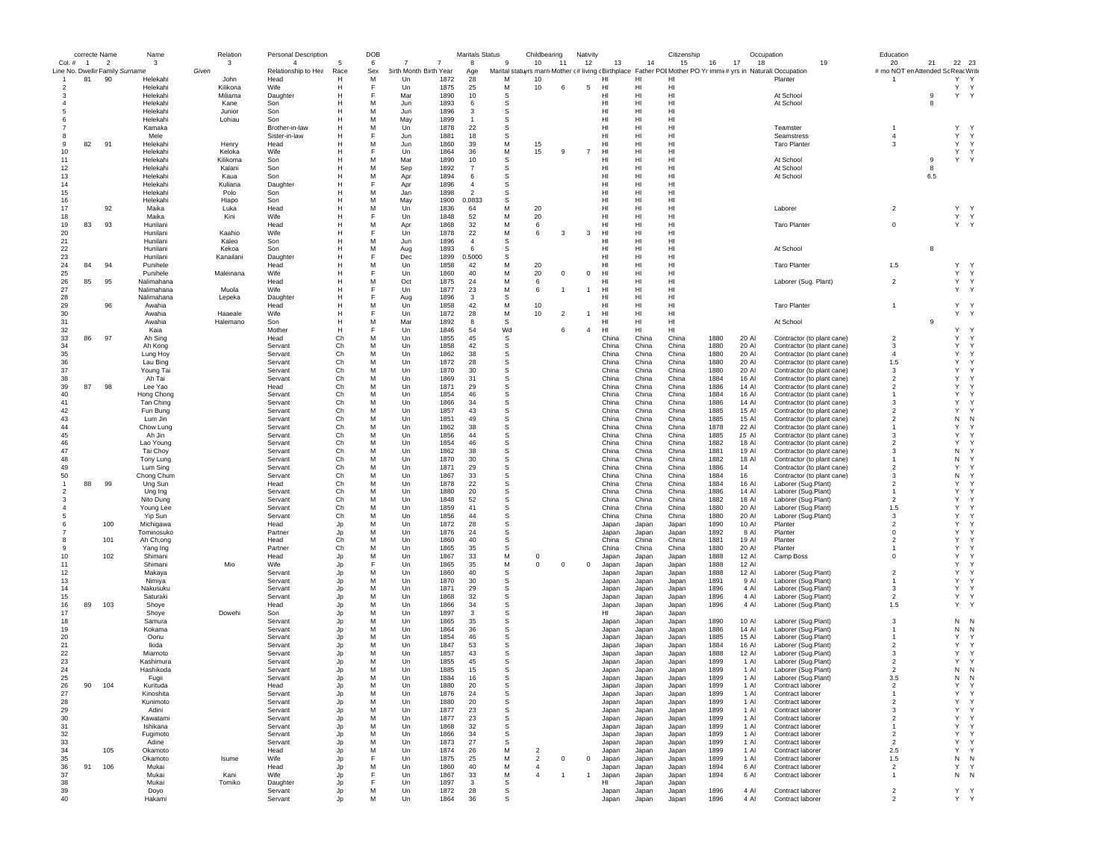|                |                | correcte Name            | Name                            | Relation         | <b>Personal Description</b> |          | DOB    |                        |              | <b>Maritals Status</b>   |             | Childbearing        |                | Nativity       |                |                | Citizenship                                                                                                   |              | Occupation     |                                                          | Education                          |          |                            |   |
|----------------|----------------|--------------------------|---------------------------------|------------------|-----------------------------|----------|--------|------------------------|--------------|--------------------------|-------------|---------------------|----------------|----------------|----------------|----------------|---------------------------------------------------------------------------------------------------------------|--------------|----------------|----------------------------------------------------------|------------------------------------|----------|----------------------------|---|
| Col. #         | $\overline{1}$ | $\overline{\phantom{a}}$ | 3                               | $\mathbf{3}$     | $\overline{4}$              | 5        | 6      | 7<br>7                 |              | 8                        | -9          | 10                  | -11            | 12             | 13             | 14             | 15                                                                                                            | 16           | 17<br>18       | 19                                                       | 20                                 | 21       | 22 23                      |   |
|                |                |                          | Line No. Dwellir Family Surname | Given            | Relationship to Hea         | Race     | Sex    | 3irth Month Birth Year |              | Age                      | M           |                     |                |                |                | HI             | Marital statuyrs marri Mother c#living cBirthplace Father POI Mother PO Yr immit# yrs in Naturali: Occupation |              |                |                                                          | # mo NOT en Attended Sc Reac Write |          |                            |   |
| $\overline{1}$ | 81             | 90                       | Helekahi<br>Helekahi            | John<br>Kilikona | Head<br>Wife                | н<br>н   | M      | Un<br>Un               | 1872<br>1875 | 28<br>25                 | М           | 10<br>10            | 6              | 5              | нı<br>HI       | HI             | HI<br>HI                                                                                                      |              |                | Planter                                                  |                                    |          | Y<br>Y<br>Y<br>Y           |   |
|                |                |                          | Helekahi                        | Miliama          | Daughter                    | н        |        | Mar                    | 1890         | 10                       | S           |                     |                |                | HI             | HI             | HI                                                                                                            |              |                | At School                                                |                                    | 9        | Y<br>Υ                     |   |
|                |                |                          | Helekahi                        | Kane             | Son                         | н        | M      | Jun                    | 1893         | 6                        | S           |                     |                |                | HI             | HI             | HI                                                                                                            |              |                | At School                                                |                                    | 8        |                            |   |
|                |                |                          | Helekahi                        | Junior           | Son                         |          | M      | Jun                    | 1896         | 3                        | S           |                     |                |                | HI             | HI             | HI                                                                                                            |              |                |                                                          |                                    |          |                            |   |
|                |                |                          | Helekahi                        | Lohiau           | Son                         |          | M      | May                    | 1899         | $\overline{1}$           | s           |                     |                |                | HI             | HI             | HI                                                                                                            |              |                |                                                          |                                    |          |                            |   |
|                |                |                          | Kamaka                          |                  | Brother-in-law              |          | M      | Un                     | 1878         | 22                       | s           |                     |                |                | HI             | HI             | HI                                                                                                            |              |                | Teamster                                                 |                                    |          | Υ<br>$\mathsf{Y}$          |   |
|                |                |                          | Mele                            |                  | Sister-in-law               | н        | F      | Jun                    | 1881         | 18                       | s           |                     |                |                | HI             | HI             | HI                                                                                                            |              |                | Seamstress                                               | $\overline{4}$                     |          | Υ<br>Y                     |   |
| 9              | 82             | 91                       | Helekahi                        | Henry            | Head                        | H        | M      | Jun                    | 1860         | 39                       | M           | 15                  |                |                | HL             | HI             | H <sub>II</sub>                                                                                               |              |                | <b>Taro Planter</b>                                      | 3                                  |          | Y<br>Y                     |   |
| 10             |                |                          | Helekahi                        | Keloka           | Wife                        | H        |        | Un                     | 1864         | 36                       | M           | 15                  | 9              | $\overline{7}$ | HI             | HI             | HI                                                                                                            |              |                |                                                          |                                    |          | Y<br>Y                     |   |
| 11             |                |                          | Helekahi<br>Helekahi            | Kilikoma         | Son                         | H<br>Н   | M<br>M | Mar                    | 1890         | 10<br>$\overline{7}$     | s           |                     |                |                | HI<br>HI       | HI<br>HI       | HI<br>HI                                                                                                      |              |                | At School                                                |                                    | 9        | Y Y                        |   |
| 12<br>13       |                |                          | Helekahi                        | Kalani<br>Kaua   | Son<br>Son                  | н        | м      | Sep<br>Apr             | 1892<br>1894 | 6                        | s<br>s      |                     |                |                | HI             | HI             | HI                                                                                                            |              |                | At School<br>At School                                   |                                    | 8<br>6.5 |                            |   |
| 14             |                |                          | Helekahi                        | Kuliana          | Daughter                    | н        |        | Apr                    | 1896         | $\overline{4}$           | s           |                     |                |                | HI             | HI             | HI                                                                                                            |              |                |                                                          |                                    |          |                            |   |
| 15             |                |                          | Helekahi                        | Polo             | Son                         | H        | M      | Jan                    | 1898         | $\overline{\phantom{a}}$ | S           |                     |                |                | HI             | HI             | HI                                                                                                            |              |                |                                                          |                                    |          |                            |   |
| 16             |                |                          | Helekahi                        | Hiapo            | Son                         | H        | M      | May                    | 1900         | 0.0833                   | S           |                     |                |                | HI             | HI             | HI                                                                                                            |              |                |                                                          |                                    |          |                            |   |
| 17             |                | 92                       | Maika                           | Luka             | Head                        | н        | M      | Un                     | 1836         | 64                       | M           | 20                  |                |                | HI             | HI             | HI                                                                                                            |              |                | Laborer                                                  | $\overline{2}$                     |          | Υ<br>Y                     |   |
| 18             |                |                          | Maika                           | Kini             | Wife                        | н        | E      | Un                     | 1848         | 52                       | М           | 20                  |                |                | HI             | HI             | HI                                                                                                            |              |                |                                                          |                                    |          | Y<br>Υ                     |   |
| 19             | 83             | 93                       | Hunilani                        |                  | Head                        | H        | M      | Apr                    | 1868         | 32                       | M           | 6                   |                |                | HI.            | HI             | HI                                                                                                            |              |                | <b>Taro Planter</b>                                      | $\mathbf 0$                        |          | Y Y                        |   |
| 20             |                |                          | Hunilani                        | Kaahio           | Wife                        | H        |        | Un                     | 1878         | 22                       | M           | 6                   | 3              | 3              | HI.            | HI             | H1                                                                                                            |              |                |                                                          |                                    |          |                            |   |
| 21             |                |                          | Hunilani                        | Kaleo            | Son                         | н        | M      | Jun                    | 1896         | $\overline{4}$           | S           |                     |                |                | HI             | HI             | HI                                                                                                            |              |                |                                                          |                                    |          |                            |   |
| 22             |                |                          | Hunilani                        | Kekoa            | Son                         |          | M      | Aug                    | 1893         | 6                        | S           |                     |                |                | HI             | HI             | HI                                                                                                            |              |                | At School                                                |                                    | 8        |                            |   |
| 23             |                |                          | Hunilani                        | Kanailani        | Daughter                    |          |        | Dec                    | 1899         | 0.5000                   | s           |                     |                |                | HI             | HI             | HI                                                                                                            |              |                |                                                          |                                    |          |                            |   |
| 24             | 84             | 94                       | Punihele                        |                  | Head                        | н        | м      | Un                     | 1858         | 42                       | M           | 20                  |                |                | HI             | HI             | HI                                                                                                            |              |                | <b>Taro Planter</b>                                      | 1.5                                |          | Y Y                        |   |
| 25             |                |                          | Punihele                        | Maleinana        | Wife                        | н        | M      | Un                     | 1860         | 40                       | M<br>M      | 20                  | $^{\circ}$     | $^{\circ}$     | HI             | HI             | H <sub>II</sub>                                                                                               |              |                |                                                          |                                    |          | Y<br>Y                     |   |
| 26<br>27       | 85             | 95                       | Nalimahana                      |                  | Head                        | н<br>н   |        | Oct                    | 1875         | 24                       | M           | 6<br>6              |                |                | HI             | HI<br>HI       | HI                                                                                                            |              |                | Laborer (Sug. Plant)                                     | $\overline{2}$                     |          | Y<br>Υ<br>Y.<br>Y          |   |
|                |                |                          | Nalimahana<br>Nalimahana        | Muola            | Wife                        |          |        | Un                     | 1877<br>1896 | 23<br>3                  | S           |                     | -1             |                | HI<br>HI       | HI             | HI<br>HI                                                                                                      |              |                |                                                          |                                    |          |                            |   |
| 28<br>29       |                | 96                       | Awahia                          | Lepeka           | Daughter<br>Head            | н        | M      | Aug<br>Un              | 1858         | 42                       | М           | 10                  |                |                | HI             | HI             | HI                                                                                                            |              |                | <b>Taro Planter</b>                                      | $\mathbf{1}$                       |          | Υ<br>Y                     |   |
| 30             |                |                          | Awahia                          | Haaeale          | Wife                        | H        |        | Un                     | 1872         | 28                       | M           | 10                  | $\overline{2}$ |                | HI.            | HI             | HI                                                                                                            |              |                |                                                          |                                    |          | Υ<br>Y                     |   |
| 31             |                |                          | Awahia                          | Halemano         | Son                         | H        | M      | Mar                    | 1892         | $\mathbf{a}$             | s           |                     |                |                | HL             | HI             | H1                                                                                                            |              |                | At School                                                |                                    | $_{9}$   |                            |   |
| 32             |                |                          | Kaia                            |                  | Mother                      | н        |        | Un                     | 1846         | 54                       | Wd          |                     | 6              | $\overline{4}$ | HI             | HI             | HI                                                                                                            |              |                |                                                          |                                    |          | Y<br><b>Y</b>              |   |
| 33             | 86             | 97                       | Ah Sing                         |                  | Head                        | Ch       | M      | Un                     | 1855         | 45                       | s           |                     |                |                | China          | China          | China                                                                                                         | 1880         | 20 AI          | Contractor (to plant cane)                               | $\overline{2}$                     |          | Υ<br>Y                     |   |
| 34             |                |                          | Ah Kong                         |                  | Servant                     | Ch       | м      | Un                     | 1858         | 42                       | s           |                     |                |                | China          | China          | China                                                                                                         | 1880         | 20 AI          | Contractor (to plant cane)                               | 3                                  |          | Υ<br>Y                     |   |
| 35             |                |                          | Lung Hoy                        |                  | Servant                     | Ch       | м      | Un                     | 1862         | 38                       | s           |                     |                |                | China          | China          | China                                                                                                         | 1880         | 20 AI          | Contractor (to plant cane)                               | $\overline{4}$                     |          | Υ<br>Y                     |   |
| 36             |                |                          | Lau Bing                        |                  | Servant                     | Ch       | M      | Un                     | 1872         | 28                       | s           |                     |                |                | China          | China          | China                                                                                                         | 1880         | 20 Al          | Contractor (to plant cane)                               | 1.5                                |          | Y<br>Y                     |   |
| 37             |                |                          | Young Tai                       |                  | Servant                     | Ch       | M      | Un                     | 1870         | 30                       | S           |                     |                |                | China          | China          | China                                                                                                         | 1880         | 20 Al          | Contractor (to plant cane)                               | 3                                  |          | Υ<br>Y                     |   |
| 38             |                |                          | Ah Tai                          |                  | Servant                     | Ch       | M      | Un                     | 1869         | 31                       | S           |                     |                |                | China          | China          | China                                                                                                         | 1884         | 16 Al          | Contractor (to plant cane)                               | $\overline{2}$                     |          | Y<br>Y                     |   |
| 39             | 87             | 98                       | Lee Yao                         |                  | Head                        | Ch       | M      | Un                     | 1871         | 29                       | s           |                     |                |                | China          | China          | China                                                                                                         | 1886         | 14 Al          | Contractor (to plant cane)                               | $\overline{2}$                     |          | Υ<br>Y                     |   |
| 40             |                |                          | Hong Chong                      |                  | Servant                     | Ch       | M      | Un                     | 1854         | 46                       | s           |                     |                |                | China          | China          | China                                                                                                         | 1884         | 16 Al          | Contractor (to plant cane)                               | $\mathbf{1}$                       |          | Y<br>Y                     |   |
| 41             |                |                          | Tan Ching                       |                  | Servant                     | Ch       | M      | Un                     | 1866         | 34                       | S           |                     |                |                | China          | China          | China                                                                                                         | 1886         | 14 Al          | Contractor (to plant cane)                               | 3                                  |          | Y<br>Y                     |   |
| 42<br>43       |                |                          | Fun Bung                        |                  | Servant                     | Ch       | M<br>M | Un                     | 1857         | 43                       | S<br>S      |                     |                |                | China          | China          | China                                                                                                         | 1885         | 15 Al          | Contractor (to plant cane)                               | $\overline{2}$<br>$\overline{2}$   |          | Y<br>Y                     |   |
| 44             |                |                          | Lum Jin                         |                  | Servant                     | Ch<br>Ch | M      | Un<br>Un               | 1851<br>1862 | 49<br>38                 | s           |                     |                |                | China<br>China | China<br>China | China<br>China                                                                                                | 1885<br>1878 | 15 Al<br>22 Al | Contractor (to plant cane)<br>Contractor (to plant cane) |                                    |          | N<br>N<br>Υ<br>Y           |   |
| 45             |                |                          | Chow Lung<br>Ah Jin             |                  | Servant<br>Servant          | Ch       | м      | Un                     | 1856         | 44                       | s           |                     |                |                | China          | China          | China                                                                                                         | 1885         | 15 AI          | Contractor (to plant cane)                               | 3                                  |          | Υ<br>Y                     |   |
| 46             |                |                          | Lao Young                       |                  | Servant                     | Ch       | м      | Un                     | 1854         | 46                       | s           |                     |                |                | China          | China          | China                                                                                                         | 1882         | 18 Al          | Contractor (to plant cane)                               | $\overline{\mathbf{c}}$            |          | Υ<br>Y.                    |   |
| 47             |                |                          | Tai Choy                        |                  | Servant                     | Ch       | M      | Un                     | 1862         | 38                       | S           |                     |                |                | China          | China          | China                                                                                                         | 1881         | 19 Al          | Contractor (to plant cane)                               | 3                                  |          | N<br>Y                     |   |
| 48             |                |                          | Tony Lung                       |                  | Servant                     | Ch       | M      | Un                     | 1870         | 30                       | S           |                     |                |                | China          | China          | China                                                                                                         | 1882         | 18 AI          | Contractor (to plant cane)                               |                                    |          | N<br>Y                     |   |
| 49             |                |                          | Lum Sing                        |                  | Servant                     | Ch       | M      | Un                     | 1871         | 29                       | s           |                     |                |                | China          | China          | China                                                                                                         | 1886         | 14             | Contractor (to plant cane)                               | $\overline{2}$                     |          | Υ<br>Y                     |   |
| 50             |                |                          | Chong Chum                      |                  | Servant                     | Ch       | M      | Un                     | 1867         | 33                       | s           |                     |                |                | China          | China          | China                                                                                                         | 1884         | 16             | Contractor (to plant cane)                               | 3                                  |          | Ν<br>Y                     |   |
|                | 88             | 99                       | Ung Sun                         |                  | Head                        | Ch       | M      | Un                     | 1878         | 22                       | s           |                     |                |                | China          | China          | China                                                                                                         | 1884         | 16 Al          | Laborer (Sug.Plant)                                      | $\overline{2}$                     |          | Y<br>Y                     |   |
|                |                |                          | Ung Ing                         |                  | Servant                     | Ch       | M      | Un                     | 1880         | 20                       | S           |                     |                |                | China          | China          | China                                                                                                         | 1886         | 14 AI          | Laborer (Sug.Plant)                                      | $\mathbf{1}$                       |          | Y<br>Y                     |   |
|                |                |                          | Nito Dung                       |                  | Servant                     | Ch       | M      | Un                     | 1848         | 52                       | S           |                     |                |                | China          | China          | China                                                                                                         | 1882         | 18 Al          | Laborer (Sug.Plant)                                      | $\overline{2}$                     |          | Y<br>Y                     |   |
|                |                |                          | Young Lee                       |                  | Servant                     | Ch       | M      | Un                     | 1859         | 41                       | S           |                     |                |                | China          | China          | China                                                                                                         | 1880         | 20 AI          | Laborer (Sug.Plant)                                      | 1.5                                |          | Y<br>Y                     |   |
|                |                |                          | Yip Sun                         |                  | Servant                     | Ch       | M      | Un                     | 1856         | 44                       | s           |                     |                |                | China          | China          | China                                                                                                         | 1880         | 20 Al          | Laborer (Sug.Plant)                                      | 3                                  |          | Y<br>Y                     |   |
|                |                | 100                      | Michigawa                       |                  | Head                        | Jp       | м      | Un                     | 1872         | 28                       | s           |                     |                |                | Japan          | Japan          | Japan                                                                                                         | 1890         | 10 Al          | Planter                                                  | $\overline{\mathbf{c}}$            |          | Υ<br>Y<br>Y<br>Y           |   |
|                |                |                          | Tominosuko                      |                  | Partner                     | Jp       | M      | Un                     | 1876         | 24<br>40                 | s<br>S      |                     |                |                | Japan          | Japan          | Japan                                                                                                         | 1892         | 8 AI           | Planter                                                  | $\mathbf 0$<br>$\overline{2}$      |          | Y<br>Y                     |   |
| 8<br>9         |                | 101                      | Ah Ch;ong                       |                  | Head<br>Partner             | Ch<br>Ch | M<br>M | Un<br>Un               | 1860<br>1865 | 35                       | S           |                     |                |                | China<br>China | China<br>China | China<br>China                                                                                                | 1881<br>1880 | 19 AI<br>20 Al | Planter<br>Planter                                       | -1                                 |          | Y<br>Y                     |   |
| 10             |                | 102                      | Yang Ing<br>Shimani             |                  | Head                        | Jp       | M      | Un                     | 1867         | 33                       | M           | $^{\circ}$          |                |                | Japan          | Japan          | Japan                                                                                                         | 1888         | 12 Al          | Camp Boss                                                | $\mathbf 0$                        |          | Υ<br>Y                     |   |
| 11             |                |                          | Shimani                         | Mio              | Wife                        | Jp       | F      | Un                     | 1865         | 35                       | M           | 0                   | $^{\circ}$     | $\mathbf 0$    | Japan          | Japan          | Japan                                                                                                         | 1888         | 12 AI          |                                                          |                                    |          | Υ<br>Y                     |   |
| 12             |                |                          | Makaya                          |                  | Servant                     | Jp       | M      | Un                     | 1860         | 40                       | $\mathbb S$ |                     |                |                | Japan          | Japan          | Japan                                                                                                         | 1888         | 12 Al          | Laborer (Sug.Plant)                                      | $\overline{2}$                     |          | Y<br>Y                     |   |
| 13             |                |                          | Nimiya                          |                  | Servant                     | Jp       | M      | Un                     | 1870         | 30                       | S           |                     |                |                | Japan          | Japan          | Japan                                                                                                         | 1891         | 9 AI           | Laborer (Sug.Plant)                                      | -1                                 |          | Y                          | Y |
| 14             |                |                          | Nakusuku                        |                  | Servant                     | Jp       | M      | Un                     | 1871         | 29                       | S           |                     |                |                | Japan          | Japan          | Japan                                                                                                         | 1896         | 4 Al           | Laborer (Sug.Plant)                                      | 3                                  |          | Υ                          | Υ |
| 15             |                |                          | Saturaki                        |                  | Servant                     | Jp       | M      | Un                     | 1868         | 32                       | s           |                     |                |                | Japan          | Japan          | Japan                                                                                                         | 1896         | 4 Al           | Laborer (Sug.Plant)                                      | $\overline{2}$                     |          | Υ<br>Y                     |   |
| 16             | 89             | 103                      | Shoye                           |                  | Head                        | Jp       | M      | Un                     | 1866         | 34                       | s           |                     |                |                | Japan          | Japan          | Japan                                                                                                         | 1896         | 4 Al           | Laborer (Sug.Plant)                                      | 1.5                                |          | Υ<br>Y                     |   |
| 17             |                |                          | Shoye                           | Dowehi           | Son                         | Jp       | M      | Un                     | 1897         | 3                        | s           |                     |                |                | HI             | Japan          | Japan                                                                                                         |              |                |                                                          |                                    |          |                            |   |
| 18             |                |                          | Samura                          |                  | Servant                     | Jp       | M      | Un                     | 1865         | 35                       | S           |                     |                |                | Japan          | Japan          | Japan                                                                                                         | 1890         | 10 Al          | Laborer (Sug.Plant)                                      | 3                                  |          | N<br>N                     |   |
| 19             |                |                          | Kokama                          |                  | Servant                     | Jp       | M      | Un                     | 1864         | 36                       | S           |                     |                |                | Japan          | Japan          | Japan                                                                                                         | 1886         | 14 Al          | Laborer (Sug.Plant)                                      | $\overline{1}$                     |          | N<br>N                     |   |
| 20             |                |                          | Oonu<br>Ikida                   |                  | Servant                     | Jo       | M<br>M | Un                     | 1854<br>1847 | 46<br>53                 | S<br>S      |                     |                |                | Japan          | Japan          | Japan                                                                                                         | 1885<br>1884 | 15 Al          | Laborer (Sug.Plant)<br>Laborer (Sug.Plant)               | $\overline{2}$                     |          | Υ<br>Y<br>Υ<br>Y           |   |
| 21<br>22       |                |                          | Miamoto                         |                  | Servant<br>Servant          | Jp<br>Jp | M      | Un<br>Un               | 1857         | 43                       | S           |                     |                |                | Japan<br>Japan | Japan<br>Japan | Japan<br>Japan                                                                                                | 1888         | 16 AI<br>12 Al | Laborer (Sug.Plant)                                      | 3                                  |          | Y<br>Y                     |   |
| 23             |                |                          | Kashimura                       |                  | Servant                     | Jp       | M      | Un                     | 1855         | 45                       | S           |                     |                |                | Japan          | Japan          | Japan                                                                                                         | 1899         | 1 Al           | Laborer (Sug.Plant)                                      | $\overline{2}$                     |          | Y<br>Y                     |   |
| 24             |                |                          | Hashikoda                       |                  | Servant                     | Jp       | M      | Un                     | 1885         | 15                       | S           |                     |                |                | Japan          | Japan          | Japan                                                                                                         | 1899         | 1 AI           | Laborer (Sug.Plant)                                      | $\overline{2}$                     |          | N<br>N                     |   |
| 25             |                |                          | Fugii                           |                  | Servant                     | . In     | M      | Un                     | 1884         | 16                       | S           |                     |                |                | Japan          | Japan          | Japan                                                                                                         | 1899         | 1 Al           | Laborer (Sug.Plant)                                      | 3.5                                |          | N<br>N                     |   |
| 26             |                | 90 104                   | Kurituda                        |                  | Head                        |          |        | Un                     | 1880         | 20                       |             |                     |                |                | Japan          | Japan          | Japar                                                                                                         | 1899         | 1 AI           | Contract labore                                          | ∠                                  |          |                            |   |
| 27             |                |                          | Kinoshita                       |                  | Servant                     | Jp       | M      | Un                     | 1876         | 24                       | s           |                     |                |                | Japan          | Japan          | Japan                                                                                                         | 1899         | 1 Al           | Contract laborer                                         | $\mathbf{1}$                       |          | Υ                          | Υ |
| 28             |                |                          | Kunimoto                        |                  | Servant                     | Jp       | M      | Un                     | 1880         | 20                       | s           |                     |                |                | Japan          | Japan          | Japan                                                                                                         | 1899         | 1 Al           | Contract laborer                                         | $\overline{2}$                     |          | Υ                          | Υ |
| 29             |                |                          | Adini                           |                  | Servant                     | Jp       | м      | Un                     | 1877         | 23                       | s           |                     |                |                | Japan          | Japan          | Japan                                                                                                         | 1899         | 1 Al           | Contract laborer                                         | 3                                  |          | Y<br>Y                     |   |
| 30             |                |                          | Kawatami                        |                  | Servant                     | Jp       | M      | Un                     | 1877         | 23                       | s           |                     |                |                | Japan          | Japan          | Japan                                                                                                         | 1899         | 1 Al           | Contract laborer                                         | $\overline{2}$                     |          | Υ                          | Υ |
| 31             |                |                          | Ishikana                        |                  | Servant                     | Jp       | M      | Un                     | 1868         | 32                       | s           |                     |                |                | Japan          | Japan          | Japan                                                                                                         | 1899         | 1 Al           | Contract laborer                                         | $\overline{1}$                     |          | Υ<br>Y                     |   |
| 32             |                |                          | Fugimoto                        |                  | Servant                     | Jp       | M      | Un                     | 1866         | 34                       | s           |                     |                |                | Japan          | Japan          | Japan                                                                                                         | 1899         | 1 Al           | Contract laborer                                         | $\overline{2}$                     |          | Υ<br>Y                     |   |
| 33<br>34       |                |                          | Adine                           |                  | Servant<br>Head             | Jp       | м<br>M | Un                     | 1873<br>1874 | 27                       | S<br>M      |                     |                |                | Japan          | Japan          | Japan                                                                                                         | 1899         | 1 Al           | Contract laborer                                         | $\overline{2}$                     |          | Υ<br>$\mathsf Y$<br>Y<br>Y |   |
| 35             |                | 105                      | Okamoto<br>Okamoto              | Isume            | Wife                        | Jp<br>Jp | E      | Un<br>Un               | 1875         | 26<br>25                 | M           | 2<br>$\overline{2}$ | $^{\circ}$     | $\mathbf{0}$   | Japan<br>Japan | Japan<br>Japan | Japan<br>Japan                                                                                                | 1899<br>1899 | 1 Al<br>1 Al   | Contract laborer<br>Contract laborer                     | 2.5<br>1.5                         |          | N<br>N                     |   |
| 36             | 91             | 106                      | Mukai                           |                  | Head                        | Jp       | M      | Un                     | 1860         | 40                       | M           | $\overline{4}$      |                |                | Japan          | Japan          | Japan                                                                                                         | 1894         | 6 Al           | Contract laborer                                         | $\overline{2}$                     |          | Υ<br>Y                     |   |
| 37             |                |                          | Mukai                           | Kani             | Wife                        | Jp       |        | Un                     | 1867         | 33                       | М           | $\overline{4}$      | $\overline{1}$ | $\overline{1}$ | Japan          | Japan          | Japan                                                                                                         | 1894         | 6 AI           | Contract laborer                                         | $\overline{1}$                     |          | N N                        |   |
| 38             |                |                          | Mukai                           | Tomiko           | Daughter                    | Jp       | F      | Un                     | 1897         | 3                        | s           |                     |                |                | HI             | Japan          | Japan                                                                                                         |              |                |                                                          |                                    |          |                            |   |
| 39             |                |                          | Doyo                            |                  | Servant                     | Jp       | M      | Un                     | 1872         | 28                       | s           |                     |                |                | Japan          | Japan          | Japan                                                                                                         | 1896         | 4 Al           | Contract laborer                                         | $\overline{2}$                     |          | Y Y                        |   |
| 40             |                |                          | Hakami                          |                  | Servant                     | Jp       | M      | Un                     | 1864         | 36                       | s           |                     |                |                | Japan          | Japan          | Japan                                                                                                         | 1896         | 4 Al           | Contract laborer                                         | $\mathfrak{p}$                     |          | Y Y                        |   |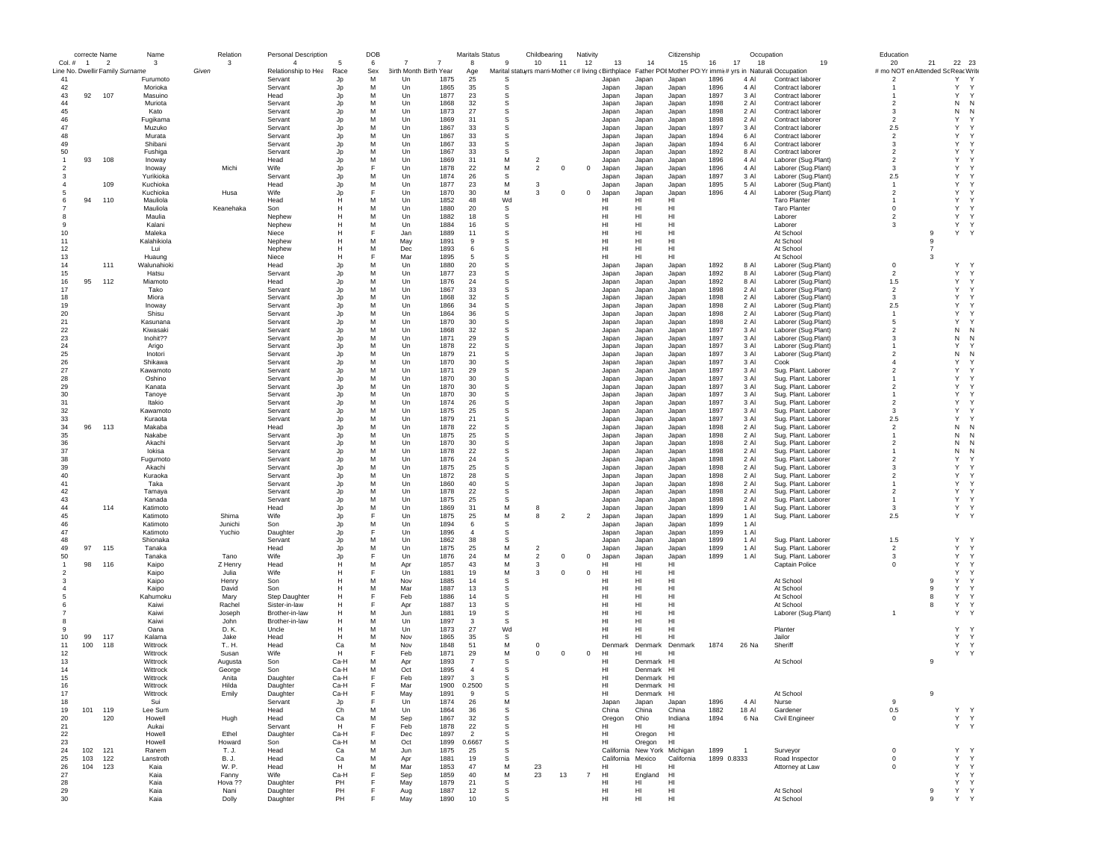|                | correcte Name  |                                                   | Name                 | Relation         | <b>Personal Description</b>           |           | DOB      |                                  |              | <b>Maritals Status</b> |               | Childbearing                 |    | Nativity       |                   |                              | Citizenship          |              |                | Occupation                                                                                                         | Education                                |                |                             |  |
|----------------|----------------|---------------------------------------------------|----------------------|------------------|---------------------------------------|-----------|----------|----------------------------------|--------------|------------------------|---------------|------------------------------|----|----------------|-------------------|------------------------------|----------------------|--------------|----------------|--------------------------------------------------------------------------------------------------------------------|------------------------------------------|----------------|-----------------------------|--|
| $Col. \#$      | $\overline{1}$ | $\overline{2}$<br>Line No. Dwellir Family Surname | $\mathbf{3}$         | 3<br>Given       | $\overline{4}$<br>Relationship to Hea | 5<br>Race | 6<br>Sex | 7<br>7<br>3irth Month Birth Year |              | 8                      | -9            | 10<br>$-11$                  |    | 12             | 13                | 14                           | 15                   | 16           | 17<br>18       | 19<br>Marital statuyrs marri Mother (# living cBirthplace Father POIMother PO Yr immit# yrs in Naturali:Occupation | 20<br># mo NOT en Attended Sc Reac Write | 21             | 22 23                       |  |
| 41             |                |                                                   | Furumoto             |                  | Servant                               | Jp        | M        | Un                               | 1875         | Age<br>25              | S             |                              |    |                | Japan             | Japan                        | Japan                | 1896         | 4 AI           | Contract laborer                                                                                                   | $\overline{2}$                           |                | Y<br>Y                      |  |
| 42             |                |                                                   | Morioka              |                  | Servant                               | Jp        | M        | Un                               | 1865         | 35                     | s             |                              |    |                | Japan             | Japan                        | Japan                | 1896         | 4 Al           | Contract laborer                                                                                                   |                                          |                | Y<br>Y                      |  |
| 43             | 92             | 107                                               | Masuino              |                  | Head                                  | Jp        | M        | Un                               | 1877         | 23                     | s             |                              |    |                | Japan             | Japan                        | Japan                | 1897         | 3 Al           | Contract laborer                                                                                                   |                                          |                | Y<br>Y                      |  |
| 44             |                |                                                   | Muriota              |                  | Servant                               | Jp        | M        | Un<br>1868                       |              | 32                     | S             |                              |    |                | Japan             | Japan                        | Japan                | 1898         | 2 Al           | Contract laborer                                                                                                   | $\overline{\phantom{a}}$                 |                | ${\sf N}$<br>N              |  |
| 45             |                |                                                   | Kato                 |                  | Servant                               | Jp        | M        | Un                               | 1873         | 27                     | S             |                              |    |                | Japan             | Japan                        | Japan                | 1898         | 2 Al           | Contract laborer                                                                                                   | 3                                        |                | N<br>N                      |  |
| 46             |                |                                                   | Fugikama             |                  | Servant                               | Jp        | M        | Un                               | 1869         | 31                     | s             |                              |    |                | Japan             | Japan                        | Japan                | 1898         | 2 Al           | Contract laborer                                                                                                   | $\overline{2}$                           |                | Y                           |  |
| 47<br>48       |                |                                                   | Muzuko               |                  | Servant                               | Jp        | M<br>M   | Un                               | 1867         | 33                     | s<br>S        |                              |    |                | Japan             | Japan                        | Japan                | 1897<br>1894 | 3 Al<br>6 AI   | Contract laborer                                                                                                   | 2.5                                      |                | Y<br>Y                      |  |
| 49             |                |                                                   | Murata<br>Shibani    |                  | Servant<br>Servant                    | Jp<br>Jp  | M        | Un<br>1867<br>Un                 | 1867         | 33<br>33               | S             |                              |    |                | Japan<br>Japan    | Japan                        | Japan<br>Japan       | 1894         | 6 Al           | Contract laborer<br>Contract laborer                                                                               | $\overline{\mathbf{2}}$<br>$\mathbf{3}$  |                | Y                           |  |
| 50             |                |                                                   | Fushiga              |                  | Servant                               | Jp        | M        | Un                               | 1867         | 33                     | S             |                              |    |                | Japan             | Japan<br>Japan               | Japan                | 1892         | 8 Al           | Contract laborer                                                                                                   | $\overline{2}$                           |                | Y                           |  |
| $\overline{1}$ | 93             | 108                                               | Inoway               |                  | Head                                  | Jp        | M        | Un                               | 1869         | 31                     | М             | $\overline{2}$               |    |                | Japan             | Japan                        | Japan                | 1896         | 4 Al           | Laborer (Sug.Plant)                                                                                                | $\overline{2}$                           |                | Y                           |  |
|                |                |                                                   | Inoway               | Michi            | Wife                                  | Jp        | F        | Un                               | 1878         | 22                     | М             | $\overline{2}$<br>$^{\circ}$ |    | $^{\circ}$     | Japan             | Japan                        | Japan                | 1896         | 4 Al           | Laborer (Sug.Plant)                                                                                                | 3                                        |                | Y                           |  |
|                |                |                                                   | Yurikioka            |                  | Servant                               | Jp        | M        | Un                               | 1874         | 26                     | s             |                              |    |                | Japan             | Japan                        | Japan                | 1897         | 3 Al           | Laborer (Sug.Plant)                                                                                                | 2.5                                      |                | Y                           |  |
|                |                | 109                                               | Kuchioka             |                  | Head                                  | Jp        | M        | Un                               | 1877         | 23                     | M             | 3                            |    |                | Japan             | Japan                        | Japan                | 1895         | 5 AI           | Laborer (Sug.Plant)                                                                                                | $\mathbf{1}$                             |                | Y                           |  |
|                |                |                                                   | Kuchioka             | Husa             | Wife                                  | Jp        | E        | Un                               | 1870         | 30                     | M             | $^{\circ}$<br>3              |    | $\,0\,$        | Japan             | Japan                        | Japan                | 1896         | 4 Al           | Laborer (Sug.Plant)                                                                                                | $\overline{2}$                           |                | Y                           |  |
| 6              | 94             | 110                                               | Mauliola             |                  | Head                                  | H         | M        | Un                               | 1852         | 48                     | Wd            |                              |    |                | HI                | HI                           | HI                   |              |                | <b>Taro Planter</b>                                                                                                |                                          |                | Y                           |  |
|                |                |                                                   | Mauliola             | Keanehaka        | Son                                   | Н         | M        | Un                               | 1880         | 20                     | s             |                              |    |                | нı                | HI                           | HI                   |              |                | <b>Taro Planter</b>                                                                                                | $^{\circ}$                               |                | Y<br>Y                      |  |
| 8              |                |                                                   | Maulia               |                  | Nephew                                | Н         | M        | Un                               | 1882         | 18                     | s             |                              |    |                | HI                | HI                           | HI                   |              |                | Laborer                                                                                                            | $\overline{2}$                           |                | $\mathsf{Y}$<br>Y           |  |
| 9<br>10        |                |                                                   | Kalani<br>Maleka     |                  | Nephew                                | H<br>H    | M<br>E   | Un<br>.lar                       | 1884<br>1889 | 16<br>11               | s<br>S        |                              |    |                | HI<br>HI          | HI<br>HI                     | H <sub>1</sub><br>HI |              |                | Laborer<br>At School                                                                                               | 3                                        | 9              | Y<br>Y<br>Υ<br>$\mathsf{Y}$ |  |
| 11             |                |                                                   | Kalahikiola          |                  | Niece<br>Nephew                       | н         | M        | May                              | 1891         | 9                      | S             |                              |    |                | HI                | HI                           | HI                   |              |                | At School                                                                                                          |                                          | 9              |                             |  |
| 12             |                |                                                   | Lui                  |                  | Nephew                                | Н         | M        | Dec                              | 1893         | 6                      | S             |                              |    |                | HI                | HI                           | HI                   |              |                | At School                                                                                                          |                                          | $\overline{7}$ |                             |  |
| 13             |                |                                                   | Huaung               |                  | Niece                                 | Н         |          | Mar                              | 1895         | 5                      | S             |                              |    |                | HI                | HI                           | HI                   |              |                | At School                                                                                                          |                                          | 3              |                             |  |
| 14             |                | 111                                               | Walunahioki          |                  | Head                                  | Jp        | M        | Un                               | 1880         | 20                     | s             |                              |    |                | Japan             | Japan                        | Japan                | 1892         | 8 Al           | Laborer (Sug.Plant)                                                                                                | $\mathbf 0$                              |                | Y                           |  |
| 15             |                |                                                   | Hatsu                |                  | Servant                               | Jp        | M        | 1877<br>Un                       |              | 23                     | S             |                              |    |                | Japan             | Japan                        | Japan                | 1892         | 8 Al           | Laborer (Sug.Plant)                                                                                                | $\overline{2}$                           |                | Y<br>$\mathsf{Y}$           |  |
| 16             | 95             | 112                                               | Miamoto              |                  | Head                                  | Jp        | M        | Un                               | 1876         | 24                     | S             |                              |    |                | Japan             | Japan                        | Japan                | 1892         | 8 Al           | Laborer (Sug.Plant)                                                                                                | 1.5                                      |                | Υ<br>$\mathsf{Y}$           |  |
| 17             |                |                                                   | Tako                 |                  | Servant                               | Jp        | M        | Un                               | 1867         | 33                     | S             |                              |    |                | Japan             | Japan                        | Japan                | 1898         | 2 Al           | Laborer (Sug.Plant)                                                                                                | $\overline{2}$                           |                | Y<br>$\mathsf{Y}$           |  |
| 18             |                |                                                   | Miora                |                  | Servant                               | Jp        | M        | Un                               | 1868         | 32                     | s             |                              |    |                | Japan             | Japan                        | Japan                | 1898         | 2 Al           | Laborer (Sug.Plant)                                                                                                | 3                                        |                | Y<br>Y                      |  |
| 19             |                |                                                   | Inoway               |                  | Servant                               | Jp        | M        | Un                               | 1866         | 34                     | s             |                              |    |                | Japan             | Japan                        | Japan                | 1898         | 2 AI           | Laborer (Sug.Plant)                                                                                                | 2.5                                      |                | Y<br>Y                      |  |
| 20             |                |                                                   | Shisu                |                  | Servant                               | Jp        | M<br>M   | Un<br>$_{\text{Un}}$             | 1864<br>1870 | 36<br>30               | S<br>S        |                              |    |                | Japan             | Japan                        | Japan                | 1898<br>1898 | 2 AI<br>2 Al   | Laborer (Sug.Plant)                                                                                                | $\mathbf{1}$<br>5                        |                | Y<br>Y                      |  |
| 21<br>22       |                |                                                   | Kasunana<br>Kiwasak  |                  | Servant<br>Servant                    | Jp<br>Jo  | M        | Un                               | 1868         | 32                     | S             |                              |    |                | Japan<br>Japan    | Japan                        | Japan<br>Japan       | 1897         | 3 Al           | Laborer (Sug.Plant)<br>Laborer (Sug.Plant)                                                                         | $\overline{2}$                           |                | N<br>N                      |  |
| 23             |                |                                                   | Inohit??             |                  | Servant                               | Jp        | M        | Un                               | 1871         | 29                     | s             |                              |    |                | Japan             | Japan<br>Japan               | Japan                | 1897         | 3 Al           | Laborer (Sug.Plant)                                                                                                | 3                                        |                | N<br>N                      |  |
| 24             |                |                                                   | Arigo                |                  | Servant                               | Jp        | M        | Un                               | 1878         | 22                     | s             |                              |    |                | Japan             | Japan                        | Japan                | 1897         | 3 Al           | Laborer (Sug.Plant)                                                                                                |                                          |                | Y                           |  |
| 25             |                |                                                   | Inotori              |                  | Servant                               | Jp        | M        | Un                               | 1879         | 21                     | s             |                              |    |                | Japan             | Japan                        | Japan                | 1897         | 3 Al           | Laborer (Sug.Plant)                                                                                                | $\overline{\mathbf{2}}$                  |                | N<br>N                      |  |
| 26             |                |                                                   | Shikawa              |                  | Servant                               | Jp        | M        | Un                               | 1870         | 30                     | S             |                              |    |                | Japan             | Japan                        | Japan                | 1897         | 3 Al           | Cook                                                                                                               | $\overline{4}$                           |                | $\mathsf{Y}$                |  |
| 27             |                |                                                   | Kawamoto             |                  | Servant                               | Jp        | M        | Un                               | 1871         | 29                     | S             |                              |    |                | Japan             | Japan                        | Japan                | 1897         | 3 Al           | Sug. Plant. Laborer                                                                                                | $\overline{2}$                           |                | Y                           |  |
| 28             |                |                                                   | Oshino               |                  | Servant                               | Jp        | M        | Un                               | 1870         | 30                     | S             |                              |    |                | Japan             | Japan                        | Japan                | 1897         | 3 Al           | Sug. Plant. Laborer                                                                                                |                                          |                | Y                           |  |
| 29             |                |                                                   | Kanata               |                  | Servant                               | Jp        | M        | Un                               | 1870         | 30                     | s             |                              |    |                | Japan             | Japan                        | Japan                | 1897         | 3 Al           | Sug. Plant. Laborer                                                                                                | $\overline{2}$                           |                | Y<br>Y                      |  |
| 30             |                |                                                   | Tanoye               |                  | Servant                               | Jp        | M        | Un                               | 1870         | 30                     | S             |                              |    |                | Japan             | Japan                        | Japan                | 1897         | 3 AI           | Sug. Plant. Laborer                                                                                                | -1                                       |                | Y                           |  |
| 31             |                |                                                   | Itakio               |                  | Servant                               | Jp        | M        | Un                               | 1874         | 26                     | S             |                              |    |                | Japan             | Japan                        | Japan                | 1897         | 3 Al           | Sug. Plant. Laborer                                                                                                | $\overline{\phantom{a}}$                 |                | Y                           |  |
| 32             |                |                                                   | Kawamoto             |                  | Servant                               | Jp        | M<br>M   | $_{\text{Un}}$                   | 1875         | 25                     | S<br>S        |                              |    |                | Japan             | Japan                        | Japan                | 1897         | 3 Al           | Sug. Plant. Laborer                                                                                                | $\mathbf{3}$                             |                | Y<br>Y                      |  |
| 33<br>34       | 96             | 113                                               | Kuraota<br>Makaba    |                  | Servant<br>Head                       | Jp<br>Jp  | M        | Un<br>Un                         | 1879<br>1878 | 21<br>22               | S             |                              |    |                | Japan<br>Japan    | Japan<br>Japan               | Japan<br>Japan       | 1897<br>1898 | 3 Al<br>2 Al   | Sug. Plant. Laborer<br>Sug. Plant. Laborer                                                                         | 2.5<br>$\overline{2}$                    |                | N<br>N                      |  |
| 35             |                |                                                   | Nakabe               |                  | Servant                               | Jp        | M        | Un                               | 1875         | 25                     | s             |                              |    |                | Japan             | Japan                        | Japan                | 1898         | 2 Al           | Sug. Plant. Laborer                                                                                                | -1                                       |                | N<br>N                      |  |
| 36             |                |                                                   | Akachi               |                  | Servant                               | Jp        | M        | Un                               | 1870         | 30                     | s             |                              |    |                | Japan             | Japan                        | Japan                | 1898         | 2 Al           | Sug. Plant. Laborer                                                                                                | $\overline{2}$                           |                | N<br>N                      |  |
| 37             |                |                                                   | lokisa               |                  | Servant                               | Jp        | M        | Un                               | 1878         | 22                     | S             |                              |    |                | Japan             | Japan                        | Japan                | 1898         | 2 Al           | Sug. Plant. Laborer                                                                                                |                                          |                | N<br>N                      |  |
| 38             |                |                                                   | Fugumoto             |                  | Servant                               | Jp        | M        | Un                               | 1876         | 24                     | S             |                              |    |                | Japan             | Japan                        | Japan                | 1898         | 2 Al           | Sug. Plant. Laborer                                                                                                | $\overline{2}$                           |                | Y                           |  |
| 39             |                |                                                   | Akachi               |                  | Servant                               | Jp        | M        | Un                               | 1875         | 25                     | s             |                              |    |                | Japan             | Japan                        | Japan                | 1898         | 2 Al           | Sug. Plant. Laborer                                                                                                | 3                                        |                | Y                           |  |
| 40             |                |                                                   | Kuraoka              |                  | Servant                               | Jp        | M        | Un                               | 1872         | 28                     | s             |                              |    |                | Japan             | Japan                        | Japan                | 1898         | 2 Al           | Sug. Plant. Laborer                                                                                                | $\overline{2}$                           |                | Y                           |  |
| 41             |                |                                                   | Taka                 |                  | Servant                               | Jp        | M        | Un                               | 1860         | 40                     | s             |                              |    |                | Japan             | Japan                        | Japan                | 1898         | 2 AI           | Sug. Plant. Laborer                                                                                                |                                          |                | Y<br>Y                      |  |
| 42             |                |                                                   | Tamaya               |                  | Servant                               | Jp        | M        | $_{\text{Un}}$                   | 1878         | 22                     | S             |                              |    |                | Japan             | Japan                        | Japan                | 1898         | 2 AI           | Sug. Plant. Laborer                                                                                                | $\mathfrak{p}$                           |                | Y<br>Y                      |  |
| 43             |                |                                                   | Kanada               |                  | Servant                               | Jp        | M        | Un                               | 1875         | 25                     | S             |                              |    |                | Japan             | Japan                        | Japan                | 1898         | 2 Al           | Sug. Plant. Laborer                                                                                                | $\overline{1}$                           |                | Y<br>Y                      |  |
| 44             |                | 114                                               | Katimoto             |                  | Head                                  | Jp        | M<br>F   | Un                               | 1869         | 31                     | М             | 8<br>8<br>$\overline{2}$     |    | $\overline{2}$ | Japan             | Japan                        | Japan                | 1899         | 1 Al           | Sug. Plant. Laborer                                                                                                | 3                                        |                | Y<br>Y<br>Y                 |  |
| 45<br>46       |                |                                                   | Katimoto<br>Katimoto | Shima<br>Junichi | Wife<br>Son                           | Jp<br>Jp  | M        | Un<br>Un                         | 1875<br>1894 | 25<br>6                | М<br>s        |                              |    |                | Japan<br>Japan    | Japan<br>Japan               | Japan<br>Japan       | 1899<br>1899 | 1 Al<br>1 Al   | Sug. Plant. Laborer                                                                                                | 2.5                                      |                | Y                           |  |
| 47             |                |                                                   | Katimoto             | Yuchio           | Daughter                              | Jp        | F        | Un                               | 1896         | 4                      | s             |                              |    |                | Japan             | Japan                        | Japan                | 1899         | 1 Al           |                                                                                                                    |                                          |                |                             |  |
| 48             |                |                                                   | Shionaka             |                  | Servant                               | Jp        | M        | Un                               | 1862         | 38                     | S             |                              |    |                | Japan             | Japan                        | Japan                | 1899         | 1 Al           | Sug. Plant. Laborer                                                                                                | 1.5                                      |                | Y<br>$\mathbf{v}$           |  |
| 49             | 97             | 115                                               | Tanaka               |                  | Head                                  | Jp        | M        | Un                               | 1875         | 25                     | M             | $\overline{2}$               |    |                | Japan             | Japan                        | Japan                | 1899         | 1 Al           | Sug. Plant. Laborer                                                                                                | $\overline{2}$                           |                | Y<br>$\mathsf{Y}$           |  |
| 50             |                |                                                   | Tanaka               | Tano             | Wife                                  | Jp        | F        | Un                               | 1876         | 24                     | M             | $\overline{2}$<br>$^{\circ}$ |    | $^{\circ}$     | Japan             | Japan                        | Japan                | 1899         | 1 Al           | Sug. Plant. Laborer                                                                                                | 3                                        |                | Y<br>Y                      |  |
| $\overline{1}$ | 98             | 116                                               | Kaipo                | Z Henry          | Head                                  | Н         | M        | Apr                              | 1857         | 43                     | М             | 3                            |    |                | HI                | HI                           | HI                   |              |                | Captain Police                                                                                                     | $\Omega$                                 |                | Υ<br>Y                      |  |
| $\overline{2}$ |                |                                                   | Kaipo                | Julia            | Wife                                  | H         | F        | Un                               | 1881         | 19                     | M             | 3<br>$^{\circ}$              |    | $\mathbf{0}$   | HI                | HI                           | HI                   |              |                |                                                                                                                    |                                          |                | Υ<br>Y                      |  |
| -3             |                |                                                   | Kaipo                | Henry            | Son                                   | H         | M        | Nov                              | 1885         | 14                     | s             |                              |    |                | HI                | HI                           | HI                   |              |                | At School                                                                                                          |                                          | 9              | Y<br>Y                      |  |
|                |                |                                                   | Kaipo                | David            | Son                                   | H         | M        | Mar                              | 1887         | 13                     | S             |                              |    |                | HI                | HI                           | HI                   |              |                | At School                                                                                                          |                                          | 9              | Y<br>Y                      |  |
|                |                |                                                   | Kahumoku             | Mary             | Step Daughte                          | н         |          | Feb                              | 1886         | 14                     | s             |                              |    |                | HI                | H                            | HI                   |              |                | At School                                                                                                          |                                          | 8              | Y<br>Y                      |  |
|                |                |                                                   | Kaiwi                | Rachel           | Sister-in-law                         | Н         | M        | Apr                              | 1887         | 13                     | s             |                              |    |                | HI<br>HI          | H<br>HI                      | HI<br>HI             |              |                | At School                                                                                                          |                                          | 8              | Y<br>Y<br>Υ<br>Y            |  |
|                |                |                                                   | Kaiwi<br>Kaiwi       | Joseph<br>John   | Brother-in-law<br>Brother-in-law      | н<br>Н    | M        | Jun<br>1881<br>1897<br>Un        |              | 19<br>$\mathbf{3}$     | s<br><b>s</b> |                              |    |                | HI                | HI                           | HI                   |              |                | Laborer (Sug.Plant)                                                                                                |                                          |                |                             |  |
|                |                |                                                   | Oana                 | D. K.            | Uncle                                 | H         | M        | Un                               | 1873         | 27                     | Wd            |                              |    |                | HI                | HI                           | HI                   |              |                | Planter                                                                                                            |                                          |                | Y.<br><sup>Y</sup>          |  |
| 10             | 99             | 117                                               | Kalama               | Jake             | Head                                  | н         | M        | Nov                              | 1865         | 35                     | S             |                              |    |                | HI                | HI                           | HI                   |              |                | Jailor                                                                                                             |                                          |                | Y Y                         |  |
| 11             | 100            | 118                                               | Wittrock             | T., H.           | Head                                  | Ca        | M        | Nov                              | 1848         | 51                     | M             | $^{\circ}$                   |    |                | Denmark           | Denmark                      | Denmark              | 1874         | 26 Na          | Sheriff                                                                                                            |                                          |                | Y Y                         |  |
| 12             |                |                                                   | Wittrock             | Susan            | Wife                                  | H         | E        | Feb                              | 1871         | 29                     | M             | 0<br>$^{\circ}$              |    | $\mathbf 0$    | HI                | HI                           | HI                   |              |                |                                                                                                                    |                                          |                | Y Y                         |  |
| 13             |                |                                                   | Wittrock             | Augusta          | Son                                   | Ca-H      | M        | Apr                              | 1893         | $\overline{7}$         | S             |                              |    |                | HI                | Denmark                      | H1                   |              |                | At School                                                                                                          |                                          | 9              |                             |  |
| 14             |                |                                                   | Wittrock             | George           | Son                                   | Ca-H      | M        | Oct                              | 1895         | $\overline{4}$         | S             |                              |    |                | HI                | Denmark                      | H <sub>1</sub>       |              |                |                                                                                                                    |                                          |                |                             |  |
| 15             |                |                                                   | Wittrock             | Anita            | Daughter                              | Ca-H      |          | Feb                              | 1897         | 3                      | S             |                              |    |                | HI                | Denmark                      | H <sub>1</sub>       |              |                |                                                                                                                    |                                          |                |                             |  |
| 16             |                |                                                   | Wittrock             | Hilda            | Daughter                              | Ca-H      |          | Mai                              | 1900         | 0.2500                 |               |                              |    |                | HI.               | Denmark <b>HI</b>            |                      |              |                |                                                                                                                    |                                          |                |                             |  |
| 17             |                |                                                   | Wittrock             | Emily            | Daughter                              | Ca-H      | F        | May                              | 1891         | 9                      | s             |                              |    |                | HI                | Denmark HI                   |                      |              |                | At School                                                                                                          |                                          | 9              |                             |  |
| 18             |                |                                                   | Sui                  |                  | Servant                               | Jp        | F        | Un                               | 1874         | 26                     | М             |                              |    |                | Japan             | Japan                        | Japan                | 1896         | 4 Al           | Nurse                                                                                                              | 9                                        |                |                             |  |
| 19             | 101 119        | 120                                               | Lee Sum<br>Howell    |                  | Head<br>Head                          | Ch        | M<br>M   | Un                               | 1864<br>1867 | 36<br>32               | s<br>s        |                              |    |                | China             | China                        | China<br>Indiana     | 1882<br>1894 | 18 AI<br>6 Na  | Gardener                                                                                                           | $0.5\,$<br>$\mathbf 0$                   |                | Y Y<br>Y Y                  |  |
| 20<br>21       |                |                                                   | Aukai                | Hugh             | Servant                               | Ca<br>н   | F        | Sep<br>Feb                       | 1878         | 22                     | s             |                              |    |                | Oregon<br>HI      | Ohio<br>HI                   | HI                   |              |                | Civil Engineer                                                                                                     |                                          |                | Y Y                         |  |
| 22             |                |                                                   | Howell               | Ethel            | Daughter                              | Ca-H      | F        | Dec                              | 1897         | $\overline{2}$         | s             |                              |    |                | HI                | Oregon                       | HI                   |              |                |                                                                                                                    |                                          |                |                             |  |
| 23             |                |                                                   | Howell               | Howard           | Son                                   | Ca-H      | M        | Oct                              | 1899         | 0.6667                 | s             |                              |    |                | HI                | Oregon                       | HI                   |              |                |                                                                                                                    |                                          |                |                             |  |
| 24             | 102            | 121                                               | Ranem                | T. J.            | Head                                  | Ca        | M        | Jun                              | 1875         | 25                     | s             |                              |    |                |                   | California New York Michigan |                      | 1899         | $\overline{1}$ | Surveyor                                                                                                           | $\mathbf 0$                              |                | Y<br>$\mathsf{Y}$           |  |
| 25             | 103            | 122                                               | Lanstroth            | B. J.            | Head                                  | Ca        | M        | Apr                              | 1881         | 19                     | s             |                              |    |                | California Mexico |                              | California           | 1899 0.8333  |                | Road Inspector                                                                                                     | $\mathsf 0$                              |                | Y<br>Y                      |  |
| 26             | 104            | 123                                               | Kaia                 | W. P.            | Head                                  | H         | M        | Mar                              | 1853         | 47                     | M             | 23                           |    |                | HI                | HI                           | HI                   |              |                | Attorney at Law                                                                                                    | $^{\circ}$                               |                | Y<br>Y                      |  |
| 27             |                |                                                   | Kaia                 | Fanny            | Wife                                  | Ca-H      |          | Sep                              | 1859         | 40                     | М             | 23                           | 13 | $\overline{7}$ | HI                | England                      | HI                   |              |                |                                                                                                                    |                                          |                | Y<br>Y                      |  |
| 28             |                |                                                   | Kaia                 | Hova ??          | Daughter                              | PH        | F        | May                              | 1879         | 21                     | s             |                              |    |                | HI                | HI                           | HI                   |              |                |                                                                                                                    |                                          |                | Y<br>Y                      |  |
| 29             |                |                                                   | Kaia                 | Nani             | Daughter                              | PH        | E        | Aug                              | 1887         | 12                     | s             |                              |    |                | HI                | HI                           | HI                   |              |                | At School                                                                                                          |                                          | 9              | Y Y                         |  |
| $30\,$         |                |                                                   | Kaia                 | Dolly            | Daughter                              | PH        |          | May                              | 1890         | 10                     | s             |                              |    |                | HI                | HI                           | HI                   |              |                | At School                                                                                                          |                                          | 9              | Υ<br>Y                      |  |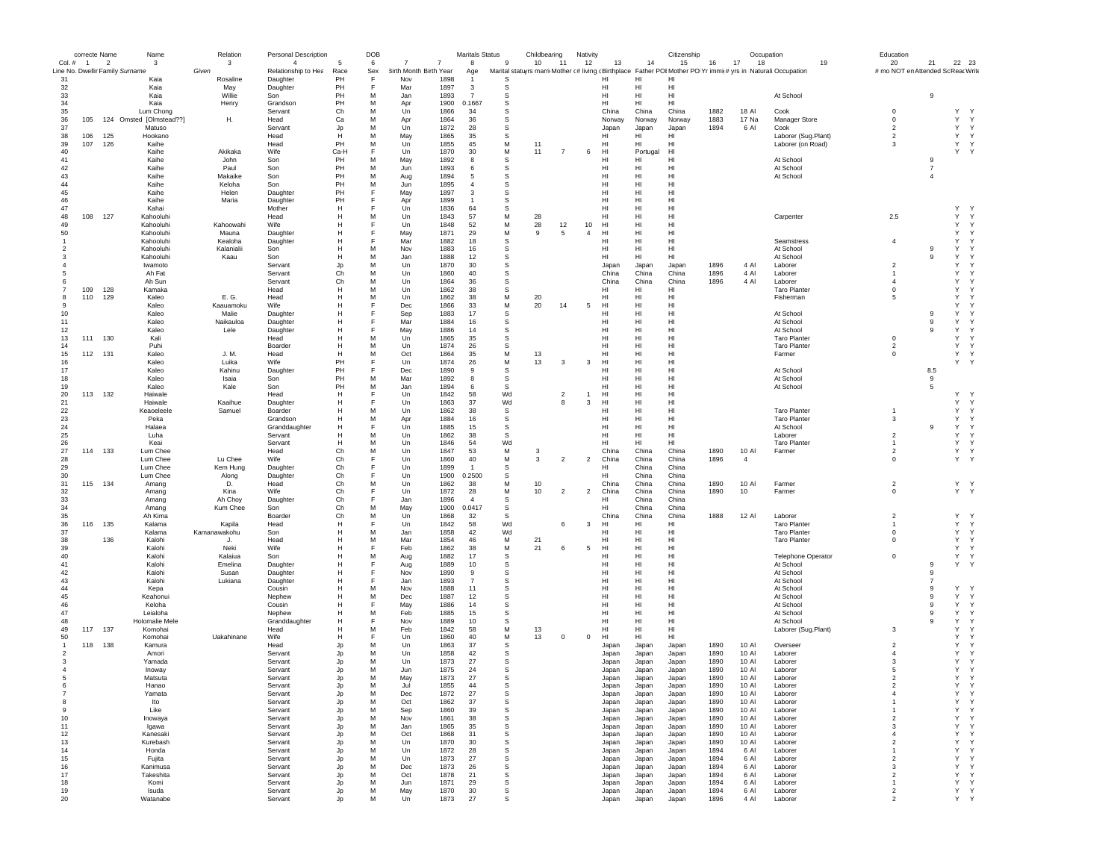|                          | correcte Name  |                | Name                                  | Relation              | <b>Personal Description</b>           |              | DOB      |                                                            | Maritals Status          |                  | Childbearing         | Nativity       |                |                | Citizenship                                                                                                         |              | Occupation     |                                        |    | Education                                |                |                                        |
|--------------------------|----------------|----------------|---------------------------------------|-----------------------|---------------------------------------|--------------|----------|------------------------------------------------------------|--------------------------|------------------|----------------------|----------------|----------------|----------------|---------------------------------------------------------------------------------------------------------------------|--------------|----------------|----------------------------------------|----|------------------------------------------|----------------|----------------------------------------|
| Col. #                   | $\overline{1}$ | $\overline{2}$ | -3<br>Line No. Dwellir Family Surname | $\mathbf{3}$<br>Given | $\overline{4}$<br>Relationship to Hea | 5<br>Race    | 6<br>Sex | $\overline{7}$<br>$\overline{7}$<br>3irth Month Birth Year | 8<br>Age                 | 9                | 10<br>11             | 12             | 13             | 14             | 15<br>Marital statuyrs marri Mother (# living (Birthplace Father POI Mother PO Yr immi(# yrs in Naturali Occupation | 16           | 17<br>18       |                                        | 19 | 20<br># mo NOT en Attended Sc Reac Write | 21             | 22 23                                  |
| 31                       |                |                | Kaia                                  | Rosaline              | Daughter                              | PH           | F        | 1898<br>Nov                                                | -1                       | S.               |                      |                | HI             | HI             | HI                                                                                                                  |              |                |                                        |    |                                          |                |                                        |
| 32                       |                |                | Kaia                                  | May                   | Daughter                              | PH           | F        | Mar<br>1897                                                | 3                        | s                |                      |                | HI             | HI             | HI                                                                                                                  |              |                |                                        |    |                                          |                |                                        |
| 33<br>34                 |                |                | Kaia<br>Kaia                          | Willie<br>Henry       | Son<br>Grandson                       | PH<br>PH     | M<br>M   | Jan<br>1893<br>1900<br>Apr                                 | $\overline{7}$<br>0.1667 | s<br>s           |                      |                | HI<br>HI       | HI<br>HI       | HI<br>HI                                                                                                            |              |                | At School                              |    |                                          | 9              |                                        |
| 35                       |                |                | Lum Chong                             |                       | Servant                               | Ch           | M        | Un<br>1866                                                 | 34                       | s                |                      |                | China          | China          | China                                                                                                               | 1882         | 18 Al          | Cook                                   |    | $\mathbf 0$                              |                | Y<br><sup>Y</sup>                      |
| 36                       | 105            |                | 124 Omsted [Olmstead??]               | Η.                    | Head                                  | Ca           | M        | 1864<br>Apr                                                | 36                       | s                |                      |                | Norway         | Norway         | Norway                                                                                                              | 1883         | 17 Na          | Manager Store                          |    | $\mathbf 0$                              |                | Y<br>Y                                 |
| 37                       |                |                | Matuso                                |                       | Servant                               | Jp           | M        | 1872<br>Un                                                 | 28                       | s                |                      |                | Japan          | Japan          | Japan                                                                                                               | 1894         | 6 Al           | Cook                                   |    | $\mathfrak{p}$                           |                | Y<br>Y                                 |
| 38                       | 106            | 125            | Hookano                               |                       | Head                                  | H<br>PH      | M<br>M   | May<br>1865<br>1855                                        | 35<br>45                 | s                | 11                   |                | HI<br>HI       | HI<br>HI       | HI<br>HI                                                                                                            |              |                | Laborer (Sug.Plant)                    |    | $\overline{2}$<br>3                      |                | Y<br>Y<br>Y                            |
| 39<br>40                 | 107            | 126            | Kaihe<br>Kaihe                        | Akikaka               | Head<br>Wife                          | Ca-H         | F        | Un<br>Un<br>1870                                           | 30                       | М<br>М           | 11<br>-7             | 6              | HI             | Portugal       | HI                                                                                                                  |              |                | Laborer (on Road)                      |    |                                          |                | Y<br>Y.<br>Y                           |
| 41                       |                |                | Kaihe                                 | John                  | Son                                   | PH           | M        | 1892<br>May                                                | 8                        | $\mathbb S$      |                      |                | HI             | HI             | HI                                                                                                                  |              |                | At School                              |    |                                          | 9              |                                        |
| 42                       |                |                | Kaihe                                 | Paul                  | Son                                   | PH           | M        | 1893<br>.Jun                                               | 6                        | s                |                      |                | HI             | HI             | H <sub>II</sub>                                                                                                     |              |                | At School                              |    |                                          | $\overline{7}$ |                                        |
| 43                       |                |                | Kaihe                                 | Makaike               | Son                                   | PH           | M        | 1894<br>Aug                                                | 5                        | s                |                      |                | HI             | HI             | HI                                                                                                                  |              |                | At School                              |    |                                          | $\overline{4}$ |                                        |
| 44                       |                |                | Kaihe<br>Kaihe                        | Keloha                | Son                                   | PH<br>PH     | M<br>F   | 1895<br>Jun<br>1897                                        | $\overline{4}$<br>3      | s                |                      |                | HI<br>HI       | HI<br>HI       | HI<br>HI                                                                                                            |              |                |                                        |    |                                          |                |                                        |
| 45<br>46                 |                |                | Kaihe                                 | Helen<br>Maria        | Daughter<br>Daughter                  | PH           | E        | May<br>Apr<br>1899                                         | $\overline{1}$           | s<br>s           |                      |                | HI             | HI             | HI                                                                                                                  |              |                |                                        |    |                                          |                |                                        |
| 47                       |                |                | Kahai                                 |                       | Mother                                | H            | F        | 1836<br>Un                                                 | 64                       | s                |                      |                | HI             | HI             | HI                                                                                                                  |              |                |                                        |    |                                          |                | Y<br>$\mathsf{Y}$                      |
| 48                       | 108            | 127            | Kahooluhi                             |                       | Head                                  | $\mathsf{H}$ | M        | Un<br>1843                                                 | 57                       | M                | 28                   |                | HI             | HI             | HI                                                                                                                  |              |                | Carpenter                              |    | 2.5                                      |                | Y<br>Y                                 |
| 49                       |                |                | Kahooluhi                             | Kahoowahi             | Wife                                  | $\mathsf{H}$ | F        | Un<br>1848                                                 | 52                       | M                | 28<br>12             | $10$           | HI             | HI             | HI                                                                                                                  |              |                |                                        |    |                                          |                | Y<br>Y                                 |
| 50<br>$\mathbf{1}$       |                |                | Kahooluhi<br>Kahooluhi                | Mauna<br>Kealoha      | Daughter<br>Daughter                  | Н<br>H       | F<br>E   | 1871<br>May<br>Mar<br>1882                                 | 29<br>18                 | М<br>$\mathbb S$ | 5<br>9               | 4              | HI<br>HI       | HI<br>HI       | HI<br>HI                                                                                                            |              |                | Seamstress                             |    | $\overline{4}$                           |                | Υ<br>Y<br>Y<br>Y                       |
| $\overline{\phantom{a}}$ |                |                | Kahooluhi                             | Kalanialii            | Son                                   | H            | M        | 1883<br>Nov                                                | 16                       | s                |                      |                | HI             | H1             | H1                                                                                                                  |              |                | At School                              |    |                                          | 9              | Y<br>$\mathsf{Y}$                      |
| -3                       |                |                | Kahooluhi                             | Kaau                  | Son                                   | H            | M        | 1888<br>Jan.                                               | 12                       | s                |                      |                | HI             | HI             | H1                                                                                                                  |              |                | At School                              |    |                                          | 9              | Y<br><sup>Y</sup>                      |
|                          |                |                | Iwamoto                               |                       | Servant                               | Jp           | M        | Un<br>1870                                                 | 30                       | s                |                      |                | Japan          | Japan          | Japan                                                                                                               | 1896         | 4 Al           | Laborer                                |    | $\overline{2}$                           |                | Υ<br><sup>Y</sup>                      |
|                          |                |                | Ah Fat                                |                       | Servant                               | Ch           | M        | Un<br>1860                                                 | 40                       | s                |                      |                | China          | China          | China                                                                                                               | 1896         | 4 Al           | Laborer                                |    |                                          |                | Υ<br><sup>Y</sup>                      |
|                          | 109            | 128            | Ah Sun<br>Kamaka                      |                       | Servant<br>Head                       | Ch<br>H      | M<br>M   | Un<br>1864<br>Un<br>1862                                   | 36<br>38                 | s<br>s           |                      |                | China<br>HI    | China<br>HI    | China<br>HI                                                                                                         | 1896         | 4 Al           | Laborer<br><b>Taro Planter</b>         |    | $\overline{4}$<br>$^{\circ}$             |                | Υ<br>Y<br>Υ<br><sup>Y</sup>            |
| 8                        | 110            | 129            | Kaleo                                 | E. G.                 | Head                                  |              | M        | 1862<br>Un                                                 | 38                       | М                | 20                   |                | HI             | HI             | HI                                                                                                                  |              |                | Fisherman                              |    | 5                                        |                | Y<br>Y                                 |
|                          |                |                | Kaleo                                 | Kaauamoku             | Wife                                  | н            |          | Dec<br>1866                                                | 33                       | M                | 20<br>14             | 5              | HI             | HI             | HI                                                                                                                  |              |                |                                        |    |                                          |                | Y<br><sup>Y</sup>                      |
| 10                       |                |                | Kaleo                                 | Malie                 | Daughter                              | Н            | F        | 1883<br>Sep                                                | 17                       | s                |                      |                | HI             | HI             | HI                                                                                                                  |              |                | At School                              |    |                                          | 9              | Υ<br><sup>Y</sup>                      |
| 11                       |                |                | Kaleo                                 | Naikauloa             | Daughter                              | Н            | F<br>E   | Mar<br>1884                                                | 16                       | s                |                      |                | HI             | HI             | HI                                                                                                                  |              |                | At School                              |    |                                          | 9              | Υ<br><sup>Y</sup>                      |
| 12<br>13                 | 111            | 130            | Kaleo<br>Kali                         | Lele                  | Daughter<br>Head                      | Н<br>H       | M        | 1886<br>May<br>1865<br>Un                                  | 14<br>35                 | s<br>s           |                      |                | HI<br>HI       | HI<br>HI       | HI<br>H1                                                                                                            |              |                | At School<br><b>Taro Planter</b>       |    | $\Omega$                                 | 9              | Υ<br>Y<br>Y<br>Y                       |
| 14                       |                |                | Puhi                                  |                       | Boarder                               | H            | M        | Un<br>1874                                                 | 26                       | s                |                      |                | HI             | HI             | HI                                                                                                                  |              |                | <b>Taro Planter</b>                    |    | $\overline{2}$                           |                | Y<br>Y                                 |
| 15                       | 112            | 131            | Kaleo                                 | J. M.                 | Head                                  | H            | M        | Oct<br>1864                                                | 35                       | M                | 13                   |                | HI             | HI             | HI                                                                                                                  |              |                | Farmer                                 |    | $\mathbf 0$                              |                | Y<br>Y                                 |
| 16                       |                |                | Kaleo                                 | Luika                 | Wife                                  | PH           | F        | Un<br>1874                                                 | 26                       | М                | 13<br>3              | 3              | HI             | HI             | HI                                                                                                                  |              |                |                                        |    |                                          |                | Y<br>Y                                 |
| 17                       |                |                | Kaleo                                 | Kahinu                | Daughter                              | PH<br>PH     | F        | Dec<br>1890                                                | 9                        | s                |                      |                | HI             | HI             | HI                                                                                                                  |              |                | At School                              |    |                                          | 8.5            |                                        |
| 18<br>19                 |                |                | Kaleo<br>Kaleo                        | Isaia<br>Kale         | Son<br>Son                            | PH           | м<br>M   | Mar<br>1892<br>1894<br>Jan                                 | 8<br>6                   | s<br>s           |                      |                | HI<br>HI       | HI<br>HI       | HI<br>HI                                                                                                            |              |                | At School<br>At School                 |    |                                          | 9<br>5         |                                        |
| 20                       | 113            | 132            | Haiwale                               |                       | Head                                  | H            | F        | Un<br>1842                                                 | 58                       | Wd               | $\overline{2}$       | $\overline{1}$ | HI             | HI             | HI                                                                                                                  |              |                |                                        |    |                                          |                | Y<br><sup>Y</sup>                      |
| 21                       |                |                | Haiwale                               | Kaaihue               | Daughter                              | $\mathsf{H}$ | F        | Un<br>1863                                                 | 37                       | Wd               | 8                    | 3              | HI             | HI             | HI                                                                                                                  |              |                |                                        |    |                                          |                | Y<br>Y                                 |
| 22                       |                |                | Keaoeleele                            | Samuel                | Boarder                               | Н            | M        | Un<br>1862                                                 | 38                       | s                |                      |                | HI             | HI             | HI                                                                                                                  |              |                | <b>Taro Planter</b>                    |    |                                          |                | Y<br>Y                                 |
| 23<br>24                 |                |                | Peka<br>Halaea                        |                       | Grandson                              | H<br>H       | м<br>F   | 1884<br>Apr<br>1885<br>Un                                  | 16<br>15                 | s<br>s           |                      |                | HI<br>HI       | HI<br>HI       | HI<br>H1                                                                                                            |              |                | <b>Taro Planter</b><br>At School       |    | 3                                        | 9              | Y<br>Y<br>Y<br>Y                       |
| 25                       |                |                | Luha                                  |                       | Granddaughter<br>Servant              | H            | M        | Un<br>1862                                                 | 38                       | s                |                      |                | HI             | HI             | HI                                                                                                                  |              |                | Laborer                                |    | $\overline{2}$                           |                | Y<br>Y                                 |
| 26                       |                |                | Keai                                  |                       | Servant                               | H            | M        | Un<br>1846                                                 | 54                       | Wd               |                      |                | HI             | HI             | HI                                                                                                                  |              |                | <b>Taro Planter</b>                    |    | $\mathbf{1}$                             |                | Y<br>Y                                 |
| 27                       | 114            | 133            | Lum Chee                              |                       | Head                                  | Ch           | M        | Un<br>1847                                                 | 53                       | М                | 3                    |                | China          | China          | China                                                                                                               | 1890         | 10 Al          | Farmer                                 |    | $\overline{2}$                           |                | Υ<br>Y                                 |
| 28                       |                |                | Lum Chee                              | Lu Chee               | Wife                                  | Ch           | E        | 1860<br>Un                                                 | 40                       | М                | $\overline{2}$<br>3  | $\overline{2}$ | China          | China          | China                                                                                                               | 1896         | $\overline{4}$ |                                        |    | 0                                        |                | Y<br><sup>Y</sup>                      |
| 29                       |                |                | Lum Chee                              | Kem Hung              | Daughter                              | Ch<br>Ch     | F<br>F   | 1899<br>Un<br>1900                                         | $\mathbf{1}$<br>0.2500   | s                |                      |                | HI<br>HI       | China          | China                                                                                                               |              |                |                                        |    |                                          |                |                                        |
| 30<br>31                 | 115            | 134            | Lum Chee<br>Amang                     | Along<br>D.           | Daughter<br>Head                      | Ch           | M        | Un<br>Un<br>1862                                           | 38                       | s<br>M           | 10                   |                | China          | China<br>China | China<br>China                                                                                                      | 1890         | 10 Al          | Farmer                                 |    | $\overline{2}$                           |                | Y Y                                    |
| 32                       |                |                | Amang                                 | Kina                  | Wife                                  | Ch           | F        | Un<br>1872                                                 | 28                       | М                | 10<br>$\overline{2}$ | $\overline{2}$ | China          | China          | China                                                                                                               | 1890         | 10             | Farmer                                 |    | $\mathbf 0$                              |                | Y Y                                    |
| 33                       |                |                | Amang                                 | Ah Choy               | Daughter                              | Ch           | E        | Jan<br>1896                                                | $\overline{4}$           | s                |                      |                | HI             | China          | China                                                                                                               |              |                |                                        |    |                                          |                |                                        |
| 34                       |                |                | Amang                                 | Kum Chee              | Son                                   | Ch<br>Ch     | м<br>M   | 1900<br>May<br>1868                                        | 0.0417<br>32             | s                |                      |                | HI             | China<br>China | China<br>China                                                                                                      | 1888         |                |                                        |    | $\mathfrak{p}$                           |                | Y<br>$\mathsf{Y}$                      |
| 35<br>36                 | 116            | 135            | Ah Kima<br>Kalama                     | Kapila                | Boarder<br>Head                       | H            | F        | Un<br>Un<br>1842                                           | 58                       | s<br>Wd          | 6                    | 3              | China<br>HI    | HI             | HI                                                                                                                  |              | 12 Al          | Laborer<br><b>Taro Planter</b>         |    | $\mathbf{1}$                             |                | Y<br>Y                                 |
| 37                       |                |                | Kalama                                | Kamanawakohu          | Son                                   | H            | M        | Jan<br>1858                                                | 42                       | Wd               |                      |                | HI             | HI             | HI                                                                                                                  |              |                | <b>Taro Planter</b>                    |    | $\mathbf 0$                              |                | Υ<br>Y                                 |
| 38                       |                | 136            | Kalohi                                |                       | Head                                  | H            | M        | Mar<br>1854                                                | 46                       | м                | 21                   |                | HI             | HI             | HI                                                                                                                  |              |                | <b>Taro Planter</b>                    |    | $\mathbf 0$                              |                | Υ<br>Y                                 |
| 39                       |                |                | Kalohi                                | Neki                  | Wife                                  | Н            | E        | 1862<br>Feb                                                | 38                       | М                | 6<br>21              | 5              | HI             | HI             | HI                                                                                                                  |              |                |                                        |    |                                          |                | Y<br>Y                                 |
| 40<br>41                 |                |                | Kalohi<br>Kalohi                      | Kalaiua<br>Emelina    | Son                                   | Н<br>Н       | M<br>F   | 1882<br>Aug<br>1889                                        | 17<br>10                 | s<br>s           |                      |                | HI<br>HI       | HI<br>HI       | HI<br>HI                                                                                                            |              |                | <b>Telephone Operator</b><br>At School |    | $\mathbf 0$                              | 9              | Y<br>$\mathsf{Y}$<br>Y<br><sup>Y</sup> |
| 42                       |                |                | Kalohi                                | Susan                 | Daughter<br>Daughter                  | Н            | F        | Aug<br>Nov<br>1890                                         | 9                        | s                |                      |                | HI             | HI             | HI                                                                                                                  |              |                | At School                              |    |                                          | 9              |                                        |
| 43                       |                |                | Kalohi                                | Lukiana               | Daughter                              | Н            |          | 1893<br>Jan                                                | $\overline{7}$           | s                |                      |                | HI             | HI             | HI                                                                                                                  |              |                | At School                              |    |                                          | 7              |                                        |
| 44                       |                |                | Kepa                                  |                       | Cousin                                | н            | м        | 1888<br>Nov                                                | 11                       | s                |                      |                | HI             | HI             | HI                                                                                                                  |              |                | At School                              |    |                                          | 9              | Υ<br><sup>Y</sup>                      |
| 45                       |                |                | Keahonui                              |                       | Nephew                                | Н            | M        | 1887<br>Dec                                                | 12                       | s                |                      |                | HI             | HI             | H1                                                                                                                  |              |                | At School                              |    |                                          | 9              | Y<br>Y                                 |
| 46<br>47                 |                |                | Keloha<br>Leialoha                    |                       | Cousin<br>Nephew                      | Н<br>H       | E<br>M   | 1886<br>May<br>Feb<br>1885                                 | 14<br>15                 | s<br>s           |                      |                | HI<br>HI       | HI<br>HI       | H1<br>HI                                                                                                            |              |                | At School<br>At School                 |    |                                          | 9<br>9         | Y<br>Y<br>Υ<br>Y                       |
| 48                       |                |                | Holomalie Mele                        |                       | Granddaughter                         | Н            |          | 1889<br>Nov                                                | 10                       | s                |                      |                | HI             | HI             | HI                                                                                                                  |              |                | At School                              |    |                                          | 9              | Υ<br>Y                                 |
| 49                       | 117            | 137            | Komohai                               |                       | Head                                  | Н            | M        | Feb<br>1842                                                | 58                       | М                | 13                   |                | HI             | HI             | HI                                                                                                                  |              |                | Laborer (Sug.Plant)                    |    | 3                                        |                | Y<br>Y                                 |
| 50                       |                |                | Komohai                               | Uakahinane            | Wife                                  | Н            |          | 1860<br>Un                                                 | 40                       | М                | 13<br>0              | 0              | HI             | HI             | HI                                                                                                                  |              |                |                                        |    |                                          |                | Y<br>Y                                 |
| -1                       |                | 118 138        | Kamura                                |                       | Head                                  | Jp           | м        | 1863<br>Un                                                 | 37                       | s                |                      |                | Japar          | Japan          | Japan                                                                                                               | 1890         | 10 Al          | Oversee                                |    | $\mathfrak{p}$                           |                | Y<br>Y                                 |
| $\overline{\phantom{a}}$ |                |                | Amori<br>Yamada                       |                       | Servant<br>Servant                    | Jp<br>Jp     | M<br>M   | Un<br>1858<br>Un<br>1873                                   | 42<br>27                 | s<br>s           |                      |                | Japan<br>Japan | Japan<br>Japan | Japan<br>Japan                                                                                                      | 1890<br>1890 | 10 Al<br>10 Al | Laborer<br>Laborer                     |    | 4<br>3                                   |                | Y<br><sup>Y</sup><br>Y<br>Y            |
|                          |                |                | Inoway                                |                       | Servant                               | Jp           | M        | 1875<br>Jun                                                | 24                       | s                |                      |                | Japan          | Japan          | Japan                                                                                                               | 1890         | 10 Al          | Laborer                                |    | 5                                        |                | Υ<br>Y                                 |
| 5                        |                |                | Matsuta                               |                       | Servant                               | Jp           | M        | May<br>1873                                                | 27                       | s                |                      |                | Japan          | Japan          | Japan                                                                                                               | 1890         | 10 AI          | Laborer                                |    | 2                                        |                | Y<br>Y                                 |
|                          |                |                | Hanac                                 |                       | Servant                               |              | M        | Jul<br>1855                                                | -44                      | s                |                      |                | Japar          | Japan          | Japan                                                                                                               | 1890         | 10 AI          | Laborer                                |    |                                          |                |                                        |
|                          |                |                | Yamata                                |                       | Servant                               | Jp           | M        | Dec<br>1872                                                | 27                       | s                |                      |                | Japan          | Japan          | Japan                                                                                                               | 1890         | 10 Al          | Laborer                                |    | $\overline{4}$                           |                | Υ<br>Y                                 |
| 8<br>9                   |                |                | Ito<br>Like                           |                       | Servant<br>Servant                    | Jp<br>Jp     | M<br>M   | Oct<br>1862<br>1860<br>Sep                                 | 37<br>39                 | s<br>s           |                      |                | Japan<br>Japan | Japan<br>Japan | Japan<br>Japan                                                                                                      | 1890<br>1890 | 10 AI<br>10 Al | Laborer<br>Laborer                     |    | $\mathbf{1}$                             |                | Υ<br>Y<br>Υ<br>Y                       |
| 10                       |                |                | Inowaya                               |                       | Servant                               | Jp           | м        | Nov<br>1861                                                | 38                       | s                |                      |                | Japan          | Japan          | Japan                                                                                                               | 1890         | 10 AI          | Laborer                                |    | $\overline{c}$                           |                | Y<br>Y                                 |
| 11                       |                |                | Igawa                                 |                       | Servant                               | Jp           | м        | 1865<br>Jan                                                | 35                       | s                |                      |                | Japan          | Japan          | Japan                                                                                                               | 1890         | 10 Al          | Laborer                                |    | 3                                        |                | Y<br>Y                                 |
| 12                       |                |                | Kanesaki                              |                       | Servant                               | Jp           | M        | 1868<br>Oct                                                | 31                       | s                |                      |                | Japan          | Japan          | Japan                                                                                                               | 1890         | 10 Al          | Laborer                                |    | $\overline{4}$                           |                | Y<br>Y                                 |
| 13                       |                |                | Kurebash                              |                       | Servant                               | Jp           | M        | Un<br>1870                                                 | 30                       | s                |                      |                | Japan          | Japan          | Japan                                                                                                               | 1890         | 10 Al          | Laborer                                |    | $\overline{2}$                           |                | Υ<br>Y<br>Y                            |
| 14<br>15                 |                |                | Honda<br>Fujita                       |                       | Servant<br>Servant                    | Jp<br>Jp     | M<br>м   | Un<br>1872<br>Un<br>1873                                   | 28<br>27                 | s<br>s           |                      |                | Japan<br>Japan | Japan<br>Japan | Japan<br>Japan                                                                                                      | 1894<br>1894 | 6 Al<br>6 Al   | Laborer<br>Laborer                     |    | $\overline{2}$                           |                | Υ<br>Υ<br>Y                            |
| 16                       |                |                | Kanimusa                              |                       | Servant                               | Jp           | м        | 1873<br>Dec                                                | 26                       | $\mathbb S$      |                      |                | Japan          | Japan          | Japan                                                                                                               | 1894         | 6 Al           | Laborer                                |    | 3                                        |                | Υ<br>Y                                 |
| 17                       |                |                | Takeshita                             |                       | Servant                               | Jp           | M        | 1878<br>Oct                                                | 21                       | s                |                      |                | Japan          | Japan          | Japan                                                                                                               | 1894         | 6 Al           | Laborer                                |    | $\overline{2}$                           |                | Y<br>Y                                 |
| 18                       |                |                | Komi                                  |                       | Servant                               | Jp           | M        | Jun<br>1871                                                | 29                       | s                |                      |                | Japan          | Japan          | Japan                                                                                                               | 1894         | 6 Al           | Laborer                                |    | $\mathbf{1}$                             |                | Y<br>Y                                 |
| 19<br>20                 |                |                | Isuda<br>Watanabe                     |                       | Servant<br>Servant                    | Jp           | M<br>M   | May<br>1870<br>Un<br>1873                                  | 30<br>27                 | s<br>s           |                      |                | Japan<br>Japan | Japan<br>Japan | Japan<br>Japan                                                                                                      | 1894<br>1896 | 6 Al<br>4 Al   | Laborer<br>Laborer                     |    | $\overline{2}$                           |                | Y<br>Y<br>Y<br>Y                       |
|                          |                |                |                                       |                       |                                       |              |          |                                                            |                          |                  |                      |                |                |                |                                                                                                                     |              |                |                                        |    |                                          |                |                                        |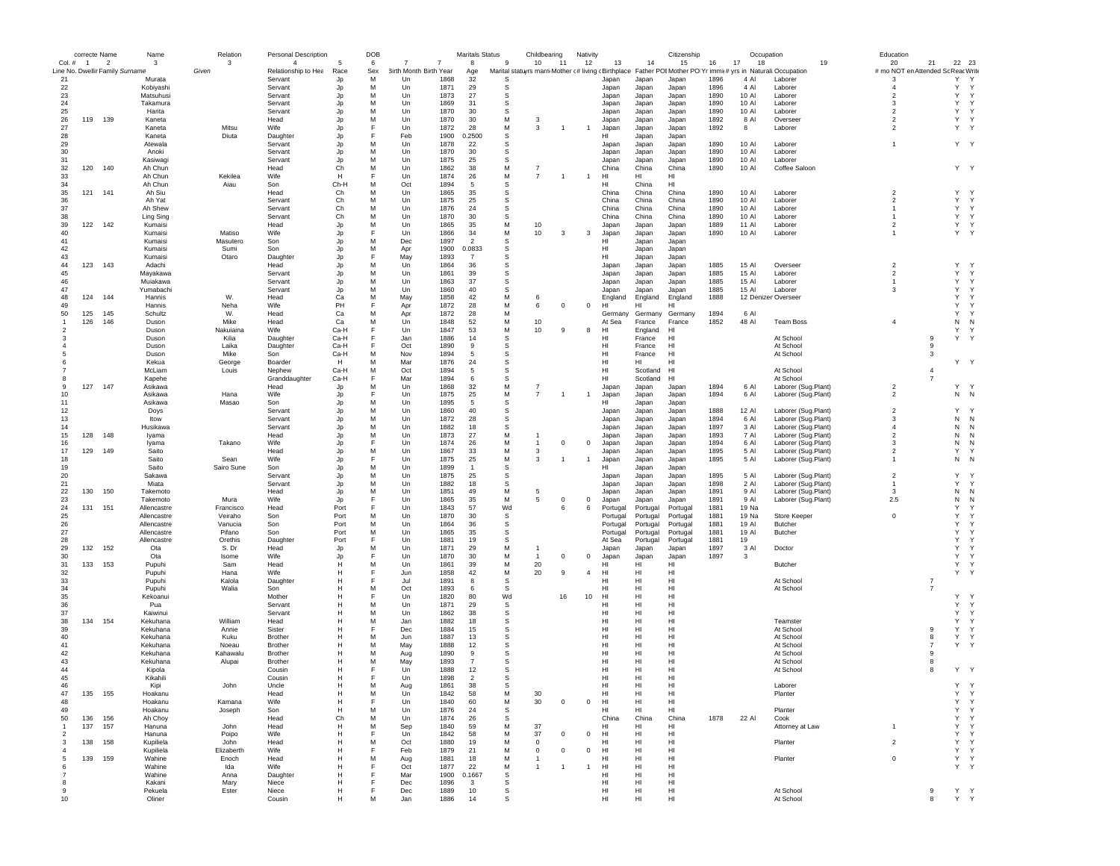|                |                | correcte Name  | Name                            | Relation   | Personal Description |              | DOB    |                                  |              | Maritals Status |          | Childbearing                                                                                                  | Nativity |                |                |                 | Citizenship    |              | Occupation     |                     | Education               |                                    |           |                   |
|----------------|----------------|----------------|---------------------------------|------------|----------------------|--------------|--------|----------------------------------|--------------|-----------------|----------|---------------------------------------------------------------------------------------------------------------|----------|----------------|----------------|-----------------|----------------|--------------|----------------|---------------------|-------------------------|------------------------------------|-----------|-------------------|
| Col.#          | $\overline{1}$ | $\overline{2}$ | 3                               | 3          | $\overline{4}$       | -5           | 6      | $\overline{7}$<br>$\overline{7}$ |              | 8               | 9        | 10<br>11                                                                                                      |          | 12             | 13             | 14              | 15             | 16           | 17<br>18       | 19                  | 20                      | 21                                 | 22 23     |                   |
|                |                |                | Line No. Dwellir Family Surname | Given      | Relationship to Hea  | Race         | Sex    | 3irth Month Birth Year           |              | Age             |          | Marital statuyrs marri Mother (#living (Birthplace Father POI Mother PO Yr immi(# yrs in Naturali: Occupation |          |                |                |                 |                |              |                |                     |                         | # mo NOT en Attended Sc Reac Write |           |                   |
| 21             |                |                | Murata                          |            | Servant              | Jp           | M      | Un                               | 1868         | 32              | s        |                                                                                                               |          |                | Japan          | Japan           | Japan          | 1896         | 4 Al           | Laborer             | -3                      |                                    | Υ<br>Y    | $\mathsf{Y}$<br>Y |
| 22             |                |                | Kobiyashi                       |            | Servant              | Jp           | M      | Un                               | 1871         | 29              | s        |                                                                                                               |          |                | Japan          | Japan           | Japan          | 1896         | 4 Al           | Laborer             | $\overline{4}$          |                                    |           | Y                 |
| 23<br>24       |                |                | Matsuhusi                       |            | Servant              | Jp           | M<br>M | Un                               | 1873         | 27              | s<br>s   |                                                                                                               |          |                | Japan          | Japan           | Japan          | 1890         | 10 AI          | Laborer             | $\overline{2}$<br>3     |                                    | Y<br>Y    | Y                 |
| 25             |                |                | Takamura<br>Harita              |            | Servant<br>Servant   | Jp           | M      | Un<br>Un                         | 1869<br>1870 | 31<br>30        | s        |                                                                                                               |          |                | Japan<br>Japan | Japan<br>Japan  | Japan<br>Japan | 1890<br>1890 | 10 AI<br>10 AI | Laborer<br>Laborer  | 2                       |                                    | Y         | $\mathsf{Y}$      |
| 26             | 119            | 139            | Kaneta                          |            | Head                 | Jp<br>Jp     | M      | Un                               | 1870         | 30              | M        | 3                                                                                                             |          |                | Japan          | Japan           | Japan          | 1892         | 8 Al           | Overseer            | $\overline{2}$          |                                    | Y         | $\mathsf{Y}$      |
| 27             |                |                | Kaneta                          | Mitsu      | Wife                 | Jp           | F      | Un                               | 1872         | 28              | M        | 3<br>$\overline{1}$                                                                                           |          | $\overline{1}$ | Japan          | Japan           | Japan          | 1892         | 8              | Laborer             | $\overline{2}$          |                                    | Y Y       |                   |
| 28             |                |                | Kaneta                          | Diuta      | Daughter             | Jp           | F      | Feb                              | 1900         | 0.2500          | s        |                                                                                                               |          |                | нı             | Japan           | Japan          |              |                |                     |                         |                                    |           |                   |
| 29             |                |                | Atewala                         |            | Servant              | Jp           | M      | Un                               | 1878         | 22              | s        |                                                                                                               |          |                | Japan          | Japan           | Japan          | 1890         | 10 AI          | Laborer             | $\mathbf{1}$            |                                    | Y Y       |                   |
| 30             |                |                | Anoki                           |            | Servant              | Jp           | M      | Un                               | 1870         | 30              | s        |                                                                                                               |          |                | Japan          | Japan           | Japan          | 1890         | 10 AI          | Laborer             |                         |                                    |           |                   |
| 31             |                |                | Kasiwagi                        |            | Servant              | Jp           | M      | $_{\text{Un}}$                   | 1875         | 25              | s        |                                                                                                               |          |                | Japan          | Japan           | Japan          | 1890         | 10 AI          | Laborer             |                         |                                    |           |                   |
| 32             | 120            | 140            | Ah Chun                         |            | Head                 | Ch           | M      | Un                               | 1862         | 38              | M        | $\overline{7}$                                                                                                |          |                | China          | China           | China          | 1890         | 10 AI          | Coffee Saloon       |                         |                                    | Y Y       |                   |
| 33             |                |                | Ah Chun                         | Kekilea    | Wife                 | H            | F      | Un                               | 1874         | 26              | М        | $\overline{7}$                                                                                                |          |                | HI             | HI              | HI             |              |                |                     |                         |                                    |           |                   |
| 34             |                |                | Ah Chun                         | Aiau       | Son                  | Ch-H         | M      | Oct                              | 1894         | 5               | s        |                                                                                                               |          |                | HI             | China           | HI             |              |                |                     |                         |                                    |           |                   |
| 35             |                | 121 141        | Ah Siu                          |            | Head                 | Ch           | м      | Un                               | 1865         | 35              | s        |                                                                                                               |          |                | China          | China           | China          | 1890         | 10 AI          | Laborer             | $\overline{2}$          |                                    | Y         | $\mathsf{Y}$      |
| 36             |                |                | Ah Yat                          |            | Servant              | Ch           | M      | Un                               | 1875         | 25              | s        |                                                                                                               |          |                | China          | China           | China          | 1890         | 10 AI          | Laborer             | $\overline{2}$          |                                    | Y         | Y                 |
| 37             |                |                | Ah Shew                         |            | Servant              | Ch           | M      | Un                               | 1876         | 24              | S        |                                                                                                               |          |                | China          | China           | China          | 1890         | 10 AI          | Laborer             |                         |                                    | Y         | $\mathsf{Y}$      |
| 38             |                |                | Ling Sing                       |            | Servant              | Ch           | M      | Un                               | 1870         | 30              | s        |                                                                                                               |          |                | China          | China           | China          | 1890         | 10 Al          | Laborer             |                         |                                    | Y         | Y                 |
| 39             |                | 122 142        | Kumaisi                         |            | Head                 | Jp           | M      | Un                               | 1865         | 35              | M        | 10                                                                                                            |          |                | Japan          | Japan           | Japan          | 1889         | 11 Al          | Laborer             | $\overline{2}$          |                                    | Y Y       |                   |
| 40             |                |                | Kumaisi                         | Matiso     | Wife                 | Jp           | E      | Un                               | 1866         | 34              | M        | 10<br>3                                                                                                       |          | 3              | Japan          | Japan           | Japan          | 1890         | 10 AI          | Laborer             | $\mathbf{1}$            |                                    | Y Y       |                   |
| 41             |                |                | Kumaisi                         | Masutero   | Son                  | Jp           | M      | Dec                              | 1897         | 2               | s        |                                                                                                               |          |                | нı             | Japan           | Japan          |              |                |                     |                         |                                    |           |                   |
| 42             |                |                | Kumaisi                         | Sumi       | Son                  | Jp           | M      | Apr                              | 1900         | 0.0833          | S        |                                                                                                               |          |                | HI             | Japan           | Japan          |              |                |                     |                         |                                    |           |                   |
| 43             |                |                | Kumaisi                         | Otaro      | Daughter             | Jp           | E      | May                              | 1893         | $\overline{7}$  | S        |                                                                                                               |          |                | HI             | Japan           | Japan          |              |                |                     |                         |                                    |           |                   |
| 44             | 123            | 143            | Adachi                          |            | Head                 | Jp           | M      | Un                               | 1864         | 36              | s        |                                                                                                               |          |                | Japan          | Japan           | Japan          | 1885         | 15 Al          | Overseer            | $\overline{2}$          |                                    | Υ         |                   |
| 45             |                |                | Mayakawa                        |            | Servant              | Jp           | M      | Un                               | 1861         | 39              | s        |                                                                                                               |          |                | Japan          | Japan           | Japan          | 1885         | 15 AI          | Laborer             | $\overline{\mathbf{2}}$ |                                    | Y         | Y                 |
| 46             |                |                | Mujakawa                        |            | Servant              | Jp           | M      | Un                               | 1863         | 37              | s        |                                                                                                               |          |                | Japan          | Japan           | Japan          | 1885         | 15 AI          | Laborer             | $\mathbf{1}$            |                                    | Y         | Y                 |
| 47             |                |                | Yumabachi                       |            | Servant              | Jp           | M      | Un                               | 1860         | 40              | s        |                                                                                                               |          |                | Japan          | Japan           | Japan          | 1885         | 15 AI          | Laborer             | 3                       |                                    | Y         | Y                 |
| 48             | 124            | 144            | Hannis                          | W.         | Head                 | Ca           | M      | May                              | 1858         | 42              | M        | 6                                                                                                             |          |                | England        | England         | England        | 1888         |                | 12 Denizen Overseer |                         |                                    | Y         | $\mathsf{Y}$      |
| 49             |                |                | Hannis                          | Neha       | Wife                 | PH           | F      | Apr                              | 1872         | 28              | M        | $\mathbf 0$<br>6                                                                                              |          | $^{\circ}$     | HI             | HI              | нı             |              |                |                     |                         |                                    | Y         | Y                 |
| 50             | 125            | 145            | Schultz                         | W.         | Head                 | Ca           | M      | Apr                              | 1872         | 28              | M        |                                                                                                               |          |                | Germany        | Germany         | Germany        | 1894         | 6 Al           |                     |                         |                                    | Y         | Y                 |
| $\mathbf{1}$   | 126            | 146            | Duson                           | Mike       | Head                 | Ca           | M      | Un                               | 1848         | 52              | М        | 10                                                                                                            |          |                | At Sea         | France          | France         | 1852         | 48 Al          | <b>Team Boss</b>    | $\overline{4}$          |                                    | ${\sf N}$ | N                 |
| $\mathcal{P}$  |                |                | Duson                           | Nakuiaina  | <b>Wife</b>          | Ca-H         | F      | $_{\text{Un}}$                   | 1847         | 53              | М        | 10<br>9                                                                                                       |          | 8              | HI             | England         | HI             |              |                |                     |                         |                                    | Y         | Y                 |
| 3              |                |                | Duson                           | Kilia      | Daughter             | Ca-H         | E      | Jan                              | 1886         | 14              | s        |                                                                                                               |          |                | HI             | France          | HI             |              |                | At School           |                         | 9                                  | Y         | $\mathsf{Y}$      |
|                |                |                | Duson                           | Laika      | Daughter             | Ca-H         | F      | Oct                              | 1890         | 9               | s        |                                                                                                               |          |                | нı             | France          | HI             |              |                | At School           |                         | 9                                  |           |                   |
|                |                |                | Duson                           | Mike       | Son                  | Ca-H         | M      | Nov                              | 1894         | 5               | s        |                                                                                                               |          |                | HI             | France          | HI             |              |                | At School           |                         | 3                                  |           |                   |
|                |                |                | Kekua                           | George     | Boarder              | H            | M      | Mar                              | 1876         | 24              | s        |                                                                                                               |          |                | HI             | HI              | HI             |              |                |                     |                         |                                    | Y Y       |                   |
|                |                |                | McLiam                          | Louis      | Nephew               | Ca-H         | м      | Oct                              | 1894         | -5              | s        |                                                                                                               |          |                | HI             | Scotland        | HI             |              |                | At School           |                         | $\overline{4}$                     |           |                   |
|                |                |                | Kapehe                          |            | Granddaughter        | Ca-H         | F      | Mar                              | 1894         | 6               | S        |                                                                                                               |          |                | HI             | Scotland        | H <sub>1</sub> |              |                | At School           |                         | $\overline{7}$                     |           |                   |
| 9              | 127            | 147            | Asikawa                         |            | Head                 | Jp           | M      | Un                               | 1868         | 32              | M        | $\overline{7}$                                                                                                |          |                | Japan          | Japan           | Japan          | 1894         | 6 Al           | Laborer (Sug.Plant) | $\overline{2}$          |                                    | Y Y       |                   |
| 10             |                |                | Asikawa                         | Hana       | Wife                 | Jp           | F      | Un                               | 1875         | 25              | M        | $\overline{7}$                                                                                                |          | $\overline{1}$ | Japan          | Japan           | Japan          | 1894         | 6 Al           | Laborer (Sug.Plant) | $\overline{2}$          |                                    | N         | $\overline{N}$    |
| 11             |                |                | Asikawa                         | Masao      | Son                  | Jp           | M      | Un                               | 1895         | 5               | S        |                                                                                                               |          |                | HI             | Japan           | Japan          |              |                |                     |                         |                                    |           |                   |
| 12             |                |                | Doys                            |            | Servant              | Jp           | M      | Un                               | 1860         | 40              | s        |                                                                                                               |          |                | Japan          | Japan           | Japan          | 1888         | 12 Al          | Laborer (Sug.Plant) | $\overline{2}$          |                                    | Y         | Y                 |
| 13             |                |                | Itow                            |            | Servant              | Jp           | M      | $_{\text{Un}}$                   | 1872         | 28              | s        |                                                                                                               |          |                | Japan          | Japan           | Japan          | 1894         | 6 Al           | Laborer (Sug.Plant) | $\mathbf{3}$            |                                    | N         | N                 |
| 14             |                |                | Husikawa                        |            | Servant              | Jp           | M      | Un                               | 1882         | 18              | S        |                                                                                                               |          |                | Japan          | Japan           | Japan          | 1897         | 3 Al           | Laborer (Sug.Plant) | $\overline{4}$          |                                    | N         | N                 |
| 15             | 128            | 148            | Iyama                           |            | Head                 | Jp           | M      | Un                               | 1873         | 27              | M        |                                                                                                               |          |                | Japan          | Japan           | Japan          | 1893         | 7 AI           | Laborer (Sug.Plant) | $\overline{2}$          |                                    | N         | N                 |
| 16             |                |                | lyama                           | Takano     | Wife                 | Jp           | F      | Un                               | 1874         | 26              | М        | $\mathbf 0$<br>$\mathbf{1}$                                                                                   |          | $\mathbf 0$    | Japan          | Japan           | Japan          | 1894         | 6 Al           | Laborer (Sug.Plant) | 3                       |                                    | N         | N                 |
| 17             | 129            | 149            | Saito                           |            | Head                 | Jp           | M      | Un                               | 1867         | 33              | M        | 3                                                                                                             |          |                | Japan          | Japan           | Japan          | 1895         | 5 AI           | Laborer (Sug.Plant) | $\overline{2}$          |                                    | Y         | Y                 |
| 18             |                |                | Saito                           | Sean       | Wife                 | Jp           | F      | Un                               | 1875         | 25              | M        | 3<br>$\overline{1}$                                                                                           | -1       |                | Japan          | Japan           | Japan          | 1895         | 5 Al           | Laborer (Sug.Plant) | $\mathbf{1}$            |                                    | ${\sf N}$ | N                 |
| 19             |                |                | Saito                           | Sairo Sune | Son                  | Jp           | M      | Un                               | 1899         | $\mathbf{1}$    | S        |                                                                                                               |          |                | HI             | Japan           | Japan          |              |                |                     |                         |                                    |           |                   |
| 20             |                |                | Sakawa                          |            | Servant              | Jp           | M      | Un                               | 1875         | 25              | S        |                                                                                                               |          |                | Japan          | Japan           | Japan          | 1895         | 5 Al           | Laborer (Sug.Plant) | $\overline{2}$          |                                    | Y         | Y                 |
| 21             |                |                | Miata                           |            | Servant              | Jp           | M      | Un                               | 1882         | 18              | s        |                                                                                                               |          |                | Japan          | Japan           | Japan          | 1898         | 2 Al           | Laborer (Sug.Plant) |                         |                                    | Y         | Y                 |
| 22             | 130            | 150            | Takemoto                        |            | Head                 | Jp           | M      | Un                               | 1851         | 49              | M        | 5                                                                                                             |          |                | Japan          | Japan           | Japan          | 1891         | 9 AI           | Laborer (Sug.Plant) | 3                       |                                    | N         | N                 |
| 23             |                |                | Takemoto                        | Mura       | Wife                 | Jp           | E      | Un                               | 1865         | 35              | M        | 5<br>$\mathbf 0$                                                                                              |          | $\mathbf 0$    | Japan          | Japan           | Japan          | 1891         | 9 AI           | Laborer (Sug.Plant) | 2.5                     |                                    | N         | N                 |
| 24             |                | 131 151        | Allencastre                     | Francisco  | Head                 | Port         | E      | $_{\text{Un}}$                   | 1843         | 57              | Wd       | 6                                                                                                             |          | 6              | Portugal       | Portugal        | Portugal       | 1881         | 19 Na          |                     |                         |                                    | Y         |                   |
| 25             |                |                | Allencastre                     | Veiraho    | Son                  | Port         | M      | Un                               | 1870         | 30              | S        |                                                                                                               |          |                | Portugal       | Portugal        | Portugal       | 1881         | 19 Na          | <b>Store Keeper</b> | $^{\circ}$              |                                    | Y         |                   |
| 26             |                |                | Allencastre                     | Vanucia    | Son                  | Port         | M      | Un                               | 1864         | 36              | s        |                                                                                                               |          |                | Portugal       | Portugal        | Portugal       | 1881         | 19 AI          | <b>Butcher</b>      |                         |                                    | Y         |                   |
| 27             |                |                | Allencastre                     | Pifano     | Son                  | Port         | м      | Un                               | 1865         | 35              | s        |                                                                                                               |          |                | Portugal       | Portugal        | Portugal       | 1881         | 19 AI          | Butcher             |                         |                                    | Y         |                   |
| 28             |                |                | Allencastre                     | Orethis    | Daughter             | Port         | F      | Un                               | 1881         | 19              | s        |                                                                                                               |          |                | At Sea         | Portugal        | Portugal       | 1881         | 19             |                     |                         |                                    | Y         |                   |
| 29             | 132            | 152            | Ota                             | S. Dr      | Head                 | Jp           | M      | Un                               | 1871         | 29              | M        |                                                                                                               |          |                | Japan          | Japan           | Japan          | 1897         | 3 Al           | Doctor              |                         |                                    | Y         | Y                 |
| 30             |                |                | Ota                             | Isome      | Wife                 | Jp           |        | Un                               | 1870         | 30              | M        | $\mathbf 0$<br>$\overline{1}$                                                                                 |          | $\mathbf 0$    | Japan          | Japan           | Japan          | 1897         | 3              |                     |                         |                                    | Y         | $\mathsf{Y}$      |
| 31             |                | 133 153        | Pupuhi                          | Sam        | Head                 | $\mathsf{H}$ | M      | Un                               | 1861         | 39              | М        | 20                                                                                                            |          |                | нı             | HI              | HI             |              |                | Butcher             |                         |                                    | Y         | Y                 |
| 32             |                |                | Pupuhi                          | Hana       | Wife                 | $\mathsf{H}$ |        | Jun                              | 1858         | 42              | М        | 20<br>9                                                                                                       |          | $\overline{4}$ | HI             | HI              | HI             |              |                |                     |                         |                                    | Y Y       |                   |
| 33             |                |                | Pupuhi                          | Kalola     | Daughter             | Н            |        | Jul                              | 1891         | 8               | s        |                                                                                                               |          |                | HI             | HI              | HI             |              |                | At School           |                         | $\overline{7}$                     |           |                   |
| 34             |                |                | Pupuhi                          | Walia      | Son                  | $\mathsf{H}$ | M      | Oct                              | 1893         | -6              | <b>S</b> |                                                                                                               |          |                | HI             | HI              | HI             |              |                | At School           |                         | $\overline{7}$                     |           |                   |
| 35             |                |                | Kekoanui                        |            | Mother               | Н            |        | Un                               | 1820         | 80              | Wd       | 16                                                                                                            |          | 10             | HI             | HI              | HI             |              |                |                     |                         |                                    | Y         |                   |
| 36             |                |                | Pua                             |            | Servant              | $\mathsf{H}$ | M      | Un                               | 1871         | 29              | S        |                                                                                                               |          |                | HI             | HI              | HI             |              |                |                     |                         |                                    | Y         | Y                 |
| 37             |                |                | Kaiwinui                        |            | Servant              | Н            | M      | Un                               | 1862         | 38              | s        |                                                                                                               |          |                | HI             | HI              | HI             |              |                |                     |                         |                                    | Y         | Y                 |
| 38             | 134            | 154            | Kekuhana                        | William    | Head                 | н            | M      | Jan                              | 1882         | 18              | s        |                                                                                                               |          |                | HI             | HI              | HI             |              |                | Teamster            |                         |                                    | Y         | Y                 |
| 39             |                |                | Kekuhana                        | Annie      | Sister               |              |        | Dec                              | 1884         | 15              | s        |                                                                                                               |          |                | HI             | HI              | HI             |              |                | At School           |                         | -9                                 | Y         | $\mathsf{Y}$      |
| 40             |                |                | Kekuhana                        | Kuku       | Brother              |              | M      | Jun                              | 1887         | 13              | s        |                                                                                                               |          |                | HI             | HI              | HI             |              |                | At School           |                         | 8                                  | Y         | Y                 |
| 41             |                |                | Kekuhana                        | Noeau      | <b>Brother</b>       |              | M      | May                              | 1888         | 12              | s        |                                                                                                               |          |                | HI             | HI              | HI             |              |                | At School           |                         | $\overline{7}$                     | Y         | $\mathsf{Y}$      |
| 42             |                |                | Kekuhana                        | Kahawalu   | <b>Brother</b>       |              | M      | Aug                              | 1890         | 9               | s        |                                                                                                               |          |                | HI             | HI              | HI             |              |                | At School           |                         | -9                                 |           |                   |
| 43             |                |                | Kekuhana                        | Alupai     | Brother              | Н            | M      | May                              | 1893         | $\overline{7}$  | s        |                                                                                                               |          |                | HI             | HI              | HI             |              |                | At School           |                         | 8                                  |           |                   |
| 44             |                |                | Kipola                          |            | Cousin               | Н            |        | Un                               | 1888         | 12              | s        |                                                                                                               |          |                | HI             | HI              | HI             |              |                | At School           |                         | 8                                  | Y Y       |                   |
| 45             |                |                | Kikahili                        |            | Cousin               | $\mathsf{H}$ |        | Un                               | 1898         | $\overline{2}$  | s        |                                                                                                               |          |                | HI.            | H               | HI             |              |                |                     |                         |                                    |           |                   |
| 4h             |                |                | KIDI                            | John       | Uncle                | н            | M      | Aug                              | 1861         | 38              | 5        |                                                                                                               |          |                | нı             | HI              | HI             |              |                | Laborei             |                         |                                    |           |                   |
| 47             | 135            | 155            | Hoakanu                         |            | Head                 | H            | M      | Un                               | 1842         | 58              | М        | 30                                                                                                            |          |                | HI             | HI              | HI             |              |                | Planter             |                         |                                    | Y         | Y                 |
| 48             |                |                | Hoakanu                         | Kamana     | Wife                 | H            | F      | Un                               | 1840         | 60              | М        | 30<br>$\mathbf 0$                                                                                             |          | $\mathbf 0$    | HI             | HI              | HI             |              |                |                     |                         |                                    | Y         | Y                 |
| 49             |                |                | Hoakanu                         | Joseph     | Son                  | H            | м      | Un                               | 1876         | 24              | s        |                                                                                                               |          |                | HI             | HI              | HI             |              |                | Planter             |                         |                                    | Y         | Y                 |
| 50             | 136            | 156            | Ah Choy                         |            | Head                 | Ch           | M      | Un                               | 1874         | 26              | -S       |                                                                                                               |          |                | China          | China           | China          | 1878         | 22 Al          | Cook                |                         |                                    | Y         | Y                 |
| $\mathbf{1}$   | 137            | 157            | Hanuna                          | John       | Head                 | H            | M      | Sep                              | 1840         | 59              | M        | 37                                                                                                            |          |                | HI             | HI              | HI             |              |                | Attorney at Law     | $\overline{1}$          |                                    | Y         |                   |
| $\overline{2}$ |                |                | Hanuna                          | Poipo      | Wife                 | H            | F      | Un                               | 1842         | 58              | М        | 37<br>$\mathbf 0$                                                                                             |          | $\mathbf 0$    | HI             | HI              | HI             |              |                |                     |                         |                                    | Y         | $\mathsf{Y}$      |
| 3              | 138            | 158            | Kupiliela                       | John       | Head                 | H            | M      | Oct                              | 1880         | 19              | M        | 0                                                                                                             |          |                | нı             | HI              | HI             |              |                | Planter             | $\overline{2}$          |                                    | Y         | Y                 |
| $\overline{4}$ |                |                | Kupiliela                       | Elizaberth | Wife                 | H            | F      | Feb                              | 1879         | 21              | M        | 0<br>0                                                                                                        |          | $\mathbf 0$    | HI             | HI              | HI             |              |                |                     |                         |                                    | Y         | Y                 |
| 5              |                | 139 159        | Wahine                          | Enoch      | Head                 | $\mathsf{H}$ | M      | Aug                              | 1881         | 18              | M        | -1                                                                                                            |          |                | HI.            | HI              | HI             |              |                | Planter             | $\mathsf 0$             |                                    | Y         | $\mathsf{Y}$      |
| 6              |                |                | Wahine                          | Ida        | Wife                 | $\mathsf{H}$ |        | Oct                              | 1877         | 22              | М        | -1<br>$\mathbf{1}$                                                                                            |          | -1             | HI.            | HI              | HI             |              |                |                     |                         |                                    | Y Y       |                   |
| $\overline{7}$ |                |                | Wahine                          | Anna       | Daughter             | H            |        | Mar                              | 1900         | 0.1667          | s        |                                                                                                               |          |                | HI             | HI              | HI             |              |                |                     |                         |                                    |           |                   |
| 8              |                |                | Kakani                          | Mary       | Niece                | H            |        | Dec                              | 1896         | 3               | s        |                                                                                                               |          |                | HI             | HI              | HI             |              |                |                     |                         |                                    |           |                   |
| 9              |                |                | Pekuela                         | Ester      | Niece                | H            | F      | Dec                              | 1889         | 10              | s        |                                                                                                               |          |                | HI             | HI              | HI             |              |                | At School           |                         | 9                                  | Y Y       |                   |
| 10             |                |                | Oliner                          |            | Cousin               | H            | M      | Jan                              | 1886         | 14              | s        |                                                                                                               |          |                | HI             | H <sub>II</sub> | HI             |              |                | At School           |                         | 8                                  | Y Y       |                   |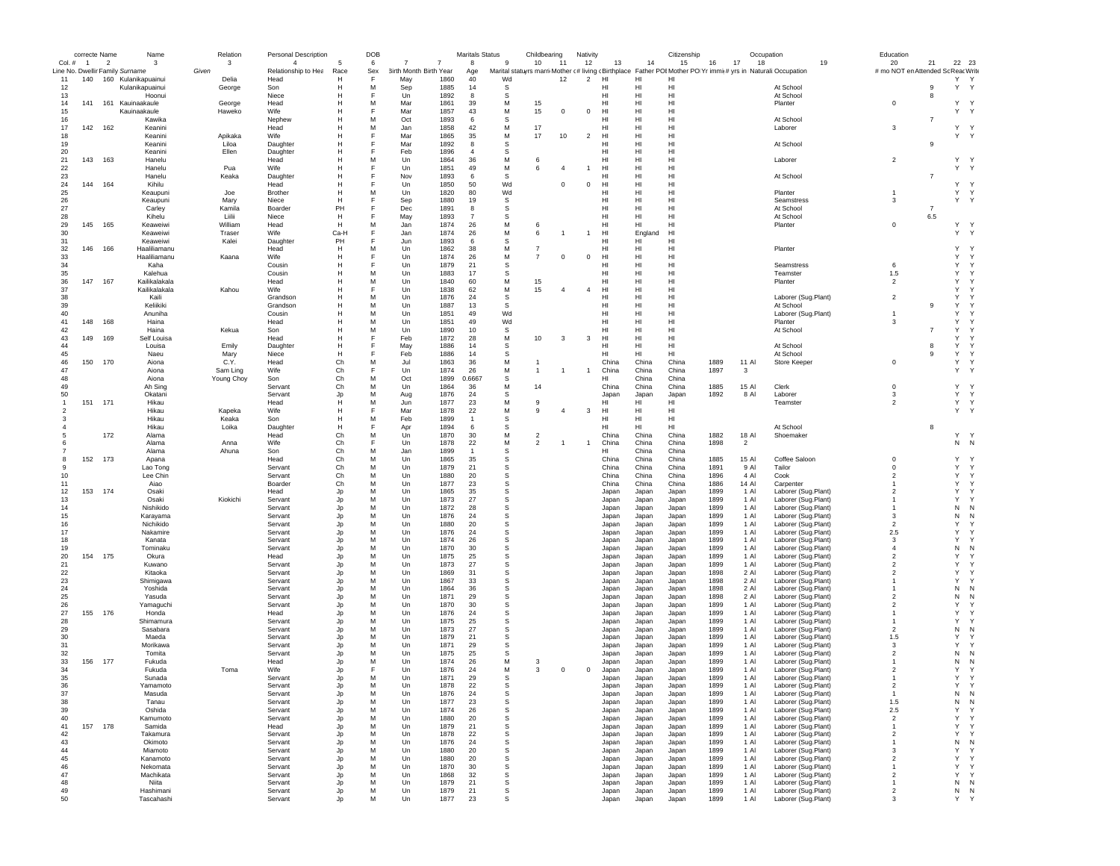|                                 | correcte Name  |                | Name                                   |          | Relation   | <b>Personal Description</b> |          | DOB      |                        |                | <b>Maritals Status</b> |          | Childbearing   |                | Nativity       |                 |                | Citizenship          |              | Occupation     |                                                                                                              | Education                         |                |              |              |
|---------------------------------|----------------|----------------|----------------------------------------|----------|------------|-----------------------------|----------|----------|------------------------|----------------|------------------------|----------|----------------|----------------|----------------|-----------------|----------------|----------------------|--------------|----------------|--------------------------------------------------------------------------------------------------------------|-----------------------------------|----------------|--------------|--------------|
| $Col.$ #                        | $\overline{1}$ | $\overline{2}$ | 3                                      |          | 3          | $\overline{4}$              | 5        | 6        | 7                      | $\overline{7}$ | 8                      | 9        | 10             | 11             | 12             | 13              | 14             | 15                   | 16           | 17<br>18       | 19                                                                                                           | 20                                | 21             | 22 23        |              |
| Line No. Dwellir Family Surname |                |                |                                        | Given    |            | Relationship to Hea         | Race     | Sex<br>F | 3irth Month Birth Year | 1860           | Age<br>40              |          |                | 12             |                | HI              | н              | HI                   |              |                | Marital statuyrs marri Mother (# living cBirthplace Father POIMother PO Yr immit# yrs in Naturali:Occupation | # mo NOT en Attended Sc ReacWrite |                | Y Y          |              |
| 11<br>12                        | 140            |                | 160 Kulanikapuainui<br>Kulanikapuainui | Delia    | George     | Head<br>Son                 | н<br>Н   | M        | May<br>Sep             | 1885           | 14                     | Wd<br>S  |                |                | $\overline{2}$ | HI              | H              | HI                   |              |                | At School                                                                                                    |                                   | 9              | Y            | Y            |
| 13                              |                |                | Hoonui                                 |          |            | Niece                       | Н        |          | Un                     | 1892           | 8                      | S        |                |                |                | HI              | HI             | H <sub>1</sub>       |              |                | At School                                                                                                    |                                   | 8              |              |              |
| 14                              | 141            |                | 161 Kauinaakaule                       |          | George     | Head                        | Н        | M        | Mar                    | 1861           | 39                     | M        | 15             |                |                | HI              | H              | HI                   |              |                | Planter                                                                                                      | $^{\circ}$                        |                | Y Y          |              |
| 15                              |                |                | Kauinaakaule                           |          | Haweko     | Wife                        | Н        |          | Mar                    | 1857           | 43                     | M        | 15             | $^{\circ}$     | $^{\circ}$     | HI              | H              | HI                   |              |                |                                                                                                              |                                   |                | Y Y          |              |
| 16                              |                |                | Kawika                                 |          |            | Nephew                      | Н        | M        | Oct                    | 1893           | 6                      | s        |                |                |                | HI              | HI             | HI                   |              |                | At School                                                                                                    |                                   | $\overline{7}$ |              |              |
| 17                              | 142            | 162            | Keanini                                |          |            | Head                        | H        | M        | Jan                    | 1858           | 42                     | M        | 17             |                |                | HI              | HI             | H <sub>1</sub>       |              |                | Laborer                                                                                                      | 3                                 |                | Υ            | $\mathsf{Y}$ |
| 18                              |                |                | Keanini                                |          | Apikaka    | <b>Wife</b>                 | H        |          | Mar                    | 1865           | 35                     | M        | 17             | 10             | $\overline{2}$ | H <sub>II</sub> | HI             | H1                   |              |                |                                                                                                              |                                   |                | Y Y          |              |
| 19                              |                |                | Keanini                                |          | Liloa      | Daughter                    | н        |          | Mar                    | 1892           | 8                      | s        |                |                |                | HI              | HI             | HI                   |              |                | At School                                                                                                    |                                   | 9              |              |              |
| 20                              |                |                | Keanini                                |          | Ellen      | Daughter                    | H        |          | Feb                    | 1896           | $\overline{4}$         | s        |                |                |                | HI              | HI             | HI                   |              |                |                                                                                                              |                                   |                |              |              |
| 21                              | 143            | 163            | Hanelu                                 |          |            | Head                        | н        | M        | Un                     | 1864           | 36                     | М        | 6              |                |                | HI              | HI             | HI                   |              |                | Laborer                                                                                                      | $\overline{2}$                    |                | Y.           | <sup>Y</sup> |
| 22                              |                |                | Hanelu                                 | Pua      |            | Wife                        | н        |          | Un                     | 1851           | 49                     | М        | 6              | $\overline{a}$ | $\overline{1}$ | HI              | HI             | HI                   |              |                |                                                                                                              |                                   |                | Υ            | Y            |
| 23                              |                |                | Hanelu                                 |          | Keaka      | Daughter                    | H        |          | Nov                    | 1893           | 6                      | S        |                |                |                | HI              | HI             | HI                   |              |                | At School                                                                                                    |                                   | $\overline{7}$ |              |              |
| 24                              | 144            | 164            | Kihilu                                 |          |            | Head                        | H        |          | Un                     | 1850           | 50                     | Wd       |                | $^{\circ}$     | $\mathbf 0$    | HI              | HI             | HI                   |              |                |                                                                                                              |                                   |                | Y Y          |              |
| 25                              |                |                | Keaupuni                               | Joe      |            | <b>Brother</b>              | н        | M        | Un                     | 1820           | 80                     | Wd       |                |                |                | HI              | HI             | HI                   |              |                | Planter                                                                                                      |                                   |                | Y Y          |              |
| 26                              |                |                | Keaupuni                               |          | Mary       | Niece                       | н        | E        | Sep                    | 1880           | 19                     | s        |                |                |                | HI              | HI             | HI                   |              |                | Seamstress                                                                                                   | 3                                 |                | Y Y          |              |
| 27                              |                |                | Carley                                 |          | Kamila     | Boarder                     | PH       | E        | Dec                    | 1891           | 8                      | s        |                |                |                | HI              | HI             | H <sub>1</sub>       |              |                | At School                                                                                                    |                                   | $\overline{7}$ |              |              |
| 28                              |                |                | Kihelu                                 | 1. iilii |            | Niece                       | H        |          | May                    | 1893           | $\overline{7}$         | S        |                |                |                | HI              | HI             | H1                   |              |                | At School                                                                                                    |                                   | 6.5            |              |              |
| 29                              | 145            | 165            | Keaweiwi                               |          | William    | Head                        | H        | M        | Jan                    | 1874           | 26                     | M        | 6              |                |                | HI.             | HI             | HI                   |              |                | Planter                                                                                                      | $\mathsf 0$                       |                | Y            | $\mathsf{Y}$ |
| 30                              |                |                | Keaweiwi                               |          | Traser     | Wife                        | Ca-H     |          | Jan                    | 1874           | 26                     | M        | 6              |                |                | HI              | Englan         | H <sub>1</sub>       |              |                |                                                                                                              |                                   |                | Y            | $\mathsf{Y}$ |
| 31                              |                |                | Keaweiwi<br>Haaliliamanu               |          | Kalei      | Daughter                    | PH       |          | Jun                    | 1893           | 6                      | S        |                |                |                | HI              | HI             | HI                   |              |                |                                                                                                              |                                   |                |              |              |
| 32                              | 146            | 166            |                                        |          |            | Head                        | H        | M        | Un                     | 1862           | 38                     | M        | $\overline{7}$ |                |                | HI              | HI             | HI                   |              |                | Planter                                                                                                      |                                   |                | Y<br>Y       | Y            |
| 33                              |                |                | Haaliliamanu                           |          | Kaana      | Wife                        | H        |          | Un                     | 1874           | 26                     | М<br>S   | $\overline{7}$ | $^{\circ}$     | $\mathbf 0$    | HI              | HI             | HI<br>H <sub>1</sub> |              |                |                                                                                                              | 6                                 |                | Y            | $\checkmark$ |
| 34<br>35                        |                |                | Kaha<br>Kalehua                        |          |            | Cousin<br>Cousin            | Н<br>H   | M        | Un<br>Un               | 1879<br>1883   | 21<br>17               | S        |                |                |                | HI<br>HI        | HI<br>HI       | HI                   |              |                | Seamstress<br>Teamster                                                                                       | 1.5                               |                | Y            | Y            |
| 36                              | 147            | 167            | Kailikalakala                          |          |            | Head                        | Н        | M        | Un                     | 1840           | 60                     | M        | 15             |                |                | HI              | H              | HI                   |              |                | Planter                                                                                                      | $\overline{2}$                    |                | Y            |              |
| 37                              |                |                | Kailikalakala                          |          | Kahou      | Wife                        | Н        | F        | Un                     | 1838           | 62                     | М        | 15             |                | $\overline{4}$ | HI              | HI             | HI                   |              |                |                                                                                                              |                                   |                | Y            |              |
| 38                              |                |                | Kaili                                  |          |            | Grandson                    | Н        | M        | Un                     | 1876           | 24                     | s        |                |                |                | HI              | HI             | HI                   |              |                | Laborer (Sug.Plant)                                                                                          | $\overline{2}$                    |                | Y            |              |
| 39                              |                |                | Keliikiki                              |          |            | Grandson                    | H        | M        | Un                     | 1887           | 13                     | S        |                |                |                | HI              | HI             | HI                   |              |                | At School                                                                                                    |                                   | 9              | Y            |              |
| 40                              |                |                | Anuniha                                |          |            | Cousin                      | н        | M        | Un                     | 1851           | 49                     | Wd       |                |                |                | HI              | HI             | HI                   |              |                | Laborer (Sug.Plant)                                                                                          | $\overline{1}$                    |                | Y            |              |
| 41                              | 148            | 168            | Haina                                  |          |            | Head                        | н        | M        | Un                     | 1851           | 49                     | Wd       |                |                |                | HI              | HI             | HI                   |              |                | Planter                                                                                                      | 3                                 |                | Y            |              |
| 42                              |                |                | Haina                                  |          | Kekua      | Son                         | Н        | M        | Un                     | 1890           | 10                     | s        |                |                |                | HI              | HI             | HI                   |              |                | At School                                                                                                    |                                   | $\overline{7}$ | Y            |              |
| 43                              | 149            | 169            | Self Louisa                            |          |            | Head                        | н        | F        | Feb                    | 1872           | 28                     | М        | 10             | 3              | 3              | HI              | HI             | HI                   |              |                |                                                                                                              |                                   |                | Y            | Y            |
| 44                              |                |                | Louisa                                 | Emily    |            | Daughter                    | н        | F        | May                    | 1886           | 14                     | s        |                |                |                | HI              | HI             | HI                   |              |                | At School                                                                                                    |                                   | 8              | Y            | Y            |
| 45                              |                |                | Naeu                                   | Marv     |            | Niece                       | н        | E        | Feb                    | 1886           | 14                     | S        |                |                |                | H <sub>II</sub> | HI             | HI                   |              |                | At School                                                                                                    |                                   | 9              | Y            | Y            |
| 46                              | 150            | 170            | Aiona                                  | C.Y.     |            | Head                        | Ch       | M        | Jul                    | 1863           | 36                     | M        | -1             |                |                | China           | China          | China                | 1889         | 11 Al          | Store Keeper                                                                                                 | $^{\circ}$                        |                | Y            | $\mathsf{Y}$ |
| 47                              |                |                | Aiona                                  |          | Sam Ling   | Wife                        | Ch       | F        | Un                     | 1874           | 26                     | M        | $\mathbf{1}$   |                | $\overline{1}$ | China           | China          | China                | 1897         | 3              |                                                                                                              |                                   |                | Y            | Y            |
| 48                              |                |                | Aiona                                  |          | Young Choy | Son                         | Ch       | M        | Oct                    | 1899           | 0.6667                 | S        |                |                |                | HI              | China          | China                |              |                |                                                                                                              |                                   |                |              |              |
| 49                              |                |                | Ah Sing                                |          |            | Servant                     | Ch       | M        | Un                     | 1864           | 36                     | M        | 14             |                |                | China           | China          | China                | 1885         | 15 Al          | Clerk                                                                                                        | $^{\circ}$                        |                | Y            |              |
| 50                              |                |                | Okatani                                |          |            | Servant                     | Jp       | M        | Aug                    | 1876           | 24                     | s        |                |                |                | Japar           | Japan          | Japan                | 1892         | 8 Al           | Laborer                                                                                                      | 3                                 |                | $\mathsf{Y}$ | $\mathsf{Y}$ |
| $\overline{1}$                  | 151            | 171            | Hikau                                  |          |            | Head                        | H        | M        | Jun                    | 1877           | 23                     | M        | 9              |                |                | HI              | HI             | HI                   |              |                | Teamster                                                                                                     | $\mathfrak{p}$                    |                | Y            | $\mathsf{Y}$ |
|                                 |                |                | Hikau                                  |          | Kapeka     | Wife                        | н        |          | Mar                    | 1878           | 22                     | M        | 9              | $\overline{4}$ | 3              | HI              | HI             | HI                   |              |                |                                                                                                              |                                   |                | Y Y          |              |
|                                 |                |                | Hikau                                  |          | Keaka      | Son                         | H        | M        | Feb                    | 1899           | $\overline{1}$         | S        |                |                |                | HI              | HI             | HI                   |              |                |                                                                                                              |                                   |                |              |              |
|                                 |                |                | Hikau                                  |          | Loika      | Daughter                    | н        |          | Apr                    | 1894           | 6                      | s        |                |                |                | HI              | HI             | HI                   |              |                | At School                                                                                                    |                                   | 8              |              |              |
|                                 |                | 172            | Alama                                  |          |            | Head                        | Ch       | M        | Un                     | 1870           | 30                     | M        | $\overline{2}$ |                |                | China           | China          | China                | 1882         | 18 Al          | Shoemaker                                                                                                    |                                   |                | Y Y          |              |
|                                 |                |                | Alama                                  | Anna     |            | Wife                        | Ch       | E        | Un                     | 1878           | 22                     | M        | $\overline{2}$ |                | $\mathbf{1}$   | China           | China          | China                | 1898         | $\overline{2}$ |                                                                                                              |                                   |                | $N$ N        |              |
|                                 |                |                | Alama                                  |          | Ahuna      | Son                         | Ch       | M        | Jan                    | 1899           | $\overline{1}$         | S        |                |                |                | HI              | China          | China                |              |                |                                                                                                              |                                   |                |              |              |
|                                 | 152            | 173            | Apana                                  |          |            | Head                        | Ch       | M        | Un                     | 1865           | 35                     | s        |                |                |                | China           | China          | China                | 1885         | 15 Al          | Coffee Saloon                                                                                                | $^{\circ}$                        |                | Y            |              |
| -9                              |                |                | Lao Tong                               |          |            | Servant                     | Ch       | M        | Un                     | 1879           | 21                     | s        |                |                |                | China           | China          | China                | 1891         | 9 Al           | Tailor                                                                                                       | $^{\circ}$                        |                | Y            | Y            |
| 10                              |                |                | Lee Chin                               |          |            | Servant                     | Ch       | M        | Un                     | 1880           | 20                     | s        |                |                |                | China           | China          | China                | 1896         | 4 Al           | Cook                                                                                                         | $\overline{2}$                    |                | Y            | Y            |
| 11                              |                |                | Aiao                                   |          |            | Boarder                     | Ch       | M        | $_{\text{Un}}$         | 1877           | 23                     | S        |                |                |                | China           | China          | China                | 1886         | 14 Al          | Carpenter                                                                                                    | $\mathbf{1}$                      |                | $\mathsf{Y}$ |              |
| 12                              | 153            | 174            | Osaki                                  |          |            | Head                        | Jp       | M        | Un                     | 1865           | 35                     | S        |                |                |                | Japan           | Japan          | Japan                | 1899         | 1 Al           | Laborer (Sug.Plant)                                                                                          | $\overline{2}$                    |                | Y            |              |
| 13                              |                |                | Osaki                                  |          | Kiokichi   | Servant                     | Jp       | M        | Un                     | 1873           | 27                     | s        |                |                |                | Japan           | Japan          | Japan                | 1899         | 1 Al           | Laborer (Sug.Plant)                                                                                          |                                   |                | Y            |              |
| 14                              |                |                | Nishikido                              |          |            | Servant                     | Jp       | M        | Un                     | 1872           | 28                     | s        |                |                |                | Japan           | Japan          | Japan                | 1899         | 1 Al           | Laborer (Sug.Plant)                                                                                          |                                   |                | N            |              |
| 15                              |                |                | Karayama                               |          |            | Servant                     | Jp       | M        | Un                     | 1876           | 24                     | s        |                |                |                | Japan           | Japan          | Japan                | 1899         | 1 Al           | Laborer (Sug.Plant)                                                                                          | 3                                 |                | N            | N            |
| 16                              |                |                | Nichikido                              |          |            | Servant                     | Jp       | M        | Un                     | 1880           | 20                     | s        |                |                |                | Japan           | Japan          | Japan                | 1899         | 1 Al           | Laborer (Sug.Plant)                                                                                          | $\overline{\phantom{a}}$          |                | Y            |              |
| 17                              |                |                | Nakamire                               |          |            | Servant                     | Jp       | M        | Un                     | 1876           | 24                     | S        |                |                |                | Japan           | Japan          | Japan                | 1899         | 1 Al           | Laborer (Sug.Plant)                                                                                          | 2.5                               |                | Y            |              |
| 18                              |                |                | Kanata                                 |          |            | Servant                     | Jp       | M        | Un                     | 1874           | 26                     | S        |                |                |                | Japan           | Japan          | Japan                | 1899         | 1 Al           | Laborer (Sug.Plant)                                                                                          | 3                                 |                | $\mathsf{Y}$ |              |
| 19                              |                |                | Tominaku                               |          |            | Servant                     | Jp       | M        | Un                     | 1870           | 30                     | s        |                |                |                | Japan           | Japan          | Japan                | 1899         | 1 Al           | Laborer (Sug.Plant)                                                                                          | $\overline{4}$                    |                | N            | N            |
| 20                              | 154            | 175            | Okura                                  |          |            | Head                        | Jp       | M        | Un                     | 1875           | 25                     | s        |                |                |                | Japan           | Japan          | Japan                | 1899         | 1 Al           | Laborer (Sug.Plant)                                                                                          | $\overline{\phantom{a}}$          |                | Y            |              |
| 21                              |                |                | Kuwano                                 |          |            | Servant                     | Jp       | M<br>M   | Un                     | 1873           | 27                     | S        |                |                |                | Japan           | Japan          | Japan                | 1899         | 1 Al           | Laborer (Sug.Plant)                                                                                          | $\overline{\phantom{a}}$          |                | Y<br>Y       |              |
| 22                              |                |                | Kitaoka                                |          |            | Servant                     | Jp       |          | $_{\text{Un}}$         | 1869           | 31                     | S        |                |                |                | Japan           | Japan          | Japan                | 1898         | 2 Al           | Laborer (Sug.Plant)                                                                                          | $\mathfrak{p}$                    |                |              |              |
| 23                              |                |                | Shimigawa                              |          |            | Servant                     | Jp       | M        | Un                     | 1867           | 33                     | S        |                |                |                | Japan           | Japan          | Japan                | 1898         | 2 Al           | Laborer (Sug.Plant)                                                                                          |                                   |                | Y            |              |
| 24<br>25                        |                |                | Yoshida<br>Yasuda                      |          |            | Servant<br>Servant          | Jp<br>Jp | M<br>M   | Un<br>Un               | 1864<br>1871   | 36<br>29               | s<br>s   |                |                |                | Japan<br>Japan  | Japan          | Japan<br>Japan       | 1898<br>1898 | 2 Al<br>2 Al   | Laborer (Sug.Plant)<br>Laborer (Sug.Plant)                                                                   | $\overline{2}$                    |                | N<br>N       | N<br>N       |
|                                 |                |                |                                        |          |            |                             |          |          |                        |                |                        |          |                |                |                |                 | Japan          |                      |              |                |                                                                                                              |                                   |                |              |              |
| 26<br>27                        | 155            | 176            | Yamaguchi<br>Honda                     |          |            | Servant<br>Head             | Jp<br>Jp | M<br>M   | Un<br>Un               | 1870<br>1876   | 30<br>24               | s<br>S   |                |                |                | Japan<br>Japan  | Japan          | Japan<br>Japan       | 1899<br>1899 | 1 Al<br>1 AI   | Laborer (Sug.Plant)<br>Laborer (Sug.Plant)                                                                   | $\overline{2}$                    |                | Y<br>Y       |              |
| 28                              |                |                | Shimamura                              |          |            | Servant                     | Jp       | M        | Un                     | 1875           | 25                     | S        |                |                |                | Japan           | Japan<br>Japan | Japan                | 1899         | 1 Al           | Laborer (Sug.Plant)                                                                                          |                                   |                | Y            |              |
| 29                              |                |                | Sasabara                               |          |            | Servant                     | Jp       | M        | Un                     | 1873           | 27                     | s        |                |                |                | Japan           | Japan          | Japan                | 1899         | 1 Al           | Laborer (Sug.Plant)                                                                                          | $\overline{2}$                    |                | N            |              |
| 30                              |                |                | Maeda                                  |          |            | Servant                     | Jp       | M        | Un                     | 1879           | 21                     | S        |                |                |                | Japan           | Japan          | Japan                | 1899         | 1 Al           | Laborer (Sug.Plant)                                                                                          | 1.5                               |                | Y            |              |
| 31                              |                |                | Morikawa                               |          |            | Servant                     | Jp       | M        | Un                     | 1871           | 29                     | S        |                |                |                | Japan           | Japan          | Japan                | 1899         | 1 Al           | Laborer (Sug.Plant)                                                                                          | 3                                 |                | Y            |              |
| 32                              |                |                | Tomita                                 |          |            | Servant                     | Jp       | M        | Un                     | 1875           | 25                     | <b>s</b> |                |                |                | Japan           | Japan          | Japan                | 1899         | 1 AI           | Laborer (Sug.Plant)                                                                                          | $\overline{\phantom{a}}$          |                | N            | N            |
| 33                              | 156            | 177            | Fukuda                                 |          |            | Head                        | Jo       | M        | Un                     | 1874           | 26                     | М        | 3              |                |                | Japan           | Japan          | Japan                | 1899         | 1 Al           | Laborer (Sug.Plant)                                                                                          |                                   |                | N            | N            |
| 34                              |                |                | Fukuda                                 |          | Toma       | Wife                        | Jo       | F        | Un                     | 1876           | 24                     | M        | 3              | $^{\circ}$     | $\mathbf 0$    | Japan           | Japan          | Japan                | 1899         | 1 Al           | Laborer (Sug.Plant)                                                                                          | $\overline{2}$                    |                | Y            |              |
| 35                              |                |                | Sunada                                 |          |            | Servant                     | Jp       | M        | Un                     | 1871           | 29                     | S        |                |                |                | Japan           | Japan          | Japan                | 1899         | 1 Al           | Laborer (Sug.Plant)                                                                                          |                                   |                | Y            | Y            |
| 36                              |                |                | Yamamot                                |          |            | Servan                      |          | M        | Un                     | 1878           | 22                     |          |                |                |                |                 |                | Japar                | 1899         | 1 Al           | aborer (Sug.Piant                                                                                            |                                   |                |              |              |
| 37                              |                |                | Masuda                                 |          |            | Servant                     | Jp       | M        | Un                     | 1876           | 24                     | s        |                |                |                | Japan           | Japan          | Japan                | 1899         | 1 AI           | Laborer (Sug.Plant)                                                                                          | $\overline{1}$                    |                | ${\sf N}$    | N            |
| 38                              |                |                | Tanau                                  |          |            | Servant                     | Jp       | M        | Un                     | 1877           | 23                     | s        |                |                |                | Japan           | Japan          | Japan                | 1899         | 1 Al           | Laborer (Sug.Plant)                                                                                          | 1.5                               |                | N            | N            |
| 39                              |                |                | Oshida                                 |          |            | Servant                     | Jp       | M        | Un                     | 1874           | 26                     | s        |                |                |                | Japan           | Japan          | Japan                | 1899         | 1 Al           | Laborer (Sug.Plant)                                                                                          | 2.5                               |                | Y            | Y            |
| 40                              |                |                | Kamumoto                               |          |            | Servant                     | Jp       | M        | Un                     | 1880           | 20                     | s        |                |                |                | Japan           | Japan          | Japan                | 1899         | 1 Al           | Laborer (Sug.Plant)                                                                                          | $\overline{\mathbf{2}}$           |                | Y            | Y            |
| 41                              | 157            | 178            | Samida                                 |          |            | Head                        | Jp       | M        | Un                     | 1879           | 21                     | s        |                |                |                | Japan           | Japan          | Japan                | 1899         | 1 Al           | Laborer (Sug.Plant)                                                                                          | $\overline{1}$                    |                | Y            | Y            |
| 42                              |                |                | Takamura                               |          |            | Servant                     | Jp       | M        | Un                     | 1878           | 22                     | s        |                |                |                | Japan           | Japan          | Japan                | 1899         | 1 Al           | Laborer (Sug.Plant)                                                                                          | $\overline{2}$                    |                | Y            | Y            |
| $43\,$                          |                |                | Okimoto                                |          |            | Servant                     | Jp       | M        | Un                     | 1876           | 24                     | s        |                |                |                | Japan           | Japan          | Japan                | 1899         | 1 Al           | Laborer (Sug.Plant)                                                                                          | $\mathbf{1}$                      |                | N            | N            |
| 44                              |                |                | Miamoto                                |          |            | Servant                     | Jp       | M        | Un                     | 1880           | 20                     | s        |                |                |                | Japan           | Japan          | Japan                | 1899         | 1 Al           | Laborer (Sug.Plant)                                                                                          | 3                                 |                | Y            | Y            |
| 45                              |                |                | Kanamoto                               |          |            | Servant                     | Jp       | M        | Un                     | 1880           | 20                     | s        |                |                |                | Japan           | Japan          | Japan                | 1899         | 1 Al           | Laborer (Sug.Plant)                                                                                          | $\overline{2}$                    |                | Y            | Y            |
| 46                              |                |                | Nekomata                               |          |            | Servant                     | Jp       | M        | Un                     | 1870           | 30                     | s        |                |                |                | Japan           | Japan          | Japan                | 1899         | 1 Al           | Laborer (Sug.Plant)                                                                                          | $\mathbf{1}$                      |                | Y            | Y            |
| 47                              |                |                | Machikata                              |          |            | Servant                     | Jp       | M        | Un                     | 1868           | 32                     | s        |                |                |                | Japan           | Japan          | Japan                | 1899         | 1 Al           | Laborer (Sug.Plant)                                                                                          | $\overline{\mathbf{2}}$           |                | Y            | Y            |
| 48                              |                |                | Niita                                  |          |            | Servant                     | Jp       | M        | Un                     | 1879           | 21                     | s        |                |                |                | Japan           | Japan          | Japan                | 1899         | 1 Al           | Laborer (Sug.Plant)                                                                                          | -1                                |                | ${\sf N}$    | N            |
| 49                              |                |                | Hashimani                              |          |            | Servant                     | Jp       | M        | Un                     | 1879           | 21                     | s        |                |                |                | Japan           | Japan          | Japan                | 1899         | 1 Al           | Laborer (Sug.Plant)                                                                                          | $\overline{2}$                    |                | ${\sf N}$    | N            |
| 50                              |                |                | Tascahashi                             |          |            | Servant                     | Jo       | М        | Un                     | 1877           | 23                     | S        |                |                |                | Japan           | Japan          | Japan                | 1899         | 1 Al           | Laborer (Sug.Plant)                                                                                          | 3                                 |                | Y            | Y            |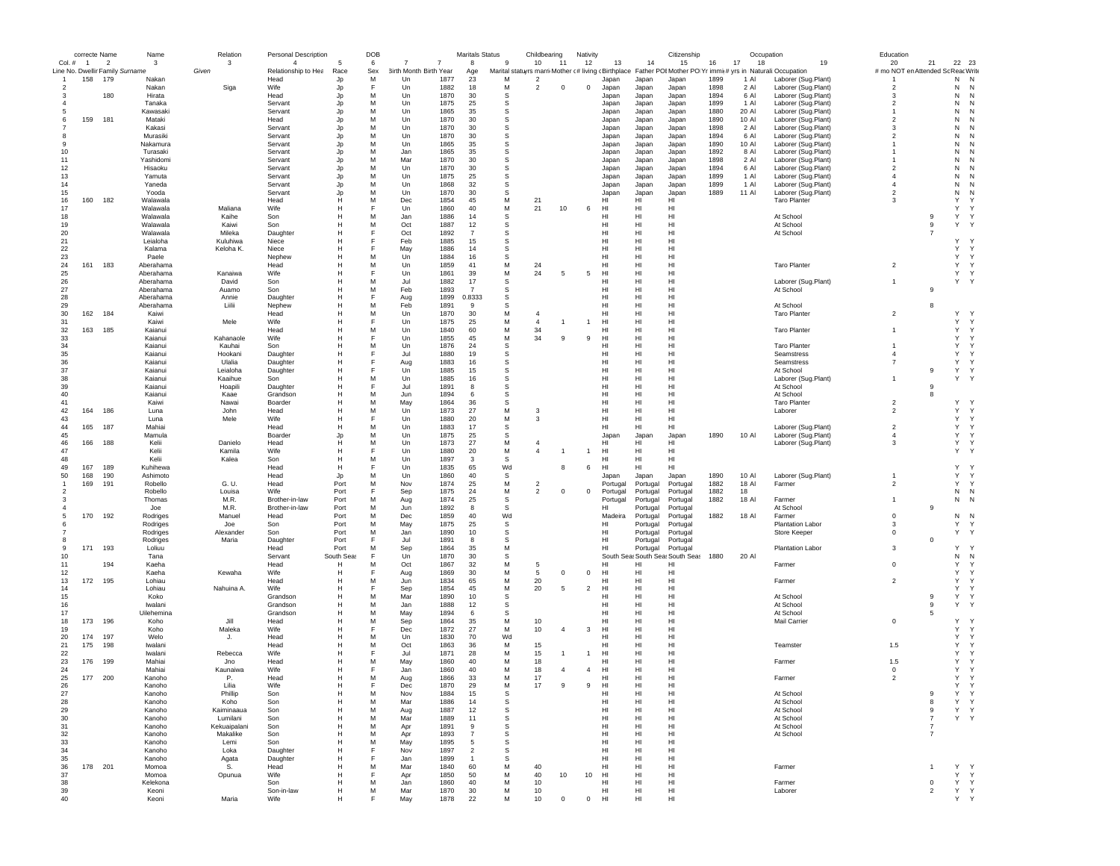|              | correcte Name  |                          | Name                                     | Relation          | Personal Description        |              | DOB      |                              |                | <b>Maritals Status</b> |              | Childbearing   |                | Nativity       |                |                | Citizenship                                  |              |              | Occupation                                                                                                                          | Education                          |                |                             |
|--------------|----------------|--------------------------|------------------------------------------|-------------------|-----------------------------|--------------|----------|------------------------------|----------------|------------------------|--------------|----------------|----------------|----------------|----------------|----------------|----------------------------------------------|--------------|--------------|-------------------------------------------------------------------------------------------------------------------------------------|------------------------------------|----------------|-----------------------------|
| Col. #       | $\overline{1}$ | $\overline{\phantom{a}}$ | 3                                        | 3                 | $\overline{4}$              |              | 6        |                              | $\overline{7}$ | $\mathbf{a}$           | $\mathbf{q}$ | 10             | 11             | 12             | 13             | 14             | 15                                           | 16           | 17<br>18     | 19                                                                                                                                  | 20                                 | 21             | 22 23                       |
|              | 158            | 179                      | Line No. Dwellir Family Surname<br>Nakan | Given             | Relationship to Hea<br>Head | Race<br>Jp   | Sex<br>M | 3irth Month Birth Year<br>Un | 1877           | Age<br>23              | M            | $\overline{2}$ |                |                | Japan          | Japan          | Japan                                        | 1899         | 1 Al         | Marital statuyrs marri Mother (# living (Birthplace Father POIMother PO Yr immit# yrs in Naturali:Occupation<br>Laborer (Sug.Plant) | # mo NOT en Attended Sc Reac Write |                | N<br>N                      |
| 2            |                |                          | Nakan                                    | Siga              | Wife                        | Jp           | F        | Un                           | 1882           | 18                     | М            | $\overline{2}$ | $^{\circ}$     | $\mathbf 0$    | Japan          | Japan          | Japan                                        | 1898         | 2 Al         | Laborer (Sug.Plant)                                                                                                                 | $\overline{2}$                     |                | N<br>N                      |
| 3            |                | 180                      | Hirata                                   |                   | Head                        | Jp           | M        | Un                           | 1870           | 30                     | s            |                |                |                | Japan          | Japan          | Japan                                        | 1894         | 6 Al         | Laborer (Sug.Plant)                                                                                                                 | -3                                 |                | N<br>N                      |
|              |                |                          | Tanaka                                   |                   | Servant                     | Jp           | M        | Un                           | 1875           | 25                     | s            |                |                |                | Japan          | Japan          | Japan                                        | 1899         | 1 Al         | Laborer (Sug.Plant)                                                                                                                 | -2                                 |                | N<br>N                      |
|              |                |                          | Kawasaki                                 |                   | Servant                     | Jp           | М        | Un                           | 1865           | 35                     | s            |                |                |                | Japan          | Japan          | Japan                                        | 1880         | 20 Al        | Laborer (Sug.Plant)                                                                                                                 | -1                                 |                | N<br>N                      |
| 6            | 159            | 181                      | Mataki                                   |                   | Head                        | Jp           | М        | Un                           | 1870           | 30                     | S            |                |                |                | Japan          | Japan          | Japan                                        | 1890         | 10 Al        | Laborer (Sug.Plant)                                                                                                                 | $\overline{2}$                     |                | N                           |
|              |                |                          | Kakasi                                   |                   | Servant                     | Jp           | М        | Un                           | 1870           | 30                     | S            |                |                |                | Japan          | Japan          | Japan                                        | 1898         | 2 Al         | Laborer (Sug.Plant)                                                                                                                 | 3                                  |                | N                           |
| 8            |                |                          | Murasiki                                 |                   | Servant                     | Jp           | M        | Un                           | 1870           | 30                     | S            |                |                |                | Japan          | Japan          | Japan                                        | 1894         | 6 Al         | Laborer (Sug.Plant)                                                                                                                 | $\overline{2}$                     |                | N<br>N                      |
| -9           |                |                          | Nakamura                                 |                   | Servant                     | Jp           | M        | Un                           | 1865           | 35                     | S            |                |                |                | Japan          | Japan          | Japan                                        | 1890         | 10 AI        | Laborer (Sug.Plant)                                                                                                                 |                                    |                | N<br>N                      |
| 10           |                |                          | Turasaki                                 |                   | Servant                     | Jp           | M        | Jan                          | 1865           | 35<br>30               | s<br>S       |                |                |                | Japan          | Japan          | Japan                                        | 1892         | 8 Al         | Laborer (Sug.Plant)                                                                                                                 |                                    |                | N                           |
| 11<br>12     |                |                          | Yashidomi<br>Hisaoku                     |                   | Servant<br>Servant          | Jp<br>Jp     | М<br>М   | Mar<br>Un                    | 1870<br>1870   | 30                     | S            |                |                |                | Japan<br>Japan | Japan<br>Japan | Japan<br>Japan                               | 1898<br>1894 | 2 Al<br>6 Al | Laborer (Sug.Plant)<br>Laborer (Sug.Plant)                                                                                          | $\overline{2}$                     |                | N<br>N                      |
| 13           |                |                          | Yamuta                                   |                   | Servant                     | Jp           | M        | Un                           | 1875           | 25                     | s            |                |                |                | Japan          | Japan          | Japan                                        | 1899         | 1 Al         | Laborer (Sug.Plant)                                                                                                                 | $\overline{4}$                     |                | N<br>N                      |
| 14           |                |                          | Yaneda                                   |                   | Servant                     | Jp           | M        | Un                           | 1868           | 32                     | s            |                |                |                | Japan          | Japan          | Japan                                        | 1899         | 1 Al         | Laborer (Sug.Plant)                                                                                                                 | -4                                 |                | N<br>N                      |
| 15           |                |                          | Yooda                                    |                   | Servant                     | Jp           | M        | Un                           | 1870           | 30                     | s            |                |                |                | Japan          | Japan          | Japan                                        | 1889         | 11 Al        | Laborer (Sug.Plant)                                                                                                                 | $\overline{2}$                     |                | N<br>N                      |
| 16           | 160            | 182                      | Walawala                                 |                   | Head                        | н            | М        | Dec                          | 1854           | 45                     | M            | 21             |                |                | HI             | HI             | HI                                           |              |              | <b>Taro Planter</b>                                                                                                                 | $\mathbf{3}$                       |                | Y                           |
| 17           |                |                          | Walawala                                 | Maliana           | Wife                        |              | F        | Un                           | 1860           | 40                     | M            | 21             | 10             | 6              | HI             | HI             | HI                                           |              |              |                                                                                                                                     |                                    |                | Y                           |
| 18           |                |                          | Walawala                                 | Kaihe             | Son                         | н            | M        | Jan                          | 1886           | 14                     | s            |                |                |                | HI             | HI             | HI                                           |              |              | At School                                                                                                                           |                                    | 9              | Υ                           |
| 19           |                |                          | Walawala                                 | Kaiwi             | Son                         | н            | M        | Oct                          | 1887           | 12                     | s            |                |                |                | HI             | HI             | HI                                           |              |              | At School                                                                                                                           |                                    | 9              | Υ                           |
| 20           |                |                          | Walawala                                 | Mileka            | Daughter                    |              | F        | Oct                          | 1892           | $\overline{7}$         | S            |                |                |                | HI             | HI             | HI                                           |              |              | At School                                                                                                                           |                                    | $\overline{7}$ |                             |
| 21           |                |                          | Leialoha                                 | Kuluhiwa          | Niece                       |              |          | Feb                          | 1885           | 15                     | S            |                |                |                | HI             | HI             | HI                                           |              |              |                                                                                                                                     |                                    |                | Y                           |
| 22           |                |                          | Kalama                                   | Keloha K.         | Niece                       |              | M        | May                          | 1886           | 14                     | S            |                |                |                | HI             | HI             | HI                                           |              |              |                                                                                                                                     |                                    |                | Y<br>Y<br>Y                 |
| 23<br>24     | 161            | 183                      | Paele<br>Aberahama                       |                   | Nephew<br>Head              |              | M        | Un<br>Un                     | 1884<br>1859   | 16<br>41               | S<br>М       | 24             |                |                | HI<br>HI       | HI<br>HI       | HI<br>HI                                     |              |              | <b>Taro Planter</b>                                                                                                                 | $\overline{c}$                     |                | Y<br>Y<br>Y                 |
| 25           |                |                          | Aberahama                                | Kanaiwa           | Wife                        |              | F        | Un                           | 1861           | 39                     | M            | 24             | -5             | 5              | HI             | HI             | HI                                           |              |              |                                                                                                                                     |                                    |                | Y<br>$\mathsf{Y}$           |
| 26           |                |                          | Aberahama                                | David             | Son                         |              | М        | Jul                          | 1882           | 17                     | s            |                |                |                | HI             | HI             | HI                                           |              |              | Laborer (Sug.Plant)                                                                                                                 | $\overline{1}$                     |                | Υ<br>$\mathsf{Y}$           |
| 27           |                |                          | Aberahama                                | Auamo             | Son                         |              | М        | Feb                          | 1893           | $\overline{7}$         | s            |                |                |                | HI             | HI             | HI                                           |              |              | At School                                                                                                                           |                                    | 9              |                             |
| 28           |                |                          | Aberahama                                | Annie             | Daughter                    |              | F        | Aug                          | 1899           | 0.8333                 | S            |                |                |                | HI             | HI             | HI                                           |              |              |                                                                                                                                     |                                    |                |                             |
| 29           |                |                          | Aberahama                                | Liilii            | Nephew                      | н            | М        | Feb                          | 1891           | 9                      | S            |                |                |                | нı             | HI             | HI                                           |              |              | At School                                                                                                                           |                                    | 8              |                             |
| 30           | 162            | 184                      | Kaiwi                                    |                   | Head                        |              | M        | Un                           | 1870           | 30                     | M            | -4             |                |                | HI             | HI             | HI                                           |              |              | <b>Taro Planter</b>                                                                                                                 | $\overline{2}$                     |                | Y                           |
| 31           |                |                          | Kaiwi                                    | Mele              | Wife                        |              | F        | Un                           | 1875           | 25                     | M            | $\overline{4}$ |                | -1             | HI             | H              | HI                                           |              |              |                                                                                                                                     |                                    |                | Y<br>Y                      |
| 32           | 163            | 185                      | Kaianui                                  |                   | Head                        |              | М        | Un                           | 1840           | 60                     | M            | 34             |                |                | HI             | HI             | HI                                           |              |              | <b>Taro Planter</b>                                                                                                                 | $\overline{1}$                     |                | Y<br>Y                      |
| 33           |                |                          | Kaianui                                  | Kahanaole         | Wife                        |              | F        | Un                           | 1855           | 45                     | М            | 34             | 9              | 9              | HI             | HI             | HI                                           |              |              |                                                                                                                                     |                                    |                | Y<br>Y                      |
| 34           |                |                          | Kaianui                                  | Kauhai            | Son                         |              | М<br>F   | Un                           | 1876           | 24                     | S            |                |                |                | HI             | HI             | HI                                           |              |              | <b>Taro Planter</b>                                                                                                                 | $\mathbf{1}$                       |                | Y<br>Y                      |
| 35<br>36     |                |                          | Kaianui<br>Kaianui                       | Hookani<br>Ulalia | Daughter<br>Daughter        | н<br>н       | F        | Jul                          | 1880<br>1883   | 19<br>16               | s<br>S       |                |                |                | HI<br>HI       | HI<br>HI       | HI<br>HI                                     |              |              | Seamstress<br>Seamstress                                                                                                            | $\overline{4}$<br>$\overline{7}$   |                | Y<br>Y<br>Y<br>$\mathsf{Y}$ |
| 37           |                |                          | Kaianui                                  | Leialoha          | Daughter                    | н            | F        | Aug<br>Un                    | 1885           | 15                     | s            |                |                |                | HI             | HI             | HI                                           |              |              | At School                                                                                                                           |                                    | 9              | Y<br>$\mathsf{Y}$           |
| 38           |                |                          | Kaianui                                  | Kaaihue           | Son                         | н            | М        | Un                           | 1885           | 16                     | S            |                |                |                | HI             | HI             | HI                                           |              |              | Laborer (Sug.Plant)                                                                                                                 |                                    |                | Y<br>-Y                     |
| 39           |                |                          | Kaianui                                  | Hoapili           | Daughter                    |              | F        | Jul                          | 1891           | 8                      | S            |                |                |                | HI             | HI             | HI                                           |              |              | At School                                                                                                                           |                                    | 9              |                             |
| 40           |                |                          | Kaianui                                  | Kaae              | Grandson                    | н            | M        | Jun                          | 1894           | 6                      | S            |                |                |                | HI             | HI             | HI                                           |              |              | At School                                                                                                                           |                                    | 8              |                             |
| 41           |                |                          | Kaiwi                                    | Nawai             | Boarder                     | н            | M        | May                          | 1864           | 36                     | S            |                |                |                | HI             | HI             | HI                                           |              |              | <b>Taro Planter</b>                                                                                                                 | $\overline{c}$                     |                | Y                           |
| 42           | 164            | 186                      | Luna                                     | John              | Head                        | н            | M        | Un                           | 1873           | 27                     | M            | 3              |                |                | HI             | HI             | HI                                           |              |              | Laborer                                                                                                                             | $\overline{2}$                     |                | Y<br>Y                      |
| 43           |                |                          | Luna                                     | Mele              | Wife                        |              | F        | Un                           | 1880           | 20                     | M            | 3              |                |                | HI             | HI             | HI                                           |              |              |                                                                                                                                     |                                    |                | Y<br>Y                      |
| 44           | 165            | 187                      | Mahiai                                   |                   | Head                        |              | M        | Un                           | 1883           | 17                     | S            |                |                |                | HI             | HI             | HI                                           |              |              | Laborer (Sug.Plant)                                                                                                                 | $\overline{2}$                     |                | Y<br>Y                      |
| 45           |                |                          | Mamula                                   |                   | Boarder                     | Jp           | М        | Un                           | 1875           | 25                     | s            |                |                |                | Japar          | Japan          | Japan                                        | 1890         | 10 Al        | Laborer (Sug.Plant)                                                                                                                 | $\overline{4}$                     |                | $\mathsf{Y}$<br>Y           |
| 46<br>47     | 166            | 188                      | Kelii                                    | Danielo           | Head                        |              | М<br>Е   | Un                           | 1873           | 27                     | М            | $\overline{4}$ |                |                | HI             | HI             | HI                                           |              |              | Laborer (Sug.Plant)                                                                                                                 | 3                                  |                | Y<br>Y<br>Y                 |
| 48           |                |                          | Kelii<br>Kelii                           | Kamila<br>Kalea   | Wife<br>Son                 | н            | М        | Un<br>Un                     | 1880<br>1897   | 20<br>3                | M<br>S       | $\overline{4}$ |                | $\mathbf{1}$   | HI<br>HI       | HI<br>HI       | HI<br>HI                                     |              |              |                                                                                                                                     |                                    |                |                             |
| 49           | 167            | 189                      | Kuhihewa                                 |                   | Head                        |              | F        | Un                           | 1835           | 65                     | Wd           |                | 8              | 6              | HI             | HI             | HI                                           |              |              |                                                                                                                                     |                                    |                | Y                           |
| 50           | 168            | 190                      | Ashimoto                                 |                   | Head                        | Jp           | М        | Un                           | 1860           | 40                     | S            |                |                |                | Japan          | Japan          | Japan                                        | 1890         | 10 Al        | Laborer (Sug.Plant)                                                                                                                 |                                    |                | Y<br>Y                      |
| $\mathbf{1}$ | 169            | 191                      | Robello                                  | G. U.             | Head                        | Port         | M        | Nov                          | 1874           | 25                     | М            | $\overline{2}$ |                |                | Portugal       | Portugal       | Portugal                                     | 1882         | 18 Al        | Farmer                                                                                                                              | $\overline{c}$                     |                | Y<br>Y                      |
| 2            |                |                          | Robello                                  | Louisa            | <b>Wife</b>                 | Port         | E        | Sep                          | 1875           | 24                     | M            | $\overline{2}$ | $\Omega$       | $^{\circ}$     | Portugal       | Portugal       | Portugal                                     | 1882         | 18           |                                                                                                                                     |                                    |                | ${\sf N}$<br>N              |
| 3            |                |                          | Thomas                                   | M.R.              | Brother-in-law              | Port         | M        | Aug                          | 1874           | 25                     | S            |                |                |                | Portugal       | Portugal       | Portugal                                     | 1882         | 18 AI        | Farmer                                                                                                                              | $\mathbf{1}$                       |                | ${\sf N}$<br>N              |
|              |                |                          | Joe                                      | M.R.              | Brother-in-law              | Port         | M        | Jun                          | 1892           | 8                      | s            |                |                |                | HI             | Portugal       | Portugal                                     |              |              | At School                                                                                                                           |                                    | 9              |                             |
| 5            | 170            | 192                      | Rodriges                                 | Manuel            | Head                        | Port         | М        | Dec                          | 1859           | 40                     | Wd           |                |                |                | Madeira        | Portugal       | Portugal                                     | 1882         | 18 Al        | Farmer                                                                                                                              | $\mathbf 0$                        |                | N<br>$\mathsf{N}$           |
|              |                |                          | Rodriges                                 | Joe               | Son                         | Port         | M        | May                          | 1875           | 25                     | S            |                |                |                | HI             | Portugal       | Portugal                                     |              |              | Plantation Labor                                                                                                                    | 3                                  |                | Y<br>Y                      |
|              |                |                          | Rodriges                                 | Alexander         | Son                         | Port         | M        | Jan                          | 1890           | 10                     | S            |                |                |                | HI             | Portugal       | Portugal                                     |              |              | Store Keeper                                                                                                                        | $\mathbf 0$                        |                | Y<br>$\mathsf{Y}$           |
| 8<br>9       | 171            | 193                      | Rodriges<br>Loliuu                       | Maria             | Daughter<br>Head            | Port<br>Port | F<br>M   | Jul<br>Sep                   | 1891<br>1864   | 8<br>35                | s<br>M       |                |                |                | HI<br>HI       | Portugal       | Portugal                                     |              |              | Plantation Labor                                                                                                                    | 3                                  | $\mathbf 0$    | Y<br>$\mathsf{Y}$           |
| 10           |                |                          | Tana                                     |                   | Servant                     | South Seas   | F        | Un                           | 1870           | 30                     | S            |                |                |                |                | Portugal       | Portugal<br>South Sea: South Sea: South Sea: | 1880         | 20 Al        |                                                                                                                                     |                                    |                | N<br>$\mathsf{N}$           |
| 11           |                | 194                      | Kaeha                                    |                   | Head                        | н            | М        | Oct                          | 1867           | 32                     | М            | 5              |                |                | HI             | HI             | HI                                           |              |              | Farmer                                                                                                                              | $\mathbf 0$                        |                | Y<br>Y                      |
| 12           |                |                          | Kaeha                                    | Kewaha            | Wife                        | н            | F        | Aug                          | 1869           | 30                     | M            | 5              | $^{\circ}$     | $\mathbf 0$    | HI             | HI             | HI                                           |              |              |                                                                                                                                     |                                    |                | Y<br>Y                      |
| 13           | 172            | 195                      | I ohiau                                  |                   | Head                        | н            | M        | Jun                          | 1834           | 65                     | M            | 20             |                |                | HI             | H              | HI                                           |              |              | Farmer                                                                                                                              | $\overline{2}$                     |                | Y<br>Y                      |
| 14           |                |                          | Lohiau                                   | Nahuina A.        | Wife                        |              | F        | Sep                          | 1854           | 45                     | M            | 20             | 5              | $\overline{2}$ | HI             | HI             | HI                                           |              |              |                                                                                                                                     |                                    |                | Y                           |
| 15           |                |                          | Koko                                     |                   | Grandson                    |              | M        | Mar                          | 1890           | 10                     | s            |                |                |                | нı             | HI             | HI                                           |              |              | At School                                                                                                                           |                                    | 9              | Y<br>Y                      |
| 16           |                |                          | Iwalani                                  |                   | Grandson                    |              | M        | Jan                          | 1888           | 12                     | s            |                |                |                | HI             | HI             | HI                                           |              |              | At School                                                                                                                           |                                    | 9              | Y                           |
| 17           |                |                          | Uilehemina                               |                   | Grandson                    |              | M        | May                          | 1894           | 6                      | s            |                |                |                | HI             | HI             | HI                                           |              |              | At School                                                                                                                           |                                    | -5             |                             |
| 18<br>19     | 173            | 196                      | Koho<br>Koho                             | . Iill<br>Maleka  | Head<br>Wife                |              | М<br>F   | Sep<br>Dec                   | 1864<br>1872   | 35<br>27               | M<br>M       | 10<br>10       | $\overline{4}$ | 3              | HI<br>HI       | HI<br>HI       | HI<br>HI                                     |              |              | Mail Carrier                                                                                                                        | $\mathbf 0$                        |                | Y<br>Υ<br>$\mathsf{Y}$      |
| 20           | 174            | 197                      | Welo                                     | J.                | Head                        |              | М        | Un                           | 1830           | 70                     | Wd           |                |                |                | HI             | HI             | HI                                           |              |              |                                                                                                                                     |                                    |                | Y<br>Y                      |
| 21           | 175            | 198                      | Iwalani                                  |                   | Head                        |              | М        | Oct                          | 1863           | 36                     | M            | 15             |                |                | нı             | HI             | HI                                           |              |              | Teamster                                                                                                                            | 1.5                                |                | Y                           |
| 22           |                |                          | Iwalani                                  | Rebecca           | Wife                        |              | Е        | Jul                          | 1871           | 28                     | M            | 15             | $\overline{1}$ | -1             | HI             | HI             | HI                                           |              |              |                                                                                                                                     |                                    |                | Y<br>Y                      |
| 23           | 176            | 199                      | Mahiai                                   | Jno               | Head                        |              | M        | May                          | 1860           | 40                     | M            | 18             |                |                | HI             | H              | HI                                           |              |              | Farmer                                                                                                                              | 1.5                                |                | Y                           |
| 24           |                |                          | Mahiai                                   | Kaunaiwa          | Wife                        |              | F        | Jan                          | 1860           | 40                     | M            | 18             | $\overline{4}$ | $\overline{4}$ | HI             | H              | HI                                           |              |              |                                                                                                                                     | $\Omega$                           |                | Y<br>$\checkmark$           |
| 25           | 177            | 200                      | Kanoho                                   | P.                | Head                        | н            | M        | Aug                          | 1866           | 33                     | M            | 17             |                |                | HI             | HI             | HI                                           |              |              | Farmer                                                                                                                              | $\overline{2}$                     |                | Υ<br>Y                      |
| 26           |                |                          | Kanonc                                   | Lilia             | Wife                        |              |          | <b>Dec</b>                   | 1870           | 29                     | M            |                |                |                | нı             | HI             | HI                                           |              |              |                                                                                                                                     |                                    |                |                             |
| 27           |                |                          | Kanoho                                   | Phillip           | Son                         | н            | M        | Nov                          | 1884           | 15                     | s            |                |                |                | HI             | HI             | HI                                           |              |              | At School                                                                                                                           |                                    | 9              | Y<br>Y                      |
| 28           |                |                          | Kanoho                                   | Koho              | Son                         | н            | M        | Mar                          | 1886           | 14                     | s            |                |                |                | HI             | HI             | HI                                           |              |              | At School                                                                                                                           |                                    | 8              | $\mathsf{Y}$<br>Y           |
| 29           |                |                          | Kanoho                                   | Kaiminaaua        | Son                         | н            | M        | Aug                          | 1887           | 12                     | s            |                |                |                | HI             | HI             | HI                                           |              |              | At School                                                                                                                           |                                    | 9              | Y<br>Y                      |
| 30           |                |                          | Kanoho                                   | Lumilani          | Son                         | н            | М        | Mar                          | 1889           | 11                     | s            |                |                |                | HI             | HI             | HI                                           |              |              | At School                                                                                                                           |                                    | $\overline{7}$ | Y Y                         |
| 31           |                |                          | Kanoho                                   | Kekuaipalani      | Son                         |              | М        | Apr                          | 1891           | 9                      | s            |                |                |                | HI             | HI             | HI                                           |              |              | At School                                                                                                                           |                                    | $\overline{7}$ |                             |
| 32<br>33     |                |                          | Kanoho<br>Kanoho                         | Makalike<br>Lemi  | Son<br>Son                  | н            | М<br>M   | Apr<br>May                   | 1893<br>1895   | $\overline{7}$<br>5    | s<br>s       |                |                |                | HI<br>HI       | HI<br>HI       | HI<br>HI                                     |              |              | At School                                                                                                                           |                                    | $\overline{7}$ |                             |
| 34           |                |                          | Kanoho                                   | Loka              | Daughter                    | н            | E        | Nov                          | 1897           | $\overline{2}$         | s            |                |                |                | HI             | HI             | HI                                           |              |              |                                                                                                                                     |                                    |                |                             |
| 35           |                |                          | Kanoho                                   | Agata             | Daughter                    | н            | F        | Jan                          | 1899           | $\overline{1}$         | s            |                |                |                | HI             | HI             | HI                                           |              |              |                                                                                                                                     |                                    |                |                             |
| 36           |                | 178 201                  | Momoa                                    | S.                | Head                        | н            | М        | Mar                          | 1840           | 60                     | M            | 40             |                |                | HI             | HI             | HI                                           |              |              | Farmer                                                                                                                              |                                    | $\overline{1}$ | Y<br>$\mathsf{Y}$           |
| 37           |                |                          | Momoa                                    | Opunua            | Wife                        |              | F        | Apr                          | 1850           | 50                     | М            | 40             | 10             | 10             | HI             | HI             | HI                                           |              |              |                                                                                                                                     |                                    |                | Y<br>Y                      |
| 38           |                |                          | Kelekona                                 |                   | Son                         | H            | M        | Jan                          | 1860           | 40                     | м            | 10             |                |                | HI             | HI             | HI                                           |              |              | Farmer                                                                                                                              |                                    | $\mathbf 0$    | Y<br>Y                      |
| 39           |                |                          | Keoni                                    |                   | Son-in-law                  | н            | M        | Mar                          | 1870           | 30                     | М            | 10             |                |                | HI             | HI             | HI                                           |              |              | Laborer                                                                                                                             |                                    | $\overline{c}$ | Y Y                         |
| 40           |                |                          | Keoni                                    | Maria             | Wife                        |              | F        | May                          | 1878           | 22                     | М            | 10             | $^{\circ}$     | $\Omega$       | HI             | HI             | HI                                           |              |              |                                                                                                                                     |                                    |                | Υ<br>Y                      |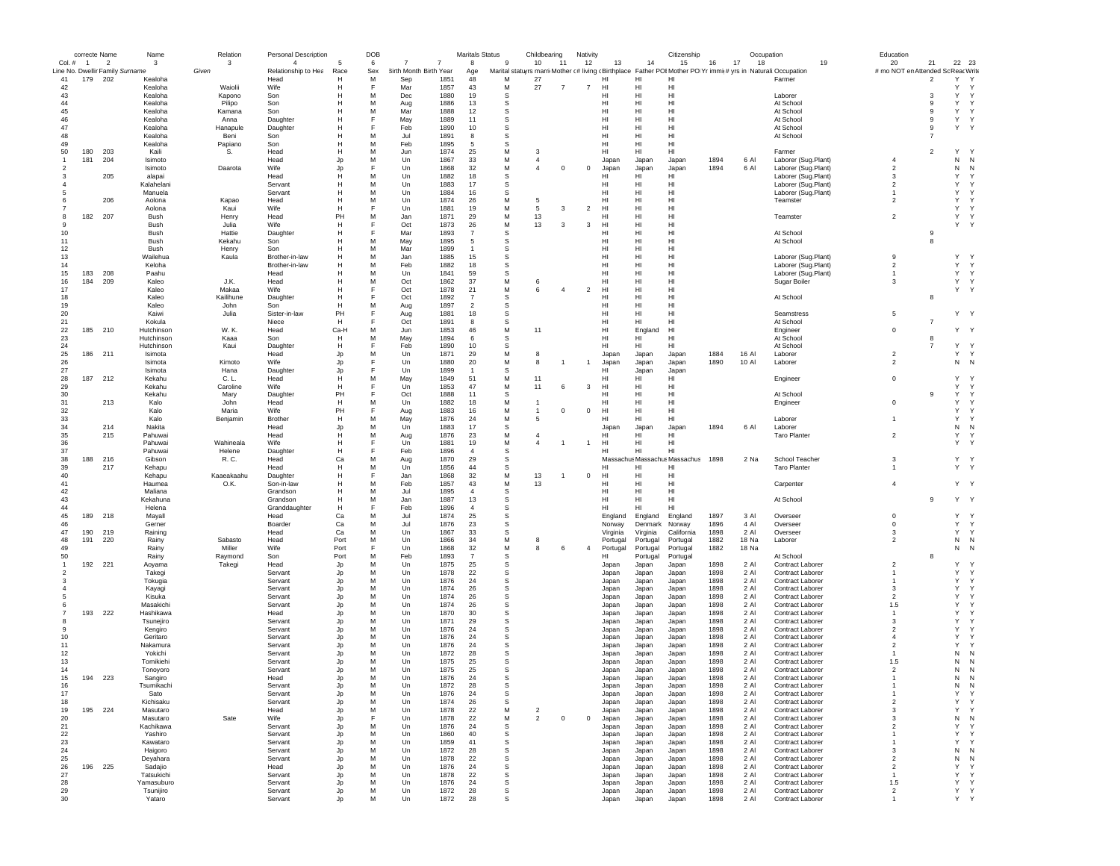|                | correcte Name  |                                 | Name                  | Relation         | Personal Description |          | DOB    |                        |                | <b>Maritals Status</b> |               | Childbearing   |                | Nativity       |                 |                               | Citizenship                                                                                                   |              | Occupation   |                                      | Education               |                     |                        |  |
|----------------|----------------|---------------------------------|-----------------------|------------------|----------------------|----------|--------|------------------------|----------------|------------------------|---------------|----------------|----------------|----------------|-----------------|-------------------------------|---------------------------------------------------------------------------------------------------------------|--------------|--------------|--------------------------------------|-------------------------|---------------------|------------------------|--|
| Col. #         | $\blacksquare$ | $\overline{2}$                  | 3                     | $\mathbf{3}$     | $\overline{4}$       | -5       | 6      | 7                      | $\overline{7}$ | 8                      | $\mathbf{q}$  | 10             | 11             | 12             | 13              | 14                            | 15                                                                                                            | 16           | 17<br>18     | 19                                   | 20                      | 21                  | 22 23                  |  |
|                |                | Line No. Dwellir Family Surname |                       | Given            | Relationship to Hea  | Race     | Sex    | 3irth Month Birth Year |                | Age                    |               |                |                |                |                 |                               | Marital statuyrs marri Mother (# living cBirthplace Father POI Mother PO Yr immit# yrs in Naturali:Occupation |              |              |                                      | # mo NOT en Attended So |                     | Reac Write             |  |
| 41             | 179            | - 202                           | Kealoha               |                  | Head                 | Н        | M      | Sep                    | 1851           | 48                     | M             | 27             |                |                | HI              | HI                            | HI                                                                                                            |              |              | Farmer                               |                         | $\overline{2}$      | Y<br>Y<br>Y            |  |
| 42             |                |                                 | Kealoha               | Waiolii          | Wife                 | н        | E      | Mar                    | 1857           | 43                     | M             | 27             | $\overline{7}$ | $\overline{7}$ | HI              | HI                            | HI                                                                                                            |              |              |                                      |                         |                     | Y<br>$\mathsf{Y}$      |  |
| 43<br>44       |                |                                 | Kealoha<br>Kealoha    | Kapono<br>Pilipo | Son<br>Son           | н<br>н   | M<br>M | Dec<br>Aug             | 1880<br>1886   | 19<br>13               | <b>s</b><br>S |                |                |                | HI<br>HI        | HI<br>HI                      | HI<br>HI                                                                                                      |              |              | Laborer<br>At School                 |                         | 3<br>9              | Y<br>Υ<br><sup>Y</sup> |  |
| 45             |                |                                 | Kealoha               | Kamana           | Son                  |          | M      | Mar                    | 1888           | 12                     | s             |                |                |                | нı              | HI                            | HI                                                                                                            |              |              | At School                            |                         | 9                   | Υ<br>Y                 |  |
| 46             |                |                                 | Kealoha               | Anna             | Daughter             | н        | E      | May                    | 1889           | 11                     | s             |                |                |                | HI              | HI                            | HI                                                                                                            |              |              | At School                            |                         | 9                   | Υ<br>Y                 |  |
| 47             |                |                                 | Kealoha               | Hanapule         | Daughter             | н        |        | Feb                    | 1890           | 10                     | s             |                |                |                | HI              | HI                            | H <sub>1</sub>                                                                                                |              |              | At School                            |                         | 9                   | Υ<br>Y                 |  |
| 48             |                |                                 | Kealoha               | Beni             | Son                  | н        | M      | Jul.                   | 1891           | 8                      | <b>S</b>      |                |                |                | H <sub>II</sub> | HI                            | H <sub>II</sub>                                                                                               |              |              | At School                            |                         | $\overline{7}$      |                        |  |
| 49             |                |                                 | Kealoha               | Papiano          | Son                  | H        | M      | Feb                    | 1895           | 5                      | S             |                |                |                | HI              | HI                            | HI                                                                                                            |              |              |                                      |                         |                     |                        |  |
| 50             | 180            | 203                             | Kaili                 | S.               | Head                 | н        | M      | Jun                    | 1874           | 25                     | М             | 3              |                |                | HI              | HI                            | HI                                                                                                            |              |              | Farmer                               |                         | $\overline{2}$      | Y<br><sup>Y</sup>      |  |
|                | 181            | 204                             | Isimoto               |                  | Head                 | Jp       | M      | Un                     | 1867           | 33                     | М             | $\overline{4}$ |                |                | Japan           | Japan                         | Japan                                                                                                         | 1894         | 6 Al         | Laborer (Sug.Plant)                  | $\overline{4}$          |                     | N<br>N                 |  |
| 2              |                |                                 | Isimoto               | Daarota          | Wife                 | Jp       | E      | Un                     | 1868           | 32                     | М             | $\overline{4}$ | $\,0\,$        | $\mathbf 0$    | Japan           | Japan                         | Japan                                                                                                         | 1894         | 6 Al         | Laborer (Sug.Plant)                  | $\overline{2}$          |                     | Ν<br>N                 |  |
|                |                | 205                             | alapai                |                  | Head                 | н        | M      | Un                     | 1882           | 18                     | S             |                |                |                | HI              | HI                            | HI                                                                                                            |              |              | Laborer (Sug.Plant)                  | 3                       |                     | Y<br>Y                 |  |
|                |                |                                 | Kalahelani            |                  | Servant              | Н        | M      | Un                     | 1883           | 17                     | S             |                |                |                | HI              | HI                            | HI                                                                                                            |              |              | Laborer (Sug.Plant)                  | $\overline{2}$          |                     | Y<br>Y                 |  |
|                |                |                                 | Manuela               |                  | Servant              | н        | M      | Un                     | 1884           | 16                     | S             |                |                |                | HI              | HI                            | HI                                                                                                            |              |              | Laborer (Sug.Plant)                  | $\mathbf{1}$            |                     | Y<br><sup>Y</sup>      |  |
|                |                | 206                             | Aolona                | Kapao            | Head                 | н        | M      | Un                     | 1874           | 26                     | M             | 5              |                |                | HI              | HI                            | HI                                                                                                            |              |              | Teamster                             | $\overline{a}$          |                     | Y<br><sup>Y</sup>      |  |
|                |                |                                 | Aolona                | Kaui             | Wife                 | Н        | E      | Un                     | 1881           | 19                     | M             | 5              | 3              | $\overline{2}$ | HI              | HI                            | HI                                                                                                            |              |              |                                      |                         |                     | Υ<br>Y                 |  |
| 8              | 182 207        |                                 | Bush                  | Henry            | Head                 | PH       | M      | Jan                    | 1871           | 29                     | M             | 13             |                |                | HI              | HI                            | H <sub>II</sub>                                                                                               |              |              | Teamster                             | $\overline{a}$          |                     | Y<br>Y                 |  |
| 9              |                |                                 | Bush                  | Julia            | <b>Wife</b>          | H        |        | Oct                    | 1873           | 26                     | M             | 13             | 3              | 3              | H <sub>II</sub> | HI                            | H <sub>II</sub>                                                                                               |              |              |                                      |                         |                     | Y<br><sup>Y</sup>      |  |
| 10             |                |                                 | Bush                  | Hattie           | Daughter             | H        |        | Mar                    | 1893           | $\overline{7}$         | S             |                |                |                | HI              | HI                            | HI                                                                                                            |              |              | At School                            |                         | 9                   |                        |  |
| 11             |                |                                 | Bush                  | Kekahu           | Son                  | н        | M      | May                    | 1895           | 5                      | s             |                |                |                | HI              | HI                            | HI                                                                                                            |              |              | At School                            |                         | 8                   |                        |  |
| 12             |                |                                 | Bush                  | Henry            | Son                  | н        | M      | Mar                    | 1899           | -1                     | s             |                |                |                | HI              | HI                            | HI                                                                                                            |              |              |                                      |                         |                     |                        |  |
| 13             |                |                                 | Wailehua              | Kaula            | Brother-in-law       | н        | M      | Jan                    | 1885           | 15                     | s             |                |                |                | HI              | HI                            | HI                                                                                                            |              |              | Laborer (Sug.Plant)                  | 9                       |                     | Y<br>Y                 |  |
| 14             |                |                                 | Keloha                |                  | Brother-in-law       | н        | M      | Feb                    | 1882           | 18                     | s             |                |                |                | HI              | HI                            | H <sub>1</sub>                                                                                                |              |              | Laborer (Sug.Plant)                  | $\overline{a}$          |                     | Y<br>Y                 |  |
| 15             | 183            | 208                             | Paahu                 |                  | Head                 | н        | M      | Un                     | 1841           | 59                     | S             |                |                |                | HI              | HI                            | HI                                                                                                            |              |              | Laborer (Sug.Plant)                  | $\mathbf{1}$            |                     | Υ<br>Y                 |  |
| 16             | 184            | 209                             | Kaleo                 | J.K.             | Head                 |          | M      | Oct                    | 1862           | 37                     | M             | 6              |                |                | HI              | HI                            | HI                                                                                                            |              |              | Sugar Boiler                         | 3                       |                     | Y<br>Y                 |  |
| 17             |                |                                 | Kaleo                 | Makaa            | Wife                 | H        | E      | Oct                    | 1878           | 21                     | M             | 6              | $\overline{4}$ | $\overline{2}$ | HI              | HI                            | HI                                                                                                            |              |              |                                      |                         |                     | Υ<br>Y                 |  |
| 18             |                |                                 | Kaleo                 | Kailihune        | Daughter             | н        |        | Oct                    | 1892           | $\overline{7}$         | S             |                |                |                | HI              | HI                            | H <sub>II</sub>                                                                                               |              |              | At School                            |                         | 8                   |                        |  |
| 19             |                |                                 | Kaleo                 | John             | Son                  | H        | M      | Aug                    | 1897           | $\overline{2}$         | S             |                |                |                | HI              | HI                            | H <sub>II</sub>                                                                                               |              |              |                                      |                         |                     |                        |  |
| 20             |                |                                 | Kaiwi                 | Julia            | Sister-in-law        | PH       |        | Aug                    | 1881           | 18                     | s             |                |                |                | HI              | HI                            | HI                                                                                                            |              |              | Seamstress                           | 5                       |                     | Y Y                    |  |
| 21             |                |                                 | Kokula                |                  | Niece                | H        | F      | Oct                    | 1891           | 8                      | S             |                |                |                | HI              | HI                            | H <sub>1</sub>                                                                                                |              |              | At School                            |                         | $\overline{7}$      |                        |  |
| 22             | 185            | 210                             | Hutchinson            | W. K.            | Head                 | Ca-H     | M      | Jun                    | 1853           | 46                     | M             | 11             |                |                | HI              | England                       | HI                                                                                                            |              |              | Engineer                             | $\mathbf 0$             |                     | Υ<br>Y                 |  |
| 23<br>24       |                |                                 | Hutchinson            | Kaaa             | Son                  | H<br>H   | M<br>E | May                    | 1894<br>1890   | 6<br>10                | s             |                |                |                | HI<br>HI        | HI<br>HI                      | HI<br>H <sub>II</sub>                                                                                         |              |              | At School<br>At School               |                         | 8<br>$\overline{7}$ | Y<br>Y                 |  |
|                |                | 211                             | Hutchinson<br>Isimota | Kaui             | Daughter<br>Head     |          | M      | Feb<br>Un              | 1871           | 29                     | s<br>M        | 8              |                |                |                 |                               |                                                                                                               | 1884         | 16 Al        | Laborer                              | $\overline{a}$          |                     | Y<br>Y                 |  |
| 25<br>26       | 186            |                                 | Isimota               | Kimoto           | Wife                 | Jp       | F      | Un                     | 1880           | 20                     | M             | 8              | $\mathbf{1}$   | $\overline{1}$ | Japan<br>Japan  | Japan<br>Japan                | Japan<br>Japan                                                                                                | 1890         | 10 Al        | Laborer                              | $\overline{2}$          |                     | N<br>N                 |  |
| 27             |                |                                 | Isimota               | Hana             | Daughter             | Jp<br>Jp | E      | Un                     | 1899           | $\overline{1}$         | s             |                |                |                | HI              | Japan                         | Japan                                                                                                         |              |              |                                      |                         |                     |                        |  |
| 28             | 187            | 212                             | Kekahu                | C. L.            | Head                 | н        | M      | May                    | 1849           | 51                     | M             | 11             |                |                | нı              | HI                            | HI                                                                                                            |              |              | Engineer                             | $\mathbf 0$             |                     | Y<br><sup>Y</sup>      |  |
| 29             |                |                                 | Kekahu                | Caroline         | Wife                 | Н        | E      | Un                     | 1853           | 47                     | M             | 11             | 6              | 3              | HI              | HI                            | H <sub>II</sub>                                                                                               |              |              |                                      |                         |                     | Y<br>Y                 |  |
| 30             |                |                                 | Kekahu                | Mary             | Daughter             | PH       |        | Oct                    | 1888           | 11                     | s             |                |                |                | HI              | HI                            | H <sub>II</sub>                                                                                               |              |              | At School                            |                         | 9                   | Υ<br>Y                 |  |
| 31             |                | 213                             | Kalo                  | John             | Head                 | H        | M      | Un                     | 1882           | 18                     | M             | -1             |                |                | HI              | HI                            | HI                                                                                                            |              |              | Engineer                             | $\mathsf 0$             |                     | Y<br>Y                 |  |
| 32             |                |                                 | Kalo                  | Maria            | Wife                 | PH       |        | Aug                    | 1883           | 16                     | M             | $\mathbf{1}$   | $\mathbf 0$    | $^{\circ}$     | HI              | HI                            | HI                                                                                                            |              |              |                                      |                         |                     | Y<br><sup>Y</sup>      |  |
| 33             |                |                                 | Kalo                  | Benjamin         | Brother              | Н        | M      | May                    | 1876           | 24                     | М             | 5              |                |                | HI              | HI                            | HI                                                                                                            |              |              | Laborer                              | $\mathbf{1}$            |                     | Y<br>Y                 |  |
| 34             |                | 214                             | Nakita                |                  | Head                 | Jp       | M      | Un                     | 1883           | 17                     | s             |                |                |                | Japan           | Japan                         | Japan                                                                                                         | 1894         | 6 Al         | Laborer                              |                         |                     | N<br>N                 |  |
| 35             |                | 215                             | Pahuwai               |                  | Head                 | н        | M      | Aug                    | 1876           | 23                     | M             | $\overline{4}$ |                |                | HI              | HI                            | HI                                                                                                            |              |              | Taro Planter                         | $\overline{2}$          |                     | Y<br>Y                 |  |
| 36             |                |                                 | Pahuwai               | Wahineala        | Wife                 | н        |        | Un                     | 1881           | 19                     | M             | $\overline{4}$ |                | $\mathbf{1}$   | HI              | HI                            | H <sub>1</sub>                                                                                                |              |              |                                      |                         |                     | Y<br>Y                 |  |
| 37             |                |                                 | Pahuwai               | Helene           | Daughter             | Н        |        | Feb                    | 1896           | $\overline{4}$         | S             |                |                |                | HI              | HI                            | H <sub>1</sub>                                                                                                |              |              |                                      |                         |                     |                        |  |
| 38             | 188            | 216                             | Gibson                | R.C.             | Head                 | Ca       | M      | Aug                    | 1870           | 29                     | s             |                |                |                |                 | Massachus Massachus Massachus |                                                                                                               | 1898         | 2 Na         | School Teacher                       | 3                       |                     | Y<br>Υ                 |  |
| 39             |                | 217                             | Kehapu                |                  | Head                 | Н        | M      | Un                     | 1856           | 44                     | s             |                |                |                | HI              | HI                            | HI                                                                                                            |              |              | <b>Taro Planter</b>                  | $\mathbf{1}$            |                     | Y Y                    |  |
| 40             |                |                                 | Kehapu                | Kaaeakaahu       | Daughter             | н        | F      | Jan                    | 1868           | 32                     | M             | 13             |                | $^{\circ}$     | HI              | HI                            | HI                                                                                                            |              |              |                                      |                         |                     |                        |  |
| 41             |                |                                 | Haumea                | O.K.             | Son-in-law           | н        | M      | Feb                    | 1857           | 43                     | M             | 13             |                |                | HI              | HI                            | H <sub>II</sub>                                                                                               |              |              | Carpenter                            | $\overline{4}$          |                     | Y Y                    |  |
| 42             |                |                                 | Maliana               |                  | Grandson             | H        | M      | Jul                    | 1895           | $\overline{4}$         | s             |                |                |                | HI              | HI                            | HI                                                                                                            |              |              |                                      |                         |                     |                        |  |
| 43             |                |                                 | Kekahuna              |                  | Grandson             | н        | M      | Jan                    | 1887           | 13                     | s             |                |                |                | HI              | HI                            | HI                                                                                                            |              |              | At School                            |                         | 9                   | Y Y                    |  |
| 44             |                |                                 | Helena                |                  | Granddaughter        | H        | F      | Feb                    | 1896           | $\overline{4}$         | s             |                |                |                | HI              | HI                            | HI                                                                                                            |              |              |                                      |                         |                     |                        |  |
| 45             | 189            | 218                             | Mayall                |                  | Head                 | Ca       | M      | Jul                    | 1874           | 25                     | s             |                |                |                | England         | England                       | England                                                                                                       | 1897         | 3 Al         | Overseer                             | 0                       |                     | Y<br>Y                 |  |
| 46             |                |                                 | Gerner                |                  | Boarder              | Ca       | M      | Jul                    | 1876           | 23                     | -S            |                |                |                | Norway          | Denmark                       | Norway                                                                                                        | 1896         | 4 Al         | Overseer                             | $\mathbf 0$             |                     | Y<br>Y                 |  |
| 47             | 190            | 219                             | Raining               |                  | Head                 | Ca       | M      | Un                     | 1867           | 33                     | S             |                |                |                | Virginia        | Virginia                      | California                                                                                                    | 1898         | 2 Al         | Overseer                             | 3                       |                     | Υ<br>Y                 |  |
| 48             | 191            | 220                             | Rainy                 | Sabasto          | Head                 | Port     | M      | Un                     | 1866           | 34                     | M             | 8              |                |                | Portugal        | Portugal                      | Portugal                                                                                                      | 1882         | 18 Na        | Laborer                              | $\overline{2}$          |                     | N<br>$\mathsf{N}$      |  |
| 49             |                |                                 | Rainy                 | Miller           | Wife                 | Port     | F      | Un                     | 1868           | 32                     | М             | 8              | 6              | $\overline{4}$ | Portugal        | Portugal                      | Portugal                                                                                                      | 1882         | 18 Na        |                                      |                         |                     | N<br>$\mathbb{N}$      |  |
| 50             |                |                                 | Rainy                 | Raymond          | Son                  | Port     | M      | Feb                    | 1893           | $\overline{7}$         | s             |                |                |                | HI              | Portugal                      | Portugal                                                                                                      |              |              | At School                            |                         | 8                   |                        |  |
| $\overline{1}$ | 192            | 221                             | Aoyama                | Takegi           | Head                 | Jp       | M      | Un                     | 1875           | 25                     | s             |                |                |                | Japan           | Japan                         | Japan                                                                                                         | 1898         | 2 Al         | Contract Laborer                     | $\overline{2}$          |                     | Υ<br>Y                 |  |
|                |                |                                 | Takegi<br>Tokugia     |                  | Servant<br>Servant   | Jp<br>Jp | M<br>M | $_{\text{Un}}$<br>Un   | 1878<br>1876   | 22<br>24               | s<br>S        |                |                |                | Japan<br>Japan  | Japan<br>Japan                | Japan<br>Japan                                                                                                | 1898<br>1898 | 2 Al<br>2 Al | Contract Laborer<br>Contract Laborer | -1<br>-1                |                     | Υ<br>Y<br>Υ<br>Y       |  |
|                |                |                                 |                       |                  |                      |          | M      | Un                     | 1874           | 26                     | s             |                |                |                |                 |                               |                                                                                                               | 1898         |              | <b>Contract Laborer</b>              | 3                       |                     | Y<br>Y                 |  |
|                |                |                                 | Kayagi<br>Kisuka      |                  | Servant<br>Servant   | Jp<br>Jp | M      | Un                     | 1874           | 26                     | s             |                |                |                | Japan<br>Japan  | Japan<br>Japan                | Japan<br>Japan                                                                                                | 1898         | 2 Al<br>2 Al | Contract Laborer                     | $\overline{a}$          |                     | Y<br>Y                 |  |
|                |                |                                 | Masakichi             |                  | Servant              | Jp       | M      | Un                     | 1874           | 26                     | s             |                |                |                | Japan           | Japan                         | Japan                                                                                                         | 1898         | 2 Al         | Contract Laborer                     | 1.5                     |                     | Υ<br><sup>Y</sup>      |  |
|                | 193            | 222                             | Hashikawa             |                  | Head                 | Jp       | M      | Un                     | 1870           | 30                     | s             |                |                |                | Japan           | Japan                         | Japan                                                                                                         | 1898         | 2 Al         | <b>Contract Laborer</b>              | -1                      |                     | Υ<br>Y                 |  |
|                |                |                                 | Tsunejiro             |                  | Servant              | Jp       | M      | Un                     | 1871           | 29                     | S             |                |                |                | Japan           | Japan                         | Japan                                                                                                         | 1898         | 2 Al         | Contract Laborer                     | 3                       |                     | Υ<br>Y                 |  |
|                |                |                                 | Kengiro               |                  | Servant              | Jp       | M      | Un                     | 1876           | 24                     | s             |                |                |                | Japan           | Japan                         | Japan                                                                                                         | 1898         | 2 Al         | Contract Laborer                     | $\overline{2}$          |                     | Y<br>Y                 |  |
| 10             |                |                                 | Geritaro              |                  | Servant              | Jp       | M      | Un                     | 1876           | 24                     | s             |                |                |                | Japan           | Japan                         | Japan                                                                                                         | 1898         | 2 Al         | Contract Laborer                     | $\overline{4}$          |                     | Y<br>Y                 |  |
| 11             |                |                                 | Nakamura              |                  | Servant              | Jp       | M      | Un                     | 1876           | 24                     | s             |                |                |                | Japan           | Japan                         | Japan                                                                                                         | 1898         | 2 Al         | Contract Laborer                     | $\overline{\mathbf{c}}$ |                     | Υ<br>Y                 |  |
| 12             |                |                                 | Yokichi               |                  | Servant              | Jp       | M      | Un                     | 1872           | 28                     | S             |                |                |                | Japan           | Japan                         | Japan                                                                                                         | 1898         | 2 Al         | Contract Laborer                     | -1                      |                     | N<br>N                 |  |
| 13             |                |                                 | Tomikiehi             |                  | Servant              | Jo       | M      | Un                     | 1875           | 25                     | S             |                |                |                | Japan           | Japan                         | Japan                                                                                                         | 1898         | 2 Al         | Contract Laborer                     | 1.5                     |                     | N<br>N                 |  |
| 14             |                |                                 | Tonovoro              |                  | Servant              | Jp       | M      | Un                     | 1875           | 25                     | S             |                |                |                | Japan           | Japan                         | Japan                                                                                                         | 1898         | 2 Al         | Contract Laborer                     | $\overline{2}$          |                     | N<br>N                 |  |
| 15             | 194            | 223                             | Sangiro               |                  | Head                 | Jp       | M      | Un                     | 1876           | 24                     | s             |                |                |                | Japan           | Japan                         | Japan                                                                                                         | 1898         | 2 AI         | <b>Contract Laborer</b>              |                         |                     | N<br>N                 |  |
| 16             |                |                                 | Tsumikachi            |                  | Servant              |          | M      | Un                     | 1872           | 28                     |               |                |                |                | Japar           |                               | Japan                                                                                                         | 1898         | 2 Al         |                                      |                         |                     | $\,$ N                 |  |
| 17             |                |                                 | Sato                  |                  | Servant              | Jp       | M      | Un                     | 1876           | 24                     | s             |                |                |                | Japan           | Japan                         | Japan                                                                                                         | 1898         | 2 Al         | Contract Laborer                     | $\mathbf{1}$            |                     | Υ<br>Y                 |  |
| 18             |                |                                 | Kichisaku             |                  | Servant              | Jp       | M      | Un                     | 1874           | 26                     | -S            |                |                |                | Japan           | Japan                         | Japan                                                                                                         | 1898         | 2 Al         | Contract Laborer                     | $\overline{a}$          |                     | Υ<br>Y                 |  |
| 19             | 195            | 224                             | Masutaro              |                  | Head                 | Jp       | M      | Un                     | 1878           | 22                     | M             | $\overline{2}$ |                |                | Japan           | Japan                         | Japan                                                                                                         | 1898         | 2 Al         | Contract Laborer                     | 3                       |                     | Y<br>Y                 |  |
| 20             |                |                                 | Masutaro              | Sate             | Wife                 | Jp       | F      | Un                     | 1878           | 22                     | М             | $\overline{2}$ | $\mathbf 0$    | $^{\circ}$     | Japan           | Japan                         | Japan                                                                                                         | 1898         | 2 Al         | Contract Laborer                     | 3                       |                     | Ν<br>N                 |  |
| 21             |                |                                 | Kachikawa             |                  | Servant              | Jp       | M      | Un                     | 1876           | 24                     | s             |                |                |                | Japan           | Japan                         | Japan                                                                                                         | 1898         | 2 Al         | Contract Laborer                     | $\overline{\mathbf{c}}$ |                     | Y<br><sup>Y</sup>      |  |
| $22\,$         |                |                                 | Yashiro               |                  | Servant              | Jp       | M      | Un                     | 1860           | 40                     | s             |                |                |                | Japan           | Japan                         | Japan                                                                                                         | 1898         | 2 Al         | Contract Laborer                     | $\mathbf{1}$            |                     | Y<br><sup>Y</sup>      |  |
| 23             |                |                                 | Kawataro              |                  | Servant              | Jp       | M      | Un                     | 1859           | 41                     | s             |                |                |                | Japan           | Japan                         | Japan                                                                                                         | 1898         | 2 Al         | Contract Laborer                     | -1                      |                     | Y<br>Y                 |  |
| 24             |                |                                 | Haigoro               |                  | Servant              | Jp       | M      | Un                     | 1872           | 28                     | s             |                |                |                | Japan           | Japan                         | Japan                                                                                                         | 1898         | 2 Al         | Contract Laborer                     | 3                       |                     | N<br>N                 |  |
| 25             |                |                                 | Deyahara              |                  | Servant              | Jp       | M      | Un                     | 1878           | 22                     | s             |                |                |                | Japan           | Japan                         | Japan                                                                                                         | 1898         | 2 Al         | Contract Laborer                     | $\overline{2}$          |                     | Ν<br>N                 |  |
| 26             | 196            | 225                             | Sadajio               |                  | Head                 | Jp       | M      | Un                     | 1876           | 24                     | s             |                |                |                | Japan           | Japan                         | Japan                                                                                                         | 1898         | 2 Al         | Contract Laborer                     | $\overline{2}$          |                     | Υ<br><sup>Y</sup>      |  |
| 27             |                |                                 | Tatsukichi            |                  | Servant              | Jp       | M      | Un                     | 1878           | 22                     | s             |                |                |                | Japan           | Japan                         | Japan                                                                                                         | 1898         | 2 Al         | Contract Laborer                     | $\mathbf{1}$            |                     | Υ<br>$\mathsf{Y}$      |  |
| 28             |                |                                 | Yamasuburo            |                  | Servant              | Jp       | M      | Un                     | 1876           | 24                     | s             |                |                |                | Japan           | Japan                         | Japan                                                                                                         | 1898         | 2 Al         | Contract Laborer                     | 1.5                     |                     | Υ<br>Y                 |  |
| 29             |                |                                 | Tsunijiro             |                  | Servant              | Jp       | M      | Un                     | 1872           | 28                     | S             |                |                |                | Japan           | Japan                         | Japan                                                                                                         | 1898         | 2 Al         | Contract Laborer                     | $\overline{a}$          |                     | Y<br>Y                 |  |
| 30             |                |                                 | Yataro                |                  | Servant              | Jc       | M      | Un                     | 1872           | 28                     | S             |                |                |                | Japan           | Japan                         | Japan                                                                                                         | 1898         | 2 Al         | Contract Laborer                     | -1                      |                     | Y Y                    |  |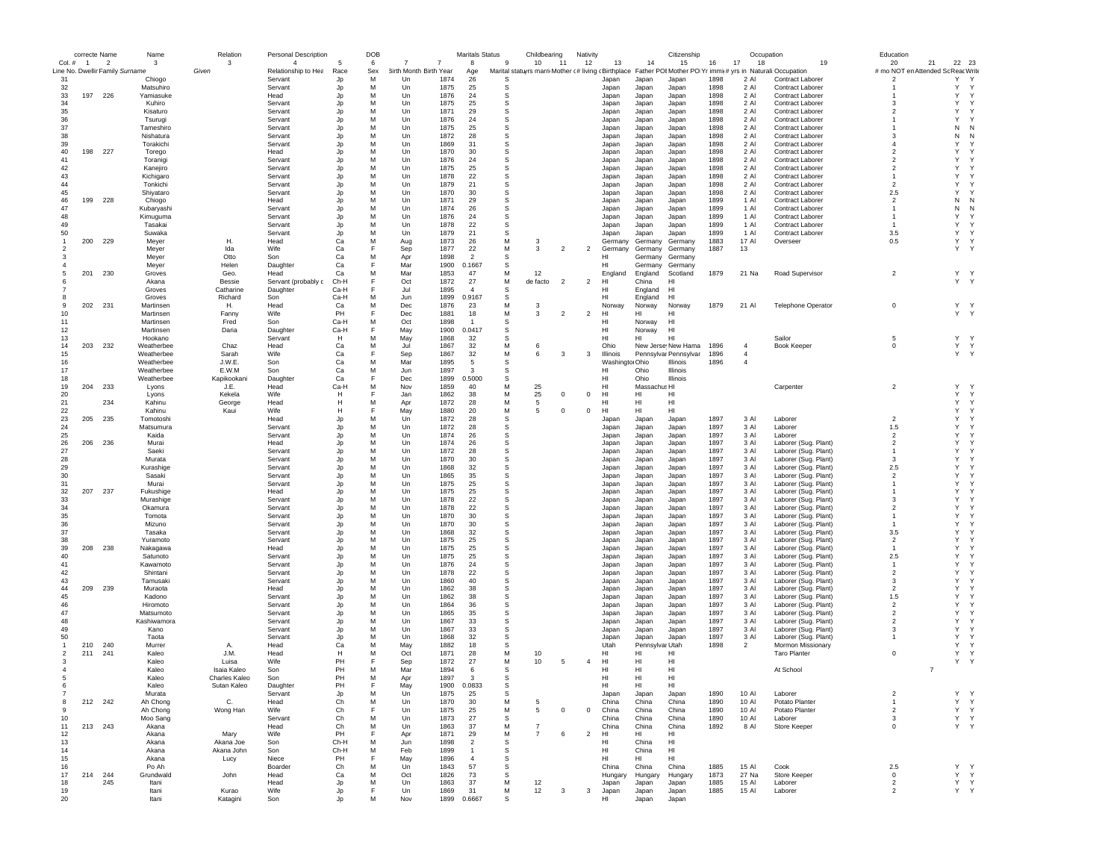|                | correcte Name  |                                 | Name                     | Relation        | <b>Personal Description</b>    |            | DOB      |                                      | <b>Maritals Status</b> |        | Childbearing                                                                                                 | Nativity       |                      |                      | Citizenship           |              | Occupation                       |                                  | Education                                |                |                   |
|----------------|----------------|---------------------------------|--------------------------|-----------------|--------------------------------|------------|----------|--------------------------------------|------------------------|--------|--------------------------------------------------------------------------------------------------------------|----------------|----------------------|----------------------|-----------------------|--------------|----------------------------------|----------------------------------|------------------------------------------|----------------|-------------------|
| $Col. \#$      | $\overline{1}$ | $\overline{2}$                  | -3                       | 3               | $\overline{4}$                 |            | 6        | 7<br>7                               | 8                      | -9     | 10<br>$-11$                                                                                                  | 12             | 13                   | 14                   | 15                    | 16           | 18<br>17                         | 19                               | 20<br># mo NOT en Attended Sc Reac Write | 21             | 22 23             |
| 31             |                | Line No. Dwellir Family Surname | Chiogo                   | Given           | Relationship to Hea<br>Servant | Race<br>Jp | Sex<br>M | 3irth Month Birth Year<br>1874<br>Un | Age<br>26              | S      | Marital statuyrs marri Mother (# living cBirthplace Father POIMother PO Yr immit# yrs in Naturali:Occupation |                | Japan                | Japan                | Japan                 | 1898         | 2 AI                             | <b>Contract Laborer</b>          | $\overline{2}$                           | Y              | Y                 |
| 32             |                |                                 | Matsuhiro                |                 | Servant                        | Jp         | M        | 1875<br>Un                           | 25                     | s      |                                                                                                              |                | Japan                | Japan                | Japan                 | 1898         | 2 Al                             | Contract Laborer                 |                                          | Y              | Y                 |
| 33             | 197            | 226                             | Yamiasuke                |                 | Head                           | Jp         | M        | Un<br>1876                           | 24                     | s      |                                                                                                              |                | Japan                | Japan                | Japan                 | 1898         | 2 Al                             | Contract Laborer                 |                                          | Y              | Y                 |
| 34             |                |                                 | Kuhiro                   |                 | Servant                        | Jp         | M        | 1875<br>Un                           | 25                     | S      |                                                                                                              |                | Japan                | Japan                | Japan                 | 1898         | 2 Al                             | <b>Contract Laborer</b>          | -3                                       | Y              | $\checkmark$      |
| 35             |                |                                 | Kisaturo                 |                 | Servant                        | Jp         | M        | Un<br>1871                           | 29                     | S      |                                                                                                              |                | Japan                | Japan                | Japan                 | 1898         | 2 Al                             | Contract Laborer                 | $\overline{\phantom{a}}$                 | Υ              | Y                 |
| 36             |                |                                 | Tsurugi                  |                 | Servant                        | Jp         | M        | 1876<br>Un                           | 24                     | s      |                                                                                                              |                | Japan                | Japan                | Japan                 | 1898         | 2 Al                             | Contract Laborer                 |                                          | Y              |                   |
| 37             |                |                                 | Tameshiro                |                 | Servant                        | Jp         | M        | Un<br>1875                           | 25                     | S      |                                                                                                              |                | Japan                | Japan                | Japan                 | 1898         | 2 Al                             | Contract Laborer                 |                                          | N              | N                 |
| 38             |                |                                 | Nishatura                |                 | Servant                        | Jp         | M        | Un<br>1872                           | 28                     | S      |                                                                                                              |                | Japan                | Japan                | Japan                 | 1898         | 2 AI                             | Contract Laborer                 | 3                                        | N              | N                 |
| 39             |                |                                 | Torakichi                |                 | Servant                        | Jp         | M        | 1869<br>Un                           | 31                     | S      |                                                                                                              |                | Japan                | Japan                | Japan                 | 1898         | 2 AI                             | <b>Contract Laborer</b>          | $\overline{4}$                           | Y              |                   |
| 40             | 198            | 227                             | Torego                   |                 | Head                           | Jp         | M        | Un<br>1870                           | 30                     | S      |                                                                                                              |                | Japan                | Japan                | Japan                 | 1898         | 2 Al                             | Contract Laborer                 | $\overline{2}$                           | Y              |                   |
| 41             |                |                                 | Toranigi                 |                 | Servant                        | Jp         | M        | Un<br>1876                           | 24                     | S      |                                                                                                              |                | Japan                | Japan                | Japan                 | 1898         | 2 Al                             | Contract Laborer                 | $\overline{2}$                           | Y              |                   |
| 42             |                |                                 | Kanejiro                 |                 | Servant                        | Jp         | M        | Un<br>1875                           | 25                     | s      |                                                                                                              |                | Japan                | Japan                | Japan                 | 1898         | 2 Al                             | Contract Laborer                 | $\overline{2}$                           | Y              |                   |
| 43             |                |                                 | Kichigaro                |                 | Servant                        | Jp         | M        | Un<br>1878                           | 22                     | s      |                                                                                                              |                | Japan                | Japan                | Japan                 | 1898         | 2 Al                             | Contract Laborer                 |                                          | Y              |                   |
| 44             |                |                                 | Tonkichi                 |                 | Servant                        | Jp         | M        | 1879<br>Un                           | 21                     | s      |                                                                                                              |                | Japan                | Japan                | Japan                 | 1898         | 2 Al                             | <b>Contract Laborer</b>          | $\overline{\phantom{a}}$                 | Y              |                   |
| 45             |                |                                 | Shiyataro                |                 | Servant                        | Jp         | M        | 1870<br>Un                           | 30                     | s      |                                                                                                              |                | Japan                | Japan                | Japan                 | 1898         | 2 Al                             | <b>Contract Laborer</b>          | 2.5                                      | Y              |                   |
| 46             | 199            | 228                             | Chiogo                   |                 | Head                           | Jp         | M        | Un<br>1871                           | 29                     | S      |                                                                                                              |                | Japan                | Japan                | Japan                 | 1899         | 1 Al                             | <b>Contract Laborer</b>          | $\overline{2}$                           | N              | N                 |
| 47             |                |                                 | Kubaryashi               |                 | Servant                        | Jp         | M        | Un<br>1874                           | 26                     | s      |                                                                                                              |                | Japan                | Japan                | Japan                 | 1899         | 1 Al                             | Contract Laborer                 |                                          | N              | N                 |
| 48             |                |                                 | Kimuguma                 |                 | Servant                        | Jp         | M        | Un<br>1876                           | 24                     | s      |                                                                                                              |                | Japan                | Japan                | Japan                 | 1899         | 1 Al                             | <b>Contract Laborer</b>          | $\mathbf{1}$                             | Y              | Y                 |
| 49             |                |                                 | Tasakai                  |                 | Servant                        | Jp         | M        | 1878<br>Un                           | 22                     | S      |                                                                                                              |                | Japan                | Japan                | Japan                 | 1899         | 1 Al                             | Contract Laborer                 | $\mathbf{1}$                             | Y              | Y                 |
| 50             |                |                                 | Suwaka                   |                 | Servant                        | Jp         | M        | $_{\text{Un}}$<br>1879               | 21                     | S      |                                                                                                              |                | Japan                | Japan                | Japan                 | 1899         | 1 Al                             | Contract Laborer                 | 3.5                                      | $\mathsf{Y}$   | Y                 |
|                | 200            | 229                             | Mever                    | Η.              | Head                           | Ca         | M        | 1873<br>Aug                          | 26                     | М      | 3                                                                                                            |                | Germany              | Germany              | Germany               | 1883         | 17 Al                            | Oversee                          | 0.5                                      | Y              | Y                 |
|                |                |                                 | Meyer                    | Ida             | Wife                           | Ca         |          | 1877<br>Sep                          | 22                     | M      | 3<br>$\overline{2}$                                                                                          | $\overline{2}$ | Germany              | Germany              | Germany               | 1887         | 13                               |                                  |                                          | Υ              |                   |
|                |                |                                 | Meyer                    | Otto            | Son                            | Ca         | M        | 1898<br>Apr                          | $\overline{2}$         | S      |                                                                                                              |                | нı                   | Germany              | Germany               |              |                                  |                                  |                                          |                |                   |
|                |                |                                 | Meyer                    | Helen           | Daughter                       | Ca         |          | Mar<br>1900                          | 0.1667                 | s      |                                                                                                              |                | HI                   | Germany              | Germany               |              |                                  |                                  |                                          |                |                   |
|                | 201            | - 230                           | Groves                   | Geo.            | Head                           | Ca         | M        | 1853<br>Mar                          | 47                     | M      | 12                                                                                                           |                | England              | England              | Scotland              | 1879         | 21 Na                            | Road Supervisor                  | $\overline{2}$                           |                | Y Y               |
|                |                |                                 | Akana                    | Bessie          | Servant (probably c            | Ch-H       | F        | Oct<br>1872                          | 27                     | M      | de facto<br>$\overline{2}$                                                                                   | $\overline{2}$ | HI                   | China                | HI                    |              |                                  |                                  |                                          |                | Y Y               |
|                |                |                                 | Groves                   | Catharine       | Daughter                       | Ca-H       | F        | Jul<br>1895                          | $\overline{4}$         | S      |                                                                                                              |                | HI                   | England              | HI                    |              |                                  |                                  |                                          |                |                   |
|                |                |                                 | Groves                   | Richard         | Son                            | Ca-H       | M        | 1899<br>Jun                          | 0.9167                 | s      |                                                                                                              |                | HI                   | England              | HI                    |              |                                  |                                  |                                          |                |                   |
| -9             | 202 231        |                                 | Martinsen                | Η.              | Head                           | Ca         | M        | Dec<br>1876                          | 23                     | M      | 3                                                                                                            |                | Norway               | Norway               | Norway                | 1879         | 21 Al                            | <b>Telephone Operator</b>        | $^{\circ}$                               |                | Y Y               |
| 10             |                |                                 | Martinsen                | Fanny           | Wife                           | PH         | E        | 1881<br>Dec                          | 18                     | M      | 3<br>$\mathfrak{p}$                                                                                          | $\overline{c}$ | H <sub>II</sub>      | HI                   | HI                    |              |                                  |                                  |                                          |                | Y Y               |
| 11             |                |                                 | Martinsen                | Fred            | Son                            | Ca-H       | M        | Oct<br>1898                          | -1                     | S      |                                                                                                              |                | HI                   | Norway               | H <sub>1</sub>        |              |                                  |                                  |                                          |                |                   |
| 12             |                |                                 | Martinsen                | Daria           | Daughter                       | Ca-H       | F        | May<br>1900                          | 0.0417                 | S      |                                                                                                              |                | HI                   | Norway               | HI                    |              |                                  |                                  |                                          |                |                   |
| 13             |                |                                 | Hookano                  |                 | Servant                        | H          | M        | 1868<br>May                          | 32                     | s      |                                                                                                              |                | HI                   | HI                   | HI                    |              |                                  | Sailor                           | 5                                        |                | Y Y               |
| 14             | 203            | 232                             | Weatherbee               | Chaz            | Head                           | Ca         | M        | Jul<br>1867                          | 32                     | М      | 6                                                                                                            |                | Ohio                 |                      | New Jerse New Hama    | 1896         | $\overline{4}$                   | <b>Book Keeper</b>               | $^{\circ}$                               |                | Y Y               |
| 15             |                |                                 | Weatherbee               | Sarah           | Wife                           | Ca         | E<br>M   | Sep<br>1867                          | 32                     | М<br>S | 3<br>6                                                                                                       | 3              | Illinois             |                      | Pennsylvar Pennsylvar | 1896         | $\overline{4}$<br>$\overline{4}$ |                                  |                                          |                | Y Y               |
| 16<br>17       |                |                                 | Weatherbee<br>Weatherbee | J.W.E.<br>E.W.M | Son<br>Son                     | Ca<br>Ca   | M        | Mar<br>1895<br>Jun<br>1897           | -5<br>3                | S      |                                                                                                              |                | Washingto Ohio<br>HI | Ohio                 | Illinois<br>Illinois  | 1896         |                                  |                                  |                                          |                |                   |
|                |                |                                 |                          |                 |                                |            | F        |                                      |                        | S      |                                                                                                              |                |                      |                      |                       |              |                                  |                                  |                                          |                |                   |
| 18<br>19       | 204            | 233                             | Weatherbee               | Kapikookani     | Daughter                       | Ca<br>Ca-H | M        | Dec<br>1899<br>1859                  | 0.5000<br>40           | M      | 25                                                                                                           |                | HI<br>HI             | Ohio<br>Massachus HI | Illinois              |              |                                  |                                  | $\overline{2}$                           | Y              |                   |
| 20             |                |                                 | Lyons<br>Lyons           | J.E.<br>Kekela  | Head<br>Wife                   | H          | E        | Nov<br>1862<br>Jan                   | 38                     | M      | 25<br>$^{\circ}$                                                                                             | $^{\circ}$     | HI                   | HI                   | HI                    |              |                                  | Carpenter                        |                                          | Y              | Y                 |
| 21             |                | 234                             | Kahinu                   | George          | Head                           | H          | M        | 1872<br>Apr                          | 28                     | M      | 5                                                                                                            |                | HI                   | HI                   | HI                    |              |                                  |                                  |                                          | Y              | Y                 |
| 22             |                |                                 | Kahinu                   |                 | Wife                           | H          |          | 1880                                 | 20                     | M      | 5<br>$^{\circ}$                                                                                              | $^{\circ}$     | H <sub>II</sub>      | HI                   | HI                    |              |                                  |                                  |                                          | Y              | Y                 |
| 23             | 205            | 235                             | Tomotoshi                | Kaui            | Head                           | Jp         | M        | May<br>Un<br>1872                    | 28                     | S      |                                                                                                              |                | Japan                | Japan                | Japan                 | 1897         | 3 Al                             | Laborer                          | $\overline{2}$                           | Y              | Y                 |
| 24             |                |                                 | Matsumura                |                 | Servant                        | Jp         | M        | Un<br>1872                           | 28                     | s      |                                                                                                              |                | Japan                | Japan                | Japan                 | 1897         | 3 Al                             | Laborer                          | 1.5                                      | Y              | Y                 |
| 25             |                |                                 | Kaida                    |                 | Servant                        | Jp         | M        | Un<br>1874                           | 26                     | s      |                                                                                                              |                | Japan                | Japan                | Japan                 | 1897         | 3 Al                             | Laborer                          | $\overline{\mathbf{2}}$                  | Y              | Y                 |
| 26             | 206 236        |                                 | Murai                    |                 | Head                           | Jp         | M        | 1874<br>Un                           | 26                     | s      |                                                                                                              |                | Japan                | Japan                | Japan                 | 1897         | 3 Al                             | Laborer (Sug. Plant)             | $\overline{2}$                           | Y              | Y                 |
| 27             |                |                                 | Saeki                    |                 | Servant                        | Jp         | M        | 1872<br>Un                           | 28                     | S      |                                                                                                              |                | Japan                | Japan                | Japan                 | 1897         | 3 Al                             | Laborer (Sug. Plant)             | $\mathbf{1}$                             | Y              | $\checkmark$      |
| 28             |                |                                 | Murata                   |                 | Servant                        | Jp         | M        | Un<br>1870                           | 30                     | S      |                                                                                                              |                | Japan                | Japan                | Japan                 | 1897         | 3 Al                             | Laborer (Sug. Plant)             | 3                                        | Y              |                   |
| 29             |                |                                 | Kurashige                |                 | Servant                        | Jp         | M        | Un<br>1868                           | 32                     | s      |                                                                                                              |                | Japan                | Japan                | Japan                 | 1897         | 3 Al                             | Laborer (Sug. Plant)             | 2.5                                      | Y              |                   |
| 30             |                |                                 | Sasaki                   |                 | Servant                        | Jp         | M        | Un<br>1865                           | 35                     | s      |                                                                                                              |                | Japan                | Japan                | Japan                 | 1897         | 3 Al                             | Laborer (Sug. Plant)             | $\overline{2}$                           | Y              |                   |
| 31             |                |                                 | Murai                    |                 | Servant                        | Jp         | M        | Un<br>1875                           | 25                     | s      |                                                                                                              |                | Japan                | Japan                | Japan                 | 1897         | 3 Al                             | Laborer (Sug. Plant)             | -1                                       | Y              |                   |
| 32             | 207            | 237                             | Fukushige                |                 | Head                           | Jp         | M        | 1875<br>Un                           | 25                     | S      |                                                                                                              |                | Japan                | Japan                | Japan                 | 1897         | 3 Al                             | Laborer (Sug. Plant)             |                                          | Y              |                   |
| 33             |                |                                 | Murashige                |                 | Servant                        | Jp         | M        | Un<br>1878                           | 22                     | S      |                                                                                                              |                | Japan                | Japan                | Japan                 | 1897         | 3 Al                             | Laborer (Sug. Plant)             | 3                                        | Y              |                   |
| 34             |                |                                 | Okamura                  |                 | Servant                        | Jp         | M        | Un<br>1878                           | 22                     | S      |                                                                                                              |                | Japan                | Japan                | Japan                 | 1897         | 3 Al                             | Laborer (Sug. Plant)             | $\overline{2}$                           | Y              |                   |
| 35             |                |                                 | Tomota                   |                 | Servant                        | Jp         | M        | Un<br>1870                           | 30                     | s      |                                                                                                              |                | Japan                | Japan                | Japan                 | 1897         | 3 Al                             | Laborer (Sug. Plant)             | $\mathbf{1}$                             | Y              |                   |
| 36             |                |                                 | Mizuno                   |                 | Servant                        | Jp         | M        | Un<br>1870                           | 30                     | s      |                                                                                                              |                | Japan                | Japan                | Japan                 | 1897         | 3 Al                             | Laborer (Sug. Plant)             | $\mathbf{1}$                             | Y              |                   |
| 37             |                |                                 | Tasaka                   |                 | Servant                        | Jp         | M        | 1868<br>Un                           | 32                     | s      |                                                                                                              |                | Japan                | Japan                | Japan                 | 1897         | 3 Al                             | Laborer (Sug. Plant)             | 3.5                                      | Y              |                   |
| 38             |                |                                 | Yuramoto                 |                 | Servant                        | Jp         | M        | 1875<br>Un                           | 25                     | s      |                                                                                                              |                | Japan                | Japan                | Japan                 | 1897         | 3 Al                             | Laborer (Sug. Plant)             | $\overline{2}$                           | Y              |                   |
| 39             | 208            | 238                             | Nakagawa                 |                 | Head                           | Jp         | M        | Un<br>1875                           | 25                     | S      |                                                                                                              |                | Japan                | Japan                | Japan                 | 1897         | 3 Al                             | Laborer (Sug. Plant)             | $\mathbf{1}$                             | Y              |                   |
| 40             |                |                                 | Satunoto                 |                 | Servant                        | Jp         | M        | 1875<br>Un                           | 25                     | s      |                                                                                                              |                | Japan                | Japan                | Japan                 | 1897         | 3 Al                             | Laborer (Sug. Plant)             | 2.5                                      | Y              | Y                 |
| 41             |                |                                 | Kawamoto                 |                 | Servant                        | Jp         | M        | Un<br>1876                           | 24                     | s      |                                                                                                              |                | Japan                | Japan                | Japan                 | 1897         | 3 Al                             | Laborer (Sug. Plant)             | $\overline{1}$                           | Y              | Y                 |
| 42             |                |                                 | Shintani                 |                 | Servant                        | Jp         | M        | 1878<br>Un                           | 22                     | S      |                                                                                                              |                | Japan                | Japan                | Japan                 | 1897         | 3 Al                             | Laborer (Sug. Plant)             | $\overline{2}$                           | Y              | Y                 |
| 43             |                |                                 | Tamusaki                 |                 | Servant                        | Jp         | M        | 1860<br>Un                           | 40                     | S      |                                                                                                              |                | Japan                | Japan                | Japan                 | 1897         | 3 Al                             | Laborer (Sug. Plant)             | 3                                        | Y              | $\checkmark$      |
| 44             | 209            | 239                             | Muraota                  |                 | Head                           | Jp         | M        | Un<br>1862                           | 38                     | S      |                                                                                                              |                | Japan                | Japan                | Japan                 | 1897         | 3 Al                             | Laborer (Sug. Plant)             | $\overline{2}$                           | Y              |                   |
| 45             |                |                                 | Kadono                   |                 | Servant                        | Jp         | M        | Un<br>1862                           | 38                     | S      |                                                                                                              |                | Japan                | Japan                | Japan                 | 1897         | 3 Al                             | Laborer (Sug. Plant)             | 1.5                                      | Y              |                   |
| 46             |                |                                 | Hiromoto                 |                 | Servant                        | Jp         | M        | Un<br>1864                           | 36                     | S      |                                                                                                              |                | Japan                | Japan                | Japan                 | 1897         | 3 Al                             | Laborer (Sug. Plant)             | $\overline{2}$                           | Y              |                   |
| 47             |                |                                 | Matsumoto                |                 | Servant                        | Jp         | M        | Un<br>1865                           | 35                     | s      |                                                                                                              |                | Japan                | Japan                | Japan                 | 1897         | 3 Al                             | Laborer (Sug. Plant)             | $\overline{\mathbf{2}}$                  | Y              | Y                 |
| 48             |                |                                 | Kashiwamora              |                 | Servant                        | Jp         | M        | Un<br>1867                           | 33                     | S      |                                                                                                              |                | Japan                | Japan                | Japan                 | 1897         | 3 Al                             | Laborer (Sug. Plant)             | $\overline{2}$                           | Y              | $\checkmark$      |
| 49             |                |                                 | Kano                     |                 | Servant                        | Jp         | M        | Un<br>1867                           | 33                     | S      |                                                                                                              |                | Japan                | Japan                | Japan                 | 1897         | 3 Al                             | Laborer (Sug. Plant)             | 3                                        | Y              | $\mathsf{Y}$      |
| 50             |                |                                 | Taota                    |                 | Servant                        | Jp         | M        | Un<br>1868                           | 32                     | S      |                                                                                                              |                | Japan                | Japan                | Japan                 | 1897         | 3 Al                             | Laborer (Sug. Plant)             |                                          | Y              | $\mathsf{Y}$      |
|                | 210            | 240                             | Murrer                   | Α.              | Head                           | Ca         | M        | May<br>1882                          | 18                     | S      |                                                                                                              |                | Utah                 | Pennsylvar Utah      |                       | 1898         | $\overline{2}$                   | Mormon Missionary                |                                          | Y              | Y                 |
| $\overline{2}$ | 211            | 241                             | Kaleo                    | J.M.            | Head<br>Wife                   | H<br>PH    | M        | Oct<br>1871                          | 28<br>27               | M<br>M | 10                                                                                                           |                | HI<br>HI             | HI                   | HI<br>HI              |              |                                  | <b>Taro Planter</b>              | $^{\circ}$                               | Y<br>Υ         | Y<br>$\mathsf{Y}$ |
|                |                |                                 | Kaleo<br>Kaleo           | Luisa           |                                | PH         | M        | 1872<br>Sep<br>1894                  | 6                      | S      | 10<br>-5                                                                                                     | $\overline{4}$ | HI                   | HI<br>HI             | HI                    |              |                                  |                                  |                                          | $\overline{7}$ |                   |
|                |                |                                 |                          | Isaia Kaleo     | Son                            | PH         | M        | Mar                                  |                        | S      |                                                                                                              |                |                      |                      | HI                    |              |                                  | At School                        |                                          |                |                   |
|                |                |                                 | Kaleo                    | Charles Kaleo   | Son                            |            |          | 1897<br>Apr                          | 3                      |        |                                                                                                              |                | HI                   | HI                   |                       |              |                                  |                                  |                                          |                |                   |
| $\overline{7}$ |                |                                 | Kaleo                    | Sutan Kaleo     | Daughte                        | PH         | м        | 1900<br>ma'                          | 0.0833                 | s      |                                                                                                              |                |                      | HI                   | HI                    |              | 10 Al                            |                                  | $\overline{2}$                           | Y              | Y                 |
| 8              |                |                                 | Murata                   | C.              | Servant                        | Jp         | M        | Un<br>1875<br>1870                   | 25                     | M      | 5                                                                                                            |                | Japan<br>China       | Japan                | Japan                 | 1890         | 10 Al                            | Laborer                          | $\overline{1}$                           | Y              | Y                 |
| -9             | 212 242        |                                 | Ah Chong<br>Ah Chong     | Wong Han        | Head<br>Wife                   | Ch<br>Ch   | E        | Un<br>1875<br>Un                     | 30<br>25               | М      | $^{\circ}$<br>5                                                                                              | 0              | China                | China<br>China       | China<br>China        | 1890<br>1890 | 10 Al                            | Potato Planter<br>Potato Planter | $\overline{2}$                           | Y              | Y                 |
| 10             |                |                                 | Moo Sang                 |                 | Servant                        | Ch         | M        | Un<br>1873                           | 27                     | S      |                                                                                                              |                | China                | China                | China                 | 1890         | 10 Al                            | Laborer                          | 3                                        |                | Y Y               |
| 11             | 213 243        |                                 | Akana                    |                 | Head                           | Ch         | M        | Un<br>1863                           | 37                     | M      | $\overline{7}$                                                                                               |                | China                | China                | China                 | 1892         | 8 AI                             | Store Keeper                     | $\mathbf 0$                              |                | Y Y               |
| 12             |                |                                 | Akana                    | Mary            | Wife                           | PH         | F        | 1871<br>Apr                          | 29                     | М      | $\overline{7}$<br>6                                                                                          | $\overline{c}$ | HI                   | HI                   | HI                    |              |                                  |                                  |                                          |                |                   |
| 13             |                |                                 | Akana                    | Akana Joe       | Son                            | Ch-H       | M        | Jun<br>1898                          | $\overline{2}$         | s      |                                                                                                              |                | HI                   | China                | HI                    |              |                                  |                                  |                                          |                |                   |
| 14             |                |                                 | Akana                    | Akana John      | Son                            | Ch-H       | M        | Feb<br>1899                          | $\overline{1}$         | s      |                                                                                                              |                | HI                   | China                | H <sub>II</sub>       |              |                                  |                                  |                                          |                |                   |
| 15             |                |                                 | Akana                    | Lucy            | Niece                          | PH         | F        | May<br>1896                          | $\overline{4}$         | s      |                                                                                                              |                | HI                   | HI                   | HI                    |              |                                  |                                  |                                          |                |                   |
| 16             |                |                                 | Po Ah                    |                 | Boarder                        | Ch         | M        | Un<br>1843                           | 57                     | s      |                                                                                                              |                | China                | China                | China                 | 1885         | 15 Al                            | Cook                             | 2.5                                      |                | Y Y               |
| 17             | 214 244        |                                 | Grundwald                | John            | Head                           | Ca         | M        | 1826<br>Oct                          | 73                     | s      |                                                                                                              |                | Hungary              | Hungary              | Hungary               | 1873         | 27 Na                            | Store Keeper                     | $\mathbf 0$                              |                | Y Y               |
| 18             |                | 245                             | Itani                    |                 | Head                           | Jp         | M        | Un<br>1863                           | 37                     | М      | 12                                                                                                           |                | Japan                | Japan                | Japan                 | 1885         | 15 AI                            | Laborer                          | $\overline{2}$                           |                | Y Y               |
| 19             |                |                                 | Itani                    | Kurao           | Wife                           | Jp         | E        | Un<br>1869                           | 31                     | М      | 12<br>3                                                                                                      | 3              | Japan                | Japan                | Japan                 | 1885         | 15 Al                            | Laborer                          | $\overline{\mathbf{2}}$                  |                | Y Y               |
| 20             |                |                                 | Itani                    | Katagini        | Son                            | Jo         | M        | 1899<br>Nov                          | 0.6667                 | S      |                                                                                                              |                | HI                   | Japan                | Japan                 |              |                                  |                                  |                                          |                |                   |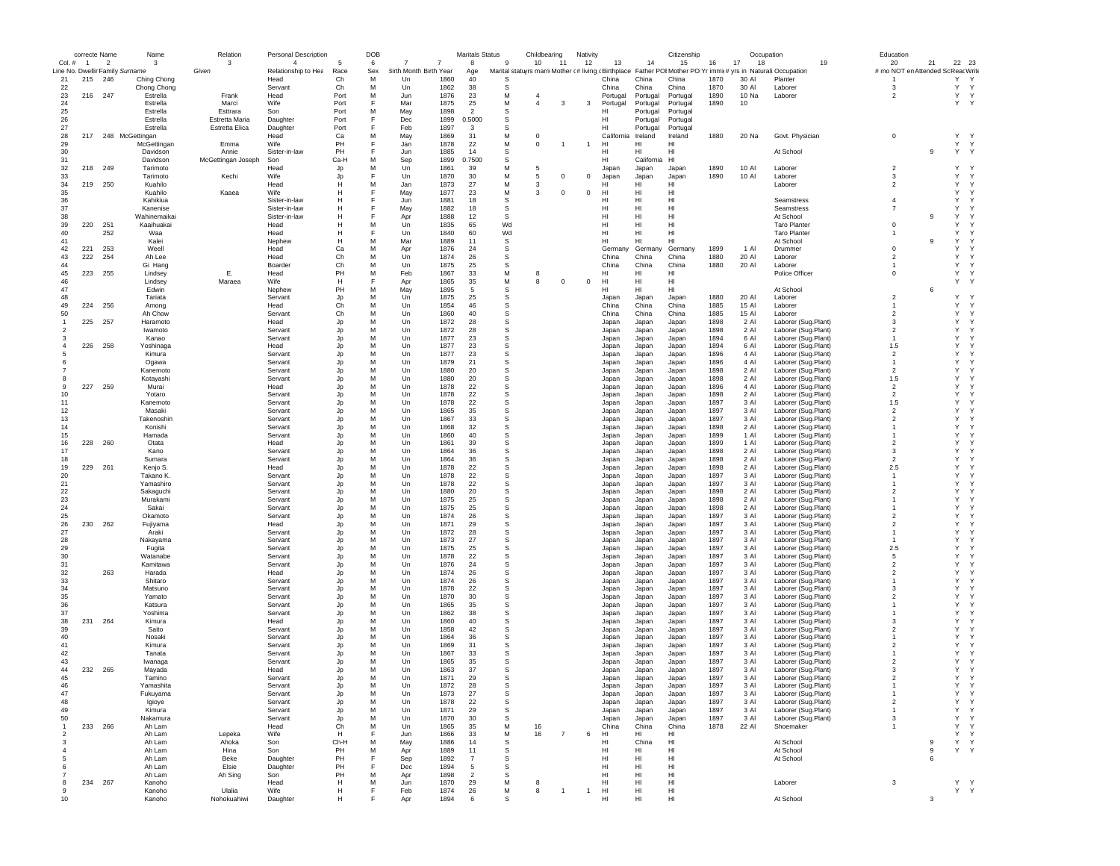|                | correcte Name  |                          | Name                            | Relation           | Personal Description |               | DOB      |                            | Maritals Status |              | Childbearing   |                | Nativity       |                 |                | Citizenship                                                                                                   |              | Occupation     |                                            | Education                          |              |              |
|----------------|----------------|--------------------------|---------------------------------|--------------------|----------------------|---------------|----------|----------------------------|-----------------|--------------|----------------|----------------|----------------|-----------------|----------------|---------------------------------------------------------------------------------------------------------------|--------------|----------------|--------------------------------------------|------------------------------------|--------------|--------------|
| Col. #         | $\overline{1}$ | $\overline{\phantom{a}}$ | 3                               | 3                  | $\overline{4}$       | -5            | 6        | 7<br>7                     | 8               | 9            | 10             | 11             | 12             | 13              | 14             | 15                                                                                                            | 16           | 17<br>18       | 19                                         | 20<br>21                           |              | 22 23        |
|                |                |                          | Line No. Dwellir Family Surname | Given              | Relationship to Hea  | Race          | Sex<br>M | 3irth Month Birth Year     | Age             |              |                |                |                |                 |                | Marital statuyrs marri Mother (#living (Birthplace Father POI Mother PO Yr immi(# yrs in Naturali: Occupation |              |                |                                            | # mo NOT en Attended Sc Reac Write | Y            | $\mathsf{Y}$ |
| 21<br>22       | 215            | 246                      | Ching Chong<br>Chong Chong      |                    | Head<br>Servant      | Ch<br>Ch      | M        | Un<br>1860<br>1862<br>Un   | 40<br>38        | -S<br>-S     |                |                |                | China<br>China  | China<br>China | China<br>China                                                                                                | 1870<br>1870 | 30 AI<br>30 Al | Planter<br>Laborer                         | 3                                  | Y            | Y            |
| 23             |                | 216 247                  | Estrella                        | Frank              | Head                 | Port          | M        | 1876<br>Jun                | 23              | M            |                |                |                | Portugal        | Portugal       | Portugal                                                                                                      | 1890         | 10 Na          | Laborer                                    | $\overline{2}$                     | Y            | Y            |
| 24             |                |                          | Estrella                        | Marci              | Wife                 | Port          |          | Mar<br>1875                | 25              | М            | $\overline{4}$ | 3              | 3              | Portugal        | Portugal       | Portugal                                                                                                      | 1890         | 10             |                                            |                                    |              | Y Y          |
| 25             |                |                          | Estrella                        | Esttrara           | Son                  | Port          | м        | 1898<br>May                | $\mathcal{P}$   | S            |                |                |                | нı              | Portugal       | Portugal                                                                                                      |              |                |                                            |                                    |              |              |
| 26             |                |                          | Estrella                        | Estretta Maria     | Daughter             | Port          |          | Dec<br>1899                | 0.5000          | S            |                |                |                | HI              | Portugal       | Portugal                                                                                                      |              |                |                                            |                                    |              |              |
| 27             |                |                          | Estrella                        | Estretta Elica     | Daughter             | Port          |          | Feb<br>1897                | 3               | S            |                |                |                | HI              | Portugal       | Portugal                                                                                                      |              |                |                                            |                                    |              |              |
| 28             | 217            |                          | 248 McGettingan                 |                    | Head                 | Ca            | M        | May<br>1869                | 31              | M            | $\mathbf 0$    |                |                | California      | Ireland        | Ireland                                                                                                       | 1880         | 20 Na          | Govt. Physician                            | $^{\circ}$                         | Y            | $\mathsf{Y}$ |
| 29             |                |                          | McGettingan                     | Emma               | Wife                 | PH            | E        | Jan<br>1878                | 22              | M            | $^{\circ}$     |                | $\overline{1}$ | HI              | HI             | HI                                                                                                            |              |                |                                            |                                    | Y            | Y            |
| 30             |                |                          | Davidson                        | Annie              | Sister-in-law        | PH            |          | 1885<br>Jun                | 14              | s            |                |                |                | нı              | HI             | HI                                                                                                            |              |                | At School                                  | 9                                  |              | Y Y          |
| 31             |                |                          | Davidson                        | McGettingan Joseph | Son                  | Ca-H          | M        | 1899<br>Sep                | 0.7500          | s            |                |                |                | H <sub>II</sub> | California     | H <sub>1</sub>                                                                                                |              |                |                                            |                                    |              |              |
| 32             | 218            | 249                      | Tarimoto<br>Tarimoto            |                    | Head<br>Wife         | Jp<br>Jp      | M        | Un<br>1861<br>Un<br>1870   | 39<br>30        | М            | -5<br>5        | $^{\circ}$     | $\mathbf 0$    | Japan           | Japan          | Japan                                                                                                         | 1890<br>1890 | 10 AI          | Laborer                                    | $\overline{2}$<br>3                | Y<br>Y       | Y<br>Y       |
| 33<br>34       | 219            | 250                      | Kuahilo                         | Kechi              | Head                 | н             | м        | Jan<br>1873                | 27              | М<br>М       | 3              |                |                | Japan<br>HI     | Japan<br>HI    | Japan<br>HI                                                                                                   |              | 10 Al          | Laborer<br>Laborer                         | $\overline{2}$                     | Y            | Y            |
| 35             |                |                          | Kuahilo                         | Kaaea              | Wife                 | н             |          | May<br>1877                | 23              | М            | 3              | $^{\circ}$     | $\,0\,$        | HI              | HI             | HI                                                                                                            |              |                |                                            |                                    | Y            | Y            |
| 36             |                |                          | Kahikiua                        |                    | Sister-in-law        | н             |          | 1881<br>Jun                | 18              | s            |                |                |                | нı              | HI             | HI                                                                                                            |              |                | Seamstress                                 | $\overline{4}$                     | Y            |              |
| 37             |                |                          | Kanenise                        |                    | Sister-in-law        | н             |          | May<br>1882                | 18              | S            |                |                |                | HI              | HI             | HI                                                                                                            |              |                | Seamstress                                 | $\overline{7}$                     | Y            |              |
| 38             |                |                          | Wahinemaikai                    |                    | Sister-in-law        | Н             |          | 1888<br>Apr                | 12              | S            |                |                |                | нı              | HI             | HI                                                                                                            |              |                | At School                                  | 9                                  | Y            |              |
| 39             | 220            | 251                      | Kaaihuakai                      |                    | Head                 | Н             | M        | Un<br>1835                 | 65              | Wd           |                |                |                | HI              | HI             | HI                                                                                                            |              |                | <b>Taro Planter</b>                        | $^{\circ}$                         | Y            |              |
| 40             |                | 252                      | Waa                             |                    | Head                 | н             |          | Un<br>1840                 | 60              | Wd           |                |                |                | HI              | HI             | HI                                                                                                            |              |                | <b>Taro Planter</b>                        |                                    | Y            | Y            |
| 41             |                |                          | Kalei                           |                    | Nephew               | н             | M        | 1889<br>Mar                | 11              | s            |                |                |                | HI              | HI             | HI                                                                                                            |              |                | At School                                  | 9                                  | Y            |              |
| 42             | 221            | 253                      | Weell                           |                    | Head                 | Ca            | M        | Apr<br>1876                | 24              | s            |                |                |                | German          | Germany        | Germany                                                                                                       | 1899         | 1 Al           | Drummer                                    | $^{\circ}$                         | Y            |              |
| 43             | 222            | 254                      | Ah Lee                          |                    | Head                 | Ch            | M        | Un<br>1874                 | 26              | S            |                |                |                | China           | China          | China                                                                                                         | 1880         | 20 Al          | Laborer                                    | $\overline{2}$                     | Y            | Y            |
| 44             |                |                          | Gi Hang                         |                    | Boarder              | Ch            | M        | Un<br>1875                 | 25              | S            |                |                |                | China           | China          | China                                                                                                         | 1880         | 20 Al          | Laborer                                    |                                    | Y            | Y            |
| 45<br>46       | 223            | 255                      | Lindsey                         | Ε.<br>Maraea       | Head<br>Wife         | PH<br>н       | м        | Feb<br>1867<br>1865<br>Apr | 33<br>35        | М<br>М       | 8<br>8         | $\Omega$       | $\mathsf 0$    | HI<br>HI        | HI<br>HI       | HI<br>HI                                                                                                      |              |                | Police Officer                             | $\mathbf 0$                        | Y<br>Y       | Y            |
| 47             |                |                          | Lindsey<br>Edwin                |                    | Nephew               | PH            | M        | 1895<br>May                | -5              | S            |                |                |                | HI              | HI             | HI                                                                                                            |              |                | At School                                  | 6                                  |              |              |
| 48             |                |                          | Tariata                         |                    | Servant              | Jp            | M        | Un<br>1875                 | 25              | -S           |                |                |                | Japan           | Japan          | Japan                                                                                                         | 1880         | 20 AI          | Laborer                                    | $\overline{2}$                     | Y            |              |
| 49             | 224            | 256                      | Among                           |                    | Head                 | Ch            | M        | 1854<br>Un                 | 46              | s            |                |                |                | China           | China          | China                                                                                                         | 1885         | 15 Al          | Laborer                                    |                                    | Y            |              |
| 50             |                |                          | Ah Chow                         |                    | Servant              | Ch            | M        | Un<br>1860                 | 40              | s            |                |                |                | China           | China          | China                                                                                                         | 1885         | 15 AI          | Laborer                                    | $\overline{2}$                     | Y            | Y            |
| $\mathbf{1}$   | 225            | 257                      | Haramoto                        |                    | Head                 | Jp            | M        | Un<br>1872                 | 28              | S            |                |                |                | Japan           | Japan          | Japan                                                                                                         | 1898         | 2 Al           | Laborer (Sug.Plant)                        | 3                                  | Y            | Y            |
| -2             |                |                          | Iwamoto                         |                    | Servant              | Jp            | M        | 1872<br>Un                 | 28              | <b>S</b>     |                |                |                | Japan           | Japan          | Japan                                                                                                         | 1898         | 2 AI           | Laborer (Sug.Plant)                        | $\overline{\phantom{a}}$           | Y            |              |
| $\mathbf{3}$   |                |                          | Kanao                           |                    | Servant              | $\mathsf{Jp}$ | M        | Un<br>1877                 | 23              | S            |                |                |                | Japan           | Japan          | Japan                                                                                                         | 1894         | 6 Al           | Laborer (Sug.Plant)                        | $\overline{1}$                     | Y            |              |
| $\overline{4}$ | 226            | 258                      | Yoshinaga                       |                    | Head                 | Jp            | M        | Un<br>1877                 | 23              | S            |                |                |                | Japan           | Japan          | Japan                                                                                                         | 1894         | 6 Al           | Laborer (Sug.Plant)                        | 1.5                                | Y            |              |
|                |                |                          | Kimura                          |                    | Servant              | Jp            | M        | Un<br>1877                 | 23              | s            |                |                |                | Japan           | Japan          | Japan                                                                                                         | 1896         | 4 Al           | Laborer (Sug.Plant)                        | $\overline{2}$                     | Y            |              |
|                |                |                          | Ogawa                           |                    | Servant              | Jp            | м        | Un<br>1879                 | 21              | s            |                |                |                | Japan           | Japan          | Japan                                                                                                         | 1896         | 4 Al           | Laborer (Sug.Plant)                        | $\overline{1}$                     | Y            |              |
|                |                |                          | Kanemoto                        |                    | Servant              | Jp            | M        | 1880<br>Un                 | 20              | s            |                |                |                | Japan           | Japan          | Japan                                                                                                         | 1898         | 2 Al           | Laborer (Sug.Plant)                        | $\overline{2}$                     | Y            |              |
| -8             |                |                          | Kotayashi                       |                    | Servant              | Jp            | M        | 1880<br>Un                 | 20              | S            |                |                |                | Japan           | Japan          | Japan                                                                                                         | 1898         | 2 Al           | Laborer (Sug.Plant)                        | 1.5                                | Y            |              |
| 9              | 227            | 259                      | Murai                           |                    | Head                 | Jp            | M        | Un<br>1878                 | 22              | S            |                |                |                | Japan           | Japan          | Japan                                                                                                         | 1896         | 4 Al           | Laborer (Sug.Plant)                        | $\overline{2}$                     | Y            |              |
| 10             |                |                          | Yotaro                          |                    | Servant              | Jp            | M        | Un<br>1878                 | 22              | S            |                |                |                | Japan           | Japan          | Japan                                                                                                         | 1898         | 2 Al           | Laborer (Sug.Plant)                        | $\overline{2}$                     | Y            |              |
| 11             |                |                          | Kanemoto                        |                    | Servant              | Jp            | M        | Un<br>1878                 | 22              | s            |                |                |                | Japan           | Japan          | Japan                                                                                                         | 1897         | 3 Al           | Laborer (Sug.Plant)                        | 1.5                                | Y            |              |
| 12             |                |                          | Masaki                          |                    | Servant              | Jp            | M        | Un<br>1865                 | 35              | S            |                |                |                | Japan           | Japan          | Japan                                                                                                         | 1897         | 3 Al           | Laborer (Sug.Plant)                        | $\overline{2}$                     | Y            |              |
| 13             |                |                          | Takenoshin                      |                    | Servant              | Jp            | M<br>M   | 1867<br>Un                 | 33              | <sub>S</sub> |                |                |                | Japan           | Japan          | Japan                                                                                                         | 1897         | 3 Al           | Laborer (Sug.Plant)                        | $\overline{\phantom{a}}$           | Y            |              |
| 14<br>15       |                |                          | Konishi<br>Hamada               |                    | Servant              | Jp            | M        | Un<br>1868<br>Un<br>1860   | 32<br>40        | S<br>S       |                |                |                | Japan           | Japan          | Japan                                                                                                         | 1898<br>1899 | 2 Al<br>1 Al   | Laborer (Sug.Plant)<br>Laborer (Sug.Plant) | $\mathbf{1}$                       | Y<br>Y       |              |
| 16             | 228            | 260                      | Otata                           |                    | Servant<br>Head      | Jp            | M        | Un<br>1861                 | 39              | S            |                |                |                | Japan           | Japan          | Japan                                                                                                         | 1899         | 1 Al           | Laborer (Sug.Plant)                        | $\overline{2}$                     | Y            |              |
| 17             |                |                          | Kano                            |                    | Servant              | Jp<br>Jp      | M        | Un<br>1864                 | 36              | s            |                |                |                | Japan<br>Japan  | Japan<br>Japan | Japan<br>Japan                                                                                                | 1898         | 2 Al           | Laborer (Sug.Plant)                        | 3                                  | Y            |              |
| 18             |                |                          | Sumara                          |                    | Servant              | Jp            | M        | 1864<br>Un                 | 36              | S            |                |                |                | Japan           | Japan          | Japan                                                                                                         | 1898         | 2 Al           | Laborer (Sug.Plant)                        | $\overline{\phantom{a}}$           | Y            |              |
| 19             | 229            | 261                      | Kenjo S.                        |                    | Head                 | Jp            | M        | Un<br>1878                 | 22              | S            |                |                |                | Japan           | Japan          | Japan                                                                                                         | 1898         | 2 Al           | Laborer (Sug.Plant)                        | 2.5                                | Y            |              |
| 20             |                |                          | Takano K.                       |                    | Servant              | Jo            | M        | Un<br>1878                 | 22              | S            |                |                |                | Japan           | Japan          | Japan                                                                                                         | 1897         | 3 Al           | Laborer (Sug.Plant)                        | $\overline{1}$                     | Υ            |              |
| 21             |                |                          | Yamashiro                       |                    | Servant              | Jp            | M        | 1878<br>Un                 | 22              | S            |                |                |                | Japan           | Japan          | Japan                                                                                                         | 1897         | 3 Al           | Laborer (Sug.Plant)                        |                                    | Y            |              |
| 22             |                |                          | Sakaguchi                       |                    | Servant              | Jp            | M        | Un<br>1880                 | 20              | S            |                |                |                | Japan           | Japan          | Japan                                                                                                         | 1898         | 2 AI           | Laborer (Sug.Plant)                        | $\overline{2}$                     | Y            |              |
| 23             |                |                          | Murakami                        |                    | Servant              | Jp            | M        | 1875<br>Un                 | 25              | <b>S</b>     |                |                |                | Japan           | Japan          | Japan                                                                                                         | 1898         | $2$ Al         | Laborer (Sug.Plant)                        | $\overline{1}$                     | Y            |              |
| 24             |                |                          | Sakai                           |                    | Servant              | Jp            | M        | 1875<br>Un                 | 25              | <sub>S</sub> |                |                |                | Japan           | Japan          | Japan                                                                                                         | 1898         | 2 Al           | Laborer (Sug.Plant)                        | -1                                 | Y            |              |
| 25             |                |                          | Okamoto                         |                    | Servant              | Jp            | M        | Un<br>1874                 | 26              | S            |                |                |                | Japan           | Japan          | Japan                                                                                                         | 1897         | 3 Al           | Laborer (Sug.Plant)                        | $\overline{2}$                     | Y            |              |
| 26             | 230            | 262                      | Fujiyama                        |                    | Head                 | Jp            | M        | Un<br>1871                 | 29              | s            |                |                |                | Japan           | Japan          | Japan                                                                                                         | 1897         | 3 Al           | Laborer (Sug.Plant)                        | $\overline{2}$                     | Y            |              |
| 27             |                |                          | Araki                           |                    | Servant              | Jp            | м        | Un<br>1872                 | 28              | s            |                |                |                | Japan           | Japan          | Japan                                                                                                         | 1897         | 3 Al           | Laborer (Sug.Plant)                        | -1                                 | Y            |              |
| 28             |                |                          | Nakayama                        |                    | Servant              | Jp            | м        | 1873<br>Un                 | 27              | s            |                |                |                | Japan           | Japan          | Japan                                                                                                         | 1897         | 3 Al           | Laborer (Sug.Plant)                        | -1                                 | Y<br>Y       |              |
| 29<br>30       |                |                          | Fugita<br>Watanabe              |                    | Servant<br>Servant   | Jp            | M<br>M   | 1875<br>Un<br>Un<br>1878   | 25<br>22        | S<br>S       |                |                |                | Japan<br>Japan  | Japan<br>Japan | Japan                                                                                                         | 1897<br>1897 | 3 Al<br>3 Al   | Laborer (Sug.Plant)                        | 2.5<br>5                           | Y            |              |
| 31             |                |                          | Kamitawa                        |                    | Servant              | Jp<br>Jp      | M        | Un<br>1876                 | 24              | S            |                |                |                | Japan           | Japan          | Japan<br>Japan                                                                                                | 1897         | 3 Al           | Laborer (Sug.Plant)<br>Laborer (Sug.Plant) | $\overline{2}$                     | Y            |              |
| 32             |                | 263                      | Harada                          |                    | Head                 | Jp            | M        | Un<br>1874                 | 26              | s            |                |                |                | Japan           | Japan          | Japan                                                                                                         | 1897         | 3 Al           | Laborer (Sug.Plant)                        | $\overline{2}$                     | Y            |              |
| 33             |                |                          | Shitaro                         |                    | Servant              | Jp            | M        | Un<br>1874                 | -26             | S            |                |                |                | Japan           | Japan          | Japan                                                                                                         | 1897         | 3 AI           | Laborer (Sug.Plant)                        | -1                                 | Y            | Y            |
| 34             |                |                          | Matsuno                         |                    | Servant              | Jp            | M        | 1878<br>Un                 | 22              | <sub>S</sub> |                |                |                | Japan           | Japan          | Japan                                                                                                         | 1897         | 3 Al           | Laborer (Sug.Plant)                        | $\mathbf{3}$                       | Y            |              |
| 35             |                |                          | Yamato                          |                    | Servant              | Jp            | M        | Un<br>1870                 | 30              | S            |                |                |                | Japan           | Japan          | Japan                                                                                                         | 1897         | 3 Al           | Laborer (Sug.Plant)                        | $\overline{2}$                     | Y            |              |
| 36             |                |                          | Katsura                         |                    | Servant              | Jp            | M        | Un<br>1865                 | 35              | S            |                |                |                | Japan           | Japan          | Japan                                                                                                         | 1897         | 3 Al           | Laborer (Sug.Plant)                        |                                    | Y            |              |
| 37             |                |                          | Yoshima                         |                    | Servant              | Jp            | M        | Un<br>1862                 | 38              | S            |                |                |                | Japan           | Japan          | Japan                                                                                                         | 1897         | 3 Al           | Laborer (Sug.Plant)                        |                                    | Y            |              |
| 38             | 231            | 264                      | Kimura                          |                    | Head                 | Jp            | M        | Un<br>1860                 | 40              | s            |                |                |                | Japan           | Japan          | Japan                                                                                                         | 1897         | 3 Al           | Laborer (Sug.Plant)                        | 3                                  | Y            |              |
| 39             |                |                          | Saito                           |                    | Servant              | Jp            | M        | 1858<br>Un                 | 42              | -S           |                |                |                | Japan           | Japan          | Japan                                                                                                         | 1897         | 3 Al           | Laborer (Sug.Plant)                        | $\overline{2}$                     | Y            |              |
| 40             |                |                          | Nosaki                          |                    | Servant              | Jp            | M        | 1864<br>Un                 | 36              | S            |                |                |                | Japan           | Japan          | Japan                                                                                                         | 1897         | 3 Al           | Laborer (Sug.Plant)                        |                                    | Y            |              |
| 41             |                |                          | Kimura                          |                    | Servant              | Jo            | M        | Un<br>1869                 | 31              | S            |                |                |                | Japan           | Japan          | Japan                                                                                                         | 1897         | 3 Al           | Laborer (Sug.Plant)                        | $\overline{2}$                     | Y            |              |
| 42             |                |                          | Tanata                          |                    | Servant              | Jp            | M        | 1867<br>Un                 | 33              | -S           |                |                |                | Japan           | Japan          | Japan                                                                                                         | 1897         | 3 Al           | Laborer (Sug.Plant)                        |                                    | Y            |              |
| 43             |                |                          | Iwanaga                         |                    | Servant              | Jp            | M        | Un<br>1865                 | 35              | -S           |                |                |                | Japan           | Japan          | Japan                                                                                                         | 1897         | 3 AI           | Laborer (Sug.Plant)                        | $\overline{2}$                     | Υ            | Y            |
| 44             | 232            | 265                      | Mayada                          |                    | Head                 | Jc            | M        | Un<br>1863                 | 37              | -S           |                |                |                | Japan           | Japan          | Japan                                                                                                         | 1897         | 3 Al           | Laborer (Sug.Plant)                        | $\mathbf{3}$                       | Y            | Y            |
| 45             |                |                          | Tamino                          |                    | Servant              | .In           | M        | Un<br>1871                 | 29              | -S           |                |                |                | Japan           | Japan          | Japan                                                                                                         | 1897         | 3 AI           | Laborer (Sug.Plant)                        | $\overline{\phantom{a}}$           | Y            | Y            |
| 46<br>47       |                |                          | Yamashita                       |                    | Servant              |               | M        | Un<br>1872                 | -28             | s<br>s       |                |                |                | Japar           | Japan          | Japar                                                                                                         | 1897         | 3 AI           | Laborer (Sug.Plant                         |                                    |              | Y            |
| 48             |                |                          | Fukuyama                        |                    | Servant<br>Servant   | Jp            | M        | Un<br>1873<br>1878<br>Un   | 27<br>22        | s            |                |                |                | Japan<br>Japan  | Japan          | Japan                                                                                                         | 1897<br>1897 | 3 Al<br>3 Al   | Laborer (Sug.Plant)<br>Laborer (Sug.Plant) | $\overline{2}$                     | Y<br>Y       | Y            |
| 49             |                |                          | Igioye<br>Kimura                |                    | Servant              | Jp<br>Jp      | м        | 1871<br>Un                 | 29              | s            |                |                |                | Japan           | Japan<br>Japan | Japan<br>Japan                                                                                                | 1897         | 3 Al           | Laborer (Sug.Plant)                        | $\overline{1}$                     | $\mathsf{Y}$ | Y            |
| 50             |                |                          | Nakamura                        |                    | Servant              | Jp            | M        | Un<br>1870                 | 30              | -S           |                |                |                | Japan           | Japan          | Japan                                                                                                         | 1897         | 3 Al           | Laborer (Sug.Plant)                        | 3                                  | Y            | $\mathsf{Y}$ |
| $\mathbf{1}$   | 233            | 266                      | Ah Lam                          |                    | Head                 | Ch            | M        | Un<br>1865                 | 35              | М            | 16             |                |                | China           | China          | China                                                                                                         | 1878         | 22 Al          | Shoemaker                                  | $\overline{1}$                     | Y            | $\mathsf{Y}$ |
| $\overline{2}$ |                |                          | Ah Lam                          | Lepeka             | Wife                 | H             | F        | Jun<br>1866                | 33              | М            | 16             | $\overline{7}$ | 6              | HI              | HI             | HI                                                                                                            |              |                |                                            |                                    |              | Y Y          |
| 3              |                |                          | Ah Lam                          | Ahoka              | Son                  | Ch-H          | M        | May<br>1886                | 14              | s            |                |                |                | HI              | China          | HI                                                                                                            |              |                | At School                                  | 9                                  | Y            | Y            |
| $\overline{4}$ |                |                          | Ah Lam                          | Hina               | Son                  | PH            | M        | 1889<br>Apr                | 11              | s            |                |                |                | HI              | HI             | HI                                                                                                            |              |                | At School                                  | $\mathsf g$                        |              | Y Y          |
| -5             |                |                          | Ah Lam                          | Beke               | Daughter             | PH            | F        | 1892<br>Sep                | $\overline{7}$  | s            |                |                |                | HI              | HI             | H <sub>II</sub>                                                                                               |              |                | At School                                  | 6                                  |              |              |
| 6              |                |                          | Ah Lam                          | Elsie              | Daughter             | PH            | F        | 1894<br>Dec                | 5               | s            |                |                |                | HI              | HI             | H <sub>II</sub>                                                                                               |              |                |                                            |                                    |              |              |
|                |                |                          | Ah Lam                          | Ah Sing            | Son                  | PH            | M        | 1898<br>Apr                | $\overline{2}$  | s            |                |                |                | HI              | HI             | HI                                                                                                            |              |                |                                            |                                    |              |              |
| 8              | 234 267        |                          | Kanoho                          |                    | Head                 | H             | M        | Jun<br>1870                | 29              | М            |                |                |                | HI              | HI             | HI                                                                                                            |              |                | Laborer                                    | $\mathbf{3}$                       |              | Y Y          |
| 9              |                |                          | Kanoho                          | Ulalia             | Wife                 | н             | F        | 1874<br>Feb                | 26              | М            | 8              | -1             | $\overline{1}$ | HI              | HI             | HI                                                                                                            |              |                |                                            |                                    |              | $Y - Y$      |
| 10             |                |                          | Kanoho                          | Nohokuahiwi        | Daughter             | н             |          | 1894<br>Apr                | 6               | -S           |                |                |                | HI              | HI             | HI                                                                                                            |              |                | At School                                  | 3                                  |              |              |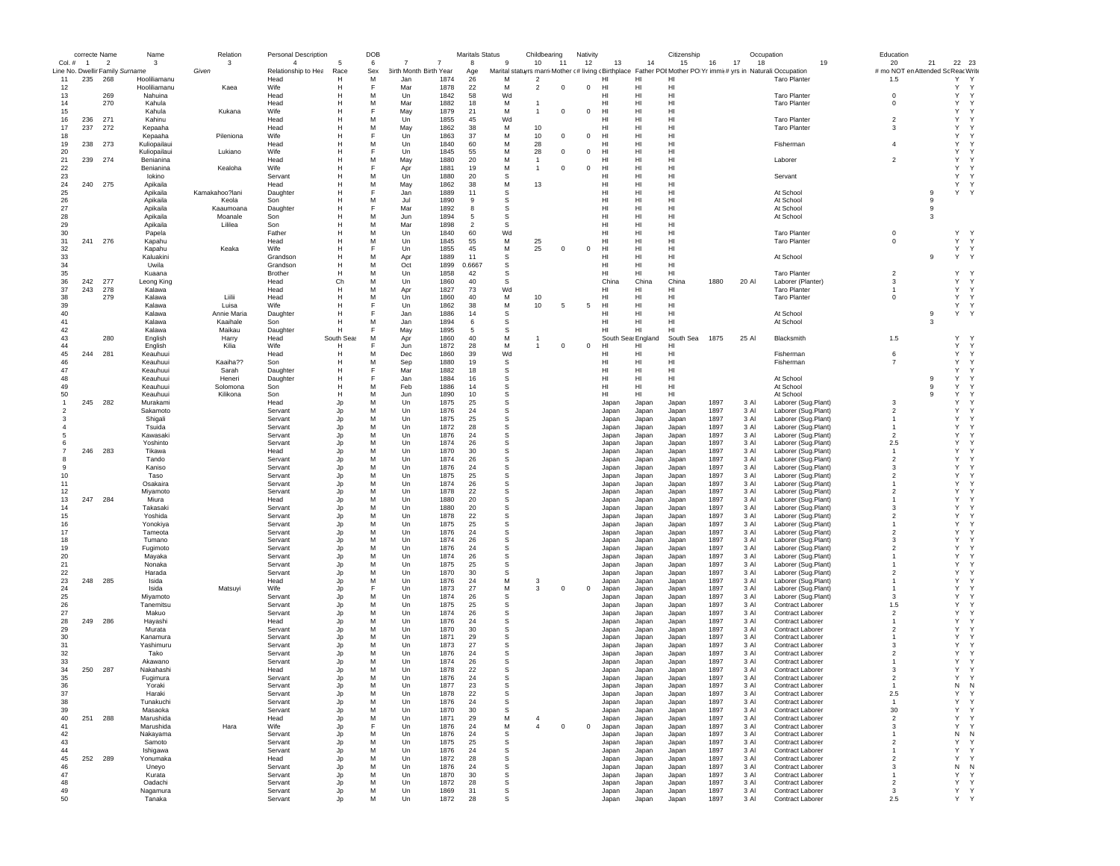|                | correcte Name  |                                 | Name                    | Relation             | <b>Personal Description</b> |            | <b>DOB</b> |                        |              | <b>Maritals Status</b> |                | Childbearing   |              | Nativity    |                    |                | Citizenship                                                                                    |              | Occupation   |                                             | Education               |             |                    |
|----------------|----------------|---------------------------------|-------------------------|----------------------|-----------------------------|------------|------------|------------------------|--------------|------------------------|----------------|----------------|--------------|-------------|--------------------|----------------|------------------------------------------------------------------------------------------------|--------------|--------------|---------------------------------------------|-------------------------|-------------|--------------------|
| Col. #         | $\overline{1}$ | $\overline{2}$                  | 3                       | 3                    | $\overline{4}$              | 5          | 6          | $\overline{7}$<br>7    |              | 8                      | $\mathbf{q}$   | 10             | 11           | 12          | 13                 | 14             | 15                                                                                             | 16           | 17<br>18     | 19                                          | 20                      | 21          | 22 23              |
|                |                | Line No. Dwellir Family Surname |                         | Given                | Relationship to Hea         | Race       | Sex        | 3irth Month Birth Year |              | Age                    | Marital statuy |                |              |             |                    |                | rs marri Mother (#living (Birthplace Father POI Mother PO Yr immi(# yrs in Naturali Occupation |              |              |                                             | # mo NOT en Attended So |             | : Reac Write       |
| 11             | 235            | 268                             | Hooliliamanu            |                      | Head                        | н          | м          | Jan                    | 1874         | 26                     | M              | $\overline{2}$ |              |             | HI                 | HI             | HI                                                                                             |              |              | <b>Taro Planter</b>                         | 1.5                     |             | Y<br>Y             |
| 12             |                |                                 | Hooliliamanu            | Kaea                 | Wife                        | Н          | E          | Mar                    | 1878         | 22                     | M              | $\overline{2}$ | $\mathbf 0$  | $\Omega$    | HI                 | HI             | HI                                                                                             |              |              |                                             |                         |             | Υ<br>Y             |
| 13             |                | 269                             | Nahuina                 |                      | Head                        | Н          | M          | Un                     | 1842         | 58                     | Wd             |                |              |             | HI                 | HI             | HI                                                                                             |              |              | <b>Taro Planter</b>                         | $\mathbf 0$             |             | Y<br>Y             |
| 14<br>15       |                | 270                             | Kahula                  |                      | Head<br>Wife                | Н<br>Н     | M          | Mar                    | 1882<br>1879 | 18                     | M<br>M         | $\overline{1}$ | $\mathbf 0$  | $^{\circ}$  | HI<br>HI           | HI<br>HI       | HI<br>HI                                                                                       |              |              | <b>Taro Planter</b>                         | $\mathbf 0$             |             | Υ<br>Y<br>Υ<br>Y   |
|                |                | 271                             | Kahula                  | Kukana               |                             | Н          | M          | May                    | 1855         | 21<br>45               | Wd             |                |              |             | HI                 | HI             | HI                                                                                             |              |              |                                             | $\overline{2}$          |             | Υ<br>Y             |
| 16             | 236            |                                 | Kahinu                  |                      | Head                        | Н          | M          | Un                     | 1862         | 38                     |                | 10             |              |             | HI                 | HI             | HI                                                                                             |              |              | <b>Taro Planter</b>                         | 3                       |             | Y<br>Y             |
| 17<br>18       | 237            | 272                             | Kepaaha                 | Pileniona            | Head<br>Wife                | H          |            | May<br>Un              | 1863         | 37                     | M<br>M         |                | $\mathbf 0$  | $^{\circ}$  | HI                 | HI             | H <sub>II</sub>                                                                                |              |              | <b>Taro Planter</b>                         |                         |             | Y<br>Y             |
| 19             | 238            | 273                             | Kepaaha<br>Kuliopailaui |                      | Head                        | H          | M          | Un                     | 1840         | 60                     | M              | 10<br>28       |              |             | HI                 | HI             | HI                                                                                             |              |              | Fisherman                                   | $\overline{4}$          |             | Υ<br>Y             |
|                |                |                                 |                         |                      | Wife                        | Н          |            | Un                     | 1845         | 55                     |                |                | $\mathbf 0$  | $^{\circ}$  | HI                 | HI             | HI                                                                                             |              |              |                                             |                         |             | Υ<br>Y             |
| 20             |                |                                 | Kuliopailaui            | Lukiano              |                             |            |            |                        |              |                        | М              | 28             |              |             |                    |                |                                                                                                |              |              |                                             | $\overline{2}$          |             | Y                  |
| 21             | 239            | 274                             | Benjanina               |                      | Head                        | Н          | M<br>E     | May                    | 1880         | 20<br>19               | М              | $\mathbf{1}$   | $\mathbf 0$  | $^{\circ}$  | HI                 | HI             | HI                                                                                             |              |              | Laborer                                     |                         |             | Υ<br>Υ<br>Y        |
| 22             |                |                                 | Benianina<br>lokino     | Kealoha              | Wife                        | н<br>H     | M          | Apr<br>Un              | 1881<br>1880 | 20                     | М<br>S         | -1             |              |             | HI<br>HI           | HI<br>HI       | HI<br>HI                                                                                       |              |              |                                             |                         |             | Y<br>Y             |
| 23<br>24       | 240            | 275                             | Apikaila                |                      | Servant<br>Head             | Н          | M          | May                    | 1862         | 38                     | M              | 13             |              |             | HI                 | HI             | HI                                                                                             |              |              | Servant                                     |                         |             | Υ<br>Y             |
|                |                |                                 |                         |                      |                             | H          | F          |                        |              |                        | s              |                |              |             |                    | HI             |                                                                                                |              |              |                                             |                         | 9           | Υ<br>Y             |
| 25             |                |                                 | Apikaila                | Kamakahoo?lani       | Daughter                    | Н          | M          | Jan<br>Jul             | 1889<br>1890 | 11<br>9                | s              |                |              |             | HI<br>HI           | HI             | HI<br>HI                                                                                       |              |              | At School                                   |                         | 9           |                    |
| 26<br>27       |                |                                 | Apikaila                | Keola                | Son                         | Н          | F          |                        |              |                        | S              |                |              |             | HI                 | HI             | HI                                                                                             |              |              | At School                                   |                         | 9           |                    |
| 28             |                |                                 | Apikaila<br>Apikaila    | Kaaumoana<br>Moanale | Daughter                    | H          | M          | Mar<br>Jun             | 1892<br>1894 | 8<br>-5                | S              |                |              |             | HI                 | HI             | H <sub>II</sub>                                                                                |              |              | At School<br>At School                      |                         | 3           |                    |
| 29             |                |                                 |                         | Lililea              | Son                         | H          | M          | Mar                    | 1898         |                        | s              |                |              |             | HI                 | HI             | H <sub>II</sub>                                                                                |              |              |                                             |                         |             |                    |
| 30             |                |                                 | Apikaila<br>Papela      |                      | Son<br>Father               | H          | M          | Un                     | 1840         | $\overline{2}$<br>60   | Wd             |                |              |             | HI                 | HI             | HI                                                                                             |              |              | <b>Taro Planter</b>                         | $\mathbf 0$             |             | Υ<br><b>Y</b>      |
| 31             | 241            | 276                             |                         |                      | Head                        | Н          | M          | Un                     | 1845         | 55                     | М              | 25             |              |             | HI                 | HI             | HI                                                                                             |              |              | <b>Taro Planter</b>                         | $\mathbf 0$             |             | Υ<br>Y             |
|                |                |                                 | Kapahu                  |                      |                             | Н          | E          |                        |              |                        | М              | 25             | $^{\circ}$   | $\Omega$    | HI                 |                |                                                                                                |              |              |                                             |                         |             | Υ<br>$\mathbf Y$   |
| 32             |                |                                 | Kapahu                  | Keaka                | Wife                        |            | M          | Un                     | 1855         | 45                     |                |                |              |             |                    | HI             | HI                                                                                             |              |              |                                             |                         |             | Y                  |
| 33             |                |                                 | Kaluakini               |                      | Grandson                    | н<br>H     | M          | Apr                    | 1889         | 11<br>0.6667           | s              |                |              |             | HI<br>HI           | HI<br>HI       | HI<br>H <sub>1</sub>                                                                           |              |              | At School                                   |                         | 9           | Υ                  |
| 34<br>35       |                |                                 | Uwila<br>Kuaana         |                      | Grandson<br><b>Brother</b>  | н          | M          | Oct<br>Un              | 1899<br>1858 | 42                     | s<br>s         |                |              |             | HI                 | HI             | HI                                                                                             |              |              | <b>Taro Planter</b>                         | $\overline{2}$          |             | Y<br>$\gamma$      |
| 36             | 242            | 277                             |                         |                      |                             | Ch         | M          | Un                     | 1860         | 40                     | s              |                |              |             | China              | China          | China                                                                                          | 1880         | 20 AI        |                                             | 3                       |             | Υ<br>Y             |
|                |                |                                 | Leong King              |                      | Head                        | H          | M          |                        |              |                        |                |                |              |             |                    |                |                                                                                                |              |              | Laborer (Planter)                           | $\overline{1}$          |             |                    |
| 37             | 243            | 278                             | Kalawa                  |                      | Head                        |            | M          | Apr                    | 1827         | 73                     | Wd             |                |              |             | HI                 | HI             | HI                                                                                             |              |              | <b>Taro Planter</b>                         |                         |             | Υ<br>Y             |
| 38             |                | 279                             | Kalawa                  | Liilii               | Head                        | Н          |            | Un                     | 1860         | 40                     | М              | 10             |              |             | HI                 | HI             | HI                                                                                             |              |              | <b>Taro Planter</b>                         | 0                       |             | Υ<br>Y             |
| 39             |                |                                 | Kalawa                  | Luisa                | Wife                        | H          |            | Un                     | 1862         | 38                     | M              | 10             | 5            | -5          | HI                 | HI             | H <sub>1</sub>                                                                                 |              |              |                                             |                         |             | Y<br>Y             |
| 40             |                |                                 | Kalawa                  | Annie Maria          | Daughter                    | н          |            | Jan                    | 1886         | 14                     | s              |                |              |             | HI                 | HI             | HI                                                                                             |              |              | At School                                   |                         | 9           | Υ<br>$\mathsf{Y}$  |
| 41             |                |                                 | Kalawa                  | Kaaihale             | Son                         | н          | M          | Jan                    | 1894         | 6                      | S              |                |              |             | HI                 | HI             | HI                                                                                             |              |              | At School                                   |                         | 3           |                    |
| 42             |                |                                 | Kalawa                  | Maikau               | Daughter                    | H          |            | May                    | 1895         | 5                      | s              |                |              |             | HI                 | HI             | HI                                                                                             |              |              |                                             |                         |             |                    |
| 43             |                | 280                             | English                 | Harry                | Head                        | South Seas | М<br>E     | Apr                    | 1860         | 40                     | M              |                |              | $\mathbf 0$ | South Sea: England |                | South Sea                                                                                      | 1875         | 25 Al        | Blacksmith                                  | 1.5                     |             | Υ<br>$\gamma$<br>Y |
| 44             |                |                                 | English                 | Kilia                | Wife                        | H          |            | Jun                    | 1872         | 28                     | М              | -1             | $\mathbf 0$  |             | HI                 | HI             | HI                                                                                             |              |              |                                             |                         |             | Υ                  |
| 45             | 244            | 281                             | Keauhuui                |                      | Head                        | Н          | M          | Dec                    | 1860         | 39                     | Wd             |                |              |             | HI                 | HI             | HI                                                                                             |              |              | Fisherman                                   | 6                       |             | Y<br>Y             |
| 46             |                |                                 | Keauhuui                | Kaaiha??             | Son                         | Н          | M          | Sep                    | 1880         | 19                     | S              |                |              |             | HI                 | HI             | HI                                                                                             |              |              | Fisherman                                   | $\overline{7}$          |             | Υ<br>Y             |
| 47             |                |                                 | Keauhuui                | Sarah                | Daughter                    | Н          | E          | Mar                    | 1882         | 18                     | s              |                |              |             | HI                 | HI             | HI                                                                                             |              |              |                                             |                         |             | Υ<br>Y             |
| 48             |                |                                 | Keauhuui                | Heneri               | Daughter                    | Н          |            | Jan                    | 1884         | 16                     | s              |                |              |             | HI                 | HI             | HI                                                                                             |              |              | At School                                   |                         | 9           | Υ<br>Y             |
| 49             |                |                                 | Keauhuui                | Solomona             | Son                         | Н          | M          | Feb                    | 1886         | 14                     | s              |                |              |             | HI                 | HI             | HI                                                                                             |              |              | At School                                   |                         | $\mathsf g$ | Υ<br>Y             |
| 50             |                |                                 | Keauhuui                | Kilikona             | Son                         | H          | M          | Jun                    | 1890         | 10                     | s              |                |              |             | HI.                | HI             | H <sub>II</sub>                                                                                |              |              | At School                                   |                         | 9           | Y<br>Y             |
| $\overline{1}$ | 245            | 282                             | Murakami                |                      | Head                        | Jp         | M          | Un                     | 1875         | 25                     | S              |                |              |             | Japan              | Japan          | Japan                                                                                          | 1897         | 3 Al         | Laborer (Sug.Plant)                         | 3                       |             | Y<br>Y             |
|                |                |                                 | Sakamoto                |                      | Servant                     | Jp         | M          | Un                     | 1876         | 24                     | S              |                |              |             | Japan              | Japan          | Japan                                                                                          | 1897         | 3 Al         | Laborer (Sug.Plant)                         | $\overline{2}$          |             | Y<br>Y             |
|                |                |                                 | Shigali                 |                      | Servant                     | Jp         | M          | Un                     | 1875         | 25                     | s              |                |              |             | Japan              | Japan          | Japan                                                                                          | 1897         | 3 Al         | Laborer (Sug.Plant)                         | $\mathbf{1}$            |             | Υ<br>Y             |
|                |                |                                 | Tsuida                  |                      | Servant                     | Jp         | M          | Un                     | 1872         | 28                     | s              |                |              |             | Japan              | Japan          | Japan                                                                                          | 1897         | 3 AI         | Laborer (Sug.Plant)                         | -1                      |             | Y<br>Y             |
|                |                |                                 | Kawasaki                |                      | Servant                     | Jp         | M          | Un                     | 1876         | 24                     | S              |                |              |             | Japan              | Japan          | Japan                                                                                          | 1897         | 3 Al         | Laborer (Sug.Plant)                         | $\overline{2}$          |             | Y<br>Y             |
|                |                |                                 | Yoshinto                |                      | Servant                     | Jp         | M          | Un                     | 1874         | 26                     | S              |                |              |             | Japan              | Japan          | Japan                                                                                          | 1897         | 3 Al         | Laborer (Sug.Plant)                         | 2.5                     |             | Y<br>Y             |
|                | 246            | 283                             | Tikawa                  |                      | Head                        | Jp         | M          | Un                     | 1870         | 30                     | S              |                |              |             | Japan              | Japan          | Japan                                                                                          | 1897         | 3 Al         | Laborer (Sug.Plant)                         | $\overline{1}$          |             | Y<br>Y             |
|                |                |                                 | Tando                   |                      | Servant                     | Jp         | M          | Un                     | 1874         | 26                     | s              |                |              |             | Japan              | Japan          | Japan                                                                                          | 1897         | 3 Al         | Laborer (Sug.Plant)                         | $\overline{2}$          |             | Y<br>Y             |
| 9              |                |                                 | Kaniso                  |                      | Servant                     | Jp         | M          | Un                     | 1876         | 24                     | s              |                |              |             | Japan              | Japan          | Japan                                                                                          | 1897         | 3 AI         | Laborer (Sug.Plant)                         | 3                       |             | Υ<br>Y             |
| 10             |                |                                 | Taso                    |                      | Servant                     | Jp         | M          | Un                     | 1875         | 25                     | s              |                |              |             | Japan              | Japan          | Japan                                                                                          | 1897         | 3 Al         | Laborer (Sug.Plant)                         | $\overline{2}$          |             | Y<br>Y             |
| 11             |                |                                 | Osakaira                |                      | Servant                     | Jp         | M          | Un                     | 1874         | 26                     | s              |                |              |             | Japan              | Japan          | Japan                                                                                          | 1897         | 3 Al         | Laborer (Sug.Plant)                         | -1                      |             | Y<br>Y             |
| 12             |                |                                 | Mivamoto                |                      | Servant                     | Jp         | M          | Un                     | 1878         | 22                     | S              |                |              |             | Japan              | Japan          | Japan                                                                                          | 1897         | 3 Al         | Laborer (Sug.Plant)                         | $\overline{2}$          |             | Y<br>Y             |
| 13             | 247            | 284                             | Miura                   |                      | Head                        | Jp         | M          | Un                     | 1880         | 20                     | s              |                |              |             | Japan              | Japan          | Japan                                                                                          | 1897         | 3 Al         | Laborer (Sug.Plant)                         | $\mathbf{1}$            |             | Υ<br>Y             |
| 14             |                |                                 | Takasaki                |                      | Servant                     | Jp         | M          | Un                     | 1880         | 20                     | s              |                |              |             | Japan              | Japan          | Japan                                                                                          | 1897         | 3 Al         | Laborer (Sug.Plant)                         | 3                       |             | Υ<br>Y             |
| 15             |                |                                 | Yoshida                 |                      | Servant                     | Jp         | M          | Un                     | 1878         | 22                     | s              |                |              |             | Japan              | Japan          | Japan                                                                                          | 1897         | 3 AI         | Laborer (Sug.Plant)                         | $\overline{\mathbf{c}}$ |             | Y<br>Y             |
| 16             |                |                                 | Yonokiya                |                      | Servant                     | Jp         | M          | Un                     | 1875         | 25                     | s              |                |              |             | Japan              |                | Japan                                                                                          | 1897         | 3 Al         | Laborer (Sug.Plant)                         | -1                      |             | Y<br>Y             |
| 17             |                |                                 | Tameota                 |                      | Servant                     | Jp         | M          | Un                     | 1876         | 24                     | S              |                |              |             | Japan              | Japan<br>Japan | Japan                                                                                          | 1897         | 3 Al         | Laborer (Sug.Plant)                         | $\overline{2}$          |             | Y<br>Y             |
|                |                |                                 |                         |                      |                             |            |            |                        |              |                        | S              |                |              |             |                    |                |                                                                                                |              |              |                                             | 3                       |             | Y<br>Y             |
| 18<br>19       |                |                                 | Tumano                  |                      | Servant                     | Jp         | M<br>M     | Un<br>Un               | 1874<br>1876 | 26<br>24               | s              |                |              |             | Japan              | Japan          | Japan                                                                                          | 1897<br>1897 | 3 Al<br>3 Al | Laborer (Sug.Plant)<br>Laborer (Sug.Plant)  | $\overline{2}$          |             | Υ<br>Y             |
| 20             |                |                                 | Fugimoto<br>Mayaka      |                      | Servant<br>Servant          | Jp<br>Jp   | M          | Un                     | 1874         | 26                     | S              |                |              |             | Japan<br>Japan     | Japan<br>Japan | Japan<br>Japan                                                                                 | 1897         | 3 Al         | Laborer (Sug.Plant)                         | -1                      |             | Y<br>Y             |
| 21             |                |                                 | Nonaka                  |                      |                             |            | M          | Un                     | 1875         | 25                     | s              |                |              |             |                    |                |                                                                                                | 1897         | 3 Al         |                                             |                         |             | Y<br>Y             |
| $22\,$         |                |                                 | Harada                  |                      | Servant<br>Servant          | Jp         | M          | $_{\text{Un}}$         | 1870         | 30                     | s              |                |              |             | Japan              | Japan          | Japan                                                                                          | 1897         | 3 Al         | Laborer (Sug.Plant)                         | $\mathfrak{p}$          |             | Y<br>Y             |
| 23             | 248            | 285                             | Isida                   |                      | Head                        | Jp<br>Jp   | M          | Un                     | 1876         | 24                     | M              | 3              |              |             | Japan<br>Japan     | Japan<br>Japan | Japan<br>Japan                                                                                 | 1897         | 3 Al         | Laborer (Sug.Plant)<br>Laborer (Sug.Plant)  | $\mathbf{1}$            |             | Y<br>Y             |
|                |                |                                 | Isida                   |                      | Wife                        |            |            | Un                     | 1873         |                        |                | 3              | $\mathbf 0$  | $^{\circ}$  |                    |                |                                                                                                | 1897         | 3 Al         |                                             |                         |             | Υ<br>Y             |
| 24<br>25       |                |                                 | Miyamoto                | Matsuyi              | Servant                     | Jp<br>Jp   | M          | Un                     | 1874         | 27<br>26               | М<br>s         |                |              |             | Japan<br>Japan     | Japan<br>Japan | Japan<br>Japan                                                                                 | 1897         | 3 Al         | Laborer (Sug.Plant)<br>Laborer (Sug.Plant)  | 3                       |             | Υ<br>Y             |
| 26             |                |                                 |                         |                      |                             |            | M          |                        | 1875         | 25                     | s              |                |              |             |                    |                |                                                                                                |              |              |                                             |                         |             | Υ<br>Y             |
|                |                |                                 | Tanemitsu               |                      | Servant                     | Jp         |            | Un                     |              |                        |                |                |              |             | Japan              | Japan          | Japan                                                                                          | 1897         | 3 AI         | Contract Laborer                            | 1.5                     |             | Y                  |
| 27             | 249            | 286                             | Makuo<br>Hayashi        |                      | Servant<br>Head             | Jp         | M<br>M     | Un<br>Un               | 1874<br>1876 | 26<br>24               | s<br>S         |                |              |             | Japan<br>Japan     | Japan          | Japan<br>Japan                                                                                 | 1897<br>1897 | 3 Al<br>3 Al | <b>Contract Laborer</b><br>Contract Laborer | $\overline{2}$          |             | Y<br>Y<br>Y        |
| 28             |                |                                 |                         |                      |                             | Jp         |            |                        |              |                        |                |                |              |             |                    | Japan          |                                                                                                |              |              |                                             |                         |             | Y                  |
| 29             |                |                                 | Murata                  |                      | Servant                     | Jp         | M          | Un                     | 1870         | 30                     | s              |                |              |             | Japan              | Japan          | Japan                                                                                          | 1897         | 3 Al         | Contract Laborer                            | $\overline{2}$          |             | Υ                  |
| 30             |                |                                 | Kanamura                |                      | Servant                     | Jp         | M          | Un                     | 1871         | 29                     | s              |                |              |             | Japan              | Japan          | Japan                                                                                          | 1897         | 3 Al         | Contract Laborer                            |                         |             | Υ<br>Y             |
| 31             |                |                                 | Yashimuru               |                      | Servant                     | Jp         | M          | Un                     | 1873         | 27                     | s              |                |              |             | Japan              | Japan          | Japan                                                                                          | 1897         | 3 AI         | Contract Laborer                            | 3                       |             | Y<br>Y             |
| 32             |                |                                 | Tako                    |                      | Servant                     | Jp         | M          | Un                     | 1876         | 24                     | S              |                |              |             | Japan              | Japan          | Japan                                                                                          | 1897         | 3 AI         | <b>Contract Laborer</b>                     | $\mathcal{P}$           |             | Y<br>Y             |
| 33             |                |                                 | Akawano                 |                      | Servant                     | Jo         | M          | Un                     | 1874         | 26                     | S              |                |              |             | Japan              | Japan          | Japan                                                                                          | 1897         | 3 Al         | Contract Laborer                            |                         |             | Υ<br>Y             |
| 34             | 250            | 287                             | Nakahashi               |                      | Head                        | Jo         | M          | Un                     | 1878         | 22                     | S              |                |              |             | Japan              | Japan          | Japan                                                                                          | 1897         | 3 Al         | Contract Laborer                            | 3                       |             | Υ<br>Υ             |
| 35             |                |                                 | Fugimura                |                      | Servant                     | Jp         | M          | Un                     | 1876         | 24                     | s              |                |              |             | Japan              | Japan          | Japan                                                                                          | 1897         | 3 AI         | <b>Contract Laborer</b>                     | $\overline{2}$          |             | Υ<br>Y             |
| 36             |                |                                 | Yora⊧                   |                      | Servant                     |            | M          | Un                     | 1877         | 23                     |                |                |              |             |                    |                | Japan                                                                                          | 1897         | 3 Al         | <b>Contract Labore</b>                      |                         |             | N                  |
| 37             |                |                                 | Haraki                  |                      | Servant                     | Jp         | M          | Un                     | 1878         | 22                     | s              |                |              |             | Japan              | Japan          | Japan                                                                                          | 1897         | 3 AI         | Contract Laborer                            | $2.5\,$                 |             | Υ<br>Y             |
| 38             |                |                                 | Tunakuchi               |                      | Servant                     | Jp         | M          | Un                     | 1876         | 24                     | S              |                |              |             | Japan              | Japan          | Japan                                                                                          | 1897         | 3 AI         | Contract Laborer                            | $\overline{1}$          |             | Y<br>Y             |
| 39             |                |                                 | Masaoka                 |                      | Servant                     | Jp         | M          | Un                     | 1870         | 30                     | S              |                |              |             | Japan              | Japan          | Japan                                                                                          | 1897         | 3 Al         | Contract Laborer                            | 30                      |             | Υ<br>Υ             |
| 40             | 251            | 288                             | Marushida               |                      | Head                        | Jp         | M          | Un                     | 1871         | 29                     | M              |                |              |             | Japan              | Japan          | Japan                                                                                          | 1897         | 3 Al         | Contract Laborer                            | $\overline{\mathbf{c}}$ |             | Υ<br>Y             |
| 41             |                |                                 | Marushida               | Hara                 | Wife                        | Jp         | E          | Un                     | 1876         | 24                     | ${\sf M}$      | $\overline{4}$ | $\mathbf{0}$ | $^{\circ}$  | Japan              | Japan          | Japan                                                                                          | 1897         | 3 Al         | Contract Laborer                            | 3                       |             | Υ<br>Y             |
| 42             |                |                                 | Nakayama                |                      | Servant                     | Jp         | M          | Un                     | 1876         | 24                     | s              |                |              |             | Japan              | Japan          | Japan                                                                                          | 1897         | 3 Al         | Contract Laborer                            | $\mathbf{1}$            |             | N<br>N             |
| 43             |                |                                 | Samoto                  |                      | Servant                     | Jp         | M          | Un                     | 1875         | 25                     | s              |                |              |             | Japan              | Japan          | Japan                                                                                          | 1897         | 3 Al         | Contract Laborer                            | $\overline{2}$          |             | Y<br>Y             |
| 44             |                |                                 | Ishigawa                |                      | Servant                     | Jp         | M          | Un                     | 1876         | 24                     | s              |                |              |             | Japan              | Japan          | Japan                                                                                          | 1897         | 3 Al         | Contract Laborer                            | $\mathbf{1}$            |             | Υ<br>Υ             |
| 45             | 252            | 289                             | Yonumaka                |                      | Head                        | Jp         | M          | Un                     | 1872         | 28                     | s              |                |              |             | Japan              | Japan          | Japan                                                                                          | 1897         | 3 Al         | Contract Laborer                            | $\overline{2}$          |             | Υ<br>Υ             |
| 46             |                |                                 | Uneyo                   |                      | Servant                     | Jp         | M          | Un                     | 1876         | 24                     | s              |                |              |             | Japan              | Japan          | Japan                                                                                          | 1897         | 3 Al         | Contract Laborer                            | 3                       |             | Ν<br>N             |
| 47             |                |                                 | Kurata                  |                      | Servant                     | Jp         | M          | Un                     | 1870         | 30                     | s              |                |              |             | Japan              | Japan          | Japan                                                                                          | 1897         | 3 AI         | Contract Laborer                            | -1                      |             | Υ<br>Y             |
| 48             |                |                                 | Oadachi                 |                      | Servant                     | Jp         | M          | Un                     | 1872         | 28                     | s              |                |              |             | Japan              | Japan          | Japan                                                                                          | 1897         | 3 Al         | Contract Laborer                            | $\overline{2}$          |             | Υ<br>Y             |
| 49             |                |                                 | Nagamura                |                      | Servant                     | Jp         | M          | Un                     | 1869         | 31                     | S              |                |              |             | Japan              | Japan          | Japan                                                                                          | 1897         | 3 Al         | Contract Laborer                            | 3                       |             | Υ<br>Y             |
| 50             |                |                                 | Tanaka                  |                      | Servant                     | Jo         | M          | Un                     | 1872         | 28                     | S              |                |              |             | Japan              | Japan          | Japan                                                                                          | 1897         | 3 Al         | Contract Laborer                            | 2.5                     |             | Y<br>Y             |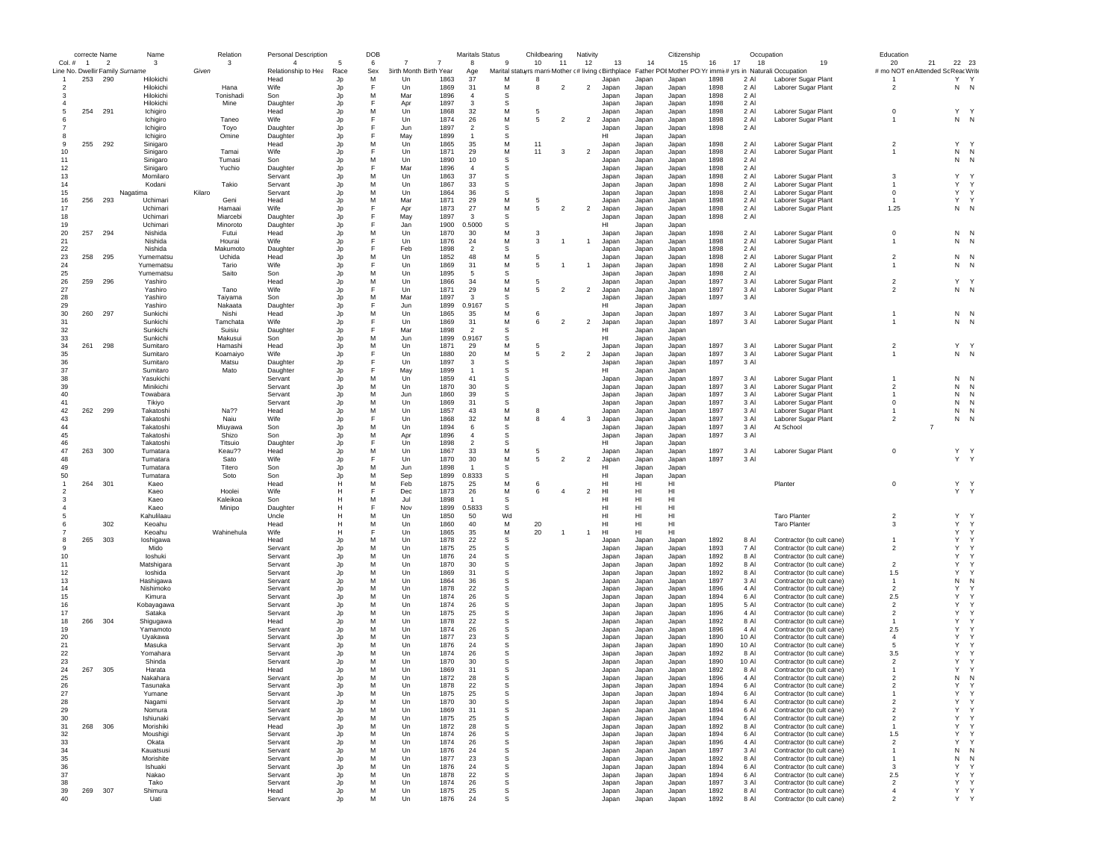|        | correcte Name  |                | Name                            | Relation   | <b>Personal Description</b> |      | DOB |                        |              | <b>Maritals Status</b> |             | Childbearing                                        |                          | Nativity       |       |       | Citizenship                    |              |              | Occupation                  | Education                |              |              |
|--------|----------------|----------------|---------------------------------|------------|-----------------------------|------|-----|------------------------|--------------|------------------------|-------------|-----------------------------------------------------|--------------------------|----------------|-------|-------|--------------------------------|--------------|--------------|-----------------------------|--------------------------|--------------|--------------|
| Col. # | $\overline{1}$ | $\overline{2}$ | 3                               | -3         | $\overline{4}$              |      | 6   |                        |              | 8                      | 9           | 10                                                  | 11                       | 12             | 13    | 14    | 15                             | 16           | 17<br>18     | 19                          | 20<br>21                 | 22 23        |              |
|        |                |                | Line No. Dwellir Family Surname | Given      | Relationship to Hea         | Race | Sex | 3irth Month Birth Year |              | Age                    |             | Marital statuyrs marri Mother c# living cBirthplace |                          |                |       |       | Father POI Mother PO Yr immig# |              |              | yrs in Naturali: Occupation | # mo NOT en Attended So  | : Reac Write |              |
| -1     | 253            | 290            | Hilokichi                       |            | Head                        | Jp   | M   | Un                     | 1863         | 37                     | M           | -8                                                  |                          |                | Japan | Japan | Japan                          | 1898         | 2 AI         | Laborer Sugar Plant         |                          | Y Y          |              |
| 2      |                |                | Hilokichi                       | Hana       | Wife                        | Jp   | F   | Un                     | 1869         | 31                     | M           | 8                                                   | $\overline{2}$           | $\overline{2}$ | Japan | Japan | Japan                          | 1898         | 2 Al         | Laborer Sugar Plant         | $\overline{2}$           | N N          |              |
|        |                |                | Hilokichi                       | Tonishadi  | Son                         | Jp   | M   | Mar                    | 1896         | $\overline{4}$         | S           |                                                     |                          |                | Japan | Japan | Japan                          | 1898         | 2 Al         |                             |                          |              |              |
|        |                |                | Hilokichi                       | Mine       | Daughter                    | Jp   | F   | Apr                    | 1897         | 3                      | -S          |                                                     |                          |                | Japan | Japan | Japan                          | 1898         | 2 Al         |                             |                          |              |              |
| 5      | 254            | 291            | Ichigiro                        |            | Head                        | Jp   | M   | Un                     | 1868         | 32                     | M           | 5                                                   |                          |                | Japan | Japan | Japan                          | 1898         | 2 Al         | Laborer Sugar Plant         | $^{\circ}$               | Y.           | $\mathsf{Y}$ |
|        |                |                | Ichigiro                        | Taneo      | <b>Wife</b>                 | Jp   | F   | Un                     | 1874         | 26                     | M           | -5                                                  | $\overline{\phantom{a}}$ | $\overline{2}$ | Japan | Japan | Japan                          | 1898         | $2$ Al       | Laborer Sugar Plant         | $\overline{1}$           | $N$ $N$      |              |
|        |                |                | Ichigiro                        | Toyo       | Daughter                    | Jp   | F   | Jun                    | 1897         | $\overline{2}$         | s           |                                                     |                          |                | Japan | Japan | Japan                          | 1898         | 2 Al         |                             |                          |              |              |
|        |                |                | Ichigiro                        | Omine      | Daughter                    | Jp   | F   | May                    | 1899         | $\overline{1}$         | S           |                                                     |                          |                | HI    | Japan | Japan                          |              |              |                             |                          |              |              |
| 9      | 255            | 292            | Sinigaro                        |            | Head                        | Jp   | M   | Un                     | 1865         | 35                     | M           | 11                                                  |                          |                | Japan | Japan | Japan                          | 1898         | 2 Al         | Laborer Sugar Plant         | $\overline{2}$           | Y.           | $\mathsf{Y}$ |
| 10     |                |                | Sinigaro                        | Tamai      | Wife                        | Jp   | F   | Un                     | 1871         | 29                     | M           | 11                                                  | 3                        | $\overline{2}$ | Japan | Japan | Japan                          | 1898         | 2 Al         | Laborer Sugar Plant         | -1                       | N            | N            |
| 11     |                |                | Sinigaro                        | Tumasi     | Son                         | Jp   | М   | Un                     | 1890         | 10                     | s           |                                                     |                          |                | Japan | Japan | Japan                          | 1898         | 2 Al         |                             |                          | N            | N            |
| 12     |                |                | Sinigaro                        | Yuchio     | Daughter                    | Jp   | F   | Mar                    | 1896         | $\overline{4}$         | s           |                                                     |                          |                | Japan | Japan | Japan                          | 1898         | 2 Al         |                             |                          |              |              |
| 13     |                |                | Momilaro                        |            | Servant                     | Jp   | М   | Un                     | 1863         | 37                     | S           |                                                     |                          |                | Japan | Japan | Japan                          | 1898         | 2 Al         | Laborer Sugar Plant         | 3                        | Y            | $\mathsf{Y}$ |
| 14     |                |                | Kodani                          | Takio      | Servant                     | Jp   | M   | Un                     | 1867         | 33                     | S           |                                                     |                          |                | Japan | Japan | Japan                          | 1898         | 2 Al         | Laborer Sugar Plant         | $\mathbf{1}$             | Y            | Y            |
| 15     |                |                | Nagatima                        | Kilaro     | Servant                     | Jp   | M   | Un                     | 1864         | 36                     | S           |                                                     |                          |                | Japan | Japan | Japan                          | 1898         | 2 Al         | Laborer Sugar Plant         | $^{\circ}$               | Y            | Y            |
| 16     | 256            | 293            | Uchimari                        | Geni       | Head                        | Jp   | M   | Mar                    | 1871         | 29                     | M           | -5                                                  |                          |                | Japan | Japan | Japan                          | 1898         | 2 AI         | Laborer Sugar Plant         |                          | Y            | Y            |
| 17     |                |                | Uchimari                        | Hamaai     | <b>Wife</b>                 | Jp   | F   | Apr                    | 1873         | 27                     | M           | 5                                                   | $\overline{\phantom{a}}$ | $\overline{2}$ | Japan | Japan | Japan                          | 1898         | $2$ Al       | Laborer Sugar Plant         | 1.25                     | $N$ N        |              |
| 18     |                |                | Uchimari                        | Miarcebi   | Daughter                    | Jp   | F   | May                    | 1897         | 3                      | s           |                                                     |                          |                | Japan | Japan | Japan                          | 1898         | 2 Al         |                             |                          |              |              |
| 19     |                |                | Uchimari                        | Minoroto   | Daughter                    | Jp   |     | Jan                    | 1900         | 0.5000                 | S           |                                                     |                          |                | HI    | Japan | Japan                          |              |              |                             |                          |              |              |
| 20     | 257            | 294            | Nishida                         | Futui      | Head                        | Jp   | M   | Un                     | 1870         | 30                     | M           |                                                     |                          |                | Japan | Japan | Japan                          | 1898         | 2 Al         | Laborer Sugar Plant         | $^{\circ}$               | N N          |              |
| 21     |                |                | Nishida                         | Hourai     | Wife                        | Jp   |     | Un                     | 1876         | 24                     | M           | 3                                                   |                          | $\overline{1}$ | Japan | Japan | Japan                          | 1898         | 2 Al         | Laborer Sugar Plant         |                          | N            | N            |
| 22     |                |                | Nishida                         | Makumoto   | Daughter                    | Jp   |     | Feb                    | 1898         | $\overline{2}$         | -S          |                                                     |                          |                | Japan | Japan | Japan                          | 1898         | 2 Al         |                             |                          |              |              |
| 23     | 258            | 295            | Yumematsu                       | Uchida     | Head                        | Jp   | M   | Un                     | 1852         | 48                     | M           | -5                                                  |                          |                | Japan | Japan | Japan                          | 1898         | 2 Al         | Laborer Sugar Plant         | $\overline{2}$           | $N$ N        |              |
| 24     |                |                | Yumematsu                       | Tario      | Wife                        | Jp   |     | Un                     | 1869         | 31                     | M           | 5                                                   |                          | $\overline{1}$ | Japan | Japan | Japan                          | 1898         | 2 Al         | Laborer Sugar Plant         | -1                       | N            | N            |
| 25     |                |                | Yumematsu                       | Saito      | Son                         | Jp   | M   | Un                     | 1895         | -5                     | S           |                                                     |                          |                | Japan | Japan | Japan                          | 1898         | 2 Al         |                             |                          |              |              |
| 26     | 259            | - 296          | Yashiro                         |            | Head                        | Jp   | M   | Un                     | 1866         | 34                     | M           | 5                                                   |                          |                | Japan | Japan | Japan                          | 1897         | 3 Al         | Laborer Sugar Plant         | $\overline{2}$           | Y Y          |              |
| 27     |                |                | Yashiro                         | Tano       | Wife                        | Jp   | Е   | Un                     | 1871         | 29                     | M           | 5                                                   | $\overline{2}$           | $\overline{2}$ | Japan | Japan | Japan                          | 1897         | 3 Al         | Laborer Sugar Plant         | $\overline{2}$           | N N          |              |
| 28     |                |                | Yashiro                         | Taivama    | Son                         | Jp   | M   | Mar                    | 1897         | $\mathbf{3}$           | s           |                                                     |                          |                | Japan | Japan | Japan                          | 1897         | 3 Al         |                             |                          |              |              |
| 29     |                |                | Yashiro                         | Nakaata    | Daughter                    | Jp   | F   | Jun                    | 1899         | 0.9167                 | S           |                                                     |                          |                | HI    | Japan | Japan                          |              |              |                             |                          |              |              |
| 30     | 260            | 297            | Sunkichi                        | Nishi      | Head                        | Jp   | M   | Un                     | 1865         | 35                     | M           | 6                                                   |                          |                | Japan | Japan | Japan                          | 1897         | 3 Al         | Laborer Sugar Plant         |                          | N N          |              |
| 31     |                |                | Sunkichi                        | Tamchata   | Wife                        | Jp   | F   | Un                     | 1869         | 31                     | M           | 6                                                   | $\overline{2}$           | $\overline{2}$ | Japan | Japan | Japan                          | 1897         | 3 Al         | Laborer Sugar Plant         |                          | N N          |              |
| 32     |                |                | Sunkichi                        | Suisiu     | Daughter                    | Jp   | F   | Mar                    | 1898         | $\overline{2}$         | s           |                                                     |                          |                | HI    | Japan | Japan                          |              |              |                             |                          |              |              |
| 33     |                |                | Sunkichi                        | Makusui    | Son                         | Jp   | M   | Jun                    | 1899         | 0.9167                 | -S          |                                                     |                          |                | HI    | Japan | Japan                          |              |              |                             |                          |              |              |
| 34     | 261            | 298            | Sumitaro                        | Hamashi    | Head                        | Jp   | М   | Un                     | 1871         | 29                     | M           | 5                                                   |                          |                | Japan | Japan | Japan                          | 1897         | 3 Al         | Laborer Sugar Plant         | $\overline{2}$           | Y Y          |              |
| 35     |                |                | Sumitaro                        | Koamaiyo   | Wife                        | Jp   | F   | Un                     | 1880         | 20                     | M           | 5                                                   | $\overline{2}$           | $\overline{2}$ | Japan | Japan | Japan                          | 1897         | 3 Al         | Laborer Sugar Plant         | $\overline{1}$           | N N          |              |
| 36     |                |                | Sumitaro                        | Matsu      | Daughter                    | Jp   | F   | Un                     | 1897         | 3                      | S           |                                                     |                          |                | Japan | Japan | Japan                          | 1897         | 3 Al         |                             |                          |              |              |
| 37     |                |                | Sumitaro                        | Mato       | Daughter                    | Jp   | F   | May                    | 1899         | $\overline{1}$         | s           |                                                     |                          |                | HI    | Japan | Japan                          |              |              |                             |                          |              |              |
| 38     |                |                | Yasukichi                       |            | Servant                     | Jp   | M   | Un                     | 1859         | 41                     | s           |                                                     |                          |                | Japan | Japan | Japan                          | 1897         | 3 Al         | Laborer Sugar Plant         |                          | N            | $\mathsf{N}$ |
| 39     |                |                | Minikichi                       |            | Servant                     | Jp   | M   | Un                     | 1870         | 30                     | s           |                                                     |                          |                | Japan | Japan | Japan                          | 1897         | 3 Al         | Laborer Sugar Plant         | $\overline{\phantom{a}}$ | N            | N            |
| 40     |                |                | Towabara                        |            | Servant                     | Jp   | M   | Jun                    | 1860         | 39                     | S           |                                                     |                          |                | Japan | Japan | Japan                          | 1897         | 3 Al         | Laborer Sugar Plant         | $\mathbf{1}$             | ${\sf N}$    | N            |
| 41     |                |                | Tikiyo                          |            | Servant                     | Jp   | M   | Un                     | 1869         | 31                     | s           |                                                     |                          |                | Japan | Japan | Japan                          | 1897         | 3 Al         | Laborer Sugar Plant         | $^{\circ}$               | N            | N            |
| 42     | 262            | 299            | Takatoshi                       | Na??       | Head                        | Jp   | M   | Un                     | 1857         | 43                     | M           |                                                     |                          |                | Japan | Japan | Japan                          | 1897         | 3 Al         | Laborer Sugar Plant         |                          | N            | N            |
| 43     |                |                | Takatoshi                       | Naiu       | Wife                        | Jp   |     | Un                     | 1868         | 32                     | M           | 8                                                   | $\overline{4}$           | -3             | Japan | Japan | Japan                          | 1897         | 3 Al         | Laborer Sugar Plant         | $\overline{2}$           | N            | N            |
| 44     |                |                | Takatoshi                       | Miuyawa    | Son                         | Jp   | M   | Un                     | 1894         | -6                     | S           |                                                     |                          |                | Japan | Japan | Japan                          | 1897         | 3 Al         | At School                   | $\overline{7}$           |              |              |
| 45     |                |                | Takatoshi                       | Shizo      | Son                         | Jp   | M   | Apr                    | 1896         | $\overline{4}$         | S           |                                                     |                          |                | Japan | Japan | Japan                          | 1897         | 3 Al         |                             |                          |              |              |
| 46     |                |                | Takatoshi                       | Titsuio    | Daughter                    | Jp   | F   | Un                     | 1898         | $\overline{2}$         | S           |                                                     |                          |                | HI    | Japan | Japan                          |              |              |                             |                          |              |              |
| 47     | 263            | 300            | Tumatara                        | Keau??     | Head                        | Jp   | M   | Un                     | 1867         | 33                     | M           | 5                                                   |                          |                | Japan | Japan | Japan                          | 1897         | 3 Al         | Laborer Sugar Plant         | $^{\circ}$               | Y Y          |              |
| 48     |                |                | Tumatara                        | Sato       | Wife                        | Jp   | F   | Un                     | 1870         | 30                     | M           | 5                                                   | $\overline{2}$           | $\overline{2}$ | Japan | Japan | Japan                          | 1897         | 3 Al         |                             |                          | Y Y          |              |
| 49     |                |                | Tumatara                        | Titero     | Son                         | Jp   | M   | Jun                    | 1898         | $\mathbf{1}$           | s           |                                                     |                          |                | нı    | Japan | Japan                          |              |              |                             |                          |              |              |
| 50     |                |                | Tumatara                        | Soto       | Son                         | .In  | M   | Sep                    | 1899         | 0.8333                 | s           |                                                     |                          |                | HI    | Japan | Japan                          |              |              |                             |                          |              |              |
|        | 264            | 301            | Kaeo                            |            | Head                        | н    | M   | Feb                    | 1875         | 25                     | M           | 6                                                   |                          |                | HI    | HI    | HI                             |              |              | Planter                     | $^{\circ}$               | Y Y          |              |
|        |                |                | Kaeo                            | Hoolei     | Wife                        | н    | F   | Dec                    | 1873         | 26                     | M           | 6                                                   | $\overline{4}$           | $\overline{2}$ | HI    | HI    | HI                             |              |              |                             |                          | Y Y          |              |
|        |                |                | Kaeo                            | Kaleikoa   | Son                         | н    | M   | Jul                    | 1898         | $\overline{1}$         | s           |                                                     |                          |                | HI    | HI    | HI                             |              |              |                             |                          |              |              |
|        |                |                | Kaeo                            | Minipo     | Daughter                    | н    | F   | Nov                    | 1899         | 0.5833                 | s           |                                                     |                          |                | HI    | HI    | HI                             |              |              |                             |                          |              |              |
|        |                |                | Kahulilaau                      |            | Uncle                       | н    | M   | Un                     | 1850         | 50                     | Wd          |                                                     |                          |                | HI    | HI    | HI                             |              |              | <b>Taro Planter</b>         | $\overline{2}$           | Y            | $\mathsf{v}$ |
|        |                | 302            | Keoahu                          |            | Head                        | н    | M   | Un                     | 1860         | 40                     | M           | 20                                                  |                          |                | HI    | HI    | HI                             |              |              | <b>Taro Planter</b>         | 3                        | Y            | $\mathsf{Y}$ |
|        |                |                | Keoahu                          | Wahinehula | Wife                        | н    | F   | Un                     | 1865         | 35                     | M           | 20                                                  |                          |                | HI    | HI    | HI                             |              |              |                             |                          | Y            | Y            |
|        | 265            | 303            | loshigawa                       |            | Head                        | Jp   | M   | Un                     | 1878         | 22                     | $\mathbb S$ |                                                     |                          |                | Japan | Japan | Japan                          | 1892         | 8 Al         | Contractor (to cult cane)   | $\mathbf{1}$             | Y            | Y            |
| 9      |                |                | Mido                            |            | Servant                     | Jp   | M   | Un                     | 1875         | 25                     | s           |                                                     |                          |                | Japan | Japan | Japan                          | 1893         | 7 AI         | Contractor (to cult cane)   | $\overline{2}$           | Y            | Y            |
| 10     |                |                | loshuki                         |            | Servant                     | Jp   | M   | Un                     | 1876         | 24                     | s           |                                                     |                          |                | Japan | Japan | Japan                          | 1892         | 8 AI         | Contractor (to cult cane)   |                          | Y            | $\checkmark$ |
| 11     |                |                | Matshigara                      |            | Servant                     | Jp   | M   | Un                     | 1870         | 30                     | s           |                                                     |                          |                | Japan | Japan | Japan                          | 1892         | 8 Al         | Contractor (to cult cane)   | $\overline{2}$           | Y            |              |
| 12     |                |                | loshida                         |            | Servant                     | Jp   | M   | Un                     | 1869         | 31                     | s           |                                                     |                          |                | Japan | Japan | Japan                          | 1892         | 8 Al         | Contractor (to cult cane)   | 1.5                      | Y            |              |
| 13     |                |                | Hashigawa                       |            | Servant                     | Jp   | M   | Un                     | 1864         | 36                     | s           |                                                     |                          |                | Japan | Japan | Japan                          | 1897         | 3 Al         | Contractor (to cult cane)   | $\mathbf{1}$             | N            | N            |
| 14     |                |                | Nishimoko                       |            | Servant                     | Jp   | M   | Un                     | 1878         | 22                     | s           |                                                     |                          |                | Japan | Japan | Japan                          | 1896         | 4 Al         | Contractor (to cult cane)   | $\overline{2}$           | Y<br>Y       |              |
| 15     |                |                | Kimura                          |            | Servant                     | Jp   | M   | Un                     | 1874         | 26                     | s           |                                                     |                          |                | Japan | Japan | Japan                          | 1894         | 6 Al         | Contractor (to cult cane)   | 2.5                      |              |              |
| 16     |                |                | Kobayagawa                      |            | Servant                     | Jp   | M   | Un                     | 1874         | 26                     | S           |                                                     |                          |                | Japan | Japan | Japan                          | 1895         | 5 Al         | Contractor (to cult cane)   | $\overline{2}$           | Y            | $\checkmark$ |
| 17     |                |                | Sataka                          |            | Servant                     | Jp   | M   | Un                     | 1875         | 25                     | S           |                                                     |                          |                | Japan | Japan | Japan                          | 1896         | 4 Al         | Contractor (to cult cane)   | $\overline{2}$           | Y            |              |
| 18     | 266            | 304            | Shigugawa                       |            | Head                        | Jp   | M   | Un                     | 1878         | 22                     | s           |                                                     |                          |                | Japan | Japan | Japan                          | 1892         | 8 Al         | Contractor (to cult cane)   |                          | Y            |              |
| 19     |                |                | Yamamoto                        |            | Servant                     | Jp   | M   | Un                     | 1874         | 26                     | s           |                                                     |                          |                | Japan | Japan | Japan                          | 1896         | 4 Al         | Contractor (to cult cane)   | 2.5                      | Y            |              |
| 20     |                |                | Uyakawa                         |            | Servant                     | Jp   | M   | Un                     | 1877         | 23                     | S           |                                                     |                          |                | Japan | Japan | Japan                          | 1890         | 10 Al        | Contractor (to cult cane)   | $\overline{4}$           | Y            |              |
| 21     |                |                | Masuka                          |            | Servant                     | Jp   | M   | Un                     | 1876         | 24                     | <b>S</b>    |                                                     |                          |                | Japan | Japan | Japan                          | 1890         | 10 AI        | Contractor (to cult cane)   | -5                       | Y            |              |
| 22     |                |                | Yomahara                        |            | Servant                     | Jp   | M   | Un                     | 1874         | 26                     | S           |                                                     |                          |                | Japan | Japan | Japan                          | 1892         | 8 Al         | Contractor (to cult cane)   | 3.5                      | Y            |              |
| 23     |                |                | Shinda                          |            | Servant                     | Jp   | M   | Un                     | 1870         | 30                     | S           |                                                     |                          |                | Japan | Japan | Japan                          | 1890         | 10 Al        | Contractor (to cult cane)   | $\overline{2}$           | Y            | Y            |
| 24     | 267            | 305            | Harata                          |            | Head                        | Jp   | M   | Un                     | 1869         | 31                     | S           |                                                     |                          |                | Japan | Japan | Japan                          | 1892         | 8 Al         | Contractor (to cult cane)   |                          | Y            | Y            |
| 25     |                |                | Nakahara                        |            | Servant                     | Jp   | M   | Un                     | 1872<br>1878 | 28                     | -S          |                                                     |                          |                | Japan | Japan | Japan                          | 1896<br>1894 | 4 Al<br>6 AI | Contractor (to cult cane)   | $\overline{\phantom{a}}$ | N            | $\mathsf{N}$ |
| 26     |                |                | Tasunaka                        |            | Servant                     |      | М   | l In                   |              | 22                     |             |                                                     |                          |                | lanan | lanan | Janan                          |              |              | Contractor (to cult cane)   |                          | Υ            | Y            |
| $27\,$ |                |                | Yumane                          |            | Servant                     | Jp   | M   | Un                     | 1875         | 25                     | $\mathbb S$ |                                                     |                          |                | Japan | Japan | Japan                          | 1894         | 6 AI         | Contractor (to cult cane)   | $\overline{1}$           | Υ            |              |
| 28     |                |                | Nagami                          |            | Servant                     | Jp   | М   | Un                     | 1870         | 30                     | $\mathbb S$ |                                                     |                          |                | Japan | Japan | Japan                          | 1894         | 6 Al         | Contractor (to cult cane)   | $\overline{2}$           | Υ            | Y            |
| 29     |                |                | Nomura                          |            | Servant                     | Jp   | M   | Un                     | 1869         | 31                     | s           |                                                     |                          |                | Japan | Japan | Japan                          | 1894         | 6 Al         | Contractor (to cult cane)   | $\overline{2}$           | Y            | Y            |
| 30     |                |                | Ishiunaki                       |            | Servant                     | Jp   | M   | Un                     | 1875         | 25                     | $\mathbb S$ |                                                     |                          |                | Japan | Japan | Japan                          | 1894         | 6 Al         | Contractor (to cult cane)   | $\overline{2}$           | Y            | Y            |
| 31     | 268            | 306            | Morishiki                       |            | Head                        | Jp   | M   | Un                     | 1872         | 28                     | s           |                                                     |                          |                | Japan | Japan | Japan                          | 1892         | 8 AI         | Contractor (to cult cane)   | $\overline{1}$           | Y            | Y            |
| 32     |                |                | Moushigi                        |            | Servant                     | Jp   | M   | Un                     | 1874         | 26                     | s           |                                                     |                          |                | Japan | Japan | Japan                          | 1894         | 6 AI         | Contractor (to cult cane)   | 1.5                      | Y            | Y            |
| 33     |                |                | Okata                           |            | Servant                     | Jp   | M   | Un                     | 1874         | 26                     | s           |                                                     |                          |                | Japan | Japan | Japan                          | 1896         | 4 Al         | Contractor (to cult cane)   | $\overline{2}$           | Y            | Y            |
| 34     |                |                | Kauatsusi                       |            | Servant                     | Jp   | M   | Un                     | 1876         | 24                     | s           |                                                     |                          |                | Japan | Japan | Japan                          | 1897         | 3 Al         | Contractor (to cult cane)   | $\mathbf{1}$             | N            | N            |
| 35     |                |                | Morishite                       |            | Servant                     | Jp   | М   | Un                     | 1877         | 23                     | s           |                                                     |                          |                | Japan | Japan | Japan                          | 1892         | 8 Al         | Contractor (to cult cane)   | -1                       | N            | N            |
| 36     |                |                | Ishuaki                         |            | Servant                     | Jp   | М   | Un                     | 1876         | 24                     | s           |                                                     |                          |                | Japan | Japan | Japan                          | 1894         | 6 Al         | Contractor (to cult cane)   | 3                        | $\mathsf{Y}$ | Y            |
| 37     |                |                | Nakao                           |            | Servant                     | Jp   | M   | Un                     | 1878         | 22                     | s           |                                                     |                          |                | Japan | Japan | Japan                          | 1894         | 6 Al         | Contractor (to cult cane)   | 2.5                      | Y            | Y            |
| 38     |                |                | Tako                            |            | Servant                     | Jp   | М   | Un                     | 1874         | 26                     | s           |                                                     |                          |                | Japan | Japan | Japan                          | 1897         | 3 Al         | Contractor (to cult cane)   | $\overline{2}$           | Y            | Y            |
| 39     | 269            | 307            | Shimura                         |            | Head                        | Jp   | М   | Un                     | 1875         | 25                     | s           |                                                     |                          |                | Japan | Japan | Japan                          | 1892         | 8 Al         | Contractor (to cult cane)   | $\overline{4}$           | Y Y          |              |
| 40     |                |                | Uati                            |            | Servant                     |      | M   | Un                     | 1876         | 24                     | s           |                                                     |                          |                | Japan | Japan | Japan                          | 1892         | 8 Al         | Contractor (to cult cane)   | $\overline{2}$           | Y Y          |              |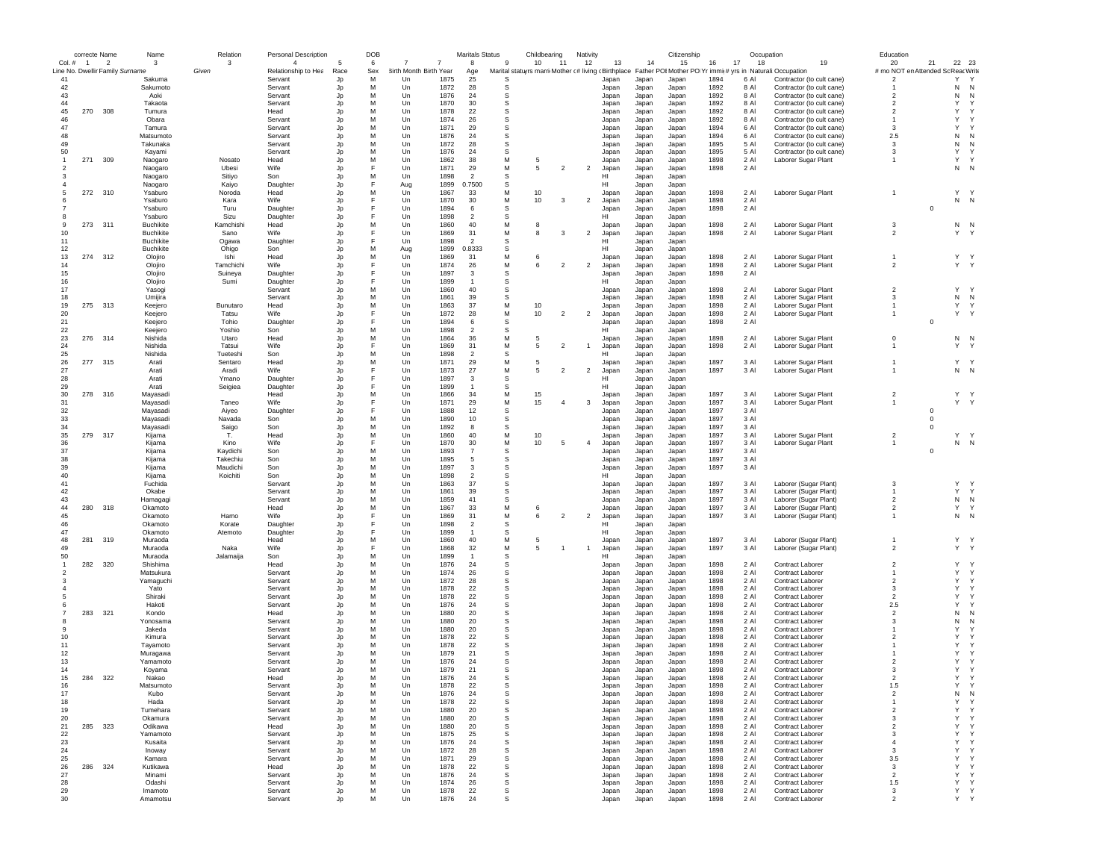|                          | correcte Name  |                                 | Name             | Relation  | <b>Personal Description</b> |          | <b>DOB</b> |                        |      | <b>Maritals Status</b> |          | Childbearing                                        |                | Nativity       |       |                | Citizenship    |      |          | Occupation                                                 | Education                |                |              |              |
|--------------------------|----------------|---------------------------------|------------------|-----------|-----------------------------|----------|------------|------------------------|------|------------------------|----------|-----------------------------------------------------|----------------|----------------|-------|----------------|----------------|------|----------|------------------------------------------------------------|--------------------------|----------------|--------------|--------------|
| Col. #                   | $\overline{1}$ | $\overline{2}$                  | 3                | 3         | $\overline{4}$              |          | 6          |                        |      | 8                      | -9       | 10                                                  | 11             | 12             | 13    | 14             | 15             | 16   | 17<br>18 | 19                                                         | 20                       | 21             | 22           | 23           |
|                          |                | Line No. Dwellir Family Surname |                  | Given     | Relationship to Hea         | Race     | Sex        | 3irth Month Birth Year |      | Age                    |          | Marital statuyrs marri Mother c# living cBirthplace |                |                |       |                |                |      |          | Father POI Mother PO Yr immi(# yrs in Naturali: Occupation | # mo NOT en Attended So  |                | : Reac Write |              |
| 41                       |                |                                 | Sakuma           |           | Servant                     | Jp       | M          | Un                     | 1875 | 25                     | <b>s</b> |                                                     |                |                | Japan | Japan          | Japan          | 1894 | 6 AI     | Contractor (to cult cane)                                  | $\overline{2}$           |                | Y            | $\mathsf{Y}$ |
| 42                       |                |                                 | Sakumoto         |           | Servant                     | Jp       | M          | Un                     | 1872 | 28                     | S        |                                                     |                |                | Japan | Japan          | Japan          | 1892 | 8 Al     | Contractor (to cult cane)                                  |                          |                | N            | N            |
| 43                       |                |                                 | Aoki             |           | Servant                     | Jp       | M          | Un                     | 1876 | 24                     | S        |                                                     |                |                | Japan | Japan          | Japan          | 1892 | 8 Al     | Contractor (to cult cane)                                  | $\overline{2}$           |                | N            | N            |
| 44                       |                |                                 | Takaota          |           | Servant                     | Jp       | M          | Un                     | 1870 | 30                     | s        |                                                     |                |                | Japan | Japan          | Japan          | 1892 | 8 AI     | Contractor (to cult cane)                                  | $\overline{2}$           |                | Y            |              |
| 45                       | 270            | 308                             | Tumura           |           | Head                        | Jp       | M          | Un                     | 1878 | 22                     | s        |                                                     |                |                | Japan | Japan          | Japan          | 1892 | 8 AI     | Contractor (to cult cane)                                  | $\overline{2}$           |                | Y            | Y            |
| 46                       |                |                                 | Obara            |           | Servant                     | Jp       | M          | $_{\text{Un}}$         | 1874 | 26                     | S        |                                                     |                |                | Japan | Japan          | Japan          | 1892 | 8 AI     | Contractor (to cult cane)                                  | $\mathbf{1}$             |                | Y            | $\checkmark$ |
| 47                       |                |                                 | Tamura           |           | Servant                     | Jp       | M          | $_{\text{Un}}$         | 1871 | 29                     | S        |                                                     |                |                | Japan | Japan          | Japan          | 1894 | 6 AI     | Contractor (to cult cane)                                  | 3                        |                | Y            |              |
| 48                       |                |                                 | Matsumoto        |           | Servant                     | Jp       | M          | Un                     | 1876 | 24                     | S        |                                                     |                |                | Japan | Japan          | Japan          | 1894 | 6 Al     | Contractor (to cult cane)                                  | 2.5                      |                | N            | N            |
| 49                       |                |                                 | Takunaka         |           | Servant                     | Jp       | M          | Un                     | 1872 | 28                     | s        |                                                     |                |                | Japan | Japan          | Japan          | 1895 | 5 AI     | Contractor (to cult cane)                                  | 3                        |                | N            | N            |
| 50                       |                |                                 | Kayami           |           | Servant                     | Jp       | M          | Un                     | 1876 | 24                     | s        |                                                     |                |                | Japan | Japan          | Japan          | 1895 | 5 Al     | Contractor (to cult cane)                                  | 3                        |                | Y            | Y            |
|                          | 271            | 309                             | Naogaro          | Nosato    | Head                        | Jp       | M          | Un                     | 1862 | 38                     | M        | 5                                                   |                |                | Japan | Japan          | Japan          | 1898 | 2 Al     | Laborer Sugar Plant                                        | $\mathbf{1}$             |                | Y            | Y            |
| $\overline{\phantom{a}}$ |                |                                 |                  | Ubesi     | Wife                        |          | E          | Un                     | 1871 | 29                     | М        | 5                                                   | $\overline{2}$ | $\overline{c}$ | Japan |                | Japan          | 1898 | 2 Al     |                                                            |                          |                | N            | N            |
|                          |                |                                 | Naogaro          | Sitiyo    | Son                         | Jp       | M          | Un                     | 1898 | $\overline{2}$         | S        |                                                     |                |                | HI    | Japan<br>Japan | Japan          |      |          |                                                            |                          |                |              |              |
|                          |                |                                 | Naogaro          |           |                             | Jp       | F          |                        |      |                        |          |                                                     |                |                |       |                |                |      |          |                                                            |                          |                |              |              |
|                          |                |                                 | Naogaro          | Kaiyo     | Daughter                    | Jp       |            | Aug                    | 1899 | 0.7500                 | s        |                                                     |                |                | HI    | Japan          | Japan          |      |          |                                                            |                          |                |              |              |
|                          | 272 310        |                                 | Ysaburo          | Noroda    | Head                        | Jp       | M          | Un                     | 1867 | 33                     | M        | 10                                                  |                |                | Japan | Japan          | Japan          | 1898 | 2 Al     | Laborer Sugar Plant                                        | $\mathbf{1}$             |                | Y Y          |              |
|                          |                |                                 | Ysaburo          | Kara      | Wife                        | Jp       | E          | Un                     | 1870 | 30                     | M        | 10                                                  | 3              | $\overline{2}$ | Japan | Japan          | Japan          | 1898 | 2 Al     |                                                            |                          |                | N N          |              |
|                          |                |                                 | Ysaburo          | Turu      | Daughter                    | Jp       |            | $_{\text{Un}}$         | 1894 | 6                      | S        |                                                     |                |                | Japar | Japan          | Japan          | 1898 | 2 Al     |                                                            |                          | $\mathbf 0$    |              |              |
|                          |                |                                 | Ysaburo          | Sizu      | Daughter                    | Jp       |            | Un                     | 1898 | $\overline{2}$         | S        |                                                     |                |                | HI    | Japan          | Japan          |      |          |                                                            |                          |                |              |              |
| -9                       | 273 311        |                                 | <b>Buchikite</b> | Kamchishi | Head                        | Jp       | M          | Un                     | 1860 | 40                     | M        | 8                                                   |                |                | Japan | Japan          | Japan          | 1898 | 2 Al     | Laborer Sugar Plant                                        | 3                        |                | $N$ N        |              |
| 10                       |                |                                 | <b>Buchikite</b> | Sano      | Wife                        | Jp       |            | Un                     | 1869 | 31                     | М        | 8                                                   | 3              | $\overline{2}$ | Japan | Japan          | Japan          | 1898 | 2 Al     | Laborer Sugar Plant                                        | $\overline{2}$           |                | Υ            | Y            |
| 11                       |                |                                 | <b>Buchikite</b> | Ogawa     | Daughter                    | Jp       |            | Un                     | 1898 | $\overline{2}$         | S        |                                                     |                |                | HI    | Japan          | Japan          |      |          |                                                            |                          |                |              |              |
| 12                       |                |                                 | <b>Buchikite</b> | Ohigo     | Son                         | Jp       | M          | Aug                    | 1899 | 0.8333                 | S        |                                                     |                |                | HI    | Japan          | Japan          |      |          |                                                            |                          |                |              |              |
| 13                       | 274 312        |                                 | Olojiro          | Ishi      | Head                        | Jp       | M          | Un                     | 1869 | 31                     | M        | 6                                                   |                |                | Japan | Japan          | Japan          | 1898 | 2 Al     | Laborer Sugar Plant                                        |                          |                | Y Y          |              |
| 14                       |                |                                 | Olojiro          | Tamchichi | Wife                        | Jp       |            | Un                     | 1874 | 26                     | M        | 6                                                   | $\mathfrak{p}$ | $\overline{2}$ | Japan | Japan          | Japan          | 1898 | 2 Al     | Laborer Sugar Plant                                        | $\overline{2}$           |                | Y Y          |              |
| 15                       |                |                                 | Olojiro          | Suineya   | Daughter                    | Jp       | E          | Un                     | 1897 | 3                      | S        |                                                     |                |                | Japan | Japan          | Japan          | 1898 | 2 Al     |                                                            |                          |                |              |              |
| 16                       |                |                                 | Olojiro          | Sumi      | Daughter                    | Jp       | E          | Un                     | 1899 | $\overline{1}$         | s        |                                                     |                |                | HI    | Japan          | Japan          |      |          |                                                            |                          |                |              |              |
| 17                       |                |                                 |                  |           |                             |          | M          |                        | 1860 | 40                     | s        |                                                     |                |                |       |                |                | 1898 | 2 AI     |                                                            | $\overline{2}$           |                | Y            | Y            |
| 18                       |                |                                 | Yasogi           |           | Servant                     | Jp       | M          | Un<br>$_{\text{Un}}$   |      | 39                     | S        |                                                     |                |                | Japan | Japan          | Japan          | 1898 | $2$ Al   | Laborer Sugar Plant                                        | 3                        |                |              |              |
|                          |                |                                 | Umijira          |           | Servant                     | Jp       |            |                        | 1861 |                        |          |                                                     |                |                | Japan | Japan          | Japan          |      |          | Laborer Sugar Plant                                        |                          |                | ${\sf N}$    | N            |
| 19                       | 275 313        |                                 | Keeiero          | Bunutaro  | Head                        | Jp       | M          | Un                     | 1863 | 37                     | M        | 10                                                  |                |                | Japan | Japan          | Japan          | 1898 | 2 Al     | Laborer Sugar Plant                                        | $\overline{1}$           |                | Υ            | $\mathsf{Y}$ |
| 20                       |                |                                 | Keejero          | Tatsu     | Wife                        | Jp       | F          | Un                     | 1872 | 28                     | М        | 10                                                  | $\overline{2}$ | $\overline{2}$ | Japan | Japan          | Japan          | 1898 | 2 Al     | Laborer Sugar Plant                                        | $\mathbf{1}$             |                | Y Y          |              |
| 21                       |                |                                 | Keejero          | Tohio     | Daughter                    | Jp       | F          | Un                     | 1894 | 6                      | s        |                                                     |                |                | Japan | Japan          | Japan          | 1898 | 2 Al     |                                                            |                          | $\mathbf 0$    |              |              |
| 22                       |                |                                 | Keejero          | Yoshio    | Son                         | Jp       | M          | Un                     | 1898 | $\overline{2}$         | s        |                                                     |                |                | HI    | Japan          | Japan          |      |          |                                                            |                          |                |              |              |
| 23                       | 276 314        |                                 | Nishida          | Utaro     | Head                        | Jp       | M          | Un                     | 1864 | 36                     | M        | 5                                                   |                |                | Japan | Japan          | Japan          | 1898 | 2 Al     | Laborer Sugar Plant                                        | $^{\circ}$               |                | $N$ N        |              |
| 24                       |                |                                 | Nishida          | Tatsui    | Wife                        | Jp       | F          | Un                     | 1869 | 31                     | M        | 5                                                   | $\overline{2}$ | $\overline{1}$ | Japan | Japan          | Japan          | 1898 | 2 Al     | Laborer Sugar Plant                                        |                          |                | Y            |              |
| 25                       |                |                                 | Nishida          | Tueteshi  | Son                         | Jp       | M          | Un                     | 1898 | $\overline{2}$         | S        |                                                     |                |                | HI    | Japan          | Japan          |      |          |                                                            |                          |                |              |              |
| 26                       | 277 315        |                                 | Arati            | Sentaro   | Head                        | Jp       | M          | Un                     | 1871 | 29                     | M        | 5                                                   |                |                | Japan | Japan          | Japan          | 1897 | 3 AI     | Laborer Sugar Plant                                        |                          |                | Y Y          |              |
| 27                       |                |                                 | Arati            | Aradi     | Wife                        | Jp       | E          | Un                     | 1873 | 27                     | М        | 5                                                   | $\overline{2}$ | $\overline{2}$ | Japan | Japan          | Japan          | 1897 | 3 Al     | Laborer Sugar Plant                                        |                          |                | N N          |              |
| 28                       |                |                                 | Arati            | Ymano     | Daughter                    | Jp       | F          | Un                     | 1897 | 3                      | S        |                                                     |                |                | HI    | Japan          | Japan          |      |          |                                                            |                          |                |              |              |
| 29                       |                |                                 | Arati            |           |                             |          |            | $_{\text{Un}}$         | 1899 | $\overline{1}$         | S        |                                                     |                |                | HI    |                |                |      |          |                                                            |                          |                |              |              |
| 30                       | 278 316        |                                 | Mayasadi         | Seigiea   | Daughter<br>Head            | Jp<br>Jp | M          | Un                     | 1866 | 34                     | M        | 15                                                  |                |                | Japan | Japan<br>Japan | Japan<br>Japan | 1897 | 3 AI     |                                                            | $\overline{2}$           |                | Y Y          |              |
|                          |                |                                 |                  |           |                             |          |            |                        |      |                        |          |                                                     |                |                |       |                |                |      |          | Laborer Sugar Plant                                        |                          |                |              |              |
| 31                       |                |                                 | Mayasadi         | Taneo     | Wife                        | Jp       |            | Un                     | 1871 | 29                     | М        | 15                                                  | $\overline{a}$ | 3              | Japan | Japan          | Japan          | 1897 | 3 Al     | Laborer Sugar Plant                                        |                          |                | Y Y          |              |
| 32                       |                |                                 | Mayasadi         | Aiyeo     | Daughter                    | Jp       |            | Un                     | 1888 | 12                     | S        |                                                     |                |                | Japan | Japan          | Japan          | 1897 | 3 Al     |                                                            |                          | $\mathbf 0$    |              |              |
| 33                       |                |                                 | Mayasadi         | Navada    | Son                         | Jp       | M          | Un                     | 1890 | 10                     | s        |                                                     |                |                | Japan | Japan          | Japan          | 1897 | 3 Al     |                                                            |                          | $\mathbf 0$    |              |              |
| 34                       |                |                                 | Mayasadi         | Saigo     | Son                         | Jp       | M          | Un                     | 1892 | 8                      | S        |                                                     |                |                | Japan | Japan          | Japan          | 1897 | 3 Al     |                                                            |                          | $\overline{0}$ |              |              |
| 35                       | 279 317        |                                 | Kijama           | Т.        | Head                        | Jp       | M          | Un                     | 1860 | 40                     | M        | 10                                                  |                |                | Japan | Japan          | Japan          | 1897 | 3 Al     | Laborer Sugar Plant                                        | $\overline{2}$           |                | Y Y          |              |
| 36                       |                |                                 | Kijama           | Kino      | Wife                        | Jp       | F          | Un                     | 1870 | 30                     | M        | 10                                                  | 5              | $\overline{4}$ | Japan | Japan          | Japan          | 1897 | 3 Al     | Laborer Sugar Plant                                        |                          |                | N N          |              |
| 37                       |                |                                 | Kijama           | Kaydichi  | Son                         | Jp       | M          | Un                     | 1893 | $\overline{7}$         | S        |                                                     |                |                | Japan | Japan          | Japan          | 1897 | 3 AI     |                                                            |                          | $\mathbf 0$    |              |              |
| 38                       |                |                                 | Kijama           | Takechiu  | Son                         | Jp       | M          | Un                     | 1895 | 5                      | s        |                                                     |                |                | Japan | Japan          | Japan          | 1897 | 3 AI     |                                                            |                          |                |              |              |
| 39                       |                |                                 | Kijama           | Maudichi  | Son                         | Jp       | M          | $_{\text{Un}}$         | 1897 | 3                      | S        |                                                     |                |                | Japan | Japan          | Japan          | 1897 | 3 Al     |                                                            |                          |                |              |              |
| 40                       |                |                                 |                  | Koichiti  | Son                         | Jp       | M          | $_{\text{Un}}$         | 1898 | $\overline{2}$         | S        |                                                     |                |                | HI    |                |                |      |          |                                                            |                          |                |              |              |
|                          |                |                                 | Kijama           |           |                             |          | M          |                        |      |                        |          |                                                     |                |                |       | Japan          | Japan          |      |          |                                                            |                          |                |              | Y            |
| 41                       |                |                                 | Fuchida          |           | Servant                     | Jp       |            | Un                     | 1863 | 37                     | S        |                                                     |                |                | Japan | Japan          | Japan          | 1897 | 3 Al     | Laborer (Sugar Plant)                                      | 3                        |                | Y            |              |
| 42                       |                |                                 | Okabe            |           | Servant                     | Jp       | M          | Un                     | 1861 | 39                     | s        |                                                     |                |                | Japan | Japan          | Japan          | 1897 | 3 Al     | Laborer (Sugar Plant)                                      |                          |                | Y            | Y            |
| 43                       |                |                                 | Hamagagi         |           | Servant                     | Jp       | M          | Un                     | 1859 | 41                     | s        |                                                     |                |                | Japan | Japan          | Japan          | 1897 | 3 Al     | Laborer (Sugar Plant)                                      | $\overline{\mathbf{2}}$  |                | ${\sf N}$    | N            |
| 44                       | 280            | 318                             | Okamoto          |           | Head                        | Jp       | M          | Un                     | 1867 | 33                     | M        | 6                                                   |                |                | Japan | Japan          | Japan          | 1897 | 3 Al     | Laborer (Sugar Plant)                                      | $\overline{\mathbf{2}}$  |                | Y            | Y            |
| 45                       |                |                                 | Okamoto          | Hamo      | Wife                        | Jp       | E          | Un                     | 1869 | 31                     | M        | 6                                                   | $\overline{2}$ | $\overline{c}$ | Japan | Japan          | Japan          | 1897 | 3 Al     | Laborer (Sugar Plant)                                      | $\mathbf{1}$             |                | N            | N            |
| 46                       |                |                                 | Okamoto          | Korate    | Daughter                    | Jp       | F          | Un                     | 1898 | $\overline{2}$         | S        |                                                     |                |                | HI    | Japan          | Japan          |      |          |                                                            |                          |                |              |              |
| 47                       |                |                                 | Okamoto          | Atemoto   | Daughter                    | Jp       | F          | Un                     | 1899 | $\overline{1}$         | s        |                                                     |                |                | HI    | Japan          | Japan          |      |          |                                                            |                          |                |              |              |
| 48                       | 281            | 319                             | Muraoda          |           | Head                        | Jp       | M          | Un                     | 1860 | 40                     | M        | 5                                                   |                |                | Japan | Japan          | Japan          | 1897 | 3 Al     | Laborer (Sugar Plant)                                      |                          |                | Y Y          |              |
| 49                       |                |                                 | Muraoda          | Naka      | Wife                        | Jp       | E          | Un                     | 1868 | 32                     | M        | 5                                                   | -1             | $\overline{1}$ | Japan | Japan          | Japan          | 1897 | 3 Al     | Laborer (Sugar Plant)                                      | $\overline{\mathbf{2}}$  |                | Y Y          |              |
| 50                       |                |                                 | Muraoda          | Jalamaiia | Son                         | Jp       | M          | $_{\text{Un}}$         | 1899 | $\overline{1}$         | S        |                                                     |                |                | HI    | Japan          | Japan          |      |          |                                                            |                          |                |              |              |
| $\mathbf{1}$             | 282            | 320                             | Shishima         |           | Head                        | Jp       | M          | Un                     | 1876 | 24                     | S        |                                                     |                |                | Japan | Japan          | Japan          | 1898 | 2 Al     | Contract Laborer                                           | $\overline{2}$           |                | Υ            | Y            |
|                          |                |                                 | Matsukura        |           | Servant                     | Jp       | M          | Un                     | 1874 | 26                     | S        |                                                     |                |                | Japan | Japan          | Japan          | 1898 | 2 Al     | Contract Laborer                                           | $\overline{1}$           |                | Y            | Y            |
|                          |                |                                 | Yamaguchi        |           | Servant                     | Jp       | M          | Un                     | 1872 | 28                     | s        |                                                     |                |                | Japan | Japan          | Japan          | 1898 | 2 Al     | Contract Laborer                                           | $\overline{2}$           |                | Y            | Y            |
|                          |                |                                 | Yato             |           | Servant                     | Jp       | M          | Un                     | 1878 | 22                     | s        |                                                     |                |                | Japan | Japan          | Japan          | 1898 | 2 Al     | Contract Laborer                                           | 3                        |                | Y            | Y            |
|                          |                |                                 | Shiraki          |           | Servant                     | Jp       | M          | Un                     | 1878 | 22                     | S        |                                                     |                |                | Japan |                | Japan          | 1898 | 2 Al     | <b>Contract Laborer</b>                                    | $\overline{\phantom{a}}$ |                | Y            | $\checkmark$ |
|                          |                |                                 | Hakoti           |           | Servant                     |          | M          | Un                     | 1876 | 24                     | S        |                                                     |                |                |       | Japan          |                | 1898 | 2 Al     | <b>Contract Laborer</b>                                    |                          |                | Y            | $\checkmark$ |
|                          |                |                                 |                  |           |                             | Jp       | M          |                        |      |                        |          |                                                     |                |                | Japan | Japan          | Japan          |      |          |                                                            | 2.5                      |                |              | N            |
|                          | 283            | 321                             | Kondo            |           | Head                        | Jp       |            | Un                     | 1880 | 20                     | S        |                                                     |                |                | Japan | Japan          | Japan          | 1898 | 2 Al     | Contract Laborer                                           | $\overline{2}$           |                | N            |              |
|                          |                |                                 | Yonosama         |           | Servant                     | Jp       | M          | Un                     | 1880 | 20                     | s        |                                                     |                |                | Japan | Japan          | Japan          | 1898 | 2 Al     | Contract Laborer                                           | 3                        |                | N            |              |
| 9                        |                |                                 | Jakeda           |           | Servant                     | Jp       | M          | Un                     | 1880 | 20                     | s        |                                                     |                |                | Japan | Japan          | Japan          | 1898 | 2 Al     | Contract Laborer                                           |                          |                | Y            |              |
| 10                       |                |                                 | Kimura           |           | Servant                     | Jp       | M          | Un                     | 1878 | 22                     | S        |                                                     |                |                | Japan | Japan          | Japan          | 1898 | 2 Al     | Contract Laborer                                           | $\overline{\phantom{a}}$ |                | Y            |              |
| 11                       |                |                                 | Tayamoto         |           | Servant                     | Jp       | M          | Un                     | 1878 | 22                     | S        |                                                     |                |                | Japan | Japan          | Japan          | 1898 | 2 AI     | Contract Laborer                                           |                          |                | Y            |              |
| 12                       |                |                                 | Muragawa         |           | Servant                     | Jo       | M          | Un                     | 1879 | 21                     | S        |                                                     |                |                | Japan | Japan          | Japan          | 1898 | 2 Al     | <b>Contract Laborer</b>                                    |                          |                | Y            |              |
| 13                       |                |                                 | Yamamoto         |           | Servant                     | Jp       | M          | Un                     | 1876 | 24                     | S        |                                                     |                |                | Japan | Japan          | Japan          | 1898 | 2 Al     | Contract Laborer                                           | $\overline{2}$           |                | Y            | Y            |
| 14                       |                |                                 | Koyama           |           | Servant                     | Jp       | M          | Un                     | 1879 | 21                     | S        |                                                     |                |                | Japan | Japan          | Japan          | 1898 | 2 Al     | <b>Contract Laborer</b>                                    | 3                        |                | Y            | Y            |
| 15                       | 284            | 322                             | Nakao            |           | Head                        | Jp       | M          | Un                     | 1876 | 24                     | <b>s</b> |                                                     |                |                | Japan | Japan          | Japan          | 1898 | 2 AI     | Contract Laborer                                           | $\overline{\phantom{a}}$ |                | Y            | Y            |
| 16                       |                |                                 | Mateumote        |           | Servant                     |          | M          | l In                   | 1878 | 22                     |          |                                                     |                |                | Janan | lanan          | Janan          | 1898 | $2$ Al   | Contract Laborer                                           | 1.5                      |                | Y            |              |
| 17                       |                |                                 | Kubo             |           | Servant                     | Jp       | M          | Un                     | 1876 | 24                     | S        |                                                     |                |                | Japan | Japan          | Japan          | 1898 | 2 AI     | <b>Contract Laborer</b>                                    | $\overline{2}$           |                | N            | N            |
| 18                       |                |                                 | Hada             |           | Servant                     | Jp       | M          | Un                     | 1878 | 22                     | S        |                                                     |                |                | Japan | Japan          | Japan          | 1898 | 2 Al     | Contract Laborer                                           | $\overline{1}$           |                | Y            | Y            |
| 19                       |                |                                 | Tumehara         |           |                             |          | M          |                        | 1880 | 20                     | s        |                                                     |                |                |       |                |                | 1898 | 2 Al     | Contract Laborer                                           | $\overline{2}$           |                | Y            | Y            |
|                          |                |                                 |                  |           | Servant                     | Jp       |            | Un                     |      |                        |          |                                                     |                |                | Japan | Japan          | Japan          |      |          |                                                            |                          |                |              |              |
| 20                       |                |                                 | Okamura          |           | Servant                     | Jp       | M          | Un                     | 1880 | 20                     | s        |                                                     |                |                | Japan | Japan          | Japan          | 1898 | 2 AI     | Contract Laborer                                           | 3                        |                | Y            | Y            |
| 21                       | 285            | 323                             | Odikawa          |           | Head                        | Jp       | M          | Un                     | 1880 | 20                     | s        |                                                     |                |                | Japan | Japan          | Japan          | 1898 | 2 Al     | Contract Laborer                                           | $\overline{\phantom{a}}$ |                | Y            | Y            |
| 22                       |                |                                 | Yamamoto         |           | Servant                     | Jp       | M          | $_{\text{Un}}$         | 1875 | 25                     | s        |                                                     |                |                | Japan | Japan          | Japan          | 1898 | 2 Al     | Contract Laborer                                           | 3                        |                | Y            | Y            |
| 23                       |                |                                 | Kusaita          |           | Servant                     | Jp       | M          | Un                     | 1876 | 24                     | s        |                                                     |                |                | Japan | Japan          | Japan          | 1898 | 2 Al     | Contract Laborer                                           | $\overline{4}$           |                | Y            | Y            |
| 24                       |                |                                 | Inoway           |           | Servant                     | Jp       | M          | Un                     | 1872 | 28                     | s        |                                                     |                |                | Japan | Japan          | Japan          | 1898 | 2 Al     | Contract Laborer                                           | 3                        |                | Y            | Y            |
| 25                       |                |                                 | Kamara           |           | Servant                     | Jp       | M          | Un                     | 1871 | 29                     | s        |                                                     |                |                | Japan | Japan          | Japan          | 1898 | 2 Al     | Contract Laborer                                           | 3.5                      |                | Y            | Y            |
| 26                       | 286            | 324                             | Kutikawa         |           | Head                        | Jp       | M          | Un                     | 1878 | 22                     | s        |                                                     |                |                | Japan | Japan          | Japan          | 1898 | 2 Al     | Contract Laborer                                           | 3                        |                | Y            | Y            |
| 27                       |                |                                 | Minami           |           | Servant                     | Jp       | M          | Un                     | 1876 | 24                     | s        |                                                     |                |                | Japan | Japan          | Japan          | 1898 | 2 Al     | Contract Laborer                                           | $\overline{2}$           |                | Y            | $\mathsf{Y}$ |
| 28                       |                |                                 | Odashi           |           | Servant                     | Jp       | M          | Un                     | 1874 | 26                     | S        |                                                     |                |                | Japan | Japan          | Japan          | 1898 | 2 Al     | Contract Laborer                                           | 1.5                      |                | Y            | $\mathsf{Y}$ |
| 29                       |                |                                 | Imamoto          |           | Servant                     | Jp       | M          | Un                     | 1878 | 22                     | S        |                                                     |                |                | Japan | Japan          | Japan          | 1898 | 2 Al     | Contract Laborer                                           | 3                        |                | Y            | Y            |
| 30                       |                |                                 | Amamotsu         |           | Servant                     |          | M          | Un                     | 1876 | 24                     | s        |                                                     |                |                | Japan | Japan          | Japan          | 1898 | 2 Al     | Contract Laborer                                           | $\overline{2}$           |                | Y Y          |              |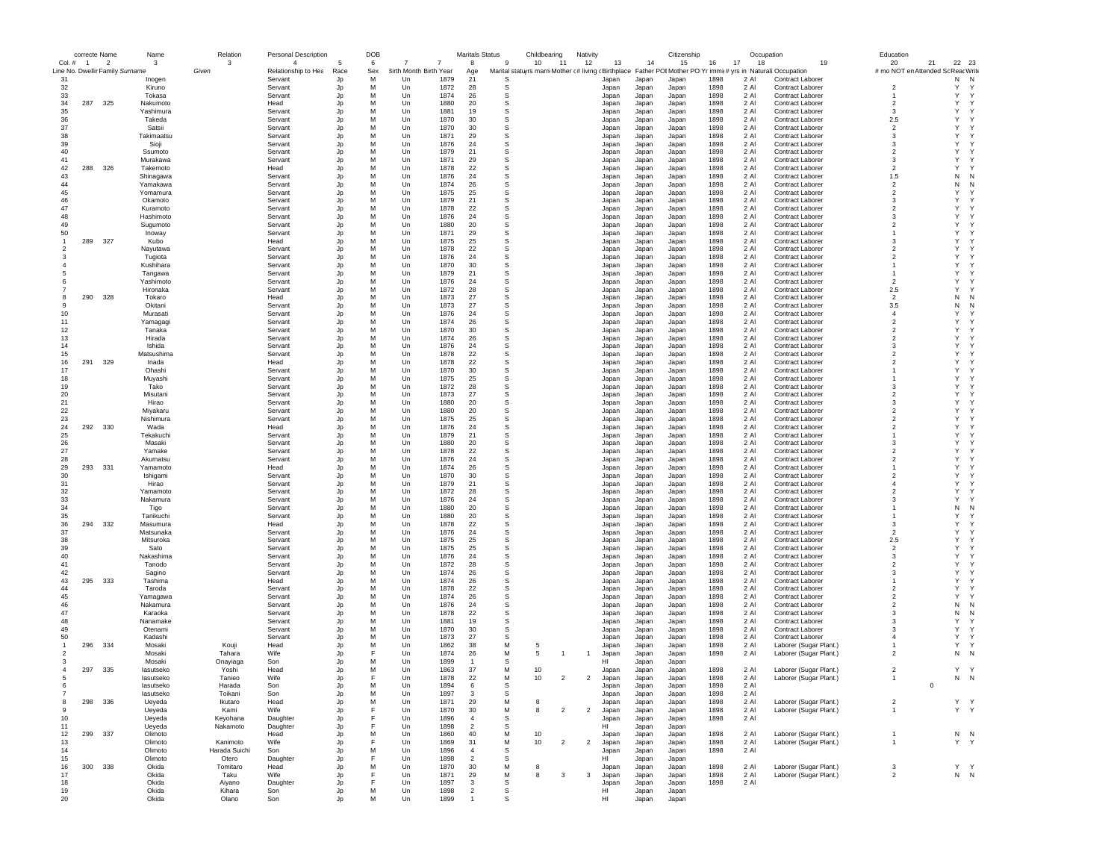|                | correcte Name |                                 | Name                   | Relation             | <b>Personal Description</b> |          | DOB    |                        |              | <b>Maritals Status</b> |          | Childbearing                                        | Nativity       |                |                | Citizenship    |              |              | Occupation                                                 | Education                        |              |                |
|----------------|---------------|---------------------------------|------------------------|----------------------|-----------------------------|----------|--------|------------------------|--------------|------------------------|----------|-----------------------------------------------------|----------------|----------------|----------------|----------------|--------------|--------------|------------------------------------------------------------|----------------------------------|--------------|----------------|
| Col. # 1       |               | $\overline{2}$                  | -3                     | 3                    | $\overline{4}$              |          | 6      |                        |              | 8                      | 9        | 10<br>11                                            | 12             | 13             | 14             | 15             | 16           | 17<br>18     | 19                                                         | 20                               | 21<br>22     | 23             |
|                |               | Line No. Dwellir Family Surname |                        | Given                | Relationship to Hea         | Race     | Sex    | 3irth Month Birth Year |              | Age                    |          | Marital statuyrs marri Mother c# living cBirthplace |                |                |                |                |              |              | Father POI Mother PO Yr immir# yrs in Naturali: Occupation | # mo NOT en Attended So          |              | : Reac Write   |
| 31             |               |                                 | Inoger                 |                      | Servant                     | Jp       | м      | Un                     | 1879         | 21                     | s        |                                                     |                | Japan          | Japan          | Japan          | 1898         | 2 AI         | <b>Contract Laborer</b>                                    |                                  | Ν            | N              |
| 32             |               |                                 | Kiruno                 |                      | Servant                     | Jp       | M      | Un                     | 1872         | 28                     | s        |                                                     |                | Japan          | Japan          | Japan          | 1898         | 2 Al         | Contract Laborer                                           | $\overline{2}$                   | Υ            |                |
| 33             |               |                                 | Tokasa                 |                      | Servant                     | Jp       | M      | Un                     | 1874         | 26                     | s        |                                                     |                | Japan          | Japan          | Japan          | 1898         | 2 Al         | Contract Laborer                                           |                                  | Υ            | Y              |
| 34<br>35       | 287           | 325                             | Nakumoto<br>Yashimura  |                      | Head<br>Servant             | Jp       | M<br>M | Un<br>Un               | 1880<br>1881 | 20<br>19               | s<br>s   |                                                     |                | Japan<br>Japan | Japan<br>Japan | Japan<br>Japan | 1898<br>1898 | 2 Al<br>2 AI | Contract Laborer<br>Contract Laborer                       | $\overline{2}$<br>3              | Y<br>Y       |                |
| 36             |               |                                 | Takeda                 |                      | Servant                     | Jp<br>Jp | M      | $_{\text{Un}}$         | 1870         | 30                     | s        |                                                     |                | Japan          |                | Japan          | 1898         | 2 AI         | <b>Contract Laborer</b>                                    | 2.5                              | Y            |                |
| 37             |               |                                 | Satsii                 |                      | Servant                     | Jp       | M      | $_{\text{Un}}$         | 1870         | 30                     | s        |                                                     |                | Japan          | Japan<br>Japan | Japan          | 1898         | 2 Al         | <b>Contract Laborer</b>                                    | $\mathfrak{p}$                   | Y            |                |
| 38             |               |                                 | Takimaatsu             |                      | Servant                     | Jp       | M      | Un                     | 1871         | 29                     | s        |                                                     |                | Japan          | Japan          | Japan          | 1898         | 2 Al         | Contract Laborer                                           | 3                                | Y            |                |
| 39             |               |                                 | Sioji                  |                      | Servant                     | Jp       | M      | Un                     | 1876         | 24                     | s        |                                                     |                | Japan          | Japan          | Japan          | 1898         | 2 Al         | Contract Laborer                                           | 3                                | Y            |                |
| 40             |               |                                 | Ssumoto                |                      | Servant                     | Jp       | M      | Un                     | 1879         | 21                     | s        |                                                     |                | Japan          | Japan          | Japan          | 1898         | 2 Al         | Contract Laborer                                           | $\overline{\mathbf{2}}$          | Y            |                |
| 41             |               |                                 | Murakawa               |                      | Servant                     | Jp       | M      | Un                     | 1871         | 29                     | s        |                                                     |                | Japan          | Japan          | Japan          | 1898         | 2 Al         | Contract Laborer                                           | 3                                | Y            |                |
| 42             | 288           | 326                             | Takemoto               |                      | Head                        | Jp       | M      | Un                     | 1878         | 22                     | s        |                                                     |                | Japan          | Japan          | Japan          | 1898         | 2 Al         | Contract Laborer                                           | $\overline{\phantom{a}}$         | Y            |                |
| 43             |               |                                 | Shinagawa              |                      | Servant                     | Jp       | M      | Un                     | 1876         | 24                     | s        |                                                     |                | Japan          | Japan          | Japan          | 1898         | 2 Al         | <b>Contract Laborer</b>                                    | 1.5                              | N            | N              |
| 44             |               |                                 | Yamakawa               |                      | Servant                     | Jp       | M      | Un                     | 1874         | 26                     | s        |                                                     |                | Japan          | Japan          | Japan          | 1898         | 2 Al         | <b>Contract Laborer</b>                                    | $\overline{2}$                   | N            |                |
| 45             |               |                                 | Yomamura               |                      | Servant                     | Jp       | M      | Un                     | 1875         | 25                     | s        |                                                     |                | Japan          | Japan          | Japan          | 1898         | 2 Al         | <b>Contract Laborer</b>                                    | $\overline{2}$                   | Y            |                |
| 46             |               |                                 | Okamoto                |                      | Servant                     | Jp       | M      | Un                     | 1879         | 21                     | s        |                                                     |                | Japan          | Japan          | Japan          | 1898         | 2 AI         | Contract Laborer                                           | 3                                | Y            |                |
| 47             |               |                                 | Kuramoto               |                      | Servant                     | Jp       | M      | $_{\text{Un}}$         | 1878         | 22                     | s        |                                                     |                | Japan          | Japan          | Japan          | 1898         | 2 AI         | Contract Laborer                                           | $\overline{\phantom{a}}$         | Y            |                |
| 48             |               |                                 | Hashimoto              |                      | Servant                     | Jp       | M      | Un                     | 1876         | 24                     | s        |                                                     |                | Japan          | Japan          | Japan          | 1898         | 2 Al         | <b>Contract Laborer</b>                                    | 3                                | Y            |                |
| 49             |               |                                 | Sugumoto               |                      | Servant                     | Jp       | M      | Un                     | 1880         | 20                     | s        |                                                     |                | Japan          | Japan          | Japan          | 1898         | 2 Al         | Contract Laborer                                           | $\overline{2}$                   | Y            |                |
| 50             |               |                                 | Inoway                 |                      | Servant                     | Jp       | M      | Un                     | 1871         | 29                     | s        |                                                     |                | Japan          | Japan          | Japan          | 1898         | 2 Al         | Contract Laborer                                           |                                  | Y            |                |
|                | 289           | - 327                           | Kubo                   |                      | Head                        | Jp       | M      | Un                     | 1875         | -25                    | s        |                                                     |                | Japan          | Japan          | Japan          | 1898         | 2 Al         | Contract Laborer                                           | 3                                | Y            |                |
| 2              |               |                                 | Nayutawa               |                      | Servant                     | Jp       | M      | Un                     | 1878         | 22                     | s        |                                                     |                | Japan          | Japan          | Japan          | 1898         | 2 Al         | <b>Contract Laborer</b>                                    | $\mathcal{P}$                    | Y            |                |
|                |               |                                 | Tugiota                |                      | Servant                     | Jp       | M      | Un                     | 1876         | 24                     | s        |                                                     |                | Japan          | Japan          | Japan          | 1898         | 2 Al         | Contract Laborer                                           | $\overline{\phantom{a}}$         | Y            |                |
|                |               |                                 | Kushihara              |                      | Servant                     | Jp       | M      | Un                     | 1870         | 30                     | s        |                                                     |                | Japan          | Japan          | Japan          | 1898         | 2 Al         | Contract Laborer                                           |                                  | Y            |                |
|                |               |                                 | Tangawa                |                      | Servant                     | Jp       | M      | Un                     | 1879         | 21                     | s        |                                                     |                | Japan          | Japan          | Japan          | 1898         | 2 Al         | Contract Laborer                                           |                                  | Y            |                |
|                |               |                                 | Yashimoto              |                      | Servant                     | Jp       | M      | Un                     | 1876         | 24                     | s        |                                                     |                | Japan          | Japan          | Japan          | 1898         | 2 Al         | Contract Laborer                                           | $\overline{2}$                   | Y            |                |
|                |               |                                 | Hironaka               |                      | Servant                     | Jp       | M      | Un                     | 1872         | 28                     | s        |                                                     |                | Japan          | Japan          | Japan          | 1898         | 2 AI         | Contract Laborer                                           | 2.5                              | Y            |                |
| 8              | 290 328       |                                 | Tokaro                 |                      | Head                        | Jp       | M      | Un                     | 1873         | 27                     | s        |                                                     |                | Japan          | Japan          | Japan          | 1898         | 2 AI         | Contract Laborer                                           | $\overline{2}$                   | N            | N              |
| 9              |               |                                 | Okitani                |                      | Servant                     | Jp       | M      | Un                     | 1873         | 27                     | s        |                                                     |                | Japan          | Japan          | Japan          | 1898         | 2 Al         | <b>Contract Laborer</b>                                    | 3.5                              | N            | N              |
| 10             |               |                                 | Murasati               |                      | Servant                     | Jp       | M      | Un                     | 1876         | 24                     | s        |                                                     |                | Japan          | Japan          | Japan          | 1898         | 2 Al         | <b>Contract Laborer</b>                                    | $\overline{4}$                   | Y            |                |
| 11             |               |                                 | Yamagagi               |                      | Servant                     | Jp       | M      | Un                     | 1874         | 26                     | s        |                                                     |                | Japan          | Japan          | Japan          | 1898         | 2 Al         | <b>Contract Laborer</b>                                    | $\overline{2}$                   | Y            |                |
| 12             |               |                                 | Tanaka                 |                      | Servant                     | Jp       | M      | Un                     | 1870         | 30                     | s        |                                                     |                | Japan          | Japan          | Japan          | 1898         | 2 Al         | Contract Laborer                                           | $\overline{2}$                   | Y            |                |
| 13             |               |                                 | Hirada                 |                      | Servant                     | Jp       | M      | Un                     | 1874         | 26                     | s        |                                                     |                | Japan          | Japan          | Japan          | 1898         | 2 Al         | Contract Laborer                                           | 2                                | Y            |                |
| 14             |               |                                 | Ishida                 |                      | Servant                     | Jp       | M      | Un                     | 1876         | 24                     | s        |                                                     |                | Japan          | Japan          | Japan          | 1898         | 2 Al         | <b>Contract Laborer</b>                                    | 3                                | Y            |                |
| 15             |               |                                 | Matsushima             |                      | Servant                     | Jp       | M      | Un                     | 1878         | 22                     | s        |                                                     |                | Japan          | Japan          | Japan          | 1898         | 2 Al         | Contract Laborer                                           | $\overline{2}$                   | Y            |                |
| 16             | 291           | 329                             | Inada                  |                      | Head                        | Jp       | M      | Un                     | 1878         | 22                     | s        |                                                     |                | Japan          | Japan          | Japan          | 1898         | 2 Al         | Contract Laborer                                           | $\overline{2}$                   | Y            |                |
| 17             |               |                                 | Ohashi                 |                      | Servant                     | Jp       | M      | Un                     | 1870         | 30                     | s        |                                                     |                | Japan          | Japan          | Japan          | 1898         | 2 AI         | Contract Laborer                                           |                                  | Y            |                |
| 18             |               |                                 | Muyashi                |                      | Servant                     | Jp       | M      | Un                     | 1875         | 25                     | s        |                                                     |                | Japan          | Japan          | Japan          | 1898         | 2 AI         | Contract Laborer                                           |                                  | Y            |                |
| 19             |               |                                 | Tako                   |                      | Servant                     | Jp       | M      | $_{\text{Un}}$         | 1872         | 28                     | S        |                                                     |                | Japan          | Japan          | Japan          | 1898         | 2 Al         | Contract Laborer                                           | $\mathbf{3}$                     | Y            |                |
| 20             |               |                                 | Misutani               |                      | Servant                     | Jp       | M      | Un                     | 1873         | 27                     | s        |                                                     |                | Japan          | Japan          | Japan          | 1898         | 2 Al         | Contract Laborer                                           | $\overline{2}$                   | Y            |                |
| 21             |               |                                 | Hirao                  |                      | Servant                     | Jp       | M      | Un                     | 1880         | 20                     | s        |                                                     |                | Japan          | Japan          | Japan          | 1898         | 2 Al         | Contract Laborer                                           | 3                                | Y            |                |
| 22             |               |                                 | Miyakaru               |                      | Servant                     | Jp       | M      | Un                     | 1880         | 20                     | s        |                                                     |                | Japan          | Japan          | Japan          | 1898         | 2 Al         | <b>Contract Laborer</b>                                    | $\overline{2}$                   | Y            |                |
| 23             |               |                                 | Nishimura              |                      | Servant                     | Jp       | M      | Un                     | 1875         | 25                     | s        |                                                     |                | Japan          | Japan          | Japan          | 1898         | 2 Al         | Contract Laborer                                           | $\overline{2}$                   | Y            |                |
| 24             | 292 330       |                                 | Wada                   |                      | Head                        | Jp       | M      | Un                     | 1876         | 24                     | s        |                                                     |                | Japan          | Japan          | Japan          | 1898         | 2 Al         | <b>Contract Laborer</b>                                    | 2                                | Y            |                |
| 25             |               |                                 | Tekakuchi              |                      | Servant                     | Jp       | M      | Un                     | 1879         | 21                     | s        |                                                     |                | Japan          | Japan          | Japan          | 1898         | 2 Al         | <b>Contract Laborer</b>                                    |                                  | Y            |                |
| 26             |               |                                 | Masaki                 |                      | Servant                     | Jp       | M      | Un                     | 1880         | 20                     | s        |                                                     |                | Japan          | Japan          | Japan          | 1898         | 2 Al         | <b>Contract Laborer</b>                                    | 3                                | Y            |                |
| 27             |               |                                 | Yamake                 |                      | Servant                     | Jp       | M      | Un                     | 1878         | 22                     | s        |                                                     |                | Japan          | Japan          | Japan          | 1898         | 2 Al         | <b>Contract Laborer</b>                                    | $\overline{2}$                   | Y            |                |
| 28<br>29       | 293 331       |                                 | Akumatsu               |                      | Servant<br>Head             | Jp       | M<br>M | Un<br>$_{\text{Un}}$   | 1876<br>1874 | 24<br>26               | s<br>s   |                                                     |                | Japan          | Japan          | Japan          | 1898<br>1898 | 2 AI<br>2 AI | Contract Laborer                                           | $\overline{2}$<br>$\mathbf{1}$   | Y<br>Y       |                |
| 30             |               |                                 | Yamamoto               |                      | Servant                     | Jp       | M      | $_{\text{Un}}$         | 1870         | 30                     | s        |                                                     |                | Japan          | Japan          | Japan          | 1898         | 2 AI         | <b>Contract Laborer</b>                                    | $\mathfrak{p}$                   | Y            |                |
| 31             |               |                                 | Ishigami<br>Hirao      |                      | Servant                     | Jp<br>Jp | M      | Un                     | 1879         | 21                     | s        |                                                     |                | Japan<br>Japan | Japan<br>Japan | Japan<br>Japan | 1898         | 2 Al         | <b>Contract Laborer</b><br><b>Contract Laborer</b>         | $\overline{4}$                   | Y            |                |
| 32             |               |                                 | Yamamoto               |                      | Servant                     | Jp       | M      | Un                     | 1872         | 28                     | s        |                                                     |                | Japan          | Japan          | Japan          | 1898         | 2 Al         | Contract Laborer                                           | $\overline{2}$                   | Y            |                |
| 33             |               |                                 | Nakamura               |                      | Servant                     | Jp       | M      | Un                     | 1876         | 24                     | s        |                                                     |                | Japan          | Japan          | Japan          | 1898         | 2 Al         | Contract Laborer                                           | 3                                | Y            |                |
| 34             |               |                                 | Tigo                   |                      | Servant                     | Jp       | M      | Un                     | 1880         | 20                     | s        |                                                     |                | Japan          | Japan          | Japan          | 1898         | 2 Al         | Contract Laborer                                           |                                  | N            | N              |
| 35             |               |                                 | Tanikuchi              |                      | Servant                     | Jp       | M      | Un                     | 1880         | 20                     | s        |                                                     |                | Japan          | Japan          | Japan          | 1898         | 2 Al         | Contract Laborer                                           |                                  | $\mathsf{Y}$ |                |
| 36             | 294           | 332                             | Masumura               |                      | Head                        | Jp       | M      | Un                     | 1878         | 22                     | s        |                                                     |                | Japan          | Japan          | Japan          | 1898         | 2 Al         | <b>Contract Laborer</b>                                    | 3                                | Y            |                |
| 37             |               |                                 | Matsunaka              |                      | Servant                     | Jp       | M      | Un                     | 1876         | 24                     | s        |                                                     |                | Japan          | Japan          | Japan          | 1898         | 2 Al         | <b>Contract Laborer</b>                                    | $\overline{2}$                   | Y            |                |
| 38             |               |                                 | Mitsuroka              |                      | Servant                     | Jp       | M      | Un                     | 1875         | 25                     | s        |                                                     |                | Japan          | Japan          | Japan          | 1898         | 2 Al         | <b>Contract Laborer</b>                                    | 2.5                              | Y            |                |
| 39             |               |                                 | Sato                   |                      | Servant                     | Jp       | M      | Un                     | 1875         | 25                     | s        |                                                     |                | Japan          | Japan          | Japan          | 1898         | 2 AI         | Contract Laborer                                           | $\overline{2}$                   | Y            |                |
| 40             |               |                                 | Nakashima              |                      | Servant                     | Jp       | M      | $_{\text{Un}}$         | 1876         | 24                     | s        |                                                     |                | Japan          | Japan          | Japan          | 1898         | 2 AI         | <b>Contract Laborer</b>                                    | $\mathbf{3}$                     | Y            |                |
| 41             |               |                                 | Tanodo                 |                      | Servant                     | Jp       | M      | Un                     | 1872         | 28                     | s        |                                                     |                | Japan          | Japan          | Japan          | 1898         | 2 Al         | <b>Contract Laborer</b>                                    | $\overline{2}$                   | Y            |                |
| 42             |               |                                 | Sagino                 |                      | Servant                     | Jp       | M      | Un                     | 1874         | 26                     | s        |                                                     |                | Japan          | Japan          | Japan          | 1898         | 2 Al         | <b>Contract Laborer</b>                                    | 3                                | Y            |                |
| 43             | 295           | 333                             | Tashima                |                      | Head                        | Jp       | M      | Un                     | 1874         | 26                     | s        |                                                     |                | Japan          | Japan          | Japan          | 1898         | 2 Al         | Contract Laborer                                           |                                  | Y            |                |
| 44             |               |                                 | Taroda                 |                      | Servant                     | Jp       | M      | Un                     | 1878         | -22                    | s        |                                                     |                | Japan          | Japan          | Japan          | 1898         | 2 Al         | Contract Laborer                                           | $\overline{2}$                   | Y            |                |
| 45             |               |                                 | Yamagawa               |                      | Servant                     | Jp       | M      | Un                     | 1874         | 26                     | s        |                                                     |                | Japan          | Japan          | Japan          | 1898         | 2 Al         | <b>Contract Laborer</b>                                    | $\mathcal{P}$                    | Y            |                |
| 46             |               |                                 | Nakamura               |                      | Servant                     | Jp       | M      | Un                     | 1876         | 24                     | s        |                                                     |                | Japan          | Japan          | Japan          | 1898         | 2 Al         | <b>Contract Laborer</b>                                    | $\overline{\phantom{a}}$         | N            | N              |
| 47             |               |                                 | Karaoka                |                      | Servant                     | Jp       | M      | Un                     | 1878         | 22                     | s        |                                                     |                | Japan          | Japan          | Japan          | 1898         | 2 Al         | <b>Contract Laborer</b>                                    | 3                                | N            | N              |
| 48             |               |                                 | Nanamake               |                      | Servant                     | Jp       | M      | Un                     | 1881         | 19                     | s        |                                                     |                | Japan          | Japan          | Japan          | 1898         | 2 Al         | Contract Laborer                                           | 3                                | Y            |                |
| 49             |               |                                 | Otenami                |                      | Servant                     | Jp       | M      | Un                     | 1870         | 30                     | s        |                                                     |                | Japan          | Japan          | Japan          | 1898         | 2 Al         | Contract Laborer                                           | 3                                | Υ            |                |
| 50             |               |                                 | Kadashi                |                      | Servant                     | Jp       | M      | Un                     | 1873         | 27                     | s        |                                                     |                | Japan          | Japan          | Japan          | 1898         | 2 AI         | Contract Laborer                                           | $\overline{4}$                   | Y            |                |
|                | 296 334       |                                 | Mosaki                 | Kouji                | Head                        | Jp       | M      | Un                     | 1862         | 38                     | M        | 5                                                   |                | Japan          | Japan          | Japan          | 1898         | 2 AI         | Laborer (Sugar Plant.)                                     |                                  | $\mathsf{Y}$ |                |
| $\mathcal{P}$  |               |                                 | Mosaki                 | Tahara               | Wife                        | Jp       |        | Un                     | 1874         | 26                     | M        | 5<br>-1                                             | -1             | Japan          | Japan          | Japan          | 1898         | 2 Al         | Laborer (Sugar Plant.)                                     | $\overline{2}$                   | N            | N              |
|                |               |                                 | Mosaki                 | Onayiaga             | Son                         | Jp       | M      | Un                     | 1899         | $\overline{1}$         | s        |                                                     |                | нı             | Japan          | Japan          |              |              |                                                            |                                  |              |                |
| $\overline{4}$ | 297 335       |                                 | lasutseko              | Yoshi                | Head                        | Jp       | M      | Un                     | 1863         | 37                     | M        | 10                                                  |                | Japan          | Japan          | Japan          | 1898         | 2 Al         | Laborer (Sugar Plant.)                                     | $\overline{2}$                   |              | Y Y            |
|                |               |                                 | lasutseko              | Tanieo               | Wife                        | Jp       |        | Un                     | 1878         | 22                     | M        | 10<br>$\overline{2}$                                | $\overline{2}$ | Japan          | Japan          | Japan          | 1898         | 2 Al         | Laborer (Sugar Plant.)                                     | $\mathbf{1}$                     |              | N N            |
|                |               |                                 | lasutseko<br>lasutseko | Harada<br>Toikani    | Son                         |          | M      | 1 In<br>Un             | 1894<br>1897 | ĥ<br>$\mathbf{3}$      | s.<br>S  |                                                     |                | Japan          | lanan          | Janan          | 1898<br>1898 | 2 Al<br>2 Al |                                                            |                                  |              |                |
|                |               |                                 |                        |                      | Son                         | Jp       |        |                        | 1871         | 29                     | M        |                                                     |                |                | Japan          | Japan          |              |              |                                                            |                                  |              |                |
| 8<br>9         |               | 298 336                         | Ueyeda                 | Ikutaro<br>Kami      | Head<br>Wife                | Jp       | M<br>F | Un                     | 1870         |                        | М        | 8<br>8<br>$\overline{2}$                            | $\overline{2}$ | Japan          | Japan          | Japan          | 1898         | 2 Al         | Laborer (Sugar Plant.)                                     | $\overline{2}$<br>$\overline{1}$ |              | Y Y<br>Y Y     |
| 10             |               |                                 | Ueyeda                 |                      |                             | Jp       | F      | Un<br>Un               | 1896         | 30<br>$\overline{4}$   | s        |                                                     |                | Japan          | Japan          | Japan          | 1898         | 2 Al<br>2 Al | Laborer (Sugar Plant.)                                     |                                  |              |                |
| 11             |               |                                 | Ueyeda<br>Ueyeda       | Keyohana<br>Nakamoto | Daughter<br>Daughter        | Jp<br>Jp | F      | Un                     | 1898         | $\overline{2}$         | <b>S</b> |                                                     |                | Japan<br>HI    | Japan<br>Japan | Japan<br>Japan | 1898         |              |                                                            |                                  |              |                |
| 12             |               | 299 337                         | Olimoto                |                      | Head                        | Jp       | M      | Un                     | 1860         | 40                     | M        | 10                                                  |                | Japan          | Japan          | Japan          | 1898         | 2 Al         | Laborer (Sugar Plant.)                                     | $\mathbf{1}$                     |              | N <sub>N</sub> |
| 13             |               |                                 | Olimoto                | Kanimoto             | Wife                        | Jp       |        | Un                     | 1869         | 31                     | М        | 10<br>$\overline{2}$                                | $\overline{2}$ | Japan          | Japan          | Japan          | 1898         | 2 Al         | Laborer (Sugar Plant.)                                     | $\overline{1}$                   |              | Y Y            |
| 14             |               |                                 | Olimoto                | Harada Suichi        | Son                         | Jp       | M      | Un                     | 1896         | $\overline{4}$         | s        |                                                     |                | Japan          | Japan          | Japan          | 1898         | 2 Al         |                                                            |                                  |              |                |
| 15             |               |                                 | Olimoto                | Otero                | Daughter                    | Jp       |        | Un                     | 1898         | $\overline{2}$         | s        |                                                     |                | HI             | Japan          | Japan          |              |              |                                                            |                                  |              |                |
| 16             | 300 338       |                                 | Okida                  | Tomitaro             | Head                        | Jp       | M      | Un                     | 1870         | 30                     | M        | 8                                                   |                | Japan          | Japan          | Japan          | 1898         | 2 Al         | Laborer (Sugar Plant.)                                     | 3                                |              | Y Y            |
| 17             |               |                                 | Okida                  | Taku                 | Wife                        | Jp       |        | Un                     | 1871         | 29                     | M        | 8<br>3                                              | 3              | Japan          | Japan          | Japan          | 1898         | 2 Al         | Laborer (Sugar Plant.)                                     | $\overline{2}$                   |              | $N$ $N$        |
| 18             |               |                                 | Okida                  | Aiyano               | Daughter                    | Jp       |        | Un                     | 1897         | 3                      | s        |                                                     |                | Japan          | Japan          | Japan          | 1898         | 2 Al         |                                                            |                                  |              |                |
| 19             |               |                                 | Okida                  | Kihara               | Son                         | Jp       | М      | Un                     | 1898         | $\overline{2}$         | s        |                                                     |                | HI             | Japan          | Japan          |              |              |                                                            |                                  |              |                |
| 20             |               |                                 | Okida                  | Olano                | Son                         | Jo       | М      | Un                     | 1899         | $\overline{1}$         | s        |                                                     |                | HI             | Japan          | Japan          |              |              |                                                            |                                  |              |                |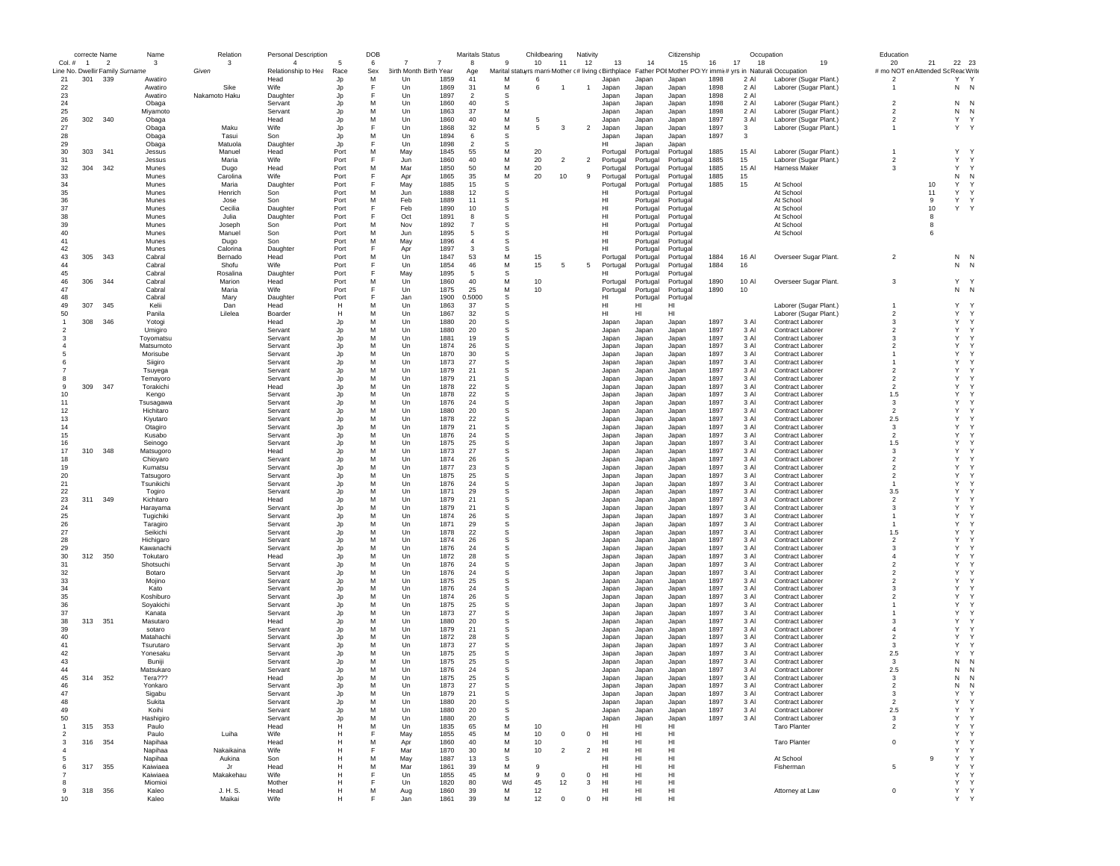|                     | correcte Name  |                |                                 | Name                 | Relation             | <b>Personal Description</b> |              | <b>DOB</b> |                            |              | <b>Maritals Status</b> |                  | Childbearing |                | Nativity       |                      |                      | Citizenship                                                                                                           |              | Occupation   |                                             | Education                                 |    |                   |              |
|---------------------|----------------|----------------|---------------------------------|----------------------|----------------------|-----------------------------|--------------|------------|----------------------------|--------------|------------------------|------------------|--------------|----------------|----------------|----------------------|----------------------|-----------------------------------------------------------------------------------------------------------------------|--------------|--------------|---------------------------------------------|-------------------------------------------|----|-------------------|--------------|
| $Col.$ #            | $\overline{1}$ | $\overline{2}$ | Line No. Dwellir Family Surname | 3                    | 3                    | $\overline{4}$              |              | 6          |                            |              | 8                      | 9                | 10           | 11             | 12             | 13                   | 14                   | 15                                                                                                                    | 16           | 17<br>18     | 19                                          | 20                                        | 21 | 22 23             |              |
| 21                  | 301            | 339            |                                 | Awatiro              | Given                | Relationship to Hea<br>Head | Race<br>Jp   | Sex<br>M   | rth Month Birth Year<br>Un | 1859         | Age<br>41              | м                | 6            |                |                | Japan                | Japan                | Marital statuyrs marri Mother (# living cBirthplace Father POIMother PO Yr immit# yrs in Naturali:Occupation<br>Japan | 1898         | 2 Al         | Laborer (Sugar Plant.)                      | # mo NOT en Attended So<br>$\overline{2}$ |    | Reac Write<br>Y Y |              |
| 22                  |                |                |                                 | Awatiro              | Sike                 | <b>Wife</b>                 | Jp           | F          | Un                         | 1869         | 31                     | М                | 6            | -1             | -1             | Japan                | Japan                | Japan                                                                                                                 | 1898         | 2 Al         | Laborer (Sugar Plant.)                      | $\mathbf{1}$                              |    | N N               |              |
| 23                  |                |                |                                 | Awatiro              | Nakamoto Haku        | Daughter                    | Jp           | F          | Un                         | 1897         | $\overline{2}$         | s                |              |                |                | Japan                | Japan                | Japan                                                                                                                 | 1898         | 2 Al         |                                             |                                           |    |                   |              |
| 24                  |                |                |                                 | Obaga                |                      | Servant                     | Jp           | M          | Un                         | 1860         | 40                     | s                |              |                |                | Japan                | Japan                | Japan                                                                                                                 | 1898         | 2 Al         | Laborer (Sugar Plant.)                      | $\overline{2}$                            |    | N                 | N            |
| 25                  |                |                |                                 | Miyamoto             |                      | Servant                     | Jp           | M          | Un                         | 1863         | 37                     | M                |              |                |                | Japan                | Japan                | Japan                                                                                                                 | 1898         | 2 Al         | Laborer (Sugar Plant.)                      | $\overline{2}$                            |    | Ν                 | N            |
| 26                  | 302 340        |                |                                 | Obaga                |                      | Head                        | Jp           | M          | Un                         | 1860         | 40                     | М                | 5            |                |                | Japan                | Japan                | Japan                                                                                                                 | 1897         | 3 Al         | Laborer (Sugar Plant.)                      | $\overline{2}$                            |    | Υ                 | $\mathbf Y$  |
| 27                  |                |                |                                 | Obaga                | Maku                 | Wife                        | Jp           | F          | Un                         | 1868         | 32                     | M                | 5            | 3              | $\overline{2}$ | Japan                | Japan                | Japan                                                                                                                 | 1897         | 3            | Laborer (Sugar Plant.)                      | $\mathbf{1}$                              |    | Y Y               |              |
| 28                  |                |                |                                 | Obaga                | Tasui                | Son                         | Jp           | M          | Un                         | 1894         | 6                      | s                |              |                |                | Japan                | Japan                | Japan                                                                                                                 | 1897         | 3            |                                             |                                           |    |                   |              |
| 29                  |                |                |                                 | Obaga                | Matuola              | Daughter                    | Jp           | F          | Un                         | 1898         | $\overline{2}$         | s                |              |                |                | HI                   | Japan                | Japan                                                                                                                 |              |              |                                             |                                           |    |                   |              |
| 30                  | 303            | 341            |                                 | Jessus               | Manuel               | Head                        | Port         | M          | May                        | 1845         | 55                     | М                | 20           |                |                | Portugal             | Portugal             | Portugal                                                                                                              | 1885         | 15 AI        | Laborer (Sugar Plant.)                      | $\overline{1}$                            |    | Y                 | Y            |
| 31                  |                |                |                                 | Jessus               | Maria                | Wife                        | Port         | F<br>M     | Jun                        | 1860         | 40<br>50               | М                | 20           | $\overline{2}$ | $\overline{2}$ | Portugal             | Portugal             | Portugal                                                                                                              | 1885         | 15           | Laborer (Sugar Plant.)<br>Harness Maker     | $\overline{2}$<br>3                       |    | Υ<br>Υ            | Υ<br>Υ       |
| 32<br>33            | 304 342        |                |                                 | Munes<br>Munes       | Dugo<br>Carolina     | Head<br>Wife                | Port<br>Port | E          | Mar<br>Apr                 | 1850<br>1865 | 35                     | М<br>M           | 20<br>20     | $10$           | 9              | Portugal<br>Portugal | Portugal<br>Portugal | Portugal<br>Portugal                                                                                                  | 1885<br>1885 | 15 Al<br>15  |                                             |                                           |    | N                 | N            |
| 34                  |                |                |                                 | Munes                | Maria                | Daughter                    | Port         | F          | May                        | 1885         | 15                     | s                |              |                |                | Portugal             | Portugal             | Portugal                                                                                                              | 1885         | 15           | At School                                   |                                           | 10 | Υ                 | Υ            |
| 35                  |                |                |                                 | Munes                | Henrich              | Son                         | Port         | M          | Jun                        | 1888         | 12                     | s                |              |                |                | HI                   | Portugal             | Portugal                                                                                                              |              |              | At School                                   |                                           | 11 | Υ                 | Υ            |
| 36                  |                |                |                                 | Munes                | Jose                 | Son                         | Port         | M          | Feb                        | 1889         | 11                     | s                |              |                |                | HI                   | Portugal             | Portugal                                                                                                              |              |              | At School                                   |                                           | 9  | Υ                 | Y            |
| 37                  |                |                |                                 | Munes                | Cecilia              | Daughter                    | Port         | F          | Feb                        | 1890         | 10                     | $\mathbb S$      |              |                |                | HI                   | Portugal             | Portugal                                                                                                              |              |              | At School                                   |                                           | 10 | Y                 | Y            |
| 38                  |                |                |                                 | Munes                | Julia                | Daughter                    | Port         | F          | Oct                        | 1891         | 8                      | s                |              |                |                | HI.                  | Portugal             | Portugal                                                                                                              |              |              | At School                                   |                                           | 8  |                   |              |
| 39                  |                |                |                                 | Munes                | Joseph               | Son                         | Port         | M          | Nov                        | 1892         | $\overline{7}$         | s                |              |                |                | HI.                  | Portugal             | Portugal                                                                                                              |              |              | At School                                   |                                           | 8  |                   |              |
| 40                  |                |                |                                 | Munes                | Manuel               | Son                         | Port         | M          | Jun                        | 1895         | 5                      | s                |              |                |                | HI                   | Portugal             | Portugal                                                                                                              |              |              | At School                                   |                                           | 6  |                   |              |
| 41                  |                |                |                                 | Munes                | Dugo                 | Son                         | Port         | M          | May                        | 1896         | $\overline{4}$         | s                |              |                |                | HI                   | Portugal             | Portugal                                                                                                              |              |              |                                             |                                           |    |                   |              |
| 42                  |                |                |                                 | Munes                | Calorina             | Daughter                    | Port         | F          | Apr                        | 1897         | 3                      | s                |              |                |                | HI                   | Portugal             | Portugal                                                                                                              |              |              |                                             |                                           |    |                   |              |
| 43                  | 305            | - 343          |                                 | Cabral               | Bernado              | Head                        | Port         | M          | Un                         | 1847         | 53                     | М                | 15           |                |                | Portugal             | Portugal             | Portugal                                                                                                              | 1884         | 16 Al        | Overseer Sugar Plant.                       | $\overline{2}$                            |    | N N               |              |
| 44                  |                |                |                                 | Cabral               | Shofu                | Wife                        | Port         | E          | Un                         | 1854         | 46                     | М                | 15           | 5              | 5              | Portugal             | Portugal             | Portugal                                                                                                              | 1884         | 16           |                                             |                                           |    | N                 | N            |
| 45                  |                |                |                                 | Cabral               | Rosalina             | Daughter                    | Port         | F          | May                        | 1895         | 5                      | s                |              |                |                | HI                   | Portugal             | Portugal                                                                                                              |              |              |                                             |                                           |    |                   |              |
| 46                  | 306            | 344            |                                 | Cabral               | Marion               | Head                        | Port         | M          | Un                         | 1860         | 40                     | М                | 10           |                |                | Portugal             | Portugal             | Portugal                                                                                                              | 1890         | 10 Al        | Overseer Sugar Plant.                       | 3                                         |    | Y Y               |              |
| 47                  |                |                |                                 | Cabral               | Maria                | Wife                        | Port         | F<br>E     | Un                         | 1875         | 25                     | М                | 10           |                |                | Portugal             | Portugal             | Portugal                                                                                                              | 1890         | 10           |                                             |                                           |    | N N               |              |
| 48<br>49            | 307            | 345            |                                 | Cabral<br>Kelii      | Mary<br>Dan          | Daughter<br>Head            | Port<br>H    | M          | Jan<br>Un                  | 1900<br>1863 | 0.5000<br>37           | $\mathbb S$<br>s |              |                |                | HI<br>HI             | Portugal<br>HI       | Portugal<br>HI                                                                                                        |              |              | Laborer (Sugar Plant.)                      | $\overline{1}$                            |    | Y                 | $\mathbf{v}$ |
| 50                  |                |                |                                 | Panila               | Lilelea              | Boarder                     | н            | M          | Un                         | 1867         | 32                     | s                |              |                |                | HI                   | HI                   | HI                                                                                                                    |              |              | Laborer (Sugar Plant.)                      | $\overline{2}$                            |    | Υ                 | Y            |
| $\mathbf{1}$        | 308 346        |                |                                 | Yotogi               |                      | Head                        | Jp           | M          | Un                         | 1880         | 20                     | s                |              |                |                | Japan                | Japan                | Japan                                                                                                                 | 1897         | 3 Al         | Contract Laborer                            | 3                                         |    | Υ                 | Y            |
|                     |                |                |                                 | Umigiro              |                      | Servant                     | Jp           | M          | Un                         | 1880         | 20                     | s                |              |                |                | Japan                | Japan                | Japan                                                                                                                 | 1897         | 3 Al         | <b>Contract Laborer</b>                     | $\overline{2}$                            |    | Υ                 | Y            |
| 3                   |                |                |                                 | Toyomatsu            |                      | Servant                     | Jp           | M          | Un                         | 1881         | 19                     | s                |              |                |                | Japan                | Japan                | Japan                                                                                                                 | 1897         | 3 AI         | Contract Laborer                            | 3                                         |    | Υ                 | Y            |
|                     |                |                |                                 | Matsumoto            |                      | Servant                     | Jp           | M          | Un                         | 1874         | 26                     | s                |              |                |                | Japan                | Japan                | Japan                                                                                                                 | 1897         | 3 AI         | Contract Laborer                            | 2                                         |    | Y                 | Y.           |
|                     |                |                |                                 | Morisube             |                      | Servant                     | Jp           | M          | Un                         | 1870         | 30                     | s                |              |                |                | Japan                | Japan                | Japan                                                                                                                 | 1897         | 3 Al         | <b>Contract Laborer</b>                     | -1                                        |    | Y                 | Y.           |
|                     |                |                |                                 | Siigiro              |                      | Servant                     | Jp           | M          | Un                         | 1873         | 27                     | s                |              |                |                | Japan                | Japan                | Japan                                                                                                                 | 1897         | 3 Al         | Contract Laborer                            |                                           |    | Y                 | Y            |
|                     |                |                |                                 | Tsuyega              |                      | Servant                     | Jp           | M          | Un                         | 1879         | 21                     | s                |              |                |                | Japan                | Japan                | Japan                                                                                                                 | 1897         | 3 Al         | <b>Contract Laborer</b>                     | $\overline{2}$                            |    | Υ                 | Y            |
|                     |                |                |                                 | Temayoro             |                      | Servant                     | Jp           | M          | Un                         | 1879         | 21                     | s                |              |                |                | Japan                | Japan                | Japan                                                                                                                 | 1897         | 3 Al         | <b>Contract Laborer</b>                     | $\overline{2}$                            |    | Υ                 | Y            |
| 9                   | 309 347        |                |                                 | Torakichi            |                      | Head                        | Jp           | M          | Un                         | 1878         | 22                     | s                |              |                |                | Japan                | Japan                | Japan                                                                                                                 | 1897         | 3 Al         | Contract Laborer                            | $\overline{2}$                            |    | Y                 | Y            |
| 10                  |                |                |                                 | Kengo                |                      | Servant                     | Jp           | M          | Un                         | 1878         | 22                     | s                |              |                |                | Japan                | Japan                | Japan                                                                                                                 | 1897         | 3 AI         | <b>Contract Laborer</b>                     | 1.5                                       |    | Y                 | Y            |
| 11                  |                |                |                                 | Tsusagawa            |                      | Servant                     | Jp           | M          | Un                         | 1876         | 24                     | s                |              |                |                | Japan                | Japan                | Japan                                                                                                                 | 1897         | 3 Al         | <b>Contract Laborer</b>                     | 3                                         |    | Y                 | Y            |
| 12                  |                |                |                                 | Hichitaro            |                      | Servant                     | Jp           | M          | Un                         | 1880         | 20                     | s                |              |                |                | Japan                | Japan                | Japan                                                                                                                 | 1897         | 3 Al         | Contract Laborer                            | $\overline{2}$                            |    | Y                 | Y<br>Y       |
| 13<br>14            |                |                |                                 | Kiyutaro             |                      | Servant                     | Jp           | M<br>M     | Un                         | 1878         | 22                     | s<br>s           |              |                |                | Japan                | Japan                | Japan                                                                                                                 | 1897         | 3 Al         | Contract Laborer                            | 2.5                                       |    | Υ<br>Υ            | Y            |
| 15                  |                |                |                                 | Otagiro<br>Kusabo    |                      | Servant<br>Servant          | Jp<br>Jp     | M          | Un<br>Un                   | 1879<br>1876 | 21<br>24               | s                |              |                |                | Japan<br>Japan       | Japan<br>Japan       | Japan<br>Japan                                                                                                        | 1897<br>1897 | 3 AI<br>3 Al | Contract Laborer<br><b>Contract Laborer</b> | 3<br>$\overline{2}$                       |    | Y                 | Y            |
| 16                  |                |                |                                 | Seinogo              |                      | Servant                     | Jp           | M          | Un                         | 1875         | 25                     | s                |              |                |                | Japan                | Japan                | Japan                                                                                                                 | 1897         | 3 Al         | Contract Laborer                            | 1.5                                       |    | Y                 | Y            |
| 17                  | 310 348        |                |                                 | Matsugoro            |                      | Head                        | Jp           | M          | Un                         | 1873         | 27                     | s                |              |                |                | Japan                | Japan                | Japan                                                                                                                 | 1897         | 3 Al         | Contract Laborer                            | 3                                         |    | Y                 | Y            |
| 18                  |                |                |                                 | Chioyaro             |                      | Servant                     | Jp           | M          | Un                         | 1874         | 26                     | s                |              |                |                | Japan                | Japan                | Japan                                                                                                                 | 1897         | 3 Al         | <b>Contract Laborer</b>                     | $\overline{2}$                            |    | Υ                 | Y            |
| 19                  |                |                |                                 | Kumatsu              |                      | Servant                     | Jp           | M          | Un                         | 1877         | 23                     | s                |              |                |                | Japan                | Japan                | Japan                                                                                                                 | 1897         | 3 AI         | Contract Laborer                            | $\overline{2}$                            |    | Υ                 | Y            |
| 20                  |                |                |                                 | Tatsugoro            |                      | Servant                     | Jp           | M          | Un                         | 1875         | 25                     | $\mathbb S$      |              |                |                | Japan                | Japan                | Japan                                                                                                                 | 1897         | 3 AI         | Contract Laborer                            | $\overline{2}$                            |    | Y                 | Y            |
| 21                  |                |                |                                 | Tsunikichi           |                      | Servant                     | Jp           | M          | Un                         | 1876         | 24                     | s                |              |                |                | Japan                | Japan                | Japan                                                                                                                 | 1897         | 3 AI         | <b>Contract Laborer</b>                     | $\mathbf{1}$                              |    | Y                 | Y            |
| 22                  |                |                |                                 | Togiro               |                      | Servant                     | Jp           | M          | Un                         | 1871         | 29                     | s                |              |                |                | Japan                | Japan                | Japan                                                                                                                 | 1897         | 3 Al         | Contract Laborer                            | 3.5                                       |    | Y                 | Y            |
| 23                  | 311            | 349            |                                 | Kichitaro            |                      | Head                        | Jp           | M          | Un                         | 1879         | 21                     | s                |              |                |                | Japan                | Japan                | Japan                                                                                                                 | 1897         | 3 Al         | <b>Contract Laborer</b>                     | $\overline{2}$                            |    | Y                 | Y            |
| 24                  |                |                |                                 | Harayama             |                      | Servant                     | Jp           | M          | Un                         | 1879         | 21                     | s                |              |                |                | Japan                | Japan                | Japan                                                                                                                 | 1897         | 3 Al         | <b>Contract Laborer</b>                     | 3                                         |    | Υ                 | Y            |
| 25                  |                |                |                                 | Tugichiki            |                      | Servant                     | Jp           | M<br>M     | Un                         | 1874         | 26                     | s                |              |                |                | Japan                | Japan                | Japan                                                                                                                 | 1897         | 3 Al         | Contract Laborer                            | -1                                        |    | Y<br>Y            | ٠Y<br>Y      |
| 26<br>27            |                |                |                                 | Taragiro<br>Seikichi |                      | Servant<br>Servant          | Jp           | M          | Un<br>Un                   | 1871<br>1878 | 29<br>22               | s<br>s           |              |                |                | Japan<br>Japan       | Japan<br>Japan       | Japan<br>Japan                                                                                                        | 1897<br>1897 | 3 Al<br>3 Al | <b>Contract Laborer</b><br>Contract Laborer | -1<br>1.5                                 |    | Y                 | Y            |
| 28                  |                |                |                                 | Hichigaro            |                      | Servant                     | Jp<br>Jp     | M          | Un                         | 1874         | 26                     | s                |              |                |                | Japan                | Japan                | Japan                                                                                                                 | 1897         | 3 Al         | Contract Laborer                            | $\overline{2}$                            |    | Y                 | Y            |
| 29                  |                |                |                                 | Kawanachi            |                      | Servant                     | Jp           | M          | Un                         | 1876         | 24                     | s                |              |                |                | Japan                | Japan                | Japan                                                                                                                 | 1897         | 3 Al         | <b>Contract Laborer</b>                     | 3                                         |    | Υ                 | Y            |
| 30                  | 312 350        |                |                                 | Tokutaro             |                      | Head                        | Jp           | M          | Un                         | 1872         | 28                     | s                |              |                |                | Japan                | Japan                | Japan                                                                                                                 | 1897         | 3 Al         | Contract Laborer                            | $\overline{4}$                            |    | Y                 | Y            |
| 31                  |                |                |                                 | Shotsuchi            |                      | Servant                     | Jp           | M          | Un                         | 1876         | 24                     | s                |              |                |                | Japan                | Japan                | Japan                                                                                                                 | 1897         | 3 Al         | <b>Contract Laborer</b>                     | $\overline{2}$                            |    | Y                 | Y            |
| 32                  |                |                |                                 | Botaro               |                      | Servant                     | Jp           | M          | $_{\text{Un}}$             | 1876         | 24                     | s                |              |                |                | Japan                | Japan                | Japan                                                                                                                 | 1897         | 3 Al         | Contract Laborer                            | $\overline{2}$                            |    | Y                 | Y            |
| 33                  |                |                |                                 | Mojino               |                      | Servant                     | Jp           | M          | Un                         | 1875         | 25                     | s                |              |                |                | Japan                | Japan                | Japan                                                                                                                 | 1897         | 3 Al         | Contract Laborer                            | $\overline{2}$                            |    | Y                 | Y            |
| 34                  |                |                |                                 | Kato                 |                      | Servant                     | Jp           | M          | Un                         | 1876         | 24                     | s                |              |                |                | Japan                | Japan                | Japan                                                                                                                 | 1897         | 3 Al         | <b>Contract Laborer</b>                     | 3                                         |    | Υ                 | Y            |
| 35                  |                |                |                                 | Koshiburo            |                      | Servant                     | Jp           | M          | Un                         | 1874         | 26                     | s                |              |                |                | Japan                | Japan                | Japan                                                                                                                 | 1897         | 3 Al         | Contract Laborer                            | 2                                         |    | Υ                 | Y            |
| 36                  |                |                |                                 | Soyakichi            |                      | Servant                     | Jp           | M          | Un                         | 1875         | 25                     | s                |              |                |                | Japan                | Japan                | Japan                                                                                                                 | 1897         | 3 Al         | Contract Laborer                            |                                           |    | Υ                 | Y            |
| 37                  |                |                |                                 | Kanata               |                      | Servant                     | Jp           | M<br>M     | Un                         | 1873         | 27                     | s                |              |                |                | Japan                | Japan                | Japan                                                                                                                 | 1897         | 3 Al         | <b>Contract Laborer</b>                     |                                           |    | Y<br>Y            | Y<br>Y       |
| 38<br>39            | 313 351        |                |                                 | Masutaro             |                      | Head                        | Jp           | M          | Un                         | 1880<br>1879 | 20                     | s<br>s           |              |                |                | Japan                | Japan                | Japan                                                                                                                 | 1897<br>1897 | 3 Al<br>3 Al | Contract Laborer                            | 3<br>$\overline{4}$                       |    | Υ                 | Y            |
| 40                  |                |                |                                 | sotaro<br>Matahachi  |                      | Servant                     | Jp           | M          | Un<br>Un                   | 1872         | 21<br>28               | s                |              |                |                | Japan                | Japan                | Japan                                                                                                                 | 1897         | 3 Al         | Contract Laborer                            | $\overline{2}$                            |    | Υ                 | Y            |
| 41                  |                |                |                                 | Tsurutaro            |                      | Servant<br>Servant          | Jp<br>Jp     | M          | Un                         | 1873         | 27                     | s                |              |                |                | Japan<br>Japan       | Japan<br>Japan       | Japan<br>Japan                                                                                                        | 1897         | 3 Al         | Contract Laborer<br>Contract Laborer        | 3                                         |    | Y                 | Y            |
| 42                  |                |                |                                 | Yonesaku             |                      | Servant                     | Jp           | M          | Un                         | 1875         | 25                     | s                |              |                |                | Japan                | Japan                | Japan                                                                                                                 | 1897         | 3 AI         | <b>Contract Laborer</b>                     | 2.5                                       |    | Y                 | Y            |
| 43                  |                |                |                                 | Buniii               |                      | Servant                     | Jo           | M          | Un                         | 1875         | 25                     | s                |              |                |                | Japan                | Japan                | Japan                                                                                                                 | 1897         | 3 Al         | Contract Laborer                            | 3                                         |    | N                 | N            |
| 44                  |                |                |                                 | Matsukaro            |                      | Servant                     | Jp           | M          | Un                         | 1876         | 24                     | s                |              |                |                | Japan                | Japan                | Japan                                                                                                                 | 1897         | 3 Al         | Contract Laborer                            | 2.5                                       |    | N                 | N            |
| 45                  | 314            | 352            |                                 | Tera???              |                      | Head                        | Jp           | м          | Un                         | 1875         | 25                     | s                |              |                |                | Japan                | Japan                | Japan                                                                                                                 | 1897         | 3 AI         | <b>Contract Laborer</b>                     | 3                                         |    | N                 | N            |
| 46                  |                |                |                                 | Yonkard              |                      | Servant                     |              | <b>M</b>   | Un                         | 1873         | 27                     |                  |              |                |                |                      |                      | Japan                                                                                                                 | 1897         | 3 Al         | <b>Contract Laborer</b>                     |                                           |    | N                 |              |
| 47                  |                |                |                                 | Sigabu               |                      | Servant                     | Jp           | М          | Un                         | 1879         | 21                     | s                |              |                |                | Japan                | Japan                | Japan                                                                                                                 | 1897         | 3 AI         | Contract Laborer                            | 3                                         |    | Υ                 | Y            |
| 48                  |                |                |                                 | Sukita               |                      | Servant                     | Jp           | M          | Un                         | 1880         | 20                     | s                |              |                |                | Japan                | Japan                | Japan                                                                                                                 | 1897         | 3 Al         | Contract Laborer                            | $\overline{2}$                            |    | Υ                 | Y            |
| 49                  |                |                |                                 | Koihi                |                      | Servant                     | Jp           | M          | Un                         | 1880         | 20                     | s                |              |                |                | Japan                | Japan                | Japan                                                                                                                 | 1897         | 3 Al         | Contract Laborer                            | 2.5                                       |    | Υ                 | Y            |
| 50                  |                |                |                                 | Hashigiro            |                      | Servant                     | Jp           | M          | Un                         | 1880         | 20                     | s                |              |                |                | Japan                | Japan                | Japan                                                                                                                 | 1897         | 3 Al         | Contract Laborer                            | 3                                         |    | Υ                 | Y            |
| $\mathbf{1}$        | 315 353        |                |                                 | Paulo                |                      | Head                        | н            | M          | Un                         | 1835         | 65                     | М                | 10           |                |                | HI                   | HI                   | HI                                                                                                                    |              |              | <b>Taro Planter</b>                         | $\overline{2}$                            |    | Υ                 | Y            |
| $\overline{2}$      |                |                |                                 | Paulo                | Luiha                | Wife                        | $\mathsf H$  | F          | May                        | 1855         | 45                     | M                | 10           | 0              | 0              | HI                   | HI                   | HI                                                                                                                    |              |              |                                             |                                           |    | Υ                 | Y            |
| 3<br>$\overline{4}$ | 316 354        |                |                                 | Napihaa              |                      | Head                        | H            | M<br>E     | Apr                        | 1860         | 40                     | M<br>M           | 10           |                | $\overline{2}$ | HI                   | HI                   | HI<br>HI                                                                                                              |              |              | Taro Planter                                | $\mathsf 0$                               |    | Y<br>Υ            | Y            |
| 5                   |                |                |                                 | Napihaa<br>Napihaa   | Nakaikaina<br>Aukina | Wife<br>Son                 | н<br>н       | M          | Mar<br>May                 | 1870<br>1887 | 30<br>13               | s                | 10           | $\overline{2}$ |                | HI<br>HI             | HI<br>HI             | HI                                                                                                                    |              |              | At School                                   |                                           | 9  | Υ                 | Υ<br>Y       |
| 6                   | 317 355        |                |                                 | Kaiwiaea             | Jr                   | Head                        | н            | M          | Mar                        | 1861         | 39                     | М                | 9            |                |                | HI                   | HI                   | HI                                                                                                                    |              |              | Fisherman                                   | 5                                         |    | Υ                 | Y            |
|                     |                |                |                                 | Kaiwiaea             | Makakehau            | Wife                        | н            | F          | Un                         | 1855         | 45                     | М                | 9            | 0              | 0              | HI                   | HI                   | HI                                                                                                                    |              |              |                                             |                                           |    | Υ                 | Y            |
|                     |                |                |                                 | Miomioi              |                      | Mother                      | Н            | F          | Un                         | 1820         | 80                     | Wd               | 45           | 12             | 3              | HI                   | HI                   | HI                                                                                                                    |              |              |                                             |                                           |    | Υ                 | Y            |
| 9                   | 318 356        |                |                                 | Kaleo                | J. H. S.             | Head                        | н            | М          | Aug                        | 1860         | 39                     | м                | 12           |                |                | HI                   | HI                   | HI                                                                                                                    |              |              | Attorney at Law                             | $\mathbf 0$                               |    | Y                 | Y            |
| 10                  |                |                |                                 | Kaleo                | Maikai               | Wife                        | Н            | E          | Jan                        | 1861         | 39                     | М                | 12           | $\mathbf 0$    | $\mathbf 0$    | HI                   | HI                   | HI                                                                                                                    |              |              |                                             |                                           |    | Υ                 | Y            |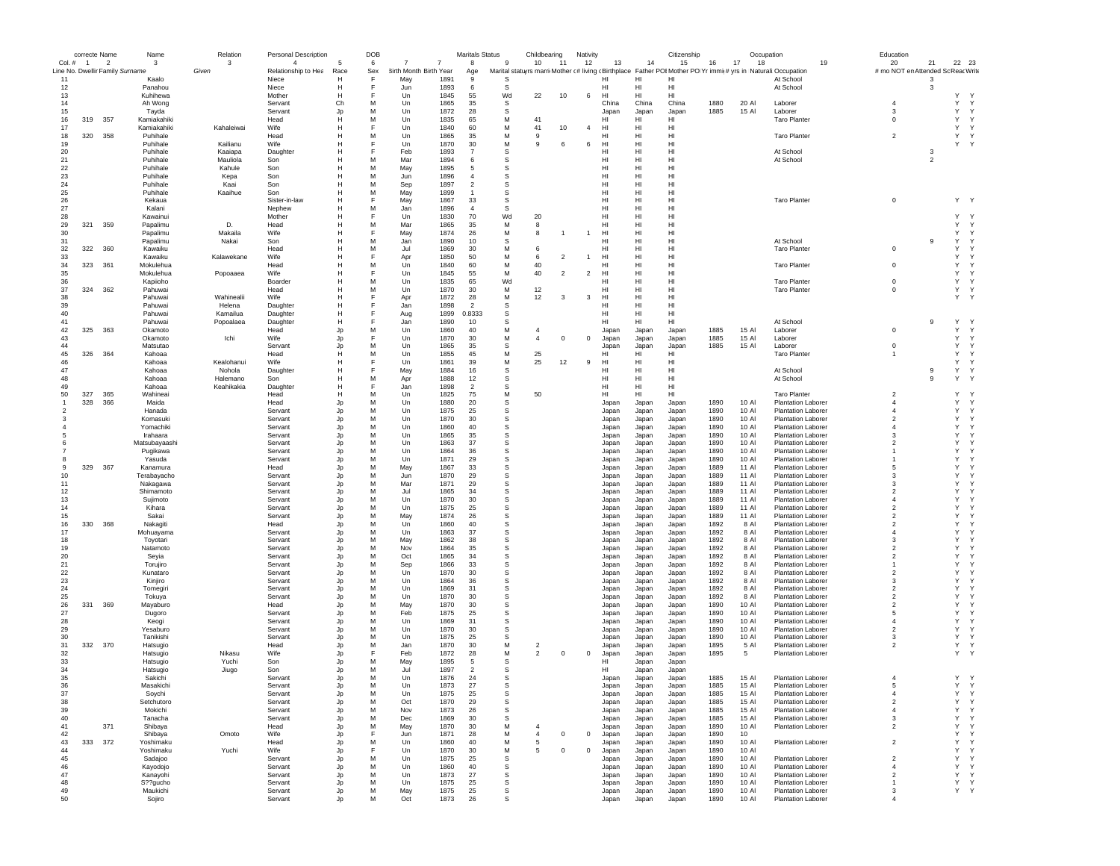|                | correcte Name  |                | Name                                     | Relation   | Personal Description         |           | DOB      |                                          | <b>Maritals Status</b>           |             | Childbearing                                                                                                    |                | Nativity       |                |                | Citizenship              |              | Occupation     |                                                        | Education                          |                |                             |        |
|----------------|----------------|----------------|------------------------------------------|------------|------------------------------|-----------|----------|------------------------------------------|----------------------------------|-------------|-----------------------------------------------------------------------------------------------------------------|----------------|----------------|----------------|----------------|--------------------------|--------------|----------------|--------------------------------------------------------|------------------------------------|----------------|-----------------------------|--------|
| Col. #         | $\overline{1}$ | $\overline{2}$ | 3                                        | 3<br>Given | $\overline{4}$               |           | 6        | $\overline{7}$<br>3irth Month Birth Year | 8                                | 9           | 10                                                                                                              | 11             | 12             | 13             | 14             | 15                       | 16           | 17<br>18       | 19                                                     | 20                                 | 21             | 22 23                       |        |
| 11             |                |                | Line No. Dwellir Family Surname<br>Kaalo |            | Relationship to Hea<br>Niece | Race<br>Н | Sex<br>E | May<br>1891                              | Age<br>9                         | S           | Marital statuyrs marri Mother (# living (Birthplace Father POI Mother PO Yr immit # yrs in Naturali: Occupation |                |                | HI             | HI             | н                        |              |                | At School                                              | # mo NOT en Attended Sc Reac Write | 3              |                             |        |
| 12             |                |                | Panahou                                  |            | Niece                        | Н         | F        | 1893<br>Jun                              | 6                                | s           |                                                                                                                 |                |                | HI             | HI             | HI                       |              |                | At School                                              |                                    | 3              |                             |        |
| 13             |                |                | Kuhihewa                                 |            | Mother                       | Н         | F        | 1845<br>Un                               | 55                               | Wd          | 22                                                                                                              | 10             | 6              | HI             | HI             | HI                       |              |                |                                                        |                                    |                | Y<br>Y.                     |        |
| 14             |                |                | Ah Wong                                  |            | Servant                      | Ch        | M        | Un<br>1865                               | 35                               | s           |                                                                                                                 |                |                | China          | China          | China                    | 1880         | 20 AI          | Laborer                                                | $\overline{4}$                     |                | Υ                           | Υ      |
| 15             |                |                | Tayda                                    |            | Servant                      | Jp        | M        | 1872<br>Un                               | 28                               | s           |                                                                                                                 |                |                | Japan          | Japan          | Japan                    | 1885         | 15 Al          | Laborer                                                | 3                                  |                | Y<br>Y                      |        |
| 16<br>17       | 319            | 357            | Kamiakahiki<br>Kamiakahiki               | Kahaleiwai | Head<br>Wife                 | H<br>H    | M<br>F   | Un<br>1835<br>Un<br>1840                 | 65<br>60                         | М<br>М      | 41<br>41                                                                                                        | 10             | $\overline{4}$ | HI<br>HI       | HI<br>HI       | HI<br>HI                 |              |                | <b>Taro Planter</b>                                    | $\mathbf 0$                        |                | Υ<br>Y<br>Υ<br>$\mathsf{Y}$ |        |
| 18             |                | 320 358        | Puhihale                                 |            | Head                         | Н         | M        | 1865<br>Un                               | 35                               | М           | 9                                                                                                               |                |                | HI             | HI             | HI                       |              |                | <b>Taro Planter</b>                                    | $\overline{2}$                     |                | Υ<br>Y                      |        |
| 19             |                |                | Puhihale                                 | Kailianu   | Wife                         | Н         | F        | Un<br>1870                               | 30                               | М           | 9                                                                                                               | 6              | 6              | HI             | HI             | H <sub>II</sub>          |              |                |                                                        |                                    |                | Υ<br>Y                      |        |
| 20             |                |                | Puhihale                                 | Kaaiapa    | Daughter                     | H         | E        | 1893<br>Feb                              | $\overline{7}$                   | s           |                                                                                                                 |                |                | HI             | HI             | H1                       |              |                | At School                                              |                                    | 3              |                             |        |
| 21             |                |                | Puhihale                                 | Mauliola   | Son                          | H         | M        | 1894<br>Mar                              | 6                                | s           |                                                                                                                 |                |                | HI             | HI             | H1                       |              |                | At School                                              |                                    | $\overline{2}$ |                             |        |
| 22             |                |                | Puhihale                                 | Kahule     | Son                          | H         | M        | May<br>1895                              | 5                                | s           |                                                                                                                 |                |                | HI             | HI             | HI                       |              |                |                                                        |                                    |                |                             |        |
| 23             |                |                | Puhihale                                 | Kepa       | Son                          | Н         | M        | 1896<br>Jun                              | $\overline{4}$                   | s           |                                                                                                                 |                |                | HI             | HI             | HI                       |              |                |                                                        |                                    |                |                             |        |
| 24             |                |                | Puhihale                                 | Kaai       | Son                          | H         | M        | Sep<br>1897                              | $\overline{2}$<br>$\overline{1}$ | s           |                                                                                                                 |                |                | HI             | HI             | HI                       |              |                |                                                        |                                    |                |                             |        |
| 25<br>26       |                |                | Puhihale<br>Kekaua                       | Kaaihue    | Son<br>Sister-in-law         | н<br>H    | M<br>F   | May<br>1899<br>1867<br>May               | 33                               | s<br>s      |                                                                                                                 |                |                | HI<br>HI       | HI<br>HI       | HI<br>H <sub>II</sub>    |              |                | <b>Taro Planter</b>                                    | $\mathsf{o}\,$                     |                | Y Y                         |        |
| 27             |                |                | Kalani                                   |            | Nephew                       | H         | M        | 1896<br>Jan                              | $\overline{4}$                   | s           |                                                                                                                 |                |                | HI             | HI             | HI                       |              |                |                                                        |                                    |                |                             |        |
| 28             |                |                | Kawainui                                 |            | Mother                       | H         | F        | Un<br>1830                               | 70                               | Wd          | 20                                                                                                              |                |                | HI             | HI             | HI                       |              |                |                                                        |                                    |                | Y<br>Υ                      |        |
| 29             | 321            | 359            | Papalimu                                 | D.         | Head                         | H         | M        | Mar<br>1865                              | 35                               | М           | 8                                                                                                               |                |                | HI             | HI             | HI                       |              |                |                                                        |                                    |                | Υ<br>Y                      |        |
| 30             |                |                | Papalimu                                 | Makaila    | Wife                         | H         | E        | May<br>1874                              | 26                               | M           | 8                                                                                                               | -1             |                | HI             | HI             | HI                       |              |                |                                                        |                                    |                | Y<br>Y                      |        |
| 31             |                |                | Papalimu                                 | Nakai      | Son                          | H         | M        | 1890<br>Jar                              | 10                               | s           |                                                                                                                 |                |                | HI             | HI             | HI                       |              |                | At School                                              |                                    | 9              | Y                           | Y      |
| 32             |                | 322 360        | Kawaiku                                  |            | Head                         | H<br>H    | M<br>E   | Jul<br>1869                              | 30                               | М           | 6                                                                                                               | $\overline{2}$ |                | HI             | HI             | HI<br>HI                 |              |                | <b>Taro Planter</b>                                    | $\mathbf 0$                        |                | Υ                           | Y<br>Y |
| 33<br>34       | 323            | 361            | Kawaiku<br>Mokulehua                     | Kalawekane | Wife<br>Head                 | Н         | M        | 1850<br>Apr<br>1840<br>Un                | 50<br>60                         | М<br>М      | 6<br>40                                                                                                         |                |                | HI<br>HI       | HI<br>HI       | HI                       |              |                | <b>Taro Planter</b>                                    | $\mathbf 0$                        |                | Υ<br>Υ<br>Y                 |        |
| 35             |                |                | Mokulehua                                | Popoaaea   | Wife                         | Н         | E        | Un<br>1845                               | 55                               | М           | 40                                                                                                              | $\overline{2}$ | $\overline{2}$ | HI             | HI             | HI                       |              |                |                                                        |                                    |                | Υ<br>Y                      |        |
| 36             |                |                | Kapiioho                                 |            | Boarder                      | Н         | M        | 1835<br>Un                               | 65                               | Wd          |                                                                                                                 |                |                | HI             | HI             | H <sub>II</sub>          |              |                | <b>Taro Planter</b>                                    | $\mathbf 0$                        |                | Υ                           | Y      |
| 37             |                | 324 362        | Pahuwai                                  |            | Head                         | Н         | M        | Un<br>1870                               | 30                               | M           | 12                                                                                                              |                |                | HI             | HI             | H <sub>II</sub>          |              |                | <b>Taro Planter</b>                                    | $\mathbf 0$                        |                | Y<br>Y                      |        |
| 38             |                |                | Pahuwai                                  | Wahinealii | Wife                         | H         | E        | 1872<br>Apr                              | 28                               | M           | 12                                                                                                              | 3              | 3              | HI             | HI             | HI                       |              |                |                                                        |                                    |                | Υ<br>Y                      |        |
| 39             |                |                | Pahuwai                                  | Helena     | Daughter                     | Н         | F        | 1898<br>Jan                              | $\overline{2}$                   | s           |                                                                                                                 |                |                | HI             | HI             | HI                       |              |                |                                                        |                                    |                |                             |        |
| 40             |                |                | Pahuwai                                  | Kamailua   | Daughter                     | Н         | E        | Aug<br>1899                              | 0.8333                           | s           |                                                                                                                 |                |                | HI             | HI             | H <sub>II</sub>          |              |                |                                                        |                                    |                |                             |        |
| 41<br>42       | 325            | 363            | Pahuwai<br>Okamoto                       | Popoalaea  | Daughter<br>Head             | н<br>Jp   | E<br>M   | Jan<br>1890<br>1860<br>Un                | 10<br>40                         | s<br>M      | 4                                                                                                               |                |                | HI<br>Japan    | HI<br>Japan    | H <sub>II</sub><br>Japan | 1885         | 15 AI          | At School<br>Laborer                                   | $\mathbf 0$                        | 9              | Υ<br>$\gamma$<br>Y          | Υ      |
| 43             |                |                | Okamoto                                  | Ichi       | Wife                         | Jo        | E        | Un<br>1870                               | 30                               | M           | $\overline{4}$                                                                                                  | $^{\circ}$     | $\mathbf 0$    | Japan          | Japan          | Japan                    | 1885         | 15 AI          | Laborer                                                |                                    |                | Υ                           | Υ      |
| 44             |                |                | Matsutao                                 |            | Servant                      | Jp        | M        | Un<br>1865                               | 35                               | s           |                                                                                                                 |                |                | Japan          | Japan          | Japan                    | 1885         | 15 AI          | Laborer                                                | $\mathsf 0$                        |                | Υ                           | Υ      |
| 45             | 326            | 364            | Kahoaa                                   |            | Head                         | н         | M        | Un<br>1855                               | 45                               | М           | 25                                                                                                              |                |                | HI             | HI             | HI                       |              |                | <b>Taro Planter</b>                                    | $\overline{1}$                     |                | Υ<br>Y                      |        |
| 46             |                |                | Kahoaa                                   | Kealohanui | Wife                         | H         | F        | Un<br>1861                               | 39                               | М           | 25                                                                                                              | 12             | 9              | HI             | HI             | HI                       |              |                |                                                        |                                    |                | Υ<br>Y                      |        |
| 47             |                |                | Kahoaa                                   | Nohola     | Daughter                     | Н         | F        | 1884<br>May                              | 16                               | s           |                                                                                                                 |                |                | HI             | HI             | HI                       |              |                | At School                                              |                                    | 9              | Υ<br>Y                      |        |
| 48             |                |                | Kahoaa                                   | Halemano   | Son                          | Н<br>H    | M<br>E   | 1888<br>Apr                              | 12                               | s           |                                                                                                                 |                |                | HI             | HI             | HI                       |              |                | At School                                              |                                    | $\overline{9}$ | Υ<br>Y                      |        |
| 49<br>50       | 327            | 365            | Kahoaa<br>Wahineai                       | Keahikakia | Daughter<br>Head             | H         | M        | 1898<br>Jan<br>Un<br>1825                | $\overline{2}$<br>75             | s<br>М      | 50                                                                                                              |                |                | HI<br>HI       | HI<br>HI       | HI<br>HI                 |              |                | <b>Taro Planter</b>                                    | $\overline{2}$                     |                | Υ<br><sup>1</sup>           |        |
| $\mathbf{1}$   | 328            | 366            | Maida                                    |            | Head                         | Jp        | M        | Un<br>1880                               | 20                               | $\mathbb S$ |                                                                                                                 |                |                | Japan          | Japan          | Japan                    | 1890         | 10 Al          | <b>Plantation Laborer</b>                              | $\overline{4}$                     |                | Υ<br>Y                      |        |
| $\overline{2}$ |                |                | Hanada                                   |            | Servant                      | Jp        | M        | 1875<br>Un                               | 25                               | $\mathbb S$ |                                                                                                                 |                |                | Japan          | Japan          | Japan                    | 1890         | 10 Al          | <b>Plantation Laborer</b>                              | $\Delta$                           |                | Y<br>Y                      |        |
| 3              |                |                | Komasuki                                 |            | Servant                      | Jp        | M        | 1870<br>Un                               | 30                               | s           |                                                                                                                 |                |                | Japan          | Japan          | Japan                    | 1890         | 10 AI          | <b>Plantation Laborer</b>                              | $\mathfrak{D}$                     |                | Y                           | Y      |
|                |                |                | Yomachiki                                |            | Servant                      | Jp        | M        | Un<br>1860                               | 40                               | s           |                                                                                                                 |                |                | Japan          | Japan          | Japan                    | 1890         | 10 AI          | <b>Plantation Laborer</b>                              | $\overline{4}$                     |                | Υ                           | Y      |
|                |                |                | Irahaara                                 |            | Servant                      | Jp        | M        | Un<br>1865                               | 35                               | s           |                                                                                                                 |                |                | Japan          | Japan          | Japan                    | 1890         | 10 AI          | Plantation Laborer                                     | 3                                  |                | Υ<br>Y                      |        |
|                |                |                | Matsubayaashi                            |            | Servant                      | Jp        | M        | Un<br>1863                               | 37                               | s           |                                                                                                                 |                |                | Japan          | Japan          | Japan                    | 1890         | 10 AI          | <b>Plantation Laborer</b>                              | $\overline{2}$                     |                | Υ<br>Y                      |        |
|                |                |                | Pugikawa<br>Yasuda                       |            | Servant<br>Servant           | Jp        | M<br>M   | Un<br>1864<br>1871<br>Un                 | 36<br>29                         | s<br>s      |                                                                                                                 |                |                | Japan<br>Japan | Japan          | Japan<br>Japan           | 1890<br>1890 | 10 Al<br>10 AI | <b>Plantation Laborer</b><br><b>Plantation Laborer</b> |                                    |                | Υ<br>Y<br>Y<br>Y            |        |
| 9              | 329            | 367            | Kanamura                                 |            | Head                         | Jp<br>Jp  | M        | May<br>1867                              | 33                               | s           |                                                                                                                 |                |                | Japan          | Japan<br>Japan | Japan                    | 1889         | 11 Al          | <b>Plantation Laborer</b>                              | 5                                  |                | Y<br>Y                      |        |
| 10             |                |                | Terabayacho                              |            | Servant                      | Jp        | M        | 1870<br>Jun                              | 29                               | s           |                                                                                                                 |                |                | Japan          | Japan          | Japan                    | 1889         | 11 Al          | <b>Plantation Laborer</b>                              | 3                                  |                | Y<br>Y                      |        |
| 11             |                |                | Nakagawa                                 |            | Servant                      | Jp        | M        | 1871<br>Ma                               | 29                               | s           |                                                                                                                 |                |                | Japan          | Japan          | Japan                    | 1889         | 11 Al          | <b>Plantation Laborer</b>                              | 3                                  |                | Υ<br>Y                      |        |
| 12             |                |                | Shimamoto                                |            | Servant                      | Jp        | M        | Jul<br>1865                              | 34                               | s           |                                                                                                                 |                |                | Japan          | Japan          | Japan                    | 1889         | 11 Al          | <b>Plantation Laborer</b>                              | $\overline{2}$                     |                | Y<br>Y                      |        |
| 13             |                |                | Sujimoto                                 |            | Servant                      | Jp        | M        | 1870<br>Un                               | 30                               | s           |                                                                                                                 |                |                | Japan          | Japan          | Japan                    | 1889         | 11 AI          | <b>Plantation Laborer</b>                              | $\overline{4}$                     |                | Y<br>Y                      |        |
| 14<br>15       |                |                | Kihara<br>Sakai                          |            | Servant<br>Servant           | Jp<br>Jp  | M<br>M   | 1875<br>$_{\text{Un}}$<br>May<br>1874    | 25<br>26                         | s<br>s      |                                                                                                                 |                |                | Japan<br>Japan | Japan<br>Japan | Japan<br>Japan           | 1889<br>1889 | 11 AI<br>11 Al | <b>Plantation Laborer</b><br><b>Plantation Laborer</b> | $\mathfrak{D}$<br>$\overline{2}$   |                | Y<br>Y<br>Y<br>Y            |        |
| 16             | 330            | 368            | Nakagiti                                 |            | Head                         | Jp        | M        | Un<br>1860                               | 40                               | s           |                                                                                                                 |                |                | Japan          | Japan          | Japan                    | 1892         | 8 Al           | <b>Plantation Laborer</b>                              | $\overline{2}$                     |                | Υ<br>Y                      |        |
| 17             |                |                | Mohuayama                                |            | Servant                      | Jp        | M        | Un<br>1863                               | 37                               | s           |                                                                                                                 |                |                | Japan          | Japan          | Japan                    | 1892         | 8 AI           | <b>Plantation Laborer</b>                              | $\overline{4}$                     |                | Υ<br>Y                      |        |
| 18             |                |                | Toyotari                                 |            | Servant                      | Jp        | M        | 1862<br>May                              | 38                               | s           |                                                                                                                 |                |                | Japan          | Japan          | Japan                    | 1892         | 8 AI           | <b>Plantation Laborer</b>                              | 3                                  |                | Y<br>Y                      |        |
| 19             |                |                | Natamoto                                 |            | Servant                      | Jp        | M        | 1864<br>Nov                              | 35                               | s           |                                                                                                                 |                |                | Japan          | Japan          | Japan                    | 1892         | 8 Al           | <b>Plantation Laborer</b>                              | $\overline{2}$                     |                | Y<br>Y                      |        |
| 20             |                |                | Seyia                                    |            | Servant                      | Jp        | M        | Oct<br>1865                              | 34                               | s           |                                                                                                                 |                |                | Japan          | Japan          | Japan                    | 1892         | 8 Al           | <b>Plantation Laborer</b>                              | $\overline{2}$                     |                | Y<br>Y                      |        |
| 21             |                |                | Torujiro                                 |            | Servant                      | Jp        | M        | 1866<br>Sep                              | 33                               | s           |                                                                                                                 |                |                | Japan          | Japan          | Japan                    | 1892         | 8 Al           | <b>Plantation Laborer</b>                              | $\overline{2}$                     |                | Υ<br>Y<br>Y                 |        |
| 22<br>23       |                |                | Kunataro<br>Kinjiro                      |            | Servant<br>Servant           | Jp<br>Jp  | M<br>M   | 1870<br>Un<br>Un<br>1864                 | 30<br>36                         | s<br>s      |                                                                                                                 |                |                | Japan<br>Japan | Japan<br>Japan | Japan<br>Japan           | 1892<br>1892 | 8 Al<br>8 AI   | <b>Plantation Laborer</b><br><b>Plantation Laborer</b> | 3                                  |                | Υ<br>Y<br>Y                 |        |
| 24             |                |                | Tomegiri                                 |            | Servant                      | Jp        | M        | 1869<br>Un                               | 31                               | s           |                                                                                                                 |                |                | Japan          | Japan          | Japan                    | 1892         | 8 AI           | <b>Plantation Laborer</b>                              | $\mathfrak{D}$                     |                | Y                           | Y      |
| 25             |                |                | Tokuya                                   |            | Servant                      | Jp        | M        | Un<br>1870                               | 30                               | s           |                                                                                                                 |                |                | Japan          | Japan          | Japan                    | 1892         | 8 Al           | <b>Plantation Laborer</b>                              | $\overline{2}$                     |                | Υ                           | Y      |
| 26             | 331            | 369            | Mayaburo                                 |            | Head                         | Jp        | M        | May<br>1870                              | 30                               | s           |                                                                                                                 |                |                | Japan          | Japan          | Japan                    | 1890         | 10 AI          | <b>Plantation Laborer</b>                              | $\overline{2}$                     |                | Y                           | Y      |
| 27             |                |                | Dugoro                                   |            | Servant                      | Jp        | M        | 1875<br>Feb                              | 25                               | s           |                                                                                                                 |                |                | Japan          | Japan          | Japan                    | 1890         | 10 AI          | <b>Plantation Laborer</b>                              | 5                                  |                | Υ<br>Y                      |        |
| 28             |                |                | Keogi                                    |            | Servant                      | Jp        | M        | Un<br>1869                               | 31                               | s           |                                                                                                                 |                |                | Japan          | Japan          | Japan                    | 1890         | 10 Al          | <b>Plantation Laborer</b>                              | $\overline{4}$                     |                | Υ<br>Y<br>Υ<br>Y            |        |
| 29<br>30       |                |                | Yesaburo<br>Tanikishi                    |            | Servant<br>Servant           | Jp        | M<br>M   | 1870<br>Un<br>1875<br>Un                 | 30<br>25                         | s<br>s      |                                                                                                                 |                |                | Japan<br>Japan | Japan<br>Japan | Japan<br>Japan           | 1890<br>1890 | 10 AI<br>10 Al | <b>Plantation Laborer</b><br>Plantation Laborer        | $\overline{2}$<br>3                |                | Y<br>Y                      |        |
| 31             |                | 332 370        | Hatsugio                                 |            | Head                         | Jp<br>Jp  | M        | 1870<br>Jan                              | 30                               | М           | $\overline{2}$                                                                                                  |                |                | Japan          | Japan          | Japan                    | 1895         | 5 Al           | <b>Plantation Laborer</b>                              | $\overline{2}$                     |                | Υ<br>Y                      |        |
| 32             |                |                | Hatsugio                                 | Nikasu     | Wife                         | Jp        | F        | Feb<br>1872                              | 28                               | М           | $\overline{2}$                                                                                                  | $^{\circ}$     | $\mathbf 0$    | Japan          | Japan          | Japan                    | 1895         | -5             | <b>Plantation Laborer</b>                              |                                    |                | Y<br>Y                      |        |
| 33             |                |                | Hatsugio                                 | Yuchi      | Son                          | Jp        | M        | May<br>1895                              | 5                                | s           |                                                                                                                 |                |                | HI             | Japan          | Japan                    |              |                |                                                        |                                    |                |                             |        |
| 34             |                |                | Hatsugio                                 | Jiugo      | Son                          | Jp        | м        | Jul<br>1897                              | $\overline{2}$                   | s           |                                                                                                                 |                |                | HI             | Japan          | Japan                    |              |                |                                                        |                                    |                |                             |        |
| 35             |                |                | Sakichi                                  |            | Servant                      | Jo        | M        | 1876<br>Un                               | 24                               | S.          |                                                                                                                 |                |                | Japan          | Japan          | Japan                    | 1885         | 15 AI          | <b>Plantation Laborer</b>                              | $\overline{4}$                     |                | Y Y                         |        |
| 36<br>37       |                |                | Masakıchı                                |            | Servant                      |           | M        | Un<br>1873                               | -27                              | 5           |                                                                                                                 |                |                | Japar          | Japar          | Japan                    | 1885         | 15 AI          | <b>Plantation Labore</b>                               | ÷.<br>$\overline{4}$               |                | Υ                           | Υ      |
| 38             |                |                | Soychi<br>Setchutoro                     |            | Servant<br>Servant           | Jp<br>Jp  | M        | Un<br>1875<br>Oct<br>1870                | 25<br>29                         | s<br>s      |                                                                                                                 |                |                | Japan<br>Japan | Japan<br>Japan | Japan<br>Japan           | 1885<br>1885 | 15 AI<br>15 AI | <b>Plantation Laborer</b><br>Plantation Laborer        | $\overline{2}$                     |                | Υ                           | Υ      |
| 39             |                |                | Mokichi                                  |            | Servant                      | Jp        | М        | Nov<br>1873                              | 26                               | s           |                                                                                                                 |                |                | Japan          | Japan          | Japan                    | 1885         | 15 AI          | <b>Plantation Laborer</b>                              | $\overline{4}$                     |                | Υ                           | Υ      |
| 40             |                |                | Tanacha                                  |            | Servant                      | Jp        | M        | 1869<br>Dec                              | 30                               | s           |                                                                                                                 |                |                | Japan          | Japan          | Japan                    | 1885         | 15 AI          | <b>Plantation Laborer</b>                              | 3                                  |                | Υ                           | Υ      |
| 41             |                | 371            | Shibaya                                  |            | Head                         | Jp        | М        | May<br>1870                              | 30                               | М           | $\overline{4}$                                                                                                  |                |                | Japan          | Japan          | Japan                    | 1890         | 10 AI          | <b>Plantation Laborer</b>                              | $\overline{2}$                     |                | Υ                           | Υ      |
| 42             |                |                | Shibaya                                  | Omoto      | Wife                         | Jp        | F        | Jun<br>1871                              | 28                               | M           | $\overline{4}$                                                                                                  | $\mathbf 0$    | $\mathbf{0}$   | Japan          | Japan          | Japan                    | 1890         | 10             |                                                        |                                    |                | Υ                           | Υ      |
| 43             |                | 333 372        | Yoshimaku                                |            | Head                         | Jp        | M        | Un<br>1860                               | 40                               | М           | 5                                                                                                               |                |                | Japan          | Japan          | Japan                    | 1890         | 10 AI          | Plantation Laborer                                     | $\overline{2}$                     |                | Υ<br>Y                      |        |
| 44<br>45       |                |                | Yoshimaku<br>Sadajoo                     | Yuchi      | Wife<br>Servant              | Jp<br>Jp  | F<br>M   | Un<br>1870<br>1875<br>Un                 | 30<br>25                         | М<br>s      | 5                                                                                                               | $\mathbf 0$    | 0              | Japan          | Japan          | Japan<br>Japan           | 1890<br>1890 | 10 AI<br>10 AI | <b>Plantation Laborer</b>                              | $\overline{2}$                     |                | Y<br>Υ<br>Y<br>Y            |        |
| 46             |                |                | Kayodojo                                 |            | Servant                      | Jp        | M        | 1860<br>Un                               | 40                               | $\mathbb S$ |                                                                                                                 |                |                | Japan<br>Japan | Japan<br>Japan | Japan                    | 1890         | 10 Al          | <b>Plantation Laborer</b>                              | $\overline{4}$                     |                | Y<br>Y                      |        |
| 47             |                |                | Kanayohi                                 |            | Servant                      | Jp        | M        | Un<br>1873                               | 27                               | s           |                                                                                                                 |                |                | Japan          | Japan          | Japan                    | 1890         | 10 AI          | <b>Plantation Laborer</b>                              | $\overline{2}$                     |                | Υ                           | Y      |
| 48             |                |                | S??gucho                                 |            | Servant                      | Jp        | M        | Un<br>1875                               | 25                               | s           |                                                                                                                 |                |                | Japan          | Japan          | Japan                    | 1890         | 10 Al          | Plantation Laborer                                     | $\overline{1}$                     |                | Υ<br>Y                      |        |
| 49             |                |                | Maukichi                                 |            | Servant                      | Jp        | м        | May<br>1875                              | 25                               | s           |                                                                                                                 |                |                | Japan          | Japan          | Japan                    | 1890         | 10 Al          | <b>Plantation Laborer</b>                              | 3                                  |                | Υ<br>Y                      |        |
| 50             |                |                | Sojiro                                   |            | Servant                      | Jp        | м        | 1873<br>Oct                              | 26                               | s           |                                                                                                                 |                |                | Japan          | Japan          | Japan                    | 1890         | 10 Al          | Plantation Laborer                                     | $\overline{4}$                     |                |                             |        |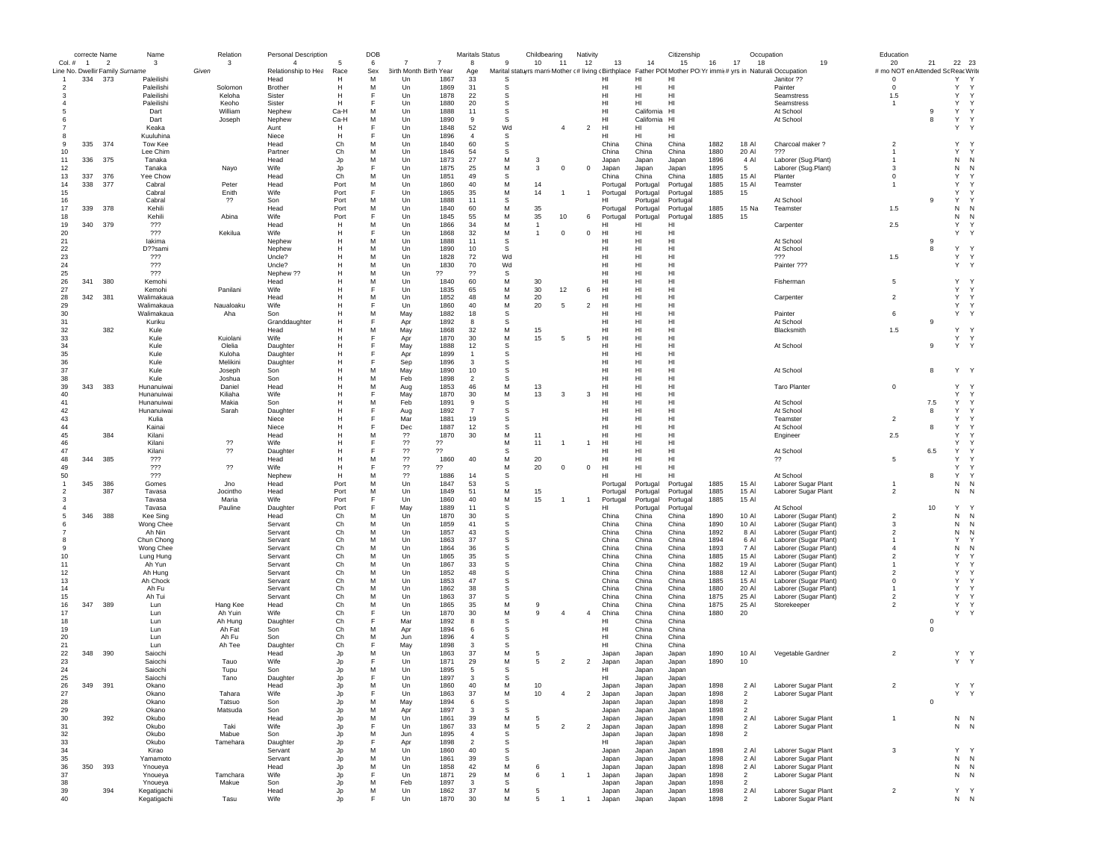|                | correcte Name |                                 | Name                     | Relation           | Personal Description |                | DOB    |                        |                | <b>Maritals Status</b> |          | Childbearing   |                | Nativity       |                |                   | Citizenship                                                                                                    |              | Occupation     |                                                | Education                          |                         |                     |              |
|----------------|---------------|---------------------------------|--------------------------|--------------------|----------------------|----------------|--------|------------------------|----------------|------------------------|----------|----------------|----------------|----------------|----------------|-------------------|----------------------------------------------------------------------------------------------------------------|--------------|----------------|------------------------------------------------|------------------------------------|-------------------------|---------------------|--------------|
|                | Col. # 1      | $\overline{2}$                  | 3                        | 3                  | $\overline{4}$       | -5             | 6      | -7                     | $\overline{7}$ | 8                      | 9        | 10             | 11             | 12             | 13             | 14                | 15                                                                                                             | 16           | 17<br>18       | 19                                             | 20                                 | 21                      | 22 23               |              |
|                |               | Line No. Dwellir Family Surname |                          | Given              | Relationship to Hea  | Race           | Sex    | 3irth Month Birth Year |                | Age                    |          |                |                |                |                |                   | Marital statuyrs marri Mother (# living (Birthplace Father POI Mother PO Yr immi(# yrs in Naturali: Occupation |              |                |                                                | # mo NOT en Attended Sc Reac Write |                         |                     |              |
|                | 334           | 373                             | Paleilishi<br>Paleilishi | Solomon            | Head                 | н<br>н         | М<br>М | Un<br>Un               | 1867<br>1869   | 33<br>31               | S<br>-S  |                |                |                | HI<br>HI       | н<br>HI           | н<br>HI                                                                                                        |              |                | Janitor ??<br>Painter                          | $\mathbf 0$<br>$\mathbf 0$         |                         | Υ<br>Y              | Y<br>Y       |
|                |               |                                 | Paleilishi               | Keloha             | Brother<br>Sister    | н              | F      | Un                     | 1878           | 22                     | s        |                |                |                | HI             | HI                | HI                                                                                                             |              |                | Seamstress                                     | 1.5                                |                         | Y                   | Y            |
|                |               |                                 | Paleilishi               | Keoho              | Sister               | н              |        | Un                     | 1880           | 20                     | s        |                |                |                | HI             | HI                | HI                                                                                                             |              |                | Seamstress                                     |                                    |                         | Y                   | Y            |
|                |               |                                 | Dart                     | William            | Nephew               | Ca-H           | M      | Un                     | 1888           | 11                     | -S       |                |                |                | HI             | California        | H <sub>1</sub>                                                                                                 |              |                | At School                                      |                                    | -9                      | Y                   |              |
|                |               |                                 | Dart                     | Joseph             | Nephew               | Ca-H           | M      | Un                     | 1890           | 9                      | S        |                |                |                | HI             | California        | HI                                                                                                             |              |                | At School                                      |                                    | 8                       | Υ                   | $\mathsf{Y}$ |
|                |               |                                 | Keaka                    |                    | Aunt                 | H              | F      | Un                     | 1848           | 52                     | Wd       |                |                | $\overline{2}$ | HI             | HI                | HI                                                                                                             |              |                |                                                |                                    |                         | Υ                   | $\mathsf{Y}$ |
|                |               |                                 | Kuuluhina                |                    | Niece                | н              | F      | Un                     | 1896           | $\overline{4}$         | s        |                |                |                | HI             | HI                | HI                                                                                                             |              |                |                                                |                                    |                         |                     |              |
| 9              | 335           | 374                             | Tow Kee                  |                    | Head                 | Ch             | М      | Un                     | 1840           | 60                     | s        |                |                |                | China          | China             | China                                                                                                          | 1882         | 18 Al          | Charcoal maker?                                | $\overline{2}$                     |                         | Y                   |              |
| 10             |               |                                 | Lee Chim                 |                    | Partner              | C <sub>h</sub> | M      | Un                     | 1846           | 54                     | s        |                |                |                | China          | China             | China                                                                                                          | 1880         | 20 Al          | ???                                            | $\overline{1}$                     |                         | Y                   |              |
| 11             | 336           | 375                             | Tanaka                   |                    | Head                 | Jp             | M      | Un                     | 1873           | 27                     | M        | -3             |                |                | Japan          | Japan             | Japan                                                                                                          | 1896         | 4 Al           | Laborer (Sug.Plant)                            | $\overline{1}$                     |                         | N                   | N            |
| 12<br>13       | 337           | 376                             | Tanaka                   | Nayo               | Wife                 | Jp<br>Ch       | F<br>М | Un<br>Un               | 1875<br>1851   | 25<br>49               | M<br>s   | $\mathbf{3}$   | $^{\circ}$     | $^{\circ}$     | Japan<br>China | Japan             | Japan<br>China                                                                                                 | 1895<br>1885 | 5<br>15 Al     | Laborer (Sug.Plant)<br>Planter                 | 3<br>$\mathbf 0$                   |                         | N<br>Y              | N            |
| 14             | 338           | 377                             | Yee Chow<br>Cabral       | Peter              | Head<br>Head         | Port           | М      | Un                     | 1860           | 40                     | М        | 14             |                |                | Portugal       | China<br>Portugal | Portugal                                                                                                       | 1885         | 15 AI          | Teamster                                       | $\mathbf{1}$                       |                         | Y                   |              |
| 15             |               |                                 | Cabral                   | Enith              | Wife                 | Port           | F      | Un                     | 1865           | 35                     | M        | 14             | -1             | 1              | Portugal       | Portugal          | Portugal                                                                                                       | 1885         | 15             |                                                |                                    |                         | Y                   |              |
| 16             |               |                                 | Cabral                   | ??                 | Son                  | Port           | M      | Un                     | 1888           | 11                     | s        |                |                |                | HI             | Portugal          | Portugal                                                                                                       |              |                | At School                                      |                                    | -9                      | Y                   |              |
| 17             | 339           | 378                             | Kehili                   |                    | Head                 | Port           | M      | Un                     | 1840           | 60                     | M        | 35             |                |                | Portugal       | Portugal          | Portugal                                                                                                       | 1885         | 15 Na          | Teamster                                       | 1.5                                |                         | N                   | N            |
| 18             |               |                                 | Kehili                   | Abina              | Wife                 | Port           | F      | Un                     | 1845           | 55                     | M        | 35             | 10             | 6              | Portugal       | Portugal          | Portugal                                                                                                       | 1885         | 15             |                                                |                                    |                         | N                   | N            |
| 19             | 340           | 379                             | ???                      |                    | Head                 | н              | М      | Un                     | 1866           | 34                     | M        | $\overline{1}$ |                |                | нı             | н                 | HI                                                                                                             |              |                | Carpenter                                      | 2.5                                |                         | Y                   | Y            |
| 20             |               |                                 | ???                      | Kekilua            | Wife                 | н              | F      | Un                     | 1868           | 32                     | M        | $\overline{1}$ | $^{\circ}$     | $^{\circ}$     | HI             | HI                | HI                                                                                                             |              |                |                                                |                                    |                         | Υ                   | Y            |
| 21             |               |                                 | lakima                   |                    | Nephew               | н              | M      | Un                     | 1888           | 11                     | s        |                |                |                | HI             | HI                | HI                                                                                                             |              |                | At School                                      |                                    | 9                       |                     |              |
| 22             |               |                                 | D??sami                  |                    | Nephew               | н              | M<br>M | Un                     | 1890           | 10                     | s        |                |                |                | HI             | HI                | HI<br>HI                                                                                                       |              |                | At School                                      |                                    | 8                       | Y                   | $\mathsf{Y}$ |
| 23<br>24       |               |                                 | ???<br>???               |                    | Uncle?<br>Uncle?     | н              | М      | Un<br>Un               | 1828<br>1830   | 72<br>70               | Wd<br>Wd |                |                |                | HI<br>HI       | HI<br>HI          | HI                                                                                                             |              |                | ???<br>Painter ???                             | 1.5                                |                         | Υ<br>Υ              | Y            |
| 25             |               |                                 | ???                      |                    | Nephew ??            |                | м      | Un                     | ??             | ??                     | s        |                |                |                | HI             | HI                | HI                                                                                                             |              |                |                                                |                                    |                         |                     |              |
| 26             | 341           | 380                             | Kemohi                   |                    | Head                 |                | м      | Un                     | 1840           | 60                     | M        | 30             |                |                | HI             | HI                | HI                                                                                                             |              |                | Fisherman                                      | 5                                  |                         | Y                   |              |
| 27             |               |                                 | Kemohi                   | Panilani           | Wife                 | н              | E      | Un                     | 1835           | 65                     | M        | 30             | 12             | 6              | HI             | HI                | HI                                                                                                             |              |                |                                                |                                    |                         | Y                   | Y            |
| 28             | 342           | 381                             | Walimakaua               |                    | Head                 | н              | M      | Un                     | 1852           | 48                     | M        | 20             |                |                | HI             | HI                | HI                                                                                                             |              |                | Carpenter                                      | $\overline{2}$                     |                         | Y                   | $\mathsf{Y}$ |
| 29             |               |                                 | Walimakaua               | Naualoaku          | Wife                 |                | F      | Un                     | 1860           | 40                     | м        | 20             | 5              | $\overline{2}$ | HI             | HI                | HI                                                                                                             |              |                |                                                |                                    |                         | Y                   | Y            |
| 30             |               |                                 | Walimakaua               | Aha                | Son                  | н              | М      | May                    | 1882           | 18                     | s        |                |                |                | HI             | HI                | HI                                                                                                             |              |                | Painter                                        | 6                                  |                         | Y                   | Y            |
| 31             |               |                                 | Kuriku                   |                    | Granddaughter        | н              | F      | Apr                    | 1892           | -8                     | s        |                |                |                | HI             | HI                | HI                                                                                                             |              |                | At School                                      |                                    | 9                       |                     |              |
| 32             |               | 382                             | Kule                     |                    | Head                 | н              | M      | May                    | 1868           | 32                     | M        | 15             |                |                | HI             | HI                | HI                                                                                                             |              |                | Blacksmith                                     | 1.5                                |                         | Y                   |              |
| 33             |               |                                 | Kule                     | Kuiolani           | Wife                 | н              | F      | Apr                    | 1870           | 30                     | M        | 15             | 5              | 5              | HI             | HI                | HI                                                                                                             |              |                |                                                |                                    |                         | Υ                   | Y            |
| 34             |               |                                 | Kule                     | Olelia             | Daughter             | н              | F      | May                    | 1888           | 12                     | s        |                |                |                | HI             | HI                | HI                                                                                                             |              |                | At School                                      |                                    | 9                       | Y                   | $\mathsf{Y}$ |
| 35<br>36       |               |                                 | Kule<br>Kule             | Kuloha<br>Melikini | Daughter<br>Daughter | н<br>н         | F<br>F | Apr<br>Sep             | 1899<br>1896   | $\mathbf{1}$<br>3      | s<br>s   |                |                |                | HI<br>HI       | HI<br>HI          | HI<br>HI                                                                                                       |              |                |                                                |                                    |                         |                     |              |
| 37             |               |                                 | Kule                     | Joseph             | Son                  | н              | M      | May                    | 1890           | 10                     | s        |                |                |                | HI             | HI                | HI                                                                                                             |              |                | At School                                      |                                    | 8                       | Y Y                 |              |
| 38             |               |                                 | Kule                     | Joshua             | Son                  | н              | M      | Feb                    | 1898           | $\overline{2}$         | s        |                |                |                | HI             | HI                | HI                                                                                                             |              |                |                                                |                                    |                         |                     |              |
| 39             | 343           | 383                             | Hunanuiwai               | Daniel             | Head                 | н              | M      | Aug                    | 1853           | 46                     | M        | 13             |                |                | HI             | HI                | HI                                                                                                             |              |                | <b>Taro Planter</b>                            | $\mathbf 0$                        |                         | Y.                  | Y            |
| 40             |               |                                 | Hunanuiwai               | Kiliaha            | Wife                 | н              | F      | May                    | 1870           | 30                     | M        | 13             | 3              | 3              | HI             | HI                | HI                                                                                                             |              |                |                                                |                                    |                         | Υ                   | Y            |
| 41             |               |                                 | Hunanuiwai               | Makia              | Son                  | н              | М      | Feb                    | 1891           | 9                      | s        |                |                |                | HI             | HI                | HI                                                                                                             |              |                | At School                                      |                                    | $7.5\,$                 | $\mathsf{Y}$        | Y            |
| 42             |               |                                 | Hunanuiwai               | Sarah              | Daughter             | н              | F      | Aug                    | 1892           | $\overline{7}$         | s        |                |                |                | HI             | HI                | HI                                                                                                             |              |                | At School                                      |                                    | 8                       | Y                   | Y            |
| 43             |               |                                 | Kulia                    |                    | Niece                | н              | F      | Mar                    | 1881           | 19                     | s        |                |                |                | HI             | HI                | HI                                                                                                             |              |                | Teamster                                       | $\overline{2}$                     |                         | Y                   | Y            |
| 44             |               |                                 | Kainai                   |                    | Niece                | н              | F      | Dec                    | 1887           | 12                     | s        |                |                |                | HI             | HI                | HI                                                                                                             |              |                | At School                                      |                                    | 8                       | Y                   | Y            |
| 45             |               | 384                             | Kilani                   |                    | Head                 |                | М      | ??                     | 1870           | 30                     | M        | 11             |                |                | HI             | HI                | HI                                                                                                             |              |                | Engineer                                       | 2.5                                |                         | Y                   | Υ            |
| 46             |               |                                 | Kilani                   | ??                 | Wife                 |                | F      | ??                     | ??             |                        | M        | 11             |                |                | HI             | HI                | HI                                                                                                             |              |                |                                                |                                    |                         | Y                   |              |
| 47<br>48       | 344           | 385                             | Kilani<br>???            | ??                 | Daughter<br>Head     | н              | F<br>M | 22<br>??               | ??<br>1860     | 40                     | s<br>M   | 20             |                |                | HI<br>HI       | HI<br>HI          | HI<br>HI                                                                                                       |              |                | At School<br>22                                | 5                                  | 6.5                     | Y<br>Y              | $\checkmark$ |
| 49             |               |                                 | 222                      | 22                 | Wife                 | н              | F      | 22                     | ??             |                        | M        | 20             | $\theta$       | $^{\circ}$     | HI             | HI                | HI                                                                                                             |              |                |                                                |                                    |                         | Υ                   | $\mathsf{Y}$ |
| 50             |               |                                 | 222                      |                    | Nephew               | H              | M      | 22                     | 1886           | 14                     | s        |                |                |                | HI             | HI                | HI                                                                                                             |              |                | At School                                      |                                    | 8                       | Y                   | Y            |
|                | 345           | 386                             | Gomes                    | Jno                | Head                 | Port           | M      | Un                     | 1847           | 53                     | s        |                |                |                | Portugal       | Portugal          | Portugal                                                                                                       | 1885         | 15 AI          | Laborer Sugar Plant                            |                                    |                         | N                   | $\mathsf{N}$ |
| $\overline{2}$ |               | 387                             | Tavasa                   | Jocintho           | Head                 | Port           | M      | Un                     | 1849           | 51                     | M        | 15             |                |                | Portugal       | Portugal          | Portugal                                                                                                       | 1885         | 15 AI          | Laborer Sugar Plant                            | $\overline{2}$                     |                         | N                   | $\mathsf{N}$ |
| 3              |               |                                 | Tavasa                   | Maria              | Wife                 | Port           | F      | Un                     | 1860           | 40                     | M        | 15             |                | -1             | Portugal       | Portugal          | Portugal                                                                                                       | 1885         | 15 Al          |                                                |                                    |                         |                     |              |
|                |               |                                 | Tavasa                   | Pauline            | Daughter             | Port           | F      | May                    | 1889           | 11                     | s        |                |                |                | HI             | Portugal          | Portugal                                                                                                       |              |                | At School                                      |                                    | 10                      | Y                   |              |
| 5              | 346           | 388                             | Kee Sing                 |                    | Head                 | Ch             | M      | Un                     | 1870           | 30                     | S        |                |                |                | China          | China             | China                                                                                                          | 1890         | 10 Al          | Laborer (Sugar Plant)                          | $\overline{2}$                     |                         | N                   | N            |
|                |               |                                 | Wong Chee                |                    | Servant              | Ch             | M      | Un                     | 1859           | 41                     | s        |                |                |                | China          | China             | China                                                                                                          | 1890         | 10 Al          | Laborer (Sugar Plant                           | -3                                 |                         | N                   | N            |
|                |               |                                 | Ah Nin                   |                    | Servant              | Ch<br>Ch       | М      | Un                     | 1857           | 43<br>37               | s        |                |                |                | China          | China             | China                                                                                                          | 1892         | 8 AI           | Laborer (Sugar Plant)                          | $\overline{2}$<br>$\mathbf{1}$     |                         | N<br>Y              | N            |
| 9              |               |                                 | Chun Chong<br>Wong Chee  |                    | Servant<br>Servant   | Ch             | М<br>м | Un<br>Un               | 1863<br>1864   | 36                     | s<br>s   |                |                |                | China<br>China | China<br>China    | China<br>China                                                                                                 | 1894<br>1893 | 6 Al<br>7 Al   | Laborer (Sugar Plant)<br>Laborer (Sugar Plant) | $\overline{4}$                     |                         | N                   | N            |
| 10             |               |                                 | Lung Hung                |                    | Servant              | Ch             | M      | Un                     | 1865           | 35                     | S        |                |                |                | China          | China             | China                                                                                                          | 1885         | 15 AI          | Laborer (Sugar Plant)                          | $\overline{2}$                     |                         | Y                   |              |
| 11             |               |                                 | Ah Yun                   |                    | Servant              | Ch             | M      | Un                     | 1867           | 33                     | s        |                |                |                | China          | China             | China                                                                                                          | 1882         | 19 AI          | Laborer (Sugar Plant)                          | $\mathbf{1}$                       |                         | Y                   |              |
| 12             |               |                                 | Ah Hung                  |                    | Servant              | Ch             | M      | Un                     | 1852           | 48                     | s        |                |                |                | China          | China             | China                                                                                                          | 1888         | 12 Al          | Laborer (Sugar Plant)                          | $\overline{2}$                     |                         | Y                   | Y            |
| 13             |               |                                 | Ah Chock                 |                    | Servant              | Ch             | M      | Un                     | 1853           | 47                     | s        |                |                |                | China          | China             | China                                                                                                          | 1885         | 15 AI          | Laborer (Sugar Plant)                          | $\Omega$                           |                         | Y                   | Y            |
| 14             |               |                                 | Ah Fu                    |                    | Servant              | Ch             | M      | Un                     | 1862           | 38                     | s        |                |                |                | China          | China             | China                                                                                                          | 1880         | 20 AI          | Laborer (Sugar Plant)                          | $\overline{1}$                     |                         | Y                   | Y            |
| 15             |               |                                 | Ah Tui                   |                    | Servant              | Ch             | M      | Un                     | 1863           | 37                     | s        |                |                |                | China          | China             | China                                                                                                          | 1875         | 25 AI          | Laborer (Sugar Plant)                          | $\overline{2}$                     |                         | Y                   | Y            |
| 16             | 347           | 389                             | Lun                      | Hang Kee           | Head                 | Ch             | M      | Un                     | 1865           | 35                     | M        | 9              |                |                | China          | China             | China                                                                                                          | 1875         | 25 AI          | Storekeeper                                    | $\overline{2}$                     |                         | Y                   | $\mathsf{Y}$ |
| 17             |               |                                 | Lun                      | Ah Yuin            | Wife                 | Ch             | F      | Un                     | 1870           | 30                     | М        | 9              | $\overline{4}$ | $\overline{4}$ | China          | China             | China                                                                                                          | 1880         | 20             |                                                |                                    |                         | Y                   |              |
| 18             |               |                                 | Lun                      | Ah Hung            | Daughter             | Ch             | F<br>м | Mar                    | 1892           | 8                      | s        |                |                |                | HI             | China             | China                                                                                                          |              |                |                                                |                                    | $\mathbf 0$<br>$\Omega$ |                     |              |
| 19             |               |                                 | Lun                      | Ah Fat             | Son                  | Ch             | M      | Apr                    | 1894           | 6<br>$\overline{4}$    | S        |                |                |                | HI             | China             | China<br>China                                                                                                 |              |                |                                                |                                    |                         |                     |              |
| 20<br>21       |               |                                 | Lun<br>Lun               | Ah Fu<br>Ah Tee    | Son<br>Daughter      | Ch<br>Ch       |        | Jun<br>May             | 1896<br>1898   | 3                      | S<br>S   |                |                |                | HI<br>HI       | China<br>China    | China                                                                                                          |              |                |                                                |                                    |                         |                     |              |
| 22             | 348           | 390                             | Saiochi                  |                    | Head                 | Jp             | M      | Un                     | 1863           | 37                     | M        | 5              |                |                | Japan          | Japan             | Japan                                                                                                          | 1890         | 10 Al          | Vegetable Gardner                              | $\overline{2}$                     |                         | Y Y                 |              |
| 23             |               |                                 | Saiochi                  | Tauo               | Wife                 | Jp             | F      | Un                     | 1871           | 29                     | M        | -5             | $\overline{2}$ | $\overline{2}$ | Japan          | Japan             | Japan                                                                                                          | 1890         | 10             |                                                |                                    |                         | Y Y                 |              |
| 24             |               |                                 | Saiochi                  | Tupu               | Son                  | Jp             | M      | Un                     | 1895           | 5                      | S        |                |                |                | HI             | Japan             | Japan                                                                                                          |              |                |                                                |                                    |                         |                     |              |
| 25             |               |                                 | Saiochi                  | Tano               | Daughter             | .In            | F      | Un                     | 1897           | $\mathbf{3}$           | <b>S</b> |                |                |                | HI.            | Japan             | Japan                                                                                                          |              |                |                                                |                                    |                         |                     |              |
| 26             | 349           | 391                             | Okano                    |                    | Head                 |                | M      | Ur                     | 1860           | 40                     | M        | 10             |                |                | Japar          | Japan             | Japar                                                                                                          | 1898         | 2 Al           | Laborer Sugar Plant                            |                                    |                         |                     |              |
| 27             |               |                                 | Okano                    | Tahara             | Wife                 | Jp             | F      | Un                     | 1863           | 37                     | M        | 10             | $\overline{4}$ | $\overline{2}$ | Japan          | Japan             | Japan                                                                                                          | 1898         | $\overline{2}$ | Laborer Sugar Plant                            |                                    |                         | Y Y                 |              |
| 28             |               |                                 | Okano                    | Tatsuo             | Son                  | Jp             | М      | May                    | 1894           | 6                      | s        |                |                |                | Japan          | Japan             | Japan                                                                                                          | 1898         | $\overline{2}$ |                                                |                                    | $\,$ 0                  |                     |              |
| 29             |               |                                 | Okano                    | Matsuda            | Son                  | Jp             | М      | Apr                    | 1897           | 3                      | S        |                |                |                | Japan          | Japan             | Japan                                                                                                          | 1898         | $\overline{2}$ |                                                |                                    |                         |                     |              |
| 30             |               | 392                             | Okubo                    |                    | Head                 | Jp             | M      | Un                     | 1861           | 39                     | M        | 5              |                |                | Japan          | Japan             | Japan                                                                                                          | 1898         | 2 Al           | Laborer Sugar Plant                            | $\overline{1}$                     |                         | $N$ N               |              |
| 31             |               |                                 | Okubo                    | Taki               | Wife                 | Jp             | E      | Un                     | 1867           | 33                     | M        | 5              | $\overline{2}$ | $\overline{2}$ | Japan          | Japan             | Japan                                                                                                          | 1898         | $\overline{2}$ | Laborer Sugar Plant                            |                                    |                         | $N$ $N$             |              |
| 32             |               |                                 | Okubo                    | Mabue              | Son                  | Jp             | M<br>F | Jun                    | 1895           | $\overline{4}$         | s        |                |                |                | Japan          | Japan             | Japan                                                                                                          | 1898         | $\overline{2}$ |                                                |                                    |                         |                     |              |
| 33<br>34       |               |                                 | Okubo<br>Kirao           | Tamehara           | Daughter<br>Servant  | Jp<br>Jp       | M      | Apr<br>Un              | 1898<br>1860   | $\overline{2}$<br>40   | s<br>s   |                |                |                | HI<br>Japan    | Japan<br>Japan    | Japan<br>Japan                                                                                                 | 1898         | 2 Al           | Laborer Sugar Plant                            | $\mathbf{3}$                       |                         | Y                   | Y            |
| 35             |               |                                 | Yamamoto                 |                    | Servant              | Jp             | M      | Un                     | 1861           | 39                     | s        |                |                |                | Japan          | Japan             | Japan                                                                                                          | 1898         | 2 Al           | Laborer Sugar Plant                            |                                    |                         | N                   | N            |
| 36             | 350           | 393                             | Ynoueya                  |                    | Head                 | Jp             | M      | Un                     | 1858           | 42                     | M        | - 6            |                |                | Japan          | Japan             | Japan                                                                                                          | 1898         | 2 Al           | Laborer Sugar Plant                            |                                    |                         | N                   | N            |
| 37             |               |                                 | Ynoueya                  | Tamchara           | Wife                 | Jp             | F      | Un                     | 1871           | 29                     | M        | 6              |                | $\overline{1}$ | Japan          | Japan             | Japan                                                                                                          | 1898         | $\overline{2}$ | Laborer Sugar Plant                            |                                    |                         | $N$ N               |              |
| 38             |               |                                 | Ynoueya                  | Makue              | Son                  | Jp             | М      | Feb                    | 1897           | 3                      | s        |                |                |                | Japan          | Japan             | Japan                                                                                                          | 1898         | $\overline{2}$ |                                                |                                    |                         |                     |              |
| 39             |               | 394                             | Kegatigachi              |                    | Head                 | Jp             | М      | Un                     | 1862           | 37                     | м        | 5              |                |                | Japan          | Japan             | Japan                                                                                                          | 1898         | 2 Al           | Laborer Sugar Plant                            | $\overline{c}$                     |                         | Y Y                 |              |
| 40             |               |                                 | Kegatigachi              | Tasu               | Wife                 |                |        | Un                     | 1870           | 30                     | М        | -5             |                |                | Japan          | Japan             | Japan                                                                                                          | 1898         | $\overline{2}$ | Laborer Sugar Plant                            |                                    |                         | $N\,$ $\,$ $\,$ $N$ |              |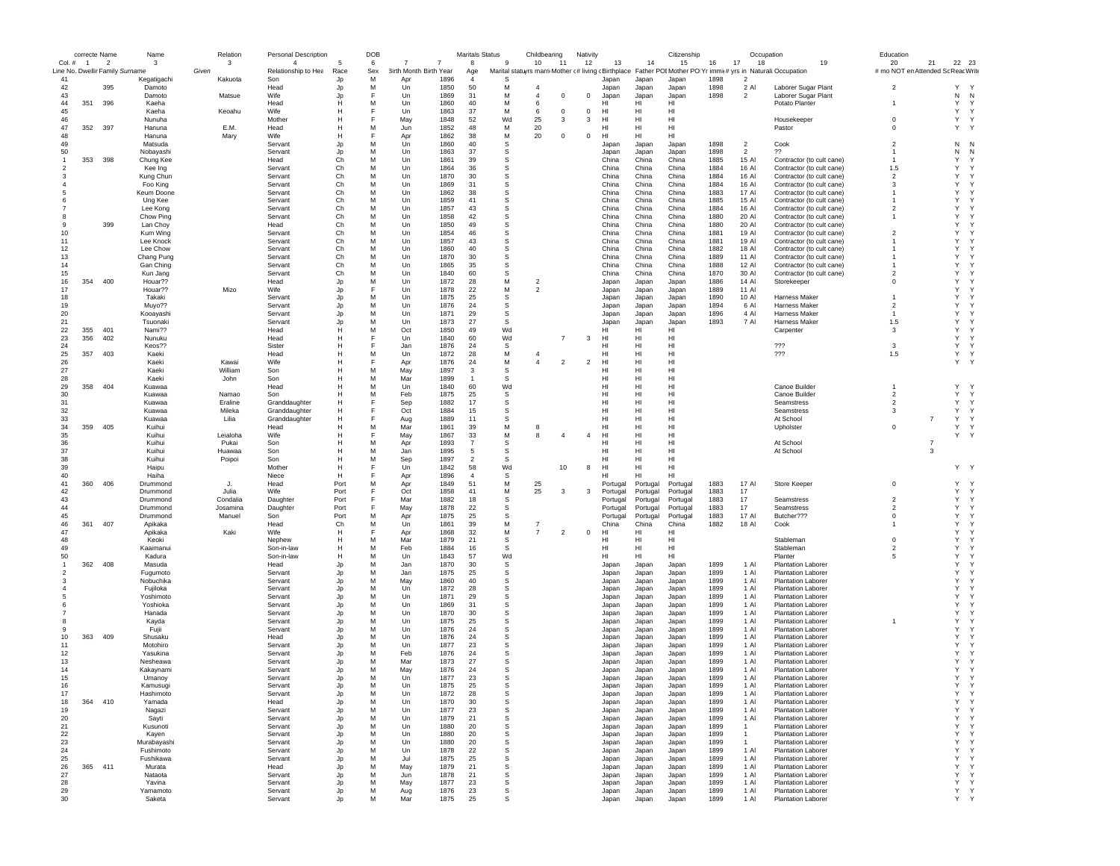|                                  |                | correcte Name                                               | Name                  |       | Relation             | <b>Personal Description</b>           |                   | DOB      |                        |              | Maritals Status |                            | Childbearing                     |                | Nativity       |                      |                      | Citizenship                                                                                                         |              | Occupation     |                                                        | Education                                |                |                                        |
|----------------------------------|----------------|-------------------------------------------------------------|-----------------------|-------|----------------------|---------------------------------------|-------------------|----------|------------------------|--------------|-----------------|----------------------------|----------------------------------|----------------|----------------|----------------------|----------------------|---------------------------------------------------------------------------------------------------------------------|--------------|----------------|--------------------------------------------------------|------------------------------------------|----------------|----------------------------------------|
| Col. #                           | $\overline{1}$ | $\overline{\phantom{a}}$<br>Line No. Dwellir Family Surname | 3                     | Given | 3                    | $\overline{4}$<br>Relationship to Hea | Race              | 6<br>Sex | 3irth Month Birth Year |              | 8<br>Age        | 9                          | 10                               | -11            | 12             | 13                   | 14                   | 15<br>Marital statuyrs marri Mother (# living (Birthplace Father POI Mother PO Yr immi(# yrs in Naturali:Occupation | 16<br>17     | 18             | 19                                                     | 20<br># mo NOT en Attended Sc Reac Write | 21             | 22 23                                  |
| 41                               |                |                                                             | Kegatigachi           |       | Kakuota              | Son                                   | Jp                | м        | Apr                    | 1896         | $\overline{4}$  | S                          |                                  |                |                | Japan                | Japan                | Japan                                                                                                               | 1898         | $\overline{2}$ |                                                        |                                          |                |                                        |
| 42                               |                | 395                                                         | Damoto                |       |                      | Head                                  | Jp                | м        | Un                     | 1850         | 50              | М                          | $\overline{4}$                   |                |                | Japan                | Japan                | Japan                                                                                                               | 1898         | 2 Al           | Laborer Sugar Plant                                    | $\overline{2}$                           |                | Y<br>Y                                 |
| 43                               |                |                                                             | Damoto                |       | Matsue               | Wife                                  | Jp                | E        | Un                     | 1869         | 31              | М                          | $\overline{4}$                   | 0              | 0              | Japan                | Japan                | Japan                                                                                                               | 1898         | $\overline{2}$ | Laborer Sugar Plant                                    |                                          |                | N<br>N                                 |
| 44                               | 351            | 396                                                         | Kaeha                 |       |                      | Head                                  | Н                 | M        | Un                     | 1860         | 40              | M                          | 6                                |                |                | HI                   | HI                   | HI                                                                                                                  |              |                | Potato Planter                                         | $\overline{1}$                           |                | Y<br>Y                                 |
| 45                               |                |                                                             | Kaeha                 |       | Keoahu               | Wife                                  | Н                 | F        | Un                     | 1863         | 37              | М                          | 6                                | $^{\circ}$     | $\mathbf 0$    | HI                   | HI                   | HI                                                                                                                  |              |                |                                                        |                                          |                | Y<br>Y                                 |
| 46                               |                |                                                             | Nunuha                |       |                      | Mother                                | Н                 | F        | May                    | 1848         | 52              | Wd                         | 25                               | 3              | 3              | HI                   | HI                   | HI                                                                                                                  |              |                | Housekeeper                                            | $\mathbf 0$                              |                | Y<br>Y                                 |
| 47<br>48                         | 352            | 397                                                         | Hanuna                |       | E.M.                 | Head                                  | H<br>H            | M<br>E   | Jun                    | 1852         | 48<br>38        | М<br>М                     | 20                               |                |                | HI<br>HI             | HI<br>HI             | HI<br>H <sub>II</sub>                                                                                               |              |                | Pastor                                                 | 0                                        |                | Y<br>Y                                 |
| 49                               |                |                                                             | Hanuna<br>Matsuda     |       | Mary                 | Wife<br>Servant                       | Jp                | M        | Apr<br>Un              | 1862<br>1860 | 40              | s                          | 20                               | $\mathbf 0$    | 0              | Japan                | Japan                | Japan                                                                                                               | 1898         | $\overline{2}$ | Cook                                                   | $\overline{2}$                           |                | $\mathsf{N}$<br>N                      |
| 50                               |                |                                                             | Nobavashi             |       |                      | Servant                               | Jp                | M        | Un                     | 1863         | 37              | s                          |                                  |                |                | Japan                | Japan                | Japan                                                                                                               | 1898         | $\overline{2}$ | ??                                                     | $\mathbf{1}$                             |                | N<br>N                                 |
| $\overline{1}$                   | 353            | 398                                                         | Chung Kee             |       |                      | Head                                  | Ch                | M        | Un                     | 1861         | 39              | s                          |                                  |                |                | China                | China                | China                                                                                                               | 1885         | 15 Al          | Contractor (to cult cane)                              | -1                                       |                | Y<br>Y                                 |
|                                  |                |                                                             | Kee Ing               |       |                      | Servant                               | Ch                | M        | Un                     | 1864         | 36              | s                          |                                  |                |                | China                | China                | China                                                                                                               | 1884         | 16 Al          | Contractor (to cult cane)                              | 1.5                                      |                | Υ<br><sup>Y</sup>                      |
| -3                               |                |                                                             | Kung Chun             |       |                      | Servant                               | Ch                | м        | Un                     | 1870         | 30              | s                          |                                  |                |                | China                | China                | China                                                                                                               | 1884         | 16 Al          | Contractor (to cult cane)                              | $\overline{2}$                           |                | Y<br>Y                                 |
|                                  |                |                                                             | Foo King              |       |                      | Servant                               | Ch                | M        | Un                     | 1869         | 31              | s                          |                                  |                |                | China                | China                | China                                                                                                               | 1884         | 16 Al          | Contractor (to cult cane)                              | 3                                        |                | Y<br><sup>Y</sup>                      |
|                                  |                |                                                             | Keum Doone            |       |                      | Servant                               | Ch                | M        | Un                     | 1862         | 38              | s                          |                                  |                |                | China                | China                | China                                                                                                               | 1883         | 17 Al          | Contractor (to cult cane)                              | -1                                       |                | Y<br><sup>Y</sup>                      |
|                                  |                |                                                             | Ung Kee               |       |                      | Servant                               | Ch<br>Ch          | M<br>M   | Un<br>Un               | 1859<br>1857 | 41<br>43        | s<br>s                     |                                  |                |                | China<br>China       | China<br>China       | China<br>China                                                                                                      | 1885<br>1884 | 15 Al<br>16 Al | Contractor (to cult cane)<br>Contractor (to cult cane) | -1<br>$\overline{2}$                     |                | Y<br>Y<br>Υ<br><sup>Y</sup>            |
| 8                                |                |                                                             | Lee Kong<br>Chow Ping |       |                      | Servant<br>Servant                    | Ch                | M        | Un                     | 1858         | 42              | $\mathbb S$                |                                  |                |                | China                | China                | China                                                                                                               | 1880         | 20 AI          | Contractor (to cult cane)                              | 1                                        |                | Y<br>Y                                 |
| -9                               |                | 399                                                         | Lan Choy              |       |                      | Head                                  | Ch                | M        | Un                     | 1850         | 49              | $\mathbb S$                |                                  |                |                | China                | China                | China                                                                                                               | 1880         | 20 Al          | Contractor (to cult cane)                              |                                          |                | Y<br><sup>Y</sup>                      |
| 10                               |                |                                                             | Kum Wing              |       |                      | Servant                               | Ch                | M        | Un                     | 1854         | 46              | s                          |                                  |                |                | China                | China                | China                                                                                                               | 1881         | 19 AI          | Contractor (to cult cane)                              | $\mathfrak{p}$                           |                | Y<br>$\mathsf{Y}$                      |
| 11                               |                |                                                             | Lee Knock             |       |                      | Servant                               | Ch                | M        | Un                     | 1857         | 43              | s                          |                                  |                |                | China                | China                | China                                                                                                               | 1881         | 19 AI          | Contractor (to cult cane)                              | 1                                        |                | Y<br>Y                                 |
| 12                               |                |                                                             | Lee Chow              |       |                      | Servant                               | Ch                | M        | Un                     | 1860         | 40              | s                          |                                  |                |                | China                | China                | China                                                                                                               | 1882         | 18 Al          | Contractor (to cult cane)                              |                                          |                | Y<br>Y                                 |
| 13                               |                |                                                             | Chang Pung            |       |                      | Servant                               | Ch                | M        | Un                     | 1870         | 30              | s                          |                                  |                |                | China                | China                | China                                                                                                               | 1889         | 11 Al          | Contractor (to cult cane)                              |                                          |                | Υ<br><sup>Y</sup>                      |
| 14                               |                |                                                             | Gan Ching             |       |                      | Servant                               | Ch                | M        | Un                     | 1865         | 35              | s                          |                                  |                |                | China                | China                | China                                                                                                               | 1888         | 12 AI          | Contractor (to cult cane)                              |                                          |                | Y<br><sup>Y</sup><br>Y<br>$\mathsf{Y}$ |
| 15<br>16                         | 354            | 400                                                         | Kun Jang<br>Houar??   |       |                      | Servant<br>Head                       | Ch                | M<br>M   | Un<br>Un               | 1840<br>1872 | 60<br>28        | s<br>M                     | $\overline{2}$                   |                |                | China<br>Japan       | China<br>Japan       | China<br>Japan                                                                                                      | 1870<br>1886 | 30 AI<br>14 Al | Contractor (to cult cane)<br>Storekeeper               | 2<br>$\mathbf 0$                         |                | Y<br><sup>Y</sup>                      |
| 17                               |                |                                                             | Houar??               |       | Mizo                 | Wife                                  | Jp<br>Jp          | F        | Un                     | 1878         | 22              | M                          | $\overline{2}$                   |                |                | Japan                | Japan                | Japan                                                                                                               | 1889         | 11 Al          |                                                        |                                          |                | Y<br><sup>Y</sup>                      |
| 18                               |                |                                                             | Takaki                |       |                      | Servant                               | Jp                | M        | Un                     | 1875         | 25              | s                          |                                  |                |                | Japan                | Japan                | Japan                                                                                                               | 1890         | 10 Al          | Harness Maker                                          |                                          |                | Y<br><sup>Y</sup>                      |
| 19                               |                |                                                             | Muyo??                |       |                      | Servant                               | Jp                | M        | Un                     | 1876         | 24              | s                          |                                  |                |                | Japan                | Japan                | Japan                                                                                                               | 1894         | 6 Al           | Harness Maker                                          | $\overline{2}$                           |                | Y<br><sup>Y</sup>                      |
| 20                               |                |                                                             | Kooayashi             |       |                      | Servant                               | Jp                | M        | Un                     | 1871         | 29              | $\mathbb S$                |                                  |                |                | Japan                | Japan                | Japan                                                                                                               | 1896         | 4 Al           | Harness Maker                                          | -1                                       |                | Y<br>$\mathsf{Y}$                      |
| 21                               |                |                                                             | Tsuonaki              |       |                      | Servant                               | Jp                | M        | $_{\text{Un}}$         | 1873         | 27              | s                          |                                  |                |                | Japan                | Japan                | Japan                                                                                                               | 1893         | 7 Al           | Harness Maker                                          | 1.5                                      |                | Y<br>$\mathsf{Y}$                      |
| 22                               | 355            | 401                                                         | Nami??                |       |                      | Head                                  | H                 | M        | Oct                    | 1850         | 49              | Wd                         |                                  |                |                | HI                   | HI                   | HI                                                                                                                  |              |                | Carpenter                                              | 3                                        |                | Y<br>Y                                 |
| 23                               | 356            | 402                                                         | Nunuku                |       |                      | Head                                  | Н                 |          | Un                     | 1840         | 60              | Wd                         |                                  | 7              | 3              | HI                   | HI                   | HI                                                                                                                  |              |                |                                                        |                                          |                | Y<br>Y                                 |
| 24                               |                |                                                             | Keos??                |       |                      | Sister                                | H                 | E        | Jan                    | 1876         | 24              | s                          |                                  |                |                | HI                   | HI                   | HI                                                                                                                  |              |                | 777                                                    | 3                                        |                | Y<br>Y                                 |
| 25<br>26                         | 357            | 403                                                         | Kaeki<br>Kaeki        |       | Kawai                | Head<br>Wife                          | H<br>$\mathsf{H}$ | M<br>F   | Un<br>Apr              | 1872<br>1876 | 28<br>24        | М<br>M                     | $\overline{4}$<br>$\overline{4}$ | $\overline{2}$ | $\overline{2}$ | HI<br>HI             | HI<br>HI             | HI<br>HI                                                                                                            |              |                | 777                                                    | 1.5                                      |                | Y<br>Y<br>Y<br>Y                       |
| 27                               |                |                                                             | Kaeki                 |       | William              | Son                                   | $\mathsf{H}$      | M        | May                    | 1897         | 3               | s                          |                                  |                |                | HI                   | HI                   | HI                                                                                                                  |              |                |                                                        |                                          |                |                                        |
| 28                               |                |                                                             | Kaeki                 |       | John                 | Son                                   | Н                 | M        | Mar                    | 1899         | $\overline{1}$  | s                          |                                  |                |                | HI                   | HI                   | HI                                                                                                                  |              |                |                                                        |                                          |                |                                        |
| 29                               | 358            | 404                                                         | Kuawaa                |       |                      | Head                                  | Н                 | M        | Un                     | 1840         | 60              | Wd                         |                                  |                |                | HI                   | HI                   | HI                                                                                                                  |              |                | Canoe Builder                                          |                                          |                | Y<br><sup>Y</sup>                      |
| 30                               |                |                                                             | Kuawaa                |       | Namao                | Son                                   | Н                 | M        | Feb                    | 1875         | 25              | $\mathbb S$                |                                  |                |                | HI                   | HI                   | HI                                                                                                                  |              |                | Canoe Builder                                          | $\overline{2}$                           |                | Y<br>Υ                                 |
| 31                               |                |                                                             | Kuawaa                |       | Eraline              | Granddaughter                         | $\mathsf{H}$      | F        | Sep                    | 1882         | 17              | s                          |                                  |                |                | HI                   | HI                   | H <sub>II</sub>                                                                                                     |              |                | Seamstress                                             | $\overline{2}$                           |                | Y<br>Y                                 |
| 32                               |                |                                                             | Kuawaa                |       | Mileka               | Granddaughter                         | H                 | F        | Oct                    | 1884         | 15              | s                          |                                  |                |                | HI                   | HI                   | H <sub>II</sub>                                                                                                     |              |                | Seamstress                                             | 3                                        |                | Y<br>Y                                 |
| 33                               |                |                                                             | Kuawaa                |       | Lilia                | Granddaughter                         | H                 |          | Aug                    | 1889         | 11              | s                          |                                  |                |                | HI                   | HI                   | HI                                                                                                                  |              |                | At School                                              | $\mathbf 0$                              | 7              | Y<br>Y                                 |
| 34<br>35                         | 359            | 405                                                         | Kuihui<br>Kuihui      |       | Leialoha             | Head<br>Wife                          | Н<br>Н            | M<br>E   | Mar<br>May             | 1861<br>1867 | 39<br>33        | М<br>М                     | 8<br>8                           | 4              | $\overline{4}$ | HI<br>HI             | HI<br>HI             | HI<br>HI                                                                                                            |              |                | Upholster                                              |                                          |                | Y<br>Y<br>Y<br>Y                       |
| 36                               |                |                                                             | Kuihui                |       | Pukai                | Son                                   | Н                 | M        | Apr                    | 1893         | $\overline{7}$  | s                          |                                  |                |                | HI                   | HI                   | HI                                                                                                                  |              |                | At School                                              |                                          | $\overline{7}$ |                                        |
| 37                               |                |                                                             | Kuihui                |       | Huawaa               | Son                                   | н                 | M        | Jan                    | 1895         | 5               | s                          |                                  |                |                | HI                   | HI                   | HI                                                                                                                  |              |                | At School                                              |                                          | 3              |                                        |
| 38                               |                |                                                             | Kuihui                |       | Poipoi               | Son                                   | $\mathsf{H}$      | M        | Sep                    | 1897         | $\overline{2}$  | s                          |                                  |                |                | HI                   | HI                   | HI                                                                                                                  |              |                |                                                        |                                          |                |                                        |
| 39                               |                |                                                             | Haipu                 |       |                      | Mother                                | Н                 | F        | Un                     | 1842         | 58              | Wd                         |                                  | 10             | 8              | HI                   | HI                   | HI                                                                                                                  |              |                |                                                        |                                          |                | Y Y                                    |
| 40                               |                |                                                             | Haiha                 |       |                      | Niece                                 | H                 |          | Apr                    | 1896         | $\overline{4}$  | s                          |                                  |                |                | HI                   | HI                   | HI                                                                                                                  |              |                |                                                        |                                          |                |                                        |
| 41                               | 360            | 406                                                         | Drummond              |       | J.                   | Head                                  | Port              | M        | Apr                    | 1849         | 51              | М                          | 25                               |                |                | Portugal             | Portugal             | Portugal                                                                                                            | 1883         | 17 AI          | Store Keeper                                           | 0                                        |                | Y<br>Y                                 |
| 42                               |                |                                                             | Drummond              |       | Julia                | <b>Wife</b>                           | Port              | F        | Oct                    | 1858         | 41              | M                          | 25                               | 3              | 3              | Portugal             | Portugal             | Portugal                                                                                                            | 1883         | 17             |                                                        | $\overline{2}$                           |                | Y<br>Y                                 |
| 43<br>44                         |                |                                                             | Drummond<br>Drummond  |       | Condalia<br>Josamina | Daughter<br>Daughter                  | Port<br>Port      |          | Mar<br>May             | 1882<br>1878 | 18<br>22        | s<br>s                     |                                  |                |                | Portugal<br>Portugal | Portugal<br>Portugal | Portugal<br>Portugal                                                                                                | 1883<br>1883 | 17<br>17       | Seamstress<br>Seamstress                               | $\overline{2}$                           |                | Y<br>Y<br>Y<br>Y                       |
| 45                               |                |                                                             | Drummond              |       | Manuel               | Son                                   | Port              | M        | Apr                    | 1875         | 25              | s                          |                                  |                |                | Portugal             | Portugal             | Portugal                                                                                                            | 1883         | 17 Al          | Butcher???                                             | $\mathbf 0$                              |                | Υ<br><sup>Y</sup>                      |
| 46                               | 361            | 407                                                         | Apikaka               |       |                      | Head                                  | Ch                | м        | Un                     | 1861         | 39              | М                          | 7                                |                |                | China                | China                | China                                                                                                               | 1882         | 18 Al          | Cook                                                   | $\mathbf{1}$                             |                | Y<br>Y                                 |
| 47                               |                |                                                             | Apikaka               |       | Kaki                 | Wife                                  | H                 | F        | Apr                    | 1868         | 32              | М                          | $\overline{7}$                   | $\overline{2}$ | $\mathbf 0$    | HI                   | HI                   | HI                                                                                                                  |              |                |                                                        |                                          |                | Y<br><sup>Y</sup>                      |
| 48                               |                |                                                             | Keoki                 |       |                      | Nephew                                | H                 | M        | Mar                    | 1879         | 21              | $\mathbb S$                |                                  |                |                | н                    | HI                   | HI                                                                                                                  |              |                | Stableman                                              | $\Omega$                                 |                | Y<br><sup>Y</sup>                      |
| 49                               |                |                                                             | Kaaimanui             |       |                      | Son-in-law                            | H                 | M        | Feb                    | 1884         | 16              | s                          |                                  |                |                | HI                   | HI                   | HI                                                                                                                  |              |                | Stableman                                              | $\overline{2}$                           |                | Y<br>Y                                 |
| 50                               |                |                                                             | Kadura                |       |                      | Son-in-law                            | H                 | M        | Un                     | 1843         | 57              | Wd                         |                                  |                |                | HI                   | HI                   | HI                                                                                                                  |              |                | Planter                                                | 5                                        |                | Y<br><sup>Y</sup><br>Y<br><sup>Y</sup> |
| $\overline{1}$<br>$\overline{2}$ | 362            | 408                                                         | Masuda                |       |                      | Head                                  | Jp                | M<br>M   | Jan                    | 1870         | 30<br>25        | $\mathbb S$<br>$\mathbb S$ |                                  |                |                | Japan                | Japan                | Japan                                                                                                               | 1899         | 1 Al<br>1 Al   | <b>Plantation Laborer</b>                              |                                          |                | Y<br><sup>Y</sup>                      |
| -3                               |                |                                                             | Fugumoto<br>Nobuchika |       |                      | Servant<br>Servant                    | Jp<br>Jp          | M        | Jan<br>May             | 1875<br>1860 | 40              | s                          |                                  |                |                | Japan<br>Japan       | Japan<br>Japan       | Japan<br>Japan                                                                                                      | 1899<br>1899 | 1 Al           | <b>Plantation Laborer</b><br><b>Plantation Labore</b>  |                                          |                | Y<br>Y                                 |
|                                  |                |                                                             | Fujiloka              |       |                      | Servant                               | Jp                | M        | Un                     | 1872         | 28              | s                          |                                  |                |                | Japan                | Japan                | Japan                                                                                                               | 1899         | 1 Al           | <b>Plantation Laborer</b>                              |                                          |                | Y<br>Y                                 |
|                                  |                |                                                             | Yoshimoto             |       |                      | Servant                               | Jp                | M        | Un                     | 1871         | 29              | s                          |                                  |                |                | Japan                | Japan                | Japan                                                                                                               | 1899         | 1 Al           | <b>Plantation Laborer</b>                              |                                          |                | Y<br>Y                                 |
|                                  |                |                                                             | Yoshioka              |       |                      | Servant                               | Jp                | M        | Un                     | 1869         | 31              | s                          |                                  |                |                | Japan                | Japan                | Japan                                                                                                               | 1899         | 1 Al           | <b>Plantation Laborer</b>                              |                                          |                | Y<br><sup>Y</sup>                      |
|                                  |                |                                                             | Hanada                |       |                      | Servant                               | Jp                | M        | Un                     | 1870         | 30              | s                          |                                  |                |                | Japan                | Japan                | Japan                                                                                                               | 1899         | 1 Al           | <b>Plantation Laborer</b>                              |                                          |                | Y<br><sup>Y</sup>                      |
|                                  |                |                                                             | Kayda                 |       |                      | Servant                               | Jp                | M        | Un                     | 1875         | 25              | s                          |                                  |                |                | Japan                | Japan                | Japan                                                                                                               | 1899         | 1 Al           | <b>Plantation Laborer</b>                              | $\mathbf{1}$                             |                | Y<br><sup>Y</sup><br>Y                 |
| 10                               | 363            | 409                                                         | Fuili<br>Shusaku      |       |                      | Servant<br>Head                       | Jp<br>Jp          | M<br>M   | Un<br>Un               | 1876<br>1876 | 24<br>24        | s<br>s                     |                                  |                |                | Japan<br>Japan       | Japan<br>Japan       | Japan<br>Japan                                                                                                      | 1899<br>1899 | 1 Al<br>1 Al   | <b>Plantation Laborer</b><br><b>Plantation Laborer</b> |                                          |                | <sup>Y</sup><br>Y<br>$\mathsf{Y}$      |
| 11                               |                |                                                             | Motohiro              |       |                      | Servant                               | Jp                | M        | Un                     | 1877         | 23              | s                          |                                  |                |                | Japan                | Japan                | Japan                                                                                                               | 1899         | 1 Al           | <b>Plantation Laborer</b>                              |                                          |                | Y<br>Y                                 |
| 12                               |                |                                                             | Yasukina              |       |                      | Servant                               | Jp                | M        | Feb                    | 1876         | 24              | s                          |                                  |                |                | Japan                | Japan                | Japan                                                                                                               | 1899         | 1 AI           | <b>Plantation Laborer</b>                              |                                          |                | Y<br>Y                                 |
| 13                               |                |                                                             | Nesheawa              |       |                      | Servant                               | Jp                | M        | Mar                    | 1873         | 27              | s                          |                                  |                |                | Japan                | Japan                | Japan                                                                                                               | 1899         | 1 AI           | <b>Plantation Labore</b>                               |                                          |                | Y<br>Y                                 |
| 14                               |                |                                                             | Kakaynami             |       |                      | Servant                               | Jp                | M        | May                    | 1876         | 24              | s                          |                                  |                |                | Japan                | Japan                | Japan                                                                                                               | 1899         | 1 AI           | <b>Plantation Laborer</b>                              |                                          |                | Y<br>Y                                 |
| 15                               |                |                                                             | Umanov                |       |                      | Servant                               | Jp                | M        | Un                     | 1877         | 23              | s                          |                                  |                |                | Japan                | Japan                | Japan                                                                                                               | 1899         | 1 Al           | <b>Plantation Laborer</b>                              |                                          |                | Y<br>Y                                 |
| 16                               |                |                                                             | namusug               |       |                      | pervant                               |                   |          | Un                     | 1875         | -25             |                            |                                  |                |                | Japan                | Japan                | Japan                                                                                                               | 1899         | 1 AI           | Plantation Labore                                      |                                          |                |                                        |
| 17                               |                |                                                             | Hashimoto             |       |                      | Servant                               | Jp                | M        | Un                     | 1872         | 28              | s                          |                                  |                |                | Japan                | Japan                | Japan                                                                                                               | 1899         | 1 Al           | <b>Plantation Laborer</b>                              |                                          |                | Y<br>Y                                 |
| 18<br>19                         | 364 410        |                                                             | Yamada<br>Nagazi      |       |                      | Head<br>Servant                       | Jp                | M<br>M   | Un<br>Un               | 1870<br>1877 | 30<br>23        | s<br>s                     |                                  |                |                | Japan<br>Japan       | Japan<br>Japan       | Japan<br>Japan                                                                                                      | 1899<br>1899 | 1 Al<br>1 AI   | <b>Plantation Laborer</b><br><b>Plantation Laborer</b> |                                          |                | Y<br>Y<br>Y<br>Y                       |
| 20                               |                |                                                             | Sayti                 |       |                      | Servant                               | Jp<br>Jp          | M        | Un                     | 1879         | 21              | s                          |                                  |                |                | Japan                | Japan                | Japan                                                                                                               | 1899         | 1 Al           | <b>Plantation Laborer</b>                              |                                          |                | Y<br>Y                                 |
| 21                               |                |                                                             | Kusunoti              |       |                      | Servant                               | Jp                | M        | Un                     | 1880         | 20              | s                          |                                  |                |                | Japan                | Japan                | Japan                                                                                                               | 1899         | $\mathbf{1}$   | <b>Plantation Laborer</b>                              |                                          |                | Y<br>Y                                 |
| 22                               |                |                                                             | Kayen                 |       |                      | Servant                               | Jp                | M        | Un                     | 1880         | 20              | s                          |                                  |                |                | Japan                | Japan                | Japan                                                                                                               | 1899         | $\overline{1}$ | Plantation Laborer                                     |                                          |                | Y<br>Y                                 |
| 23                               |                |                                                             | Murabayashi           |       |                      | Servant                               | Jp                | м        | Un                     | 1880         | 20              | $\mathbb S$                |                                  |                |                | Japan                | Japan                | Japan                                                                                                               | 1899         | $\mathbf{1}$   | <b>Plantation Laborer</b>                              |                                          |                | Y<br>Y                                 |
| 24                               |                |                                                             | Fushimoto             |       |                      | Servant                               | Jp                | M        | Un                     | 1878         | 22              | $\mathbb S$                |                                  |                |                | Japan                | Japan                | Japan                                                                                                               | 1899         | 1 AI           | <b>Plantation Laborer</b>                              |                                          |                | Y<br>Y                                 |
| 25                               |                |                                                             | Fushikawa             |       |                      | Servant                               | Jp                | M        | Jul                    | 1875         | 25              | s                          |                                  |                |                | Japan                | Japan                | Japan                                                                                                               | 1899         | 1 Al           | Plantation Laborer                                     |                                          |                | Y<br>Y                                 |
| 26                               | 365            | 411                                                         | Murata                |       |                      | Head                                  | Jp                | M        | May                    | 1879         | 21              | s                          |                                  |                |                | Japan                | Japan                | Japan                                                                                                               | 1899         | 1 Al           | <b>Plantation Laborer</b>                              |                                          |                | Y<br>Y                                 |
| 27<br>28                         |                |                                                             | Nataota<br>Yavina     |       |                      | Servant<br>Servant                    | Jp<br>Jp          | M<br>M   | Jun<br>May             | 1878<br>1877 | 21<br>23        | s<br>s                     |                                  |                |                | Japan<br>Japan       | Japan<br>Japan       | Japan<br>Japan                                                                                                      | 1899<br>1899 | 1 Al<br>1 Al   | Plantation Laborer<br><b>Plantation Laborer</b>        |                                          |                | Υ<br>Y<br>Y<br>Y                       |
| 29                               |                |                                                             | Yamamoto              |       |                      | Servant                               | Jp                | M        | Aug                    | 1876         | 23              | s                          |                                  |                |                | Japan                | Japan                | Japan                                                                                                               | 1899         | 1 Al           | <b>Plantation Laborer</b>                              |                                          |                | Y.<br>Y                                |
| 30                               |                |                                                             | Saketa                |       |                      | Servant                               | Jp                | М        | Mar                    | 1875         | 25              | s                          |                                  |                |                | Japan                | Japan                | Japan                                                                                                               | 1899         | 1 Al           | Plantation Laborer                                     |                                          |                | Y<br>Y                                 |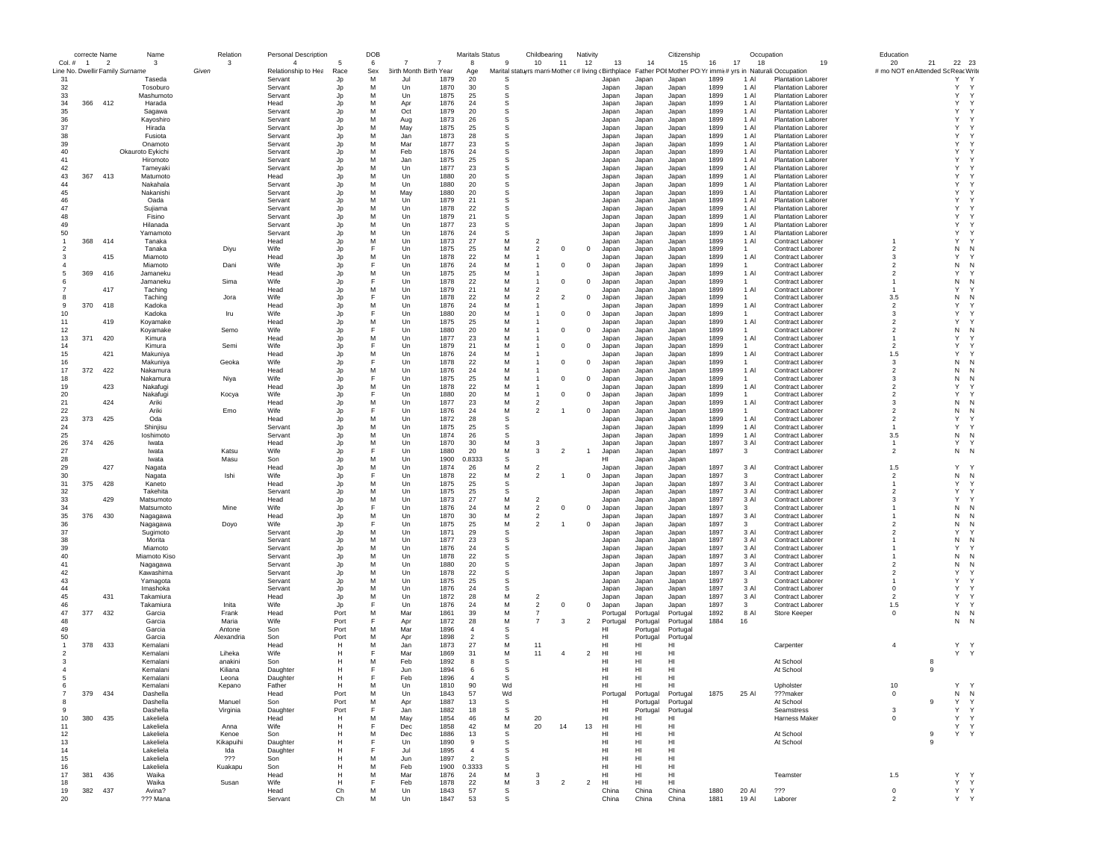|                | correcte Name  |     | Name                                      | Relation           | <b>Personal Description</b>    |            | DOB      |                                       | <b>Maritals Status</b> |             | Childbearing                                                                                                 | Nativity       |                 |                | Citizenship    |              | Occupation           |                                                    | Education                         |    |                        |
|----------------|----------------|-----|-------------------------------------------|--------------------|--------------------------------|------------|----------|---------------------------------------|------------------------|-------------|--------------------------------------------------------------------------------------------------------------|----------------|-----------------|----------------|----------------|--------------|----------------------|----------------------------------------------------|-----------------------------------|----|------------------------|
| Col. #         | $\overline{1}$ | - 2 | $\mathbf{3}$                              | 3                  | $\overline{4}$                 |            | 6        | 7                                     | 8                      | -9          | 10<br>$-11$                                                                                                  | 12             | 13              | 14             | 15             | 17<br>16     | 18                   | 19                                                 | 20                                | 21 | 22 23                  |
| 31             |                |     | Line No. Dwellir Family Surname<br>Taseda | Given              | Relationship to Hea<br>Servant | Race<br>Jp | Sex<br>M | 3irth Month Birth Year<br>1879<br>Jul | Age<br>20              |             | Marital statuyrs marri Mother (# living (Birthplace Father POIMother PO Yr immi(# yrs in Naturali:Occupation |                | Japan           | Japan          | Japan          | 1899         | 1 AI                 | <b>Plantation Laborer</b>                          | # mo NOT en Attended Sc ReacWrite |    | Υ                      |
| 32             |                |     | Tosoburo                                  |                    | Servant                        | Jp         | M        | Un<br>1870                            | 30                     | S           |                                                                                                              |                | Japan           | Japan          | Japan          | 1899         | 1 Al                 | <b>Plantation Laborer</b>                          |                                   |    | Y<br>Y                 |
| 33             |                |     | Mashumoto                                 |                    | Servant                        | Jp         | M        | Un<br>1875                            | 25                     | s           |                                                                                                              |                | Japan           | Japan          | Japan          | 1899         | 1 Al                 | <b>Plantation Laborer</b>                          |                                   |    | Y<br>Y                 |
| 34             | 366            | 412 | Harada                                    |                    | Head                           | Jp         | M        | 1876<br>Apr                           | 24                     | S           |                                                                                                              |                | Japan           | Japan          | Japan          | 1899         | 1 Al                 | <b>Plantation Laborer</b>                          |                                   |    | Y<br>$\mathsf{Y}$      |
| 35             |                |     | Sagawa                                    |                    | Servant                        | Jp         | M        | Oct<br>1879                           | 20                     | S           |                                                                                                              |                | Japan           | Japan          | Japan          | 1899         | 1 Al                 | Plantation Laborer                                 |                                   |    | Υ<br>Y                 |
| 36             |                |     | Kayoshiro                                 |                    | Servant                        | Jp         | M        | 1873<br>Aug                           | 26                     | S           |                                                                                                              |                | Japan           | Japan          | Japan          | 1899         | 1 Al                 | <b>Plantation Laborer</b>                          |                                   |    | Y                      |
| 37             |                |     | Hirada                                    |                    | Servant                        | Jp         | M        | May<br>1875                           | 25                     | S           |                                                                                                              |                | Japan           | Japan          | Japan          | 1899         | 1 Al                 | Plantation Laborer                                 |                                   |    | Y                      |
| 38             |                |     | Fusiota                                   |                    | Servant                        | Jp         | M        | Jan<br>1873                           | 28                     | S           |                                                                                                              |                | Japan           | Japan          | Japan          | 1899         | 1 Al                 | <b>Plantation Laborer</b>                          |                                   |    | Y                      |
| 39             |                |     | Onamoto                                   |                    | Servant                        | Jp         | M        | 1877<br>Mar                           | 23                     | S           |                                                                                                              |                | Japan           | Japan          | Japan          | 1899         | 1 AI                 | <b>Plantation Laborer</b>                          |                                   |    | Y                      |
| 40             |                |     | Okauroto Eykichi                          |                    | Servant                        | Jp         | M        | Feb<br>1876                           | 24                     | S           |                                                                                                              |                | Japan           | Japan          | Japan          | 1899         | 1 Al                 | Plantation Laborer                                 |                                   |    | Y                      |
| 41<br>42       |                |     | Hiromoto                                  |                    | Servant                        | Jp         | M<br>M   | Jan<br>1875<br>Un<br>1877             | 25<br>23               | S<br>s      |                                                                                                              |                | Japan           | Japan          | Japan          | 1899<br>1899 | 1 Al<br>1 Al         | Plantation Laborer<br><b>Plantation Laborer</b>    |                                   |    | Y<br>Y                 |
| 43             | 367            | 413 | Tameyaki<br>Matumoto                      |                    | Servant<br>Head                | Jp<br>Jp   | M        | Un<br>1880                            | 20                     | s           |                                                                                                              |                | Japan<br>Japan  | Japan<br>Japan | Japan<br>Japan | 1899         | 1 Al                 | <b>Plantation Laborer</b>                          |                                   |    | Y                      |
| 44             |                |     | Nakahala                                  |                    | Servant                        | Jp         | M        | 1880<br>Un                            | 20                     | s           |                                                                                                              |                | Japan           | Japan          | Japan          | 1899         | 1 Al                 | <b>Plantation Laborer</b>                          |                                   |    | Y                      |
| 45             |                |     | Nakanishi                                 |                    | Servant                        | Jp         | M        | May<br>1880                           | 20                     | s           |                                                                                                              |                | Japan           | Japan          | Japan          | 1899         | 1 Al                 | <b>Plantation Laborer</b>                          |                                   |    | Y                      |
| 46             |                |     | Oada                                      |                    | Servant                        | Jp         | M        | Un<br>1879                            | 21                     | S           |                                                                                                              |                | Japan           | Japan          | Japan          | 1899         | 1 Al                 | Plantation Laborer                                 |                                   |    | Y                      |
| 47             |                |     | Sujiama                                   |                    | Servant                        | Jp         | M        | Un<br>1878                            | 22                     | s           |                                                                                                              |                | Japan           | Japan          | Japan          | 1899         | 1 Al                 | <b>Plantation Laborer</b>                          |                                   |    | Y                      |
| 48             |                |     | Fisino                                    |                    | Servant                        | Jp         | M        | Un<br>1879                            | 21                     | s           |                                                                                                              |                | Japan           | Japan          | Japan          | 1899         | 1 Al                 | <b>Plantation Laborer</b>                          |                                   |    | Y<br>Y                 |
| 49             |                |     | Hilanada                                  |                    | Servant                        | Jp         | M        | Un<br>1877                            | 23                     | S           |                                                                                                              |                | Japan           | Japan          | Japan          | 1899         | 1 Al                 | <b>Plantation Laborer</b>                          |                                   |    | Y<br>Y                 |
| 50             |                |     | Yamamoto                                  |                    | Servant                        | Jp         | M        | $_{\text{Un}}$<br>1876                | 24                     | S           |                                                                                                              |                | Japan           | Japan          | Japan          | 1899         | 1 AI                 | <b>Plantation Laborer</b>                          |                                   |    | Y<br>$\checkmark$      |
|                | 368            | 414 | Tanaka                                    |                    | Head                           | Jp         | M        | Un<br>1873                            | 27                     | М           | $\overline{2}$                                                                                               |                | Japan           | Japan          | Japan          | 1899         | 1 Al                 | Contract Laborer                                   |                                   |    | Y                      |
|                |                |     | Tanaka                                    | Diyu               | Wife                           | Jp         |          | Un<br>1875                            | 25                     | М           | $\overline{2}$                                                                                               | $^{\circ}$     | Japan           | Japan          | Japan          | 1899         | $\mathbf{1}$         | Contract Laborer                                   | $\overline{2}$                    |    | N<br>N                 |
|                |                | 415 | Miamoto<br>Miamoto                        | Dani               | Head<br>Wife                   | Jp<br>Jp   | M        | Un<br>1878<br>Un<br>1876              | 22<br>24               | M<br>M      | $\Omega$                                                                                                     | $^{\circ}$     | Japan<br>Japan  | Japan<br>Japan | Japan<br>Japan | 1899<br>1899 | 1 Al<br>$\mathbf{1}$ | Contract Laborer<br>Contract Laborer               | 3<br>$\overline{2}$               |    | Y<br>N<br>N            |
| -5             | 369            | 416 | Jamaneku                                  |                    | Head                           | Jp         | M        | 1875<br>Un                            | 25                     | M           |                                                                                                              |                | Japan           | Japan          | Japan          | 1899         | 1 Al                 | <b>Contract Laborer</b>                            | 2                                 |    | Y                      |
|                |                |     | Jamaneku                                  | Sima               | Wife                           | Jp         |          | Un<br>1878                            | 22                     | M           | $\Omega$                                                                                                     | $^{\circ}$     | Japan           | Japan          | Japan          | 1899         | $\overline{1}$       | <b>Contract Laborer</b>                            |                                   |    | N<br>N                 |
|                |                | 417 | Taching                                   |                    | Head                           | Jp         | M        | Un<br>1879                            | 21                     | M           | $\overline{2}$                                                                                               |                | Japan           | Japan          | Japan          | 1899         | 1 Al                 | Contract Laborer                                   |                                   |    | Y                      |
|                |                |     | Taching                                   | Jora               | Wife                           | Jp         | F        | Un<br>1878                            | 22                     | M           | $\overline{2}$<br>$\overline{2}$                                                                             | $^{\circ}$     | Japan           | Japan          | Japan          | 1899         | $\overline{1}$       | Contract Laborer                                   | 3.5                               |    | N<br>N                 |
| -9             | 370 418        |     | Kadoka                                    |                    | Head                           | Jp         | M        | Un<br>1876                            | 24                     | M           |                                                                                                              |                | Japan           | Japan          | Japan          | 1899         | 1 Al                 | Contract Laborer                                   | $\overline{2}$                    |    | Y                      |
| 10             |                |     | Kadoka                                    | Iru                | Wife                           | Jp         | E        | $_{\text{Un}}$<br>1880                | 20                     | M           | $\Omega$                                                                                                     | $\mathbf{0}$   | Japan           | Japan          | Japan          | 1899         | $\mathbf{1}$         | <b>Contract Laborer</b>                            | $\mathbf{3}$                      |    | Y                      |
| 11             |                | 419 | Koyamake                                  |                    | Head                           | Jp         | M        | 1875<br>$_{\text{Un}}$                | 25                     | M           |                                                                                                              |                | Japan           | Japan          | Japan          | 1899         | 1 Al                 | <b>Contract Laborer</b>                            | $\mathfrak{p}$                    |    | Y                      |
| 12             |                |     | Kovamake                                  | Semo               | Wife                           | Jp         |          | Un<br>1880                            | 20                     | M           | $\Omega$                                                                                                     | $\mathbf 0$    | Japan           | Japan          | Japan          | 1899         | $\mathbf{1}$         | Contract Laborer                                   | $\overline{2}$                    |    | N<br>N                 |
| 13             | 371            | 420 | Kimura                                    |                    | Head                           | Jp         | M        | Un<br>1877                            | 23                     | М           |                                                                                                              |                | Japan           | Japan          | Japan          | 1899         | 1 Al                 | <b>Contract Laborer</b>                            |                                   |    | Y                      |
| 14             |                |     | Kimura                                    | Semi               | Wife                           | Jp         | E        | Un<br>1879                            | 21                     | M           | $\Omega$                                                                                                     | $\mathbf 0$    | Japan           | Japan          | Japan          | 1899         | $\overline{1}$       | Contract Laborer                                   | $\overline{2}$                    |    | Y                      |
| 15<br>16       |                | 421 | Makuniya                                  |                    | Head<br>Wife                   | Jp         | M<br>F   | Un<br>1876<br>1878<br>Un              | 24<br>22               | M<br>M      | $\Omega$                                                                                                     | $\mathbf{0}$   | Japan<br>Japan. | Japan          | Japan          | 1899<br>1899 | 1 Al<br>$\mathbf{1}$ | Contract Laborer                                   | 1.5<br>3                          |    | Y<br>N                 |
| 17             | 372            | 422 | Makuniya<br>Nakamura                      | Geoka              | Head                           | Jp<br>Jp   | M        | Un<br>1876                            | 24                     | M           |                                                                                                              |                | Japan           | Japan<br>Japan | Japan<br>Japan | 1899         | 1 Al                 | <b>Contract Laborer</b><br><b>Contract Laborer</b> | $\overline{2}$                    |    | N<br>N<br>N            |
| 18             |                |     | Nakamura                                  | Niya               | Wife                           | Jp         | F        | Un<br>1875                            | 25                     | M           | $\Omega$                                                                                                     | $\mathbf 0$    | Japan           | Japan          | Japan          | 1899         | $\overline{1}$       | Contract Laborer                                   | 3                                 |    | N<br>N                 |
| 19             |                | 423 | Nakafugi                                  |                    | Head                           | Jp         | M        | Un<br>1878                            | 22                     | M           |                                                                                                              |                | Japan           | Japan          | Japan          | 1899         | 1 Al                 | <b>Contract Laborer</b>                            | $\overline{2}$                    |    | Y                      |
| 20             |                |     | Nakafugi                                  | Kocya              | Wife                           | Jp         | F        | 1880<br>Un                            | 20                     | M           | $^{\circ}$<br>-1                                                                                             | $^{\circ}$     | Japan           | Japan          | Japan          | 1899         | $\mathbf{1}$         | <b>Contract Laborer</b>                            | $\overline{2}$                    |    | Y                      |
| 21             |                | 424 | Ariki                                     |                    | Head                           | Jp         | M        | Un<br>1877                            | 23                     | M           | $\overline{2}$                                                                                               |                | Japar           | Japan          | Japan          | 1899         | 1 AI                 | <b>Contract Laborer</b>                            | $\mathbf{3}$                      |    | N<br>N                 |
| 22             |                |     | Ariki                                     | Emo                | Wife                           | Jp         |          | 1876<br>$_{\text{Un}}$                | 24                     | M           | $\overline{2}$                                                                                               | $^{\circ}$     | Japan           | Japan          | Japan          | 1899         | -1                   | <b>Contract Laborer</b>                            | $\mathfrak{p}$                    |    | N<br>N                 |
| 23             | 373            | 425 | Oda                                       |                    | Head                           | Jp         | M        | Un<br>1872                            | 28                     | S           |                                                                                                              |                | Japar           | Japan          | Japan          | 1899         | 1 Al                 | <b>Contract Laborer</b>                            | $\overline{2}$                    |    | Y                      |
| 24             |                |     | Shinjisu                                  |                    | Servant                        | Jp         | M        | Un<br>1875                            | 25                     | S           |                                                                                                              |                | Japan           | Japan          | Japan          | 1899         | 1 Al                 | <b>Contract Laborer</b>                            |                                   |    | Y                      |
| 25             |                |     | loshimoto                                 |                    | Servant                        | Jp         | M        | Un<br>1874                            | 26                     | s           |                                                                                                              |                | Japan           | Japan          | Japan          | 1899         | 1 Al                 | Contract Laborer                                   | 3.5                               |    | N<br>N                 |
| 26             | 374            | 426 | Iwata                                     |                    | Head                           | Jp         | M        | 1870<br>Un                            | 30                     | M           | 3                                                                                                            |                | Japan           | Japan          | Japan          | 1897         | 3 Al                 | Contract Laborer                                   |                                   |    | Y<br>Y                 |
| 27<br>28       |                |     | Iwata<br>Iwata                            | Katsu<br>Masu      | Wife<br>Son                    | Jp         | F<br>M   | 1880<br>Un<br>Un<br>1900              | 20<br>0.8333           | M<br>S      | $\mathfrak{p}$<br>3                                                                                          | $\overline{1}$ | Japan<br>HI     | Japan<br>Japan | Japan<br>Japan | 1897         | 3                    | Contract Laborer                                   | $\overline{2}$                    |    | N<br>N                 |
| 29             |                | 427 | Nagata                                    |                    | Head                           | Jp<br>Jp   | M        | Un<br>1874                            | 26                     | M           | $\overline{2}$                                                                                               |                | Japan           | Japan          | Japan          | 1897         | 3 Al                 | Contract Laborer                                   | 1.5                               |    | Y                      |
| 30             |                |     | Nagata                                    | Ishi               | Wife                           | Jp         | E        | Un<br>1878                            | 22                     | M           | $\overline{2}$                                                                                               | $^{\circ}$     | Japan           | Japan          | Japan          | 1897         | 3                    | Contract Laborer                                   | $\overline{2}$                    |    | N<br>N                 |
| 31             | 375            | 428 | Kaneto                                    |                    | Head                           | Jp         | M        | Un<br>1875                            | 25                     | S           |                                                                                                              |                | Japan           | Japan          | Japan          | 1897         | 3 AI                 | Contract Laborer                                   |                                   |    | Y                      |
| 32             |                |     | Takehita                                  |                    | Servant                        | Jp         | M        | $_{\text{Un}}$<br>1875                | 25                     | <b>s</b>    |                                                                                                              |                | Japan           | Japan          | Japan          | 1897         | 3 AI                 | <b>Contract Laborer</b>                            | $\overline{\phantom{a}}$          |    | Y                      |
| 33             |                | 429 | Matsumoto                                 |                    | Head                           | Jp         | M        | Un<br>1873                            | 27                     | М           | $\overline{2}$                                                                                               |                | Japan           | Japan          | Japan          | 1897         | 3 Al                 | <b>Contract Laborer</b>                            | 3                                 |    | Y                      |
| 34             |                |     | Matsumoto                                 | Mine               | Wife                           | Jp         | F        | Un<br>1876                            | 24                     | M           | $\overline{2}$<br>$^{\circ}$                                                                                 | $^{\circ}$     | Japan           | Japan          | Japan          | 1897         | 3                    | <b>Contract Laborer</b>                            |                                   |    | N<br>N                 |
| 35             | 376            | 430 | Nagagawa                                  |                    | Head                           | Jp         | M        | Un<br>1870                            | 30                     | М           | $\overline{2}$                                                                                               |                | Japan           | Japan          | Japan          | 1897         | 3 Al                 | <b>Contract Laborer</b>                            |                                   |    | N<br>N                 |
| 36             |                |     | Nagagawa                                  | Doyo               | Wife                           | Jp         | F<br>M   | Un<br>1875                            | 25                     | М           | $\overline{2}$                                                                                               | $\mathbf 0$    | Japan           | Japan          | Japan          | 1897         | 3                    | Contract Laborer                                   | $\overline{\phantom{a}}$          |    | N<br>N<br>$\mathsf{Y}$ |
| 37             |                |     | Sugimoto                                  |                    | Servant                        | Jp         | M        | 1871<br>Un<br>1877                    | 29                     | s           |                                                                                                              |                | Japan           | Japan          | Japan          | 1897         | 3 Al                 | <b>Contract Laborer</b>                            | $\overline{2}$                    |    | N                      |
| 38<br>39       |                |     | Morita<br>Miamoto                         |                    | Servant<br>Servant             | Jp<br>Jp   | M        | Un<br>Un<br>1876                      | 23<br>24               | s<br>S      |                                                                                                              |                | Japan<br>Japan  | Japan<br>Japan | Japan<br>Japan | 1897<br>1897 | 3 Al<br>3 Al         | <b>Contract Laborer</b><br><b>Contract Laborer</b> |                                   |    | N<br>Y                 |
| 40             |                |     | Miamoto Kiso                              |                    | Servant                        | Jp         | M        | Un<br>1878                            | 22                     | s           |                                                                                                              |                | Japan           | Japan          | Japan          | 1897         | 3 Al                 | <b>Contract Laborer</b>                            |                                   |    | N<br>N                 |
| 41             |                |     | Nagagawa                                  |                    | Servant                        | Jp         | M        | Un<br>1880                            | 20                     | s           |                                                                                                              |                | Japan           | Japan          | Japan          | 1897         | 3 AI                 | Contract Laborer                                   | $\overline{2}$                    |    | N<br>N                 |
| 42             |                |     | Kawashima                                 |                    | Servant                        | Jp         | M        | 1878<br>Un                            | 22                     | S           |                                                                                                              |                | Japan           | Japan          | Japan          | 1897         | 3 AI                 | Contract Laborer                                   | $\overline{2}$                    |    | Y<br>Y                 |
| 43             |                |     | Yamagota                                  |                    | Servant                        | Jp         | M        | 1875<br>$_{\text{Un}}$                | 25                     | S           |                                                                                                              |                | Japan           | Japan          | Japan          | 1897         | 3                    | Contract Laborer                                   | $\mathbf{1}$                      |    | Y                      |
| 44             |                |     | Imashoka                                  |                    | Servant                        | Jo         | M        | Un<br>1876                            | 24                     | S           |                                                                                                              |                | Japan           | Japan          | Japan          | 1897         | 3 Al                 | <b>Contract Laborer</b>                            | $^{\circ}$                        |    | Y                      |
| 45             |                | 431 | Takamiura                                 |                    | Head                           | Jp         | M        | Un<br>1872                            | 28                     | M           | $\overline{2}$                                                                                               |                | Japan           | Japan          | Japan          | 1897         | 3 Al                 | Contract Laborer                                   | $\overline{2}$                    |    | Y<br>Y                 |
| 46             |                |     | Takamiura                                 | Inita              | Wife                           | Jp         |          | Un<br>1876                            | 24                     | М           | $\overline{2}$                                                                                               | $^{\circ}$     | Japan           | Japan          | Japan          | 1897         | 3                    | Contract Laborer                                   | 1.5                               |    | Y<br>Y                 |
| 47             | 377            | 432 | Garcia                                    | Frank              | Head                           | Port       | M        | Mar<br>1861                           | 39                     | M           | $\overline{7}$                                                                                               |                | Portuga         | Portugal       | Portugal       | 1892         | 8 Al                 | Store Keeper                                       | $^{\circ}$                        |    | N<br>$\mathsf{N}$      |
| 48             |                |     | Garcia                                    | Maria              | Wife                           | Port       |          | 1872<br>Apr                           | 28                     | M           | $\overline{7}$<br>$\mathbf{3}$                                                                               | $\overline{2}$ | Portugal        | Portugal       | Portugal       | 1884         | 16                   |                                                    |                                   |    | N                      |
| 49             |                |     | Garcia                                    | Antone             | Son                            | Port       | M<br>M   | Mar<br>1896                           | $\overline{4}$         | S<br>S      |                                                                                                              |                | HI              | Portugal       | Portugal       |              |                      |                                                    |                                   |    |                        |
| 50             | 378            | 433 | Garcia<br>Kemalani                        | Alexandria         | Son<br>Head                    | Port<br>H  | M        | 1898<br>Apr<br>1873<br>Jan            | $\overline{2}$<br>27   | M           | 11                                                                                                           |                | HI<br>HI        | Portugal<br>н  | Portugal<br>нı |              |                      | Carpenter                                          | $\overline{4}$                    |    | Y Y                    |
|                |                |     | Kemalani                                  | Liheka             | Wife                           | Н          | F        | Mar<br>1869                           | 31                     | M           | 11<br>$\overline{4}$                                                                                         | $\overline{2}$ | HI              | н              | HI             |              |                      |                                                    |                                   |    | Y Y                    |
|                |                |     | Kemalani                                  | anakini            | Son                            | H          | M        | 1892<br>Feb                           | 8                      | S           |                                                                                                              |                | ні              | н              | HI             |              |                      | At School                                          |                                   | 8  |                        |
|                |                |     | Kemalani                                  | Kiliana            | Daughter                       | H          |          | 1894<br>.Jun                          | 6                      | S           |                                                                                                              |                | HI              | HI             | HI             |              |                      | At School                                          |                                   | 9  |                        |
|                |                |     | Kemalani                                  | Leona              | Daughter                       | H          |          | Feb<br>1896                           | $\overline{4}$         | S           |                                                                                                              |                | HI              | HI             | HI             |              |                      |                                                    |                                   |    |                        |
|                |                |     | nemalani                                  | <b>Repano</b>      | Famer                          | Ħ          |          | 1810<br>Un                            | 90                     | Wd          |                                                                                                              |                | HI              | HI             |                |              |                      | Upholster                                          | 10                                |    | $\vee$ $\vee$          |
| $\overline{7}$ | 379            | 434 | Dashella                                  |                    | Head                           | Port       | M        | Un<br>1843                            | 57                     | Wd          |                                                                                                              |                | Portugal        | Portugal       | Portugal       | 1875         | 25 AI                | ???maker                                           | $\mathbf 0$                       |    | N<br>N                 |
| 8              |                |     | Dashella                                  | Manuel             | Son                            | Port       | M        | 1887<br>Apr                           | 13                     | s           |                                                                                                              |                | HI              | Portugal       | Portugal       |              |                      | At School                                          |                                   | 9  | Y<br>Y                 |
| -9             |                |     | Dashella                                  | Virginia           | Daughter                       | Port       | E        | 1882<br>Jan                           | 18                     | S           |                                                                                                              |                | HI              | Portugal       | Portugal       |              |                      | Seamstress                                         | 3                                 |    | Y<br>$\mathsf{Y}$      |
| 10             | 380            | 435 | Lakeliela                                 |                    | Head                           | H          | M<br>F   | May<br>1854                           | 46                     | М<br>М      | 20                                                                                                           |                | HI              | HI<br>H        | HI             |              |                      | Harness Maker                                      | $^{\circ}$                        |    | Y<br>$\mathsf{Y}$      |
| 11             |                |     | Lakeliela<br>Lakeliela                    | Anna               | Wife                           | н<br>H     | M        | Dec<br>1858                           | 42                     | $\mathbb S$ | 20<br>14                                                                                                     | 13             | HI<br>HI        | HI             | HI<br>HI       |              |                      |                                                    |                                   | 9  | Y<br>Y                 |
| 12<br>13       |                |     | Lakeliela                                 | Kenoe<br>Kikapuihi | Son<br>Daughter                | н          | E        | 1886<br>Dec<br>Un<br>1890             | 13<br>9                | s           |                                                                                                              |                | HI              | HI             | HI             |              |                      | At School<br>At School                             |                                   | 9  | Y Y                    |
| 14             |                |     | Lakeliela                                 | Ida                | Daughter                       | H          | E        | Jul<br>1895                           | $\overline{4}$         | s           |                                                                                                              |                | H <sub>II</sub> | HI             | H1             |              |                      |                                                    |                                   |    |                        |
| 15             |                |     | Lakeliela                                 | 222                | Son                            | н          | M        | Jun<br>1897                           | $\overline{2}$         | s           |                                                                                                              |                | HI              | HI             | HI             |              |                      |                                                    |                                   |    |                        |
| 16             |                |     | Lakeliela                                 | Kuakapu            | Son                            | н          | M        | Feb<br>1900                           | 0.3333                 | s           |                                                                                                              |                | HI              | HI             | HI             |              |                      |                                                    |                                   |    |                        |
| 17             | 381            | 436 | Waika                                     |                    | Head                           | н          | M        | Mar<br>1876                           | 24                     | М           | 3                                                                                                            |                | HI              | HI             | HI             |              |                      | Teamster                                           | 1.5                               |    | Y Y                    |
| 18             |                |     | Waika                                     | Susan              | Wife                           | H          | E        | Feb<br>1878                           | 22                     | М           | 3<br>$\overline{\mathbf{2}}$                                                                                 | $\overline{2}$ | HI              | HI             | HI             |              |                      |                                                    |                                   |    | Y Y                    |
| 19             | 382 437        |     | Avina?                                    |                    | Head                           | Ch         | M        | 1843<br>Un                            | 57                     | s           |                                                                                                              |                | China           | China          | China          | 1880         | 20 AI                | 222                                                | $\mathbf 0$                       |    | Y Y                    |
| 20             |                |     | ??? Mana                                  |                    | Servant                        | Ch         | M        | 1847<br>Un                            | 53                     | s           |                                                                                                              |                | China           | China          | China          | 1881         | 19 Al                | Laborer                                            | $\overline{2}$                    |    | Y Y                    |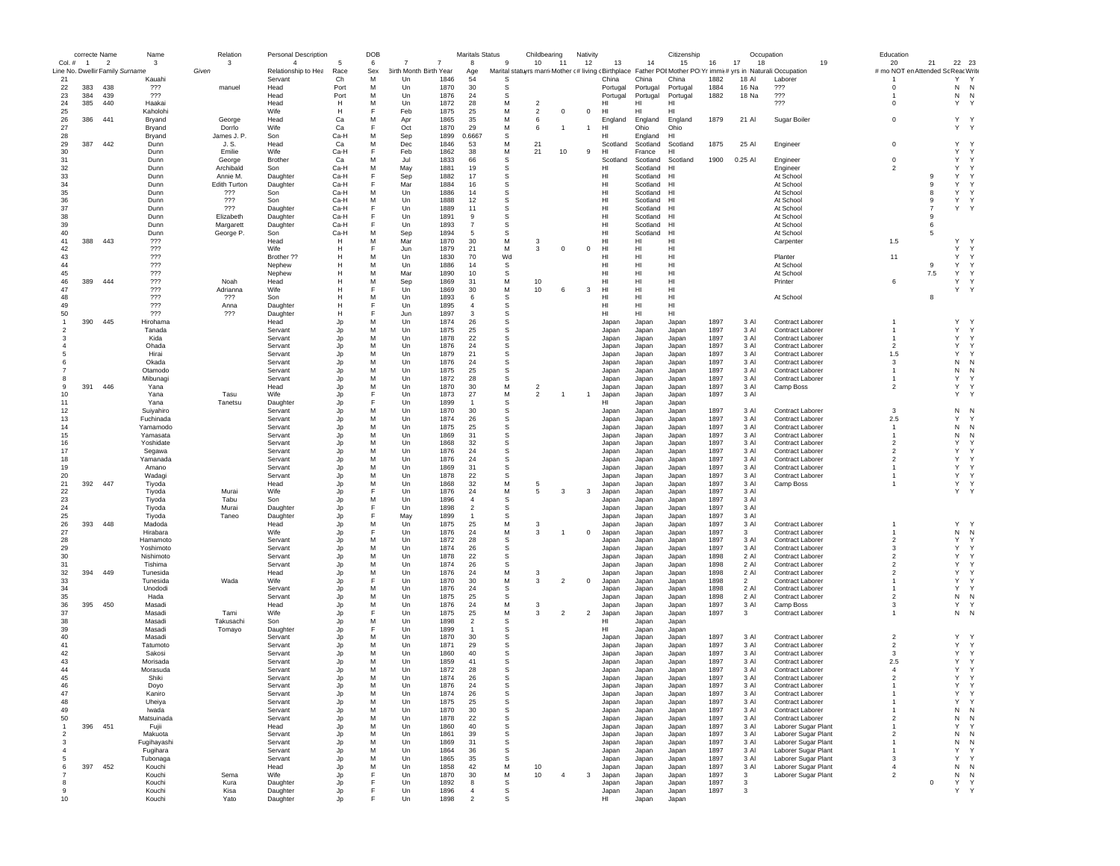|                     | correcte Name  |                                                   | Name                | Relation               | Personal Description                  |              | <b>DOB</b> |                                    |              | <b>Maritals Status</b>           |              | Childbearing                     |                | Nativity       |                |                      | Citizenship    |              | Occupation        |                                                                                                               |    | Education                                |                |                   |  |
|---------------------|----------------|---------------------------------------------------|---------------------|------------------------|---------------------------------------|--------------|------------|------------------------------------|--------------|----------------------------------|--------------|----------------------------------|----------------|----------------|----------------|----------------------|----------------|--------------|-------------------|---------------------------------------------------------------------------------------------------------------|----|------------------------------------------|----------------|-------------------|--|
| Col. #              | $\overline{1}$ | $\overline{2}$<br>Line No. Dwellir Family Surname | -3                  | -3<br>Given            | $\overline{4}$<br>Relationship to Hea | Race         | 6<br>Sex   | 7<br><b>3irth Month Birth Year</b> |              | 8<br>Age                         | $\mathbf{q}$ | 10 <sup>1</sup>                  | -11            | 12             | 13             | 14                   | 15             | 16           | 18<br>17          | Marital statuyrs marri Mother (# living cBirthplace Father POI Mother PO Yr immi(# yrs in Naturali:Occupation | 19 | 20<br># mo NOT en Attended Sc Reac Write | 21             | 22 23             |  |
| 21                  |                |                                                   | Kauahi              |                        | Servant                               | Ch           | M          | Un                                 | 1846         | 54                               | S            |                                  |                |                | China          | China                | China          | 1882         | 18 AI             | Laborer                                                                                                       |    |                                          |                | Y<br>Υ            |  |
| 22                  | 383            | 438                                               | ???                 | manuel                 | Head                                  | Port         | M          | Un                                 | 1870         | 30                               | s            |                                  |                |                | Portugal       | Portugal             | Portugal       | 1884         | 16 Na             | ???                                                                                                           |    | 0                                        |                | N<br>N            |  |
| 23                  | 384            | 439                                               | ???                 |                        | Head                                  | Port         | м          | Un                                 | 1876         | 24                               | s            |                                  |                |                | Portugal       | Portugal             | Portugal       | 1882         | 18 Na             | 777                                                                                                           |    | -1                                       |                | N<br>N            |  |
| 24<br>25            | 385            | 440                                               | Haakai<br>Kaholohi  |                        | Head<br>Wife                          | н<br>H       | M<br>F     | Un<br>Feb                          | 1872<br>1875 | 28<br>25                         | M<br>M       | $\overline{2}$<br>$\overline{2}$ | $\overline{0}$ | $\mathbf 0$    | нı<br>HI       | HI<br>HI             | нı<br>HI       |              |                   | ???                                                                                                           |    | 0                                        |                | Υ<br>$\gamma$     |  |
| 26                  | 386            | 441                                               | Bryand              | George                 | Head                                  | Ca           | М          | Apr                                | 1865         | 35                               | M            | 6                                |                |                | England        | England              | England        | 1879         | 21 Al             | Sugar Boiler                                                                                                  |    | $\mathbf 0$                              |                | Y Y               |  |
| 27                  |                |                                                   | Bryand              | Dorrlo                 | Wife                                  | Ca           | F          | Oct                                | 1870         | 29                               | M            | 6                                | $\overline{1}$ | $\overline{1}$ | HI             | Ohio                 | Ohio           |              |                   |                                                                                                               |    |                                          |                | Y Y               |  |
| 28                  |                |                                                   | Bryand              | James J. P.            | Son                                   | Ca-H         | M          | Sep                                | 1899         | 0.6667                           | -S           |                                  |                |                | нı             | England              | HI             |              |                   |                                                                                                               |    |                                          |                |                   |  |
| 29                  | 387            | 442                                               | Dunn                | J. S.                  | Head                                  | Ca           | M          | Dec                                | 1846         | 53                               | M            | 21                               |                |                | Scotland       | Scotland             | Scotland       | 1875         | 25 Al             | Engineer                                                                                                      |    | $\mathbf 0$                              |                | $\mathbf{v}$<br>Y |  |
| 30                  |                |                                                   | Dunn                | Emilie                 | Wife                                  | Ca-H         | F          | Feb                                | 1862         | 38                               | M            | 21                               | 10             | 9              | HI             | France               | HI             |              |                   |                                                                                                               |    |                                          |                | Y<br>Y            |  |
| 31<br>32            |                |                                                   | Dunn<br>Dunn        | George<br>Archibald    | <b>Brother</b><br>Son                 | Ca<br>Ca-H   | М<br>М     | Jul<br>May                         | 1833<br>1881 | 66<br>19                         | s<br>s       |                                  |                |                | Scotland<br>нı | Scotland<br>Scotland | Scotland<br>HI | 1900         | 0.25 AI           | Engineer<br>Engineer                                                                                          |    | $\mathbf 0$<br>$\overline{2}$            |                | Υ<br>Y<br>Υ<br>Y  |  |
| 33                  |                |                                                   | Dunn                | Annie M.               | Daughter                              | Ca-H         | F.         | Sep                                | 1882         | 17                               | s            |                                  |                |                | HI             | Scotland             | HI             |              |                   | At School                                                                                                     |    |                                          | 9              | Υ<br>Y            |  |
| 34                  |                |                                                   | Dunn                | <b>Edith Turton</b>    | Daughter                              | Ca-H         | F          | Mar                                | 1884         | 16                               | s            |                                  |                |                | нı             | Scotland             | HI             |              |                   | At School                                                                                                     |    |                                          | 9              | Υ<br>Y            |  |
| 35                  |                |                                                   | Dunn                | ???                    | Son                                   | Ca-H         | M          | Un                                 | 1886         | 14                               | s            |                                  |                |                | HI             | Scotland             | H <sub>1</sub> |              |                   | At School                                                                                                     |    |                                          | 8              | Y<br>Υ            |  |
| 36                  |                |                                                   | Dunn                | ???                    | Son                                   | Ca-H         | M          | Un                                 | 1888         | 12                               | S            |                                  |                |                | HI             | Scotland             | HI             |              |                   | At School                                                                                                     |    |                                          | 9              | Υ<br>Υ            |  |
| 37                  |                |                                                   | Dunn                | ???                    | Daughter                              | Ca-H         | F          | Un                                 | 1889         | 11                               | s            |                                  |                |                | HI             | Scotland             | HI             |              |                   | At School                                                                                                     |    |                                          | $\overline{7}$ | Υ<br>$\gamma$     |  |
| 38<br>39            |                |                                                   | Dunn                | Elizabeth              | Daughter                              | Ca-H         | F<br>F     | Un<br>Un                           | 1891<br>1893 | -9<br>$\overline{7}$             | s<br>S       |                                  |                |                | HI<br>HI       | Scotland             | HI<br>HI       |              |                   | At School                                                                                                     |    |                                          | 9<br>6         |                   |  |
| 40                  |                |                                                   | Dunn<br>Dunn        | Margarett<br>George P. | Daughter<br>Son                       | Ca-H<br>Ca-H | M          | Sep                                | 1894         | -5                               | -S           |                                  |                |                | HI             | Scotland<br>Scotland | H <sub>1</sub> |              |                   | At School<br>At School                                                                                        |    |                                          | 5              |                   |  |
| 41                  | 388            | 443                                               | ???                 |                        | Head                                  | н            | М          | Mar                                | 1870         | 30                               | M            | -3                               |                |                | HI             | HI                   | HI             |              |                   | Carpenter                                                                                                     |    | 1.5                                      |                | Y<br><b>Y</b>     |  |
| 42                  |                |                                                   | ???                 |                        | Wife                                  | н            | F          | Jun                                | 1879         | 21                               | м            | 3                                | $\Omega$       | $\overline{0}$ | HI             | HI                   | HI             |              |                   |                                                                                                               |    |                                          |                | Υ<br>Y            |  |
| 43                  |                |                                                   | ???                 |                        | Brother ??                            |              | М          | Un                                 | 1830         | 70                               | Wd           |                                  |                |                | HI             | HI                   | HI             |              |                   | Planter                                                                                                       |    | 11                                       |                | Υ<br>Y            |  |
| 44                  |                |                                                   | ???                 |                        | Nephew                                |              | м          | Un                                 | 1886         | 14                               | s            |                                  |                |                | HI             | HI                   | HI             |              |                   | At School                                                                                                     |    |                                          | 9              | Υ<br>Y            |  |
| 45<br>46            | 389            | 444                                               | 777<br>777          | Noah                   | Nephew<br>Head                        |              | M<br>M     | Mar<br>Sep                         | 1890<br>1869 | 10<br>31                         | -S<br>M      | 10                               |                |                | HI<br>HI       | HI<br>HI             | н<br>HI        |              |                   | At School<br>Printer                                                                                          |    | 6                                        | $7.5\,$        | Y<br>Y<br>Υ<br>Y  |  |
| 47                  |                |                                                   | 777                 | Adrianna               | Wife                                  |              | F          | Un                                 | 1869         | 30                               | M            | 10                               | 6              | 3              | HI             | HI                   | HI             |              |                   |                                                                                                               |    |                                          |                | Υ<br>$\mathsf{Y}$ |  |
| 48                  |                |                                                   | 222                 | ???                    | Son                                   |              | М          | Un                                 | 1893         | 6                                | S            |                                  |                |                | нı             | HI                   | HI             |              |                   | At School                                                                                                     |    |                                          | 8              |                   |  |
| 49                  |                |                                                   | ???                 | Anna                   | Daughter                              |              | F          | Un                                 | 1895         | $\overline{4}$                   | s            |                                  |                |                | нı             | HI                   | н              |              |                   |                                                                                                               |    |                                          |                |                   |  |
| 50                  |                |                                                   | 222                 | ???                    | Daughter                              | н            | F          | Jun                                | 1897         | 3                                | s            |                                  |                |                | HI             | HI                   | HI             |              |                   |                                                                                                               |    |                                          |                |                   |  |
| $\mathbf{1}$        | 390            | 445                                               | Hirohama            |                        | Head                                  | Jp           | M          | $_{\text{Un}}$                     | 1874         | 26                               | s            |                                  |                |                | Japan          | Japan                | Japan          | 1897         | 3 Al              | Contract Laborer                                                                                              |    | -1                                       |                | Y<br>$\mathbf{v}$ |  |
| $\overline{2}$<br>3 |                |                                                   | Tanada              |                        | Servant                               | Jp           | М<br>М     | Un<br>Un                           | 1875<br>1878 | 25<br>22                         | S<br>s       |                                  |                |                | Japan          | Japan                | Japan          | 1897<br>1897 | 3 Al<br>3 Al      | <b>Contract Laborer</b><br><b>Contract Laborer</b>                                                            |    | -1                                       |                | Y<br>Y<br>Υ<br>Υ  |  |
|                     |                |                                                   | Kida<br>Ohada       |                        | Servant<br>Servant                    | Jp<br>Jp     | M          | Un                                 | 1876         | 24                               | s            |                                  |                |                | Japan<br>Japan | Japan<br>Japan       | Japan<br>Japan | 1897         | 3 Al              | Contract Laborer                                                                                              |    | $\overline{2}$                           |                | Υ<br>Y            |  |
|                     |                |                                                   | Hirai               |                        | Servant                               | Jp           | М          | Un                                 | 1879         | 21                               | s            |                                  |                |                | Japan          | Japan                | Japan          | 1897         | 3 Al              | Contract Laborer                                                                                              |    | 1.5                                      |                | Υ<br>Y            |  |
|                     |                |                                                   | Okada               |                        | Servant                               | Jp           | M          | Un                                 | 1876         | 24                               | -S           |                                  |                |                | Japan          | Japan                | Japan          | 1897         | 3 Al              | <b>Contract Laborer</b>                                                                                       |    | 3                                        |                | N<br>$\mathsf{N}$ |  |
|                     |                |                                                   | Otamodo             |                        | Servant                               | Jp           | М          | Un                                 | 1875         | 25                               | S            |                                  |                |                | Japan          | Japan                | Japan          | 1897         | 3 Al              | <b>Contract Laborer</b>                                                                                       |    | -1                                       |                | N<br>N            |  |
| 8                   |                |                                                   | Mibunagi            |                        | Servant                               | Jp           | М          | Un                                 | 1872         | 28                               | S            |                                  |                |                | Japan          | Japan                | Japan          | 1897         | 3 Al              | <b>Contract Laborer</b>                                                                                       |    | $\mathbf{1}$                             |                | Υ<br>Υ            |  |
| 9                   | 391            | 446                                               | Yana                |                        | Head<br>Wife                          | Jp           | М<br>F.    | Un<br>Un                           | 1870<br>1873 | 30<br>27                         | M<br>M       | $\overline{2}$<br>$\overline{2}$ |                | $\overline{1}$ | Japan          | Japan                | Japan          | 1897         | 3 Al              | Camp Boss                                                                                                     |    | $\overline{2}$                           |                | Υ<br>Y<br>Υ<br>Y  |  |
| 10<br>11            |                |                                                   | Yana<br>Yana        | Tasu<br>Tanetsu        | Daughter                              | Jp<br>Jp     | E          | Un                                 | 1899         | $\overline{1}$                   | s            |                                  |                |                | Japan<br>HI    | Japan<br>Japan       | Japan<br>Japan | 1897         | 3 Al              |                                                                                                               |    |                                          |                |                   |  |
| 12                  |                |                                                   | Suiyahiro           |                        | Servant                               | Jp           | M          | $_{\text{Un}}$                     | 1870         | 30                               | s            |                                  |                |                | Japan          | Japan                | Japan          | 1897         | 3 AI              | <b>Contract Laborer</b>                                                                                       |    | 3                                        |                | N<br>N            |  |
| 13                  |                |                                                   | Fuchinada           |                        | Servant                               | Jo           | М          | Un                                 | 1874         | 26                               | S            |                                  |                |                | Japan          | Japan                | Japan          | 1897         | 3 Al              | <b>Contract Laborer</b>                                                                                       |    | 2.5                                      |                | Y<br>Y            |  |
| 14                  |                |                                                   | Yamamodo            |                        | Servant                               | Jp           | М          | Un                                 | 1875         | 25                               | s            |                                  |                |                | Japan          | Japan                | Japan          | 1897         | 3 Al              | Contract Laborer                                                                                              |    | $\mathbf{1}$                             |                | Ν<br>N            |  |
| 15                  |                |                                                   | Yamasata            |                        | Servant                               | Jp           | м          | Un                                 | 1869         | 31                               | s            |                                  |                |                | Japan          | Japan                | Japan          | 1897         | 3 Al              | <b>Contract Laborer</b>                                                                                       |    | $\mathbf{1}$                             |                | Ν<br>N            |  |
| 16                  |                |                                                   | Yoshidate           |                        | Servant                               | Jp           | М          | Un                                 | 1868         | 32                               | S            |                                  |                |                | Japan          | Japan                | Japan          | 1897         | 3 Al              | <b>Contract Laborer</b>                                                                                       |    | $\overline{2}$                           |                | Υ<br>Y<br>Y       |  |
| 17<br>18            |                |                                                   | Segawa<br>Yamanada  |                        | Servant<br>Servant                    | Jp           | M<br>M     | Un<br>Un                           | 1876<br>1876 | 24<br>24                         | -S<br>S      |                                  |                |                | Japan<br>Japan | Japan<br>Japan       | Japan<br>Japan | 1897<br>1897 | 3 Al<br>3 Al      | <b>Contract Laborer</b><br><b>Contract Laborer</b>                                                            |    | $\overline{2}$<br>$\overline{2}$         |                | Y<br>Υ<br>Y       |  |
| 19                  |                |                                                   | Amano               |                        | Servant                               | Jp<br>Jp     | М          | Un                                 | 1869         | 31                               | s            |                                  |                |                | Japan          | Japan                | Japan          | 1897         | 3 Al              | Contract Laborer                                                                                              |    |                                          |                | Υ<br>Y            |  |
| 20                  |                |                                                   | Wadagi              |                        | Servant                               | Jp           | М          | Un                                 | 1878         | 22                               | S            |                                  |                |                | Japan          | Japan                | Japan          | 1897         | 3 Al              | <b>Contract Laborer</b>                                                                                       |    | $\mathbf{1}$                             |                | Υ<br>Y            |  |
| 21                  | 392            | 447                                               | Tiyoda              |                        | Head                                  | Jp           | M          | Un                                 | 1868         | 32                               | M            | -5                               |                |                | Japan          | Japan                | Japan          | 1897         | 3 AI              | Camp Boss                                                                                                     |    | $\mathbf{1}$                             |                | Υ<br>Y            |  |
| 22                  |                |                                                   | Tiyoda              | Murai                  | <b>Wife</b>                           | Jp           | F          | $_{\text{Un}}$                     | 1876         | 24                               | M            | 5                                | $\mathbf{3}$   | 3              | Japan          | Japan                | Japan          | 1897         | 3 AI              |                                                                                                               |    |                                          |                | Y<br>Y            |  |
| 23                  |                |                                                   | Tiyoda              | Tabu                   | Son                                   | Jp           | М          | Un                                 | 1896         | $\overline{4}$                   | s            |                                  |                |                | Japan          | Japan                | Japan          | 1897         | 3 Al              |                                                                                                               |    |                                          |                |                   |  |
| 24<br>25            |                |                                                   | Tiyoda<br>Tiyoda    | Murai<br>Taneo         | Daughter<br>Daughter                  | Jp<br>Jp     | F<br>F     | Un<br>May                          | 1898<br>1899 | $\overline{2}$<br>$\overline{1}$ | S<br>s       |                                  |                |                | Japan<br>Japan | Japan<br>Japan       | Japan<br>Japan | 1897<br>1897 | 3 Al<br>3 Al      |                                                                                                               |    |                                          |                |                   |  |
| 26                  | 393            | 448                                               | Madoda              |                        | Head                                  | Jp           | М          | Un                                 | 1875         | 25                               | M            | 3                                |                |                | Japan          | Japan                | Japan          | 1897         | 3 Al              | Contract Laborer                                                                                              |    |                                          |                | Y<br>$\mathbf{v}$ |  |
| 27                  |                |                                                   | Hirabara            |                        | Wife                                  | Jp           | F          | Un                                 | 1876         | 24                               | M            | -3                               |                | $^{\circ}$     | Japan          | Japan                | Japan          | 1897         | 3                 | <b>Contract Laborer</b>                                                                                       |    |                                          |                | N<br>N            |  |
| 28                  |                |                                                   | Hamamoto            |                        | Servant                               | Jp           | M          | Un                                 | 1872         | 28                               | s            |                                  |                |                | Japan          | Japan                | Japan          | 1897         | 3 Al              | <b>Contract Laborer</b>                                                                                       |    | $\overline{2}$                           |                | Y<br>Y            |  |
| 29                  |                |                                                   | Yoshimoto           |                        | Servant                               | Jp           | M          | Un                                 | 1874         | 26                               | S            |                                  |                |                | Japan          | Japan                | Japan          | 1897         | 3 Al              | <b>Contract Laborer</b>                                                                                       |    | 3                                        |                | Υ<br>Υ            |  |
| 30                  |                |                                                   | Nishimoto           |                        | Servant                               | Jp           | М<br>М     | Un                                 | 1878<br>1874 | 22<br>26                         | s<br>s       |                                  |                |                | Japan          | Japan                | Japan          | 1898         | 2 Al<br>2 AI      | Contract Laborer                                                                                              |    | $\overline{2}$<br>$\overline{2}$         |                | Υ<br>Y<br>Υ<br>Y  |  |
| 31<br>32            | 394            | 449                                               | Tishima<br>Tunesida |                        | Servant<br>Head                       | Jp<br>Jp     | M          | Un<br>Un                           | 1876         | 24                               | M            | -3                               |                |                | Japan<br>Japan | Japan<br>Japan       | Japan<br>Japan | 1898<br>1898 | 2 Al              | Contract Laborer<br>Contract Laborer                                                                          |    | $\overline{2}$                           |                | Y<br>Y            |  |
| 33                  |                |                                                   | Tunesida            | Wada                   | <b>Wife</b>                           | Jp           | F          | Un                                 | 1870         | 30                               | M            | 3                                | $\overline{2}$ | $^{\circ}$     | Japan          | Japan                | Japan          | 1898         | $\mathcal{P}$     | Contract Laborer                                                                                              |    | -1                                       |                | Y<br>Y            |  |
| 34                  |                |                                                   | Unododi             |                        | Servant                               | Jp           | М          | Un                                 | 1876         | 24                               | S            |                                  |                |                | Japan          | Japan                | Japan          | 1898         | 2 Al              | <b>Contract Laborer</b>                                                                                       |    |                                          |                | Υ<br>Y            |  |
| 35                  |                |                                                   | Hada                |                        | Servant                               | Jo           | М          | Un                                 | 1875         | 25                               | S            |                                  |                |                | Japan          | Japan                | Japan          | 1898         | 2 Al              | <b>Contract Laborer</b>                                                                                       |    | $\overline{2}$                           |                | Ν<br>N            |  |
| 36                  | 395            | 450                                               | Masadi              |                        | Head                                  | Jo           | М          | Un                                 | 1876         | 24                               | M            | 3                                |                |                | Japan          | Japan                | Japan          | 1897         | 3 Al              | Camp Boss                                                                                                     |    | 3                                        |                | Υ<br>Y            |  |
| 37<br>38            |                |                                                   | Masadi<br>Masadi    | Tami<br>Takusachi      | Wife<br>Son                           | Jp<br>Jp     | F<br>M     | Un<br>Un                           | 1875<br>1898 | 25<br>$\overline{2}$             | М<br>-S      | -3                               | $\overline{2}$ | $\overline{2}$ | Japan<br>HI    | Japan<br>Japan       | Japan<br>Japan | 1897         | 3                 | Contract Laborer                                                                                              |    | -1                                       |                | N<br>- N          |  |
| 39                  |                |                                                   | Masadi              | Tomayo                 | Daughter                              | Jp           | F          | Un                                 | 1899         | $\overline{1}$                   | S            |                                  |                |                | HI             | Japan                | Japan          |              |                   |                                                                                                               |    |                                          |                |                   |  |
| 40                  |                |                                                   | Masadi              |                        | Servant                               | Jp           | M          | Un                                 | 1870         | 30                               | S            |                                  |                |                | Japan          | Japan                | Japan          | 1897         | 3 Al              | <b>Contract Laborer</b>                                                                                       |    | $\overline{2}$                           |                | Y<br>$\gamma$     |  |
| 41                  |                |                                                   | Tatumoto            |                        | Servant                               | Jp           | M          | Un                                 | 1871         | 29                               | <b>S</b>     |                                  |                |                | Japan          | Japan                | Japan          | 1897         | 3 Al              | Contract Laborer                                                                                              |    | $\overline{2}$                           |                | Υ<br>Y            |  |
| 42                  |                |                                                   | Sakosi              |                        | Servant                               | Jp           | M          | Un                                 | 1860         | 40                               | -S           |                                  |                |                | Japan          | Japan                | Japan          | 1897         | 3 AI              | Contract Laborer                                                                                              |    | 3                                        |                | Y<br>Y            |  |
| 43                  |                |                                                   | Morisada            |                        | Servant                               | Jp           | M          | Un                                 | 1859         | 41                               | <b>S</b>     |                                  |                |                | Japan          | Japan                | Japan          | 1897         | 3 AI              | <b>Contract Laborer</b>                                                                                       |    | 2.5                                      |                | Y<br>Υ            |  |
| 44<br>45            |                |                                                   | Morasuda<br>Shiki   |                        | Servant<br>Servant                    | Jp<br>Jp     | M<br>M     | $_{\text{Un}}$<br>Un               | 1872<br>1874 | 28<br>26                         | S<br>S       |                                  |                |                | Japan<br>Japan | Japan<br>Japan       | Japan<br>Japan | 1897<br>1897 | 3 AI<br>3 Al      | <b>Contract Laborer</b><br>Contract Laborer                                                                   |    | 4<br>$\overline{2}$                      |                | Y<br>Y<br>Y<br>Υ  |  |
| 40                  |                |                                                   | Doyo                |                        | pervant                               |              |            | Un                                 | 1876         | 24                               | ъ            |                                  |                |                | Japan          | Japan                | Japan          | 1897         | 3 Al              | Contract Laborer                                                                                              |    |                                          |                |                   |  |
| 47                  |                |                                                   | Kaniro              |                        | Servant                               | Jp           | М          | Un                                 | 1874         | 26                               | s            |                                  |                |                | Japan          | Japan                | Japan          | 1897         | 3 AI              | Contract Laborer                                                                                              |    |                                          |                | Υ<br>Υ            |  |
| 48                  |                |                                                   | Uheiya              |                        | Servant                               | Jp           | М          | Un                                 | 1875         | 25                               | s            |                                  |                |                | Japan          | Japan                | Japan          | 1897         | 3 Al              | Contract Laborer                                                                                              |    |                                          |                | Υ<br>Υ            |  |
| 49                  |                |                                                   | Iwada               |                        | Servant                               | Jp           | М          | Un                                 | 1870         | 30                               | s            |                                  |                |                | Japan          | Japan                | Japan          | 1897         | 3 Al              | Contract Laborer                                                                                              |    | -1                                       |                | N<br>N            |  |
| 50                  |                |                                                   | Matsuinada          |                        | Servant                               | Jp           | М          | Un                                 | 1878         | 22                               | s            |                                  |                |                | Japan          | Japan                | Japan          | 1897         | 3 Al              | Contract Laborer                                                                                              |    | $\overline{2}$                           |                | N<br>N            |  |
| 1<br>$\overline{2}$ | 396            | 451                                               | Fujii<br>Makuota    |                        | Head<br>Servant                       | Jp<br>Jp     | М<br>М     | Un<br>Un                           | 1860<br>1861 | 40<br>39                         | s<br>s       |                                  |                |                | Japan<br>Japan | Japan<br>Japan       | Japan<br>Japan | 1897<br>1897 | 3 Al<br>3 Al      | Laborer Sugar Plant<br>Laborer Sugar Plant                                                                    |    | $\overline{2}$                           |                | Υ<br>Y<br>N<br>N  |  |
| 3                   |                |                                                   | Fugihayashi         |                        | Servant                               | Jp           | M          | Un                                 | 1869         | 31                               | s            |                                  |                |                | Japan          | Japan                | Japan          | 1897         | 3 Al              | Laborer Sugar Plant                                                                                           |    | $\mathbf{1}$                             |                | $\,$ N<br>Ν       |  |
| $\overline{4}$      |                |                                                   | Fugihara            |                        | Servant                               | Jp           | M          | $_{\text{Un}}$                     | 1864         | 36                               | s            |                                  |                |                | Japan          | Japan                | Japan          | 1897         | 3 Al              | Laborer Sugar Plant                                                                                           |    | -1                                       |                | Y<br>Y            |  |
| -5                  |                |                                                   | Tubonaga            |                        | Servant                               | Jp           | М          | Un                                 | 1865         | 35                               | S            |                                  |                |                | Japan          | Japan                | Japan          | 1897         | 3 Al              | Laborer Sugar Plant                                                                                           |    | 3                                        |                | Υ<br>Y            |  |
| 6                   | 397            | 452                                               | Kouchi              |                        | Head                                  | Jp           | M          | Un                                 | 1858         | 42                               | M            | 10                               |                |                | Japan          | Japan                | Japan          | 1897         | 3 Al              | Laborer Sugar Plant                                                                                           |    | $\overline{4}$                           |                | N<br>N            |  |
|                     |                |                                                   | Kouchi              | Sema                   | Wife                                  | Jp           | F          | Un                                 | 1870         | 30                               | м            | 10                               | $\overline{4}$ | 3              | Japan          | Japan                | Japan          | 1897         | $\mathbf{3}$      | Laborer Sugar Plant                                                                                           |    | $\overline{2}$                           |                | Ν<br>N            |  |
| 8<br>9              |                |                                                   | Kouchi<br>Kouchi    | Kura<br>Kisa           | Daughter<br>Daughter                  | Jp<br>Jp     |            | Un<br>Un                           | 1892<br>1896 | 8<br>$\overline{4}$              | s<br>S       |                                  |                |                | Japan<br>Japan | Japan<br>Japan       | Japan<br>Japan | 1897<br>1897 | $\mathbf{3}$<br>3 |                                                                                                               |    |                                          | $\mathbf 0$    | Υ<br>Y<br>Υ<br>Y  |  |
| 10                  |                |                                                   | Kouchi              | Yato                   | Daughter                              |              |            | Un                                 | 1898         | $\mathcal{P}$                    | <b>S</b>     |                                  |                |                | HI             | Japan                | Japan          |              |                   |                                                                                                               |    |                                          |                |                   |  |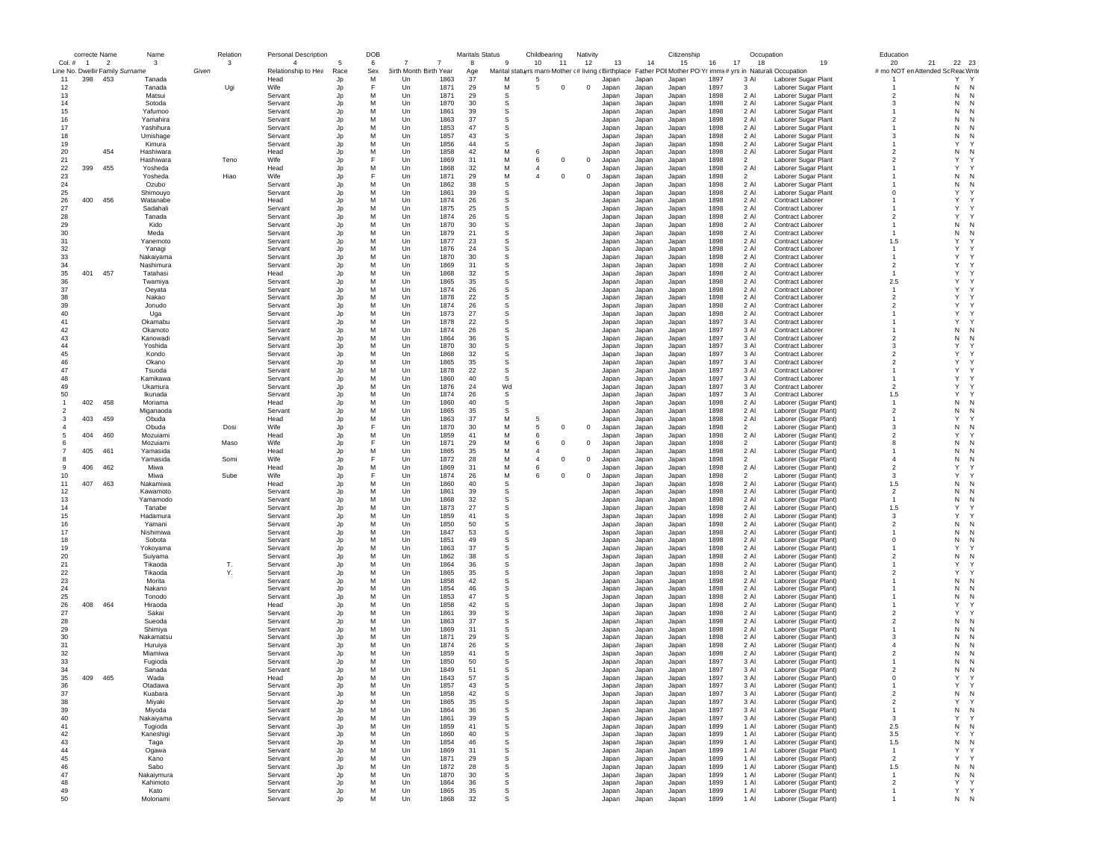|                | correcte Name                   |                | Name       | Relation | <b>Personal Description</b> |      | DOB |                        |                | <b>Maritals Status</b> |         | Childbearing                                        |             | Nativity   |       |       | Citizenship                    |      |                | Occupation                  | Education      |                                      |
|----------------|---------------------------------|----------------|------------|----------|-----------------------------|------|-----|------------------------|----------------|------------------------|---------|-----------------------------------------------------|-------------|------------|-------|-------|--------------------------------|------|----------------|-----------------------------|----------------|--------------------------------------|
| Col. #         | $\overline{1}$                  | $\overline{2}$ | 3          | 3        | $\overline{4}$              |      | 6   |                        | $\overline{7}$ | 8                      | -9      | 10                                                  | -11         | 12         | 13    | 14    | 15                             | 16   | 17<br>18       | 19                          | 20             | 22 23<br>21                          |
|                | Line No. Dwellir Family Surname |                |            | Given    | Relationship to Hea         | Race | Sex | 3irth Month Birth Year |                | Age                    |         | Marital statuyrs marri Mother c# living cBirthplace |             |            |       |       | Father POI Mother PO Yr immis# |      |                | yrs in Naturali: Occupation |                | # mo NOT en Attended So<br>ReacWrite |
| 11             | 398                             | 453            | Tanada     |          | Head                        | Jp   | М   | Un                     | 1863           | 37                     | M       | -5                                                  |             |            | Japan | Japan | Japar                          | 1897 | 3 Al           | Laborer Sugar Plant         |                | Y<br>$\mathsf{Y}$                    |
| 12             |                                 |                | Tanada     | Ugi      | Wife                        | Jp   | F   | Un                     | 1871           | 29                     | M       | 5                                                   | $^{\circ}$  | $^{\circ}$ | Japan | Japan | Japan                          | 1897 | 3              | Laborer Sugar Plant         |                | Ν<br>$\mathsf{N}$                    |
| 13             |                                 |                | Matsui     |          | Servant                     | Jp   | M   | Un                     | 1871           | 29                     | s       |                                                     |             |            | Japan | Japan | Japan                          | 1898 | 2 Al           | Laborer Sugar Plant         | $\overline{2}$ | N<br>N                               |
| 14             |                                 |                | Sotoda     |          | Servant                     | Jp   | M   | Un                     | 1870           | 30                     | s       |                                                     |             |            | Japan | Japan | Japan                          | 1898 | 2 Al           | Laborer Sugar Plant         | -3             | N<br>N                               |
| 15             |                                 |                | Yafumoo    |          | Servant                     | Jp   | M   | Un                     | 1861           | 39                     | s       |                                                     |             |            | Japan | Japan | Japan                          | 1898 | 2A             | Laborer Sugar Plant         |                | N<br>N                               |
| 16             |                                 |                | Yamahira   |          | Servant                     | Jp   | M   | Un                     | 1863           | 37                     | s       |                                                     |             |            | Japan | Japan | Japar                          | 1898 | 2 Al           | Laborer Sugar Plant         | $\overline{2}$ | N<br>N                               |
|                |                                 |                |            |          |                             |      |     |                        |                |                        |         |                                                     |             |            |       |       |                                |      |                |                             |                |                                      |
| 17             |                                 |                | Yashihura  |          | Servant                     | Jp   | M   | Un                     | 1853           | 47                     | s       |                                                     |             |            | Japan | Japan | Japan                          | 1898 | 2 Al           | Laborer Sugar Plant         |                | N<br>N                               |
| 18             |                                 |                | Umishage   |          | Servant                     | Jp   | М   | Un                     | 1857           | 43                     | s       |                                                     |             |            | Japan | Japan | Japan                          | 1898 | 2 Al           | Laborer Sugar Plant         | -3             | N                                    |
| 19             |                                 |                | Kimura     |          | Servant                     | Jp   | М   | Un                     | 1856           | 44                     | s       |                                                     |             |            | Japan | Japan | Japan                          | 1898 | 2 Al           | Laborer Sugar Plant         |                | Y                                    |
| 20             |                                 | 454            | Hashiwara  |          | Head                        | Jp   | М   | Un                     | 1858           | 42                     | М       | - 6                                                 |             |            | Japan | Japan | Japan                          | 1898 | 2 Al           | Laborer Sugar Plant         | $\overline{2}$ | N<br>N                               |
| 21             |                                 |                | Hashiwara  | Teno     | <b>Wife</b>                 | Jp   | F   | Un                     | 1869           | 31                     | M       | 6                                                   | $^{\circ}$  | $^{\circ}$ | Japan | Japan | Japan                          | 1898 | $\overline{2}$ | Laborer Sugar Plant         | $\overline{2}$ | Y                                    |
| 22             | 399                             | 455            | Yosheda    |          | Head                        | Jp   | М   | Un                     | 1868           | 32                     | M       | $\overline{4}$                                      |             |            | Japan | Japan | Japan                          | 1898 | 2 Al           | Laborer Sugar Plant         |                | Υ                                    |
| 23             |                                 |                | Yosheda    | Hiao     | Wife                        | Jp   | F   | Un                     | 1871           | 29                     | M       | $\overline{4}$                                      | $^{\circ}$  | $^{\circ}$ | Japan | Japan | Japan                          | 1898 | $\overline{2}$ | Laborer Sugar Plant         |                | N                                    |
|                |                                 |                |            |          |                             |      | M   |                        | 1862           | 38                     |         |                                                     |             |            |       |       |                                | 1898 |                |                             |                |                                      |
| 24             |                                 |                | Ozubo      |          | Servant                     | Jp   |     | Un                     |                |                        | s       |                                                     |             |            | Japar | Japan | Japan                          |      | 2 Al           | Laborer Sugar Plant         |                | N<br>N                               |
| 25             |                                 |                | Shimouyo   |          | Servant                     | Jp   | M   | Un                     | 1861           | 39                     | s       |                                                     |             |            | Japan | Japan | Japan                          | 1898 | 2 Al           | Laborer Sugar Plant         | $\Omega$       | Y                                    |
| 26             | 400                             | 456            | Watanabe   |          | Head                        | Jp   | M   | Un                     | 1874           | 26                     | S       |                                                     |             |            | Japan | Japan | Japan                          | 1898 | 2A             | <b>Contract Laborer</b>     |                | Y                                    |
| 27             |                                 |                | Sadahali   |          | Servant                     | Jp   | M   | Un                     | 1875           | 25                     | S       |                                                     |             |            | Japan | Japan | Japar                          | 1898 | 2 Al           | Contract Laborer            |                | Y                                    |
| 28             |                                 |                | Tanada     |          | Servant                     | Jp   | M   | Un                     | 1874           | 26                     | s       |                                                     |             |            | Japan | Japan | Japan                          | 1898 | 2 Al           | Contract Laborer            | $\overline{2}$ | Y                                    |
| 29             |                                 |                | Kido       |          | Servant                     | Jp   | M   | Un                     | 1870           | 30                     | s       |                                                     |             |            | Japan | Japan | Japan                          | 1898 | 2 Al           | Contract Labore             |                | N<br>N                               |
| 30             |                                 |                | Meda       |          | Servant                     | Jp   | M   | Un                     | 1879           | 21                     | -S      |                                                     |             |            | Japan | Japan | Japan                          | 1898 | 2 Al           | Contract Laborer            |                | N<br>N                               |
| 31             |                                 |                | Yanemoto   |          | Servant                     | Jp   | M   | Un                     | 1877           | 23                     | -S      |                                                     |             |            | Japan | Japan | Japan                          | 1898 | 2 Al           | Contract Laborer            | 1.5            | Y                                    |
| 32             |                                 |                |            |          | Servant                     |      | M   | Un                     | 1876           | 24                     | s       |                                                     |             |            |       |       | Japan                          | 1898 | 2 Al           | <b>Contract Laborer</b>     | -1             | Y                                    |
|                |                                 |                | Yanagi     |          |                             | Jp   |     |                        |                |                        |         |                                                     |             |            | Japan | Japan |                                |      |                |                             |                |                                      |
| 33             |                                 |                | Nakaiyama  |          | Servant                     | Jp   | M   | Un                     | 1870           | 30                     | S       |                                                     |             |            | Japan | Japan | Japan                          | 1898 | 2 Al           | Contract Laborer            |                | Y                                    |
| 34             |                                 |                | Nashimura  |          | Servant                     | Jp   | M   | Un                     | 1869           | 31                     | s       |                                                     |             |            | Japan | Japan | Japan                          | 1898 | 2 Al           | <b>Contract Laborer</b>     | $\overline{2}$ | Y                                    |
| 35             | 401                             | 457            | Tatahasi   |          | Head                        | Jp   | М   | Un                     | 1868           | 32                     | s       |                                                     |             |            | Japan | Japan | Japan                          | 1898 | 2 Al           | Contract Laborer            | $\mathbf{1}$   | Y                                    |
| 36             |                                 |                | Twamiya    |          | Servant                     | Jp   | M   | Un                     | 1865           | 35                     | s       |                                                     |             |            | Japan | Japan | Japan                          | 1898 | 2A             | <b>Contract Laborer</b>     | 2.5            | Y                                    |
| 37             |                                 |                | Oeyata     |          | Servant                     | Jp   | M   | $_{\text{Un}}$         | 1874           | 26                     | s       |                                                     |             |            | Japan | Japan | Japar                          | 1898 | 2A             | <b>Contract Laborer</b>     | $\overline{1}$ | Y                                    |
| 38             |                                 |                | Nakao      |          | Servant                     | Jp   | M   | Un                     | 1878           | 22                     | s       |                                                     |             |            | Japan | Japan | Japar                          | 1898 | 2 Al           | <b>Contract Laborer</b>     | $\overline{2}$ | Y                                    |
| 39             |                                 |                | Jonudo     |          | Servant                     | Jp   | М   | Un                     | 1874           | 26                     | s       |                                                     |             |            | Japan | Japan | Japan                          | 1898 | 2 Al           | Contract Laborer            | $\overline{2}$ | Y                                    |
| 40             |                                 |                | Uga        |          | Servant                     | Jp   | М   | Un                     | 1873           | 27                     | s       |                                                     |             |            | Japan | Japan | Japan                          | 1898 | 2 Al           | Contract Laborer            |                | Y                                    |
|                |                                 |                |            |          |                             |      |     |                        |                |                        |         |                                                     |             |            |       |       |                                |      |                |                             |                |                                      |
| 41             |                                 |                | Okamabu    |          | Servant                     | Jp   | М   | Un                     | 1878           | 22                     | s       |                                                     |             |            | Japan | Japan | Japan                          | 1897 | 3 Al           | Contract Laborer            |                | Y                                    |
| 42             |                                 |                | Okamoto    |          | Servant                     | Jp   | M   | Un                     | 1874           | 26                     | S       |                                                     |             |            | Japan | Japan | Japan                          | 1897 | 3 Al           | <b>Contract Laborer</b>     |                | N<br>N                               |
| 43             |                                 |                | Kanowadi   |          | Servant                     | Jp   | М   | Un                     | 1864           | 36                     | s       |                                                     |             |            | Japan | Japan | Japan                          | 1897 | 3 Al           | Contract Laborer            | $\overline{2}$ | N                                    |
| 44             |                                 |                | Yoshida    |          | Servant                     | Jp   | М   | Un                     | 1870           | 30                     | s       |                                                     |             |            | Japan | Japan | Japan                          | 1897 | 3 Al           | Contract Labore             | 3              | Y                                    |
| 45             |                                 |                | Kondo      |          | Servant                     | Jp   | М   | Un                     | 1868           | 32                     | s       |                                                     |             |            | Japan | Japan | Japan                          | 1897 | 3 Al           | Contract Laborer            | $\overline{2}$ | Y                                    |
| 46             |                                 |                | Okano      |          | Servant                     | Jp   | M   | Un                     | 1865           | 35                     | S       |                                                     |             |            | Japan | Japan | Japan                          | 1897 | 3 Al           | Contract Laborer            | $\overline{2}$ | Y                                    |
| 47             |                                 |                | Tsuoda     |          | Servant                     | Jp   | M   | Un                     | 1878           | 22                     | s       |                                                     |             |            | Japan | Japan | Japan                          | 1897 | 3 AI           | <b>Contract Laborer</b>     | $\overline{1}$ | Y                                    |
| 48             |                                 |                |            |          |                             |      | M   | Un                     | 1860           | 40                     | -S      |                                                     |             |            |       |       |                                | 1897 | 3 Al           | Contract Laborer            | $\mathbf{1}$   | Y                                    |
|                |                                 |                | Kamikawa   |          | Servant                     | Jp   |     |                        |                |                        |         |                                                     |             |            | Japan | Japan | Japan                          |      |                |                             |                |                                      |
| 49             |                                 |                | Ukamura    |          | Servant                     | Jp   | M   | Un                     | 1876           | 24                     | Wd      |                                                     |             |            | Japan | Japan | Japar                          | 1897 | 3 Al           | <b>Contract Laborer</b>     | $\overline{2}$ | Y                                    |
| 50             |                                 |                | Ikunada    |          | Servant                     | Jp   | M   | Un                     | 1874           | 26                     | S       |                                                     |             |            | Japan | Japan | Japan                          | 1897 | 3 Al           | Contract Laborer            | 1.5            | Y                                    |
|                | 402                             | 458            | Moriama    |          | Head                        | Jp   | M   | Un                     | 1860           | 40                     | s       |                                                     |             |            | Japan | Japan | Japan                          | 1898 | 2 Al           | Laborer (Sugar Plant)       |                | N<br>N                               |
| $\overline{2}$ |                                 |                | Miganaoda  |          | Servant                     | Jp   | M   | Un                     | 1865           | 35                     | s       |                                                     |             |            | Japan | Japan | Japan                          | 1898 | 2 Al           | Laborer (Sugar Plant)       | $\overline{2}$ | N<br>N                               |
| 3              | 403                             | 459            | Obuda      |          | Head                        | Jp   | M   | Un                     | 1863           | 37                     | M       |                                                     |             |            | Japan | Japan | Japan                          | 1898 | 2 Al           | Laborer (Sugar Plant)       |                | Y                                    |
|                |                                 |                | Obuda      | Dosi     | Wife                        | Jp   |     | Un                     | 1870           | 30                     | M       | -5                                                  | $^{\circ}$  | $^{\circ}$ | Japan | Japan | Japan                          | 1898 | $\overline{2}$ | Laborer (Sugar Plant)       | 3              | N<br>N                               |
| 5              | 404                             | 460            | Mozuiami   |          | Head                        | Jp   | M   | Un                     | 1859           | 41                     | M       | 6                                                   |             |            | Japan | Japan | Japan                          | 1898 | 2 Al           | Laborer (Sugar Plant)       | $\overline{2}$ | Y                                    |
|                |                                 |                |            |          |                             |      | F   |                        |                |                        |         |                                                     | $\mathbf 0$ |            |       |       |                                |      |                |                             | 8              |                                      |
| 6              |                                 |                | Mozuiami   | Maso     | Wife                        | Jp   |     | Un                     | 1871           | 29                     | M       | 6                                                   |             | $^{\circ}$ | Japan | Japan | Japan                          | 1898 | $\overline{2}$ | Laborer (Sugar Plant)       |                | N                                    |
| 7              | 405                             | 461            | Yamasida   |          | Head                        | Jp   | М   | Un                     | 1865           | 35                     | M       | 4                                                   |             |            | Japar | Japan | Japan                          | 1898 | 2 Al           | Laborer (Sugar Plant)       |                | N<br>N                               |
| 8              |                                 |                | Yamasida   | Somi     | <b>Wife</b>                 | Jp   | F   | Un                     | 1872           | 28                     | M       | 4                                                   | $^{\circ}$  | $^{\circ}$ | Japan | Japan | Japar                          | 1898 | $\mathcal{P}$  | Laborer (Sugar Plant)       | $\overline{4}$ | N<br>N                               |
| 9              | 406                             | 462            | Miwa       |          | Head                        | Jp   | М   | Un                     | 1869           | 31                     | M       | 6                                                   |             |            | Japan | Japan | Japar                          | 1898 | 2 Al           | Laborer (Sugar Plant)       | $\overline{2}$ | Y                                    |
| 10             |                                 |                | Miwa       | Sube     | Wife                        | Jp   | F   | Un                     | 1874           | 26                     | M       | 6                                                   | $\mathbf 0$ | $^{\circ}$ | Japan | Japan | Japan                          | 1898 | $\overline{2}$ | Laborer (Sugar Plant)       | 3              | Y                                    |
| 11             | 407                             | 463            | Nakamiwa   |          | Head                        | Jp   | М   | Un                     | 1860           | 40                     | s       |                                                     |             |            | Japan | Japan | Japan                          | 1898 | 2 Al           | Laborer (Sugar Plant)       | 1.5            | N                                    |
| 12             |                                 |                | Kawamoto   |          | Servant                     | Jp   | М   | Un                     | 1861           | 39                     | s       |                                                     |             |            | Japar | Japan | Japan                          | 1898 | 2 Al           | Laborer (Sugar Plant)       | $\overline{2}$ | N<br>N                               |
| 13             |                                 |                | Yamamodo   |          | Servant                     | Jp   | М   | Un                     | 1868           | 32                     | s       |                                                     |             |            | Japan |       | Japan                          | 1898 | 2 Al           | Laborer (Sugar Plant)       | -1             | N<br>N                               |
| 14             |                                 |                |            |          |                             |      | M   |                        |                | 27                     |         |                                                     |             |            |       | Japan |                                |      |                |                             |                | Y                                    |
|                |                                 |                | Tanabe     |          | Servant                     | Jp   |     | Un                     | 1873           |                        | s       |                                                     |             |            | Japan | Japan | Japan                          | 1898 | 2 Al           | Laborer (Sugar Plant)       | 1.5            |                                      |
| 15             |                                 |                | Hadamura   |          | Servant                     | Jp   | М   | Un                     | 1859           | 41                     | s       |                                                     |             |            | Japan | Japan | Japan                          | 1898 | 2 Al           | Laborer (Sugar Plant)       | -3             | Υ                                    |
| 16             |                                 |                | Yamani     |          | Servant                     | Jp   | M   | Un                     | 1850           | 50                     | s       |                                                     |             |            | Japan | Japan | Japan                          | 1898 | 2 Al           | Laborer (Sugar Plant)       | $\overline{2}$ | N                                    |
| 17             |                                 |                | Nishimiwa  |          | Servant                     | Jp   | М   | Un                     | 1847           | 53                     | s       |                                                     |             |            | Japan | Japan | Japan                          | 1898 | 2 Al           | Laborer (Sugar Plant)       | $\mathbf{1}$   | N<br>N                               |
| 18             |                                 |                | Sobota     |          | Servant                     | Jp   | M   | Un                     | 1851           | 49                     | s       |                                                     |             |            | Japan | Japan | Japan                          | 1898 | 2 Al           | Laborer (Sugar Plant)       | $\Omega$       | N<br>N                               |
| 19             |                                 |                | Yokoyama   |          | Servant                     | Jp   | M   | Un                     | 1863           | 37                     | s       |                                                     |             |            | Japan | Japan | Japan                          | 1898 | 2A             | Laborer (Sugar Plant)       | $\mathbf{1}$   | Y                                    |
| 20             |                                 |                | Suiyama    |          | Servant                     | Jp   | M   | Un                     | 1862           | 38                     | S       |                                                     |             |            | Japan | Japan | Japar                          | 1898 | 2 Al           | Laborer (Sugar Plant)       | $\overline{2}$ | N<br>N                               |
| 21             |                                 |                | Tikaoda    | Т.       | Servant                     | Jp   | M   | Un                     | 1864           | 36                     | s       |                                                     |             |            | Japan | Japan | Japan                          | 1898 | 2 Al           | Laborer (Sugar Plant)       |                | Y                                    |
| 22             |                                 |                | Tikaoda    | Υ.       | Servant                     | Jp   | M   | Un                     | 1865           | 35                     | s       |                                                     |             |            | Japan | Japan | Japan                          | 1898 | 2 Al           | Laborer (Sugar Plant)       | $\overline{2}$ | Y                                    |
| 23             |                                 |                | Morita     |          | Servant                     | Jp   | M   | Un                     | 1858           | 42                     | -S      |                                                     |             |            | Japan | Japan | Japan                          | 1898 | 2 Al           | Laborer (Sugar Plant)       |                | N<br>N                               |
|                |                                 |                |            |          |                             |      | M   |                        |                |                        |         |                                                     |             |            |       |       |                                |      |                |                             |                |                                      |
| 24             |                                 |                | Nakano     |          | Servant                     | Jp   | M   | Un                     | 1854           | 46                     | -S<br>s |                                                     |             |            | Japan | Japan | Japan                          | 1898 | 2 Al           | Laborer (Sugar Plant)       |                | N<br>N                               |
| 25             |                                 |                | Tonodo     |          | Servant                     | Jp   |     | Un                     | 1853           | 47                     |         |                                                     |             |            | Japan | Japan | Japan                          | 1898 | 2 Al           | Laborer (Sugar Plant)       |                | N                                    |
| 26             | 408                             | 464            | Hiraoda    |          | Head                        | Jp   | М   | Un                     | 1858           | 42                     | S       |                                                     |             |            | Japan | Japan | Japan                          | 1898 | 2 Al           | Laborer (Sugar Plant)       |                | Y                                    |
| 27             |                                 |                | Sakai      |          | Servant                     | Jp   | M   | Un                     | 1861           | 39                     | s       |                                                     |             |            | Japan | Japan | Japan                          | 1898 | 2 Al           | Laborer (Sugar Plant)       | $\overline{2}$ | Y                                    |
| 28             |                                 |                | Sueoda     |          | Servant                     | Jp   | M   | Un                     | 1863           | 37                     | s       |                                                     |             |            | Japan | Japan | Japan                          | 1898 | 2 Al           | Laborer (Sugar Plant)       | $\overline{2}$ | N<br>N                               |
| 29             |                                 |                | Shimiya    |          | Servant                     | Jp   | M   | Un                     | 1869           | 31                     | s       |                                                     |             |            | Japan | Japan | Japan                          | 1898 | 2A             | Laborer (Sugar Plant)       | $\mathbf{1}$   | N<br>N                               |
| 30             |                                 |                | Nakamatsu  |          | Servant                     | Jp   | M   | Un                     | 1871           | 29                     | -S      |                                                     |             |            | Japan | Japan | Japan                          | 1898 | 2A             | Laborer (Sugar Plant)       | $\mathbf{3}$   | N<br>N                               |
| 31             |                                 |                | Huruiva    |          | Servant                     | Jp   | M   | Un                     | 1874           | 26                     | S       |                                                     |             |            | Japan | Japan | Japar                          | 1898 | 2 Al           | Laborer (Sugar Plant)       | $\overline{4}$ | N<br>N                               |
| 32             |                                 |                | Miamiwa    |          | Servant                     | Jp   | M   | Un                     | 1859           | 41                     | s       |                                                     |             |            | Japan | Japan | Japan                          | 1898 | 2 Al           | Laborer (Sugar Plant)       | $\overline{2}$ | N<br>N                               |
| 33             |                                 |                | Fugioda    |          | Servant                     | Jp   | M   | Un                     | 1850           | 50                     | s       |                                                     |             |            | Japan | Japan | Japan                          | 1897 | 3 Al           | Laborer (Sugar Plant)       |                | N<br>N                               |
| 34             |                                 |                |            |          |                             |      | M   |                        | 1849           |                        |         |                                                     |             |            |       |       |                                | 1897 | 3 Al           |                             | $\overline{2}$ | N                                    |
|                |                                 |                | Sanada     |          | Servant                     | Jp   |     | Un                     |                | 51                     | s       |                                                     |             |            | Japan | Japan | Japan                          |      |                | Laborer (Sugar Plant)       |                | N                                    |
| 35             | 409                             | 465            | Wada       |          | Head                        | Jp   | м   | Un                     | 1843           | 57                     | -S      |                                                     |             |            | Japan | Japan | Japan                          | 1897 | 3 Al           | Laborer (Sugar Plant)       | $\Omega$       | Y                                    |
| 36             |                                 |                | Otadawa    |          | Servant                     |      |     | Un                     | 1857           | 43                     |         |                                                     |             |            | Japan | Japan | Janan                          | 1897 | 3 AI           | Laborer (Sugar Plant)       |                |                                      |
| 37             |                                 |                | Kuabara    |          | Servant                     | Jp   | M   | Un                     | 1858           | 42                     | s       |                                                     |             |            | Japan | Japan | Japan                          | 1897 | 3 Al           | Laborer (Sugar Plant)       | $\overline{c}$ | Ν<br>N                               |
| 38             |                                 |                | Miyaki     |          | Servant                     | Jp   | М   | Un                     | 1865           | 35                     | s       |                                                     |             |            | Japan | Japan | Japan                          | 1897 | 3 Al           | Laborer (Sugar Plant)       | $\overline{2}$ | Y<br>Y                               |
| 39             |                                 |                | Miyoda     |          | Servant                     | Jp   | M   | Un                     | 1864           | 36                     | s       |                                                     |             |            | Japan | Japan | Japan                          | 1897 | 3 Al           | Laborer (Sugar Plant)       | $\overline{1}$ | N<br>N                               |
| 40             |                                 |                | Nakaiyama  |          | Servant                     | Jp   | M   | Un                     | 1861           | 39                     | S       |                                                     |             |            | Japan | Japan | Japan                          | 1897 | 3 AI           | Laborer (Sugar Plant)       | $\mathbf{3}$   | Y<br>Y                               |
| 41             |                                 |                | Tugioda    |          | Servant                     | Jp   | M   | Un                     | 1859           | 41                     | S       |                                                     |             |            | Japan | Japan | Japan                          | 1899 | 1 Al           | Laborer (Sugar Plant)       | 2.5            | ${\sf N}$<br>N                       |
| 42             |                                 |                | Kaneshigi  |          | Servant                     | Jp   | М   | Un                     | 1860           | 40                     | S       |                                                     |             |            | Japan | Japan | Japan                          | 1899 | 1 Al           | Laborer (Sugar Plant)       | 3.5            | Y<br>Y                               |
|                |                                 |                |            |          |                             |      |     |                        |                |                        |         |                                                     |             |            |       |       |                                |      |                |                             |                |                                      |
| 43             |                                 |                | Taga       |          | Servant                     | Jp   | М   | Un                     | 1854           | 46                     | S       |                                                     |             |            | Japan | Japan | Japan                          | 1899 | 1 Al           | Laborer (Sugar Plant)       | 1.5            | N<br>N                               |
| 44             |                                 |                | Ogawa      |          | Servant                     | Jp   | M   | Un                     | 1869           | 31                     | S       |                                                     |             |            | Japan | Japan | Japan                          | 1899 | 1 Al           | Laborer (Sugar Plant)       | $\overline{1}$ | Y<br>Y                               |
| 45             |                                 |                | Kano       |          | Servant                     | Jp   | М   | Un                     | 1871           | 29                     | S       |                                                     |             |            | Japan | Japan | Japan                          | 1899 | 1 Al           | Laborer (Sugar Plant)       | $\overline{2}$ | Y<br>Y                               |
| 46             |                                 |                | Sabo       |          | Servant                     | Jp   | M   | Un                     | 1872           | 28                     | S       |                                                     |             |            | Japan | Japan | Japan                          | 1899 | 1 Al           | Laborer (Sugar Plant)       | 1.5            | ${\sf N}$<br>N                       |
| 47             |                                 |                | Nakaiymura |          | Servant                     | Jp   | М   | Un                     | 1870           | 30                     | S       |                                                     |             |            | Japan | Japan | Japan                          | 1899 | 1 Al           | Laborer (Sugar Plant)       | $\overline{1}$ | ${\sf N}$<br>N                       |
| 48             |                                 |                | Kahimoto   |          | Servant                     | Jp   | М   | Un                     | 1864           | 36                     | s       |                                                     |             |            | Japan | Japan | Japan                          | 1899 | 1 Al           | Laborer (Sugar Plant)       | $\overline{2}$ | Y<br>Y                               |
| 49             |                                 |                | Kato       |          | Servant                     | Jp   | M   | Un                     | 1865           | 35                     | S       |                                                     |             |            | Japan | Japan | Japan                          | 1899 | 1 Al           | Laborer (Sugar Plant)       | $\mathbf{1}$   | Y<br>Y                               |
| 50             |                                 |                | Molonami   |          | Servant                     | Jp   | M   | Un                     | 1868           | 32                     | S       |                                                     |             |            | Japan | Japan |                                | 1899 | 1 Al           | Laborer (Sugar Plant)       | $\mathbf{1}$   | N N                                  |
|                |                                 |                |            |          |                             |      |     |                        |                |                        |         |                                                     |             |            |       |       | Japan                          |      |                |                             |                |                                      |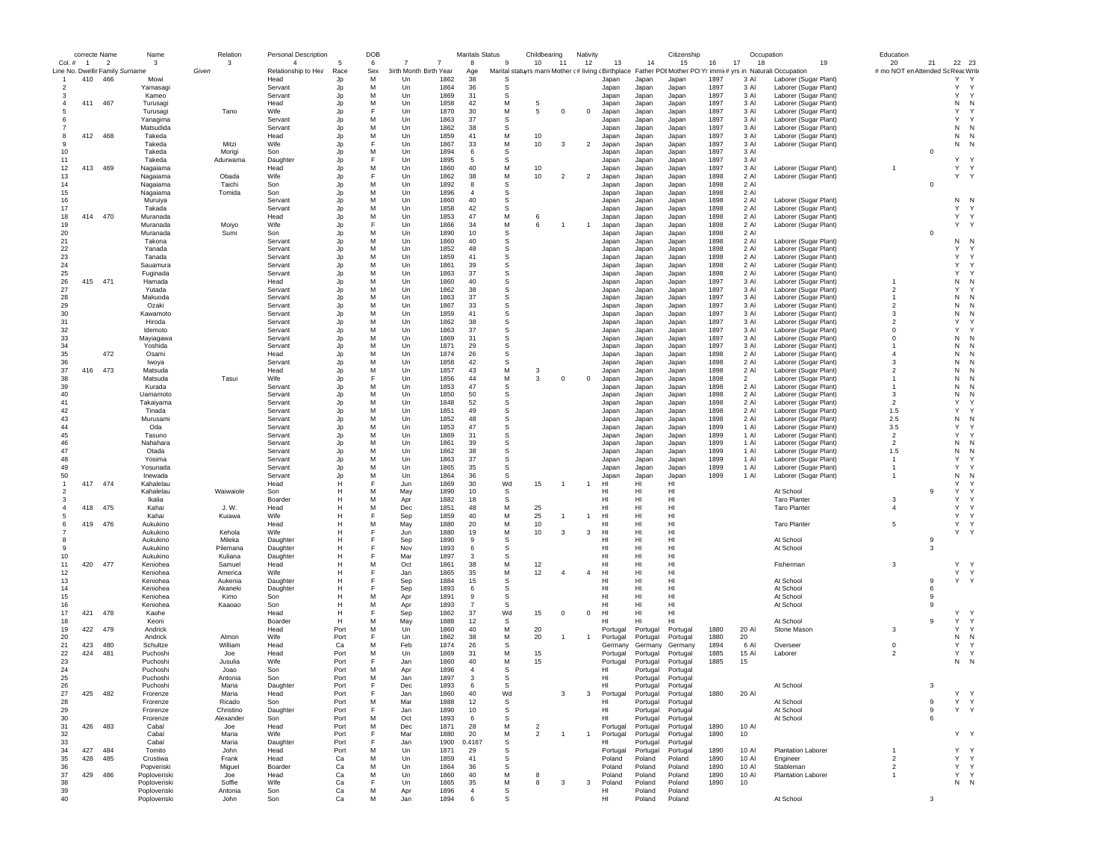|                | correcte Name  |                                 | Name         | Relation  | <b>Personal Description</b> |      | DOB |                        |      | <b>Maritals Status</b> |              | Childbearing                                        |                | Nativity                |          |          | Citizenship |      |                | Occupation                                                 | Education                         |                |                   |  |
|----------------|----------------|---------------------------------|--------------|-----------|-----------------------------|------|-----|------------------------|------|------------------------|--------------|-----------------------------------------------------|----------------|-------------------------|----------|----------|-------------|------|----------------|------------------------------------------------------------|-----------------------------------|----------------|-------------------|--|
| Col. #         | $\overline{1}$ | $\overline{\phantom{a}}$        | 3            | 3         | $\overline{4}$              |      | 6   |                        | 7    | 8                      | -9           | 10                                                  | -11            | 12                      | 13       | 14       | 15          | 16   | 17<br>18       | 19                                                         | 20                                | 21             | 22 23             |  |
|                |                | Line No. Dwellir Family Surname |              | Given     | Relationship to Hea         | Race | Sex | 3irth Month Birth Year |      | Age                    |              | Marital statuyrs marri Mother (# living (Birthplace |                |                         |          |          |             |      |                | Father POI Mother PO Yr immi(# yrs in Naturali: Occupation | # mo NOT en Attended Sc ReacWrite |                |                   |  |
|                | 410            | 466                             | Mow          |           | Head                        | Jp   | М   | Un                     | 1862 | 38                     | S            |                                                     |                |                         | Japan    | Japan    | Japan       | 1897 | 3 Al           | Laborer (Sugar Plant)                                      |                                   |                | Υ                 |  |
| $\overline{2}$ |                |                                 | Yamasagi     |           | Servant                     | Jp   | Μ   | Un                     | 1864 | 36                     | s            |                                                     |                |                         | Japan    | Japan    | Japan       | 1897 | 3 Al           | Laborer (Sugar Plant)                                      |                                   |                | Y<br>Y            |  |
|                |                |                                 | Kameo        |           | Servant                     | Jp   | Μ   | Un                     | 1869 | 31                     | s            |                                                     |                |                         | Japan    | Japan    | Japan       | 1897 | 3 Al           | Laborer (Sugar Plant)                                      |                                   |                | Y<br>Y            |  |
|                | 411            | 467                             | Turusagi     |           | Head                        | Jp   | M   | Un                     | 1858 | 42                     | M            | -5                                                  |                |                         | Japan    | Japan    | Japan       | 1897 | 3 AI           | Laborer (Sugar Plant)                                      |                                   |                | N<br>N            |  |
|                |                |                                 | Turusagi     | Tano      | Wife                        | Jp   |     | Un                     | 1870 | 30                     | M            | 5                                                   | $\mathbf 0$    | $\mathbf 0$             | Japan    | Japan    | Japan       | 1897 | 3 Al           | Laborer (Sugar Plant)                                      |                                   |                | Υ<br>Y            |  |
|                |                |                                 | Yanagima     |           | Servant                     | Jp   | M   | Un                     | 1863 | 37                     | S            |                                                     |                |                         | Japan    | Japan    | Japan       | 1897 | 3 Al           | Laborer (Sugar Plant)                                      |                                   |                | Υ<br>Y            |  |
|                |                |                                 | Matsudida    |           | Servant                     | Jp   | M   | Un                     | 1862 | 38                     | S            |                                                     |                |                         | Japan    | Japan    | Japan       | 1897 | 3 Al           | Laborer (Sugar Plant)                                      |                                   |                | N<br>N            |  |
| 8              | 412 468        |                                 | Takeda       |           | Head                        | Jp   | М   | Un                     | 1859 | 41                     | M            | 10                                                  |                |                         | Japan    | Japan    | Japan       | 1897 | 3 AI           | Laborer (Sugar Plant)                                      |                                   |                | N<br>N            |  |
| q              |                |                                 | Takeda       | Mitzi     | <b>Wife</b>                 | Jp   | F   | Un                     | 1867 | 33                     | M            | 10                                                  | $\mathbf{3}$   | $\overline{2}$          | Japan    | Japan    | Japan       | 1897 | 3 AI           | Laborer (Sugar Plant)                                      |                                   |                | ${\sf N}$<br>N    |  |
| 10             |                |                                 | Takeda       | Morigi    | Son                         | Jp   | M   | Un                     | 1894 | 6                      | s            |                                                     |                |                         | Japan    | Japan    | Japan       | 1897 | 3 Al           |                                                            |                                   | $\mathbf 0$    |                   |  |
| 11             |                |                                 | Takeda       | Adurwama  | Daughter                    | Jp   | F   | Un                     | 1895 | 5                      | S            |                                                     |                |                         | Japan    | Japan    | Japan       | 1897 | 3 Al           |                                                            |                                   |                | Y                 |  |
| 12             | 413            | 469                             | Nagaiama     |           | Head                        | Jp   | М   | Un                     | 1860 | 40                     | М            | 10                                                  |                |                         | Japan    | Japan    | Japan       | 1897 | 3 Al           | Laborer (Sugar Plant)                                      |                                   |                | Y<br>Y            |  |
| 13             |                |                                 | Nagaiama     | Obada     | Wife                        | Jp   | F   | Un                     | 1862 | 38                     | M            | 10                                                  | $\overline{2}$ | $\overline{\mathbf{2}}$ | Japan    | Japan    | Japan       | 1898 | 2 Al           | Laborer (Sugar Plant)                                      |                                   |                | Y<br>Y            |  |
| 14             |                |                                 | Nagaiama     | Taichi    | Son                         | Jp   | м   | Un                     | 1892 | -8                     | s            |                                                     |                |                         | Japan    | Japan    | Japan       | 1898 | 2 Al           |                                                            |                                   | $\overline{0}$ |                   |  |
| 15             |                |                                 | Nagaiama     | Tomida    | Son                         | Jp   | M   | Un                     | 1896 | $\overline{4}$         | s            |                                                     |                |                         | Japan    | Japan    | Japan       | 1898 | 2 Al           |                                                            |                                   |                |                   |  |
| 16             |                |                                 | Muruiya      |           | Servant                     | Jp   | M   | Un                     | 1860 | 40                     | S            |                                                     |                |                         | Japan    | Japan    | Japan       | 1898 | 2 Al           | Laborer (Sugar Plant)                                      |                                   |                | N N               |  |
| 17             |                |                                 | Takada       |           | Servant                     | Jp   | M   | Un                     | 1858 | 42                     | s            |                                                     |                |                         | Japan    | Japan    | Japan       | 1898 | 2 Al           | Laborer (Sugar Plant)                                      |                                   |                | Y<br>Y            |  |
| 18             | 414            | 470                             | Muranada     |           | Head                        | Jp   | М   | Un                     | 1853 | 47                     | M            | 6                                                   |                |                         | Japan    | Japan    | Japan       | 1898 | 2 Al           | Laborer (Sugar Plant)                                      |                                   |                | Υ<br>Y            |  |
| 19             |                |                                 | Muranada     | Moiyo     | Wife                        | Jp   | F   | Un                     | 1866 | 34                     | ${\sf M}$    | 6                                                   |                | 1                       | Japan    | Japan    | Japan       | 1898 | 2 Al           | Laborer (Sugar Plant)                                      |                                   |                | Y<br>Y            |  |
| 20             |                |                                 | Muranada     | Sumi      | Son                         | Jp   | M   | Un                     | 1890 | 10                     | s            |                                                     |                |                         | Japan    | Japan    | Japan       | 1898 | 2 Al           |                                                            |                                   | $\overline{0}$ |                   |  |
| 21             |                |                                 | Takona       |           | Servant                     | Jp   | M   | Un                     | 1860 | 40                     | S            |                                                     |                |                         | Japan    | Japan    | Japan       | 1898 | 2 Al           | Laborer (Sugar Plant)                                      |                                   |                | N<br>N            |  |
| 22             |                |                                 | Yanada       |           | Servant                     | Jp   | M   | Un                     | 1852 | 48                     | s            |                                                     |                |                         | Japan    | Japan    | Japan       | 1898 | 2 Al           | Laborer (Sugar Plant                                       |                                   |                | Y                 |  |
| 23             |                |                                 | Tanada       |           | Servant                     | Jp   | M   | Un                     | 1859 | 41                     | s            |                                                     |                |                         | Japan    | Japan    | Japan       | 1898 | 2 Al           | Laborer (Sugar Plant                                       |                                   |                | Y<br>Y            |  |
| 24             |                |                                 | Sauamura     |           | Servant                     | Jp   | М   | Un                     | 1861 | 39                     | s            |                                                     |                |                         | Japan    | Japan    | Japan       | 1898 | 2 Al           | Laborer (Sugar Plant                                       |                                   |                | Y<br>Y            |  |
| 25             |                |                                 | Fuginada     |           | Servant                     | Jp   | M   | Un                     | 1863 | 37                     | -S           |                                                     |                |                         | Japan    | Japan    | Japan       | 1898 | 2 Al           | Laborer (Sugar Plant)                                      |                                   |                | Y                 |  |
| 26             | 415            | 471                             | Hamada       |           | Head                        | Jp   | M   | Un                     | 1860 | 40                     | S            |                                                     |                |                         | Japan    | Japan    | Japan       | 1897 | 3 Al           | Laborer (Sugar Plant)                                      | $\mathbf{1}$                      |                | N<br>N            |  |
| 27             |                |                                 | Yutada       |           | Servant                     | Jp   | M   | Un                     | 1862 | 38                     | S            |                                                     |                |                         | Japan    | Japan    | Japan       | 1897 | 3 Al           | Laborer (Sugar Plant)                                      | $\overline{2}$                    |                | Y                 |  |
| 28             |                |                                 | Makuoda      |           | Servant                     | Jp   | M   | Un                     | 1863 | 37                     | s            |                                                     |                |                         | Japan    | Japan    | Japan       | 1897 | 3 Al           | Laborer (Sugar Plant)                                      |                                   |                | N<br>N            |  |
| 29             |                |                                 | Ozaki        |           | Servant                     | Jp   | M   | Un                     | 1867 | 33                     | s            |                                                     |                |                         | Japan    | Japan    | Japan       | 1897 | 3 Al           | Laborer (Sugar Plant)                                      | $\overline{2}$                    |                | N<br>N            |  |
| 30             |                |                                 | Kawamoto     |           | Servant                     | Jp   | M   | Un                     | 1859 | 41                     | s            |                                                     |                |                         | Japan    | Japan    | Japan       | 1897 | 3 AI           | Laborer (Sugar Plant)                                      | $\mathbf{3}$                      |                | N<br>N            |  |
| 31             |                |                                 | Hiroda       |           | Servant                     | Jp   | M   | Un                     | 1862 | 38                     | s            |                                                     |                |                         | Japan    | Japan    | Japan       | 1897 | 3 AI           | Laborer (Sugar Plant)                                      | $\overline{\phantom{a}}$          |                | Y                 |  |
| 32             |                |                                 | Idemoto      |           | Servant                     | Jp   | M   | Un                     | 1863 | 37                     | S            |                                                     |                |                         | Japan    | Japan    | Japan       | 1897 | 3 Al           | Laborer (Sugar Plant)                                      | $\mathbf 0$                       |                | Y                 |  |
| 33             |                |                                 | Mayiagawa    |           | Servant                     | Jp   | М   | Un                     | 1869 | 31                     | s            |                                                     |                |                         | Japan    | Japan    | Japan       | 1897 | 3 Al           | Laborer (Sugar Plant                                       | $^{\circ}$                        |                | N<br>N            |  |
| 34             |                |                                 | Yoshida      |           | Servant                     | Jp   | Μ   | Un                     | 1871 | 29                     | s            |                                                     |                |                         | Japan    | Japan    | Japan       | 1897 | 3 Al           | Laborer (Sugar Plant)                                      | $\mathbf{1}$                      |                | N<br>N            |  |
| 35             |                | 472                             | Osami        |           | Head                        | Jp   | Μ   | Un                     | 1874 | 26                     | s            |                                                     |                |                         | Japan    | Japan    | Japan       | 1898 | 2 Al           | Laborer (Sugar Plant)                                      | $\overline{4}$                    |                | N<br>N            |  |
| 36             |                |                                 | Iwoya        |           | Servant                     | Jp   | м   | Un                     | 1858 | 42                     | -S           |                                                     |                |                         | Japan    | Japan    | Japan       | 1898 | 2 Al           | Laborer (Sugar Plant)                                      | $\mathbf{3}$                      |                | N<br>N            |  |
| 37             | 416            | 473                             | Matsuda      |           | Head                        | Jp   | М   | Un                     | 1857 | 43                     | M            | 3                                                   |                |                         | Japan    | Japan    | Japan       | 1898 | 2 Al           | Laborer (Sugar Plant)                                      | $\overline{2}$                    |                | N<br>N            |  |
| 38             |                |                                 | Matsuda      | Tasui     | Wife                        | Jp   | F   | Un                     | 1856 | 44                     | M            | 3                                                   | $^{\circ}$     | $^{\circ}$              | Japan    | Japan    | Japan       | 1898 | $\overline{2}$ | Laborer (Sugar Plant)                                      | $\mathbf{1}$                      |                | N<br>N            |  |
| 39             |                |                                 | Kurada       |           | Servant                     | Jp   | M   | Un                     | 1853 | 47                     | s            |                                                     |                |                         | Japan    | Japan    | Japan       | 1898 | 2 Al           | Laborer (Sugar Plant)                                      |                                   |                | N                 |  |
| 40             |                |                                 | Uamamoto     |           | Servant                     | Jp   | M   | Un                     | 1850 | 50                     | s            |                                                     |                |                         | Japan    | Japan    | Japan       | 1898 | 2 Al           | Laborer (Sugar Plant)                                      | -3                                |                | N<br>N            |  |
| 41             |                |                                 | Takaiyama    |           | Servant                     | Jp   | M   | Un                     | 1848 | 52                     | s            |                                                     |                |                         | Japan    | Japan    | Japan       | 1898 | 2 Al           | Laborer (Sugar Plant)                                      | $\overline{2}$                    |                | Y                 |  |
| 42             |                |                                 | Tinada       |           | Servant                     | Jp   | M   | Un                     | 1851 | 49                     | s            |                                                     |                |                         | Japan    | Japan    | Japan       | 1898 | 2 Al           | Laborer (Sugar Plant)                                      | 1.5                               |                | Y                 |  |
| 43             |                |                                 | Murusami     |           | Servant                     | Jp   | M   | Un                     | 1852 | 48                     | S            |                                                     |                |                         | Japan    | Japan    | Japan       | 1898 | 2 Al           | Laborer (Sugar Plant)                                      | 2.5                               |                | N<br>N            |  |
| 44             |                |                                 | Oda          |           | Servant                     | Jp   | M   | Un                     | 1853 | 47                     | s            |                                                     |                |                         | Japan    | Japan    | Japan       | 1899 | 1 Al           | Laborer (Sugar Plant)                                      | 3.5                               |                | Y                 |  |
| 45             |                |                                 | Tasuno       |           | Servant                     | Jp   | м   | Un                     | 1869 | 31                     | s            |                                                     |                |                         | Japan    | Japan    | Japan       | 1899 | 1 Al           | Laborer (Sugar Plant)                                      | $\overline{2}$                    |                | Y                 |  |
| 46             |                |                                 | Nahahara     |           | Servant                     | Jp   | М   | Un                     | 1861 | 39                     | s            |                                                     |                |                         | Japan    | Japan    | Japan       | 1899 | 1 Al           | Laborer (Sugar Plant)                                      | $\overline{2}$                    |                | N<br>N            |  |
| 47             |                |                                 | Otada        |           | Servant                     | Jp   | M   | Un                     | 1862 | 38                     | -S           |                                                     |                |                         | Japan    | Japan    | Japan       | 1899 | 1 Al           | Laborer (Sugar Plant)                                      | 1.5                               |                | N<br>N            |  |
| 48             |                |                                 | Yosima       |           | Servant                     | Jp   | M   | Un                     | 1863 | 37                     | S            |                                                     |                |                         | Japan    | Japan    | Japan       | 1899 | 1 Al           | Laborer (Sugar Plant)                                      | $\overline{1}$                    |                | Y                 |  |
| 49             |                |                                 | Yosunada     |           | Servant                     | Jp   | M   | Un                     | 1865 | 35                     | s            |                                                     |                |                         | Japan    | Japan    | Japan       | 1899 | 1 Al           | Laborer (Sugar Plant)                                      | $\mathbf{1}$                      |                | Y                 |  |
| 50             |                |                                 | Inewada      |           | Servant                     | Jp   | М   | Un                     | 1864 | 36                     | S            |                                                     |                |                         | Japan    | Japan    | Japan       | 1899 | 1 Al           | Laborer (Sugar Plant)                                      | $\mathbf{1}$                      |                | N<br>N            |  |
|                | 417            | 474                             | Kahalelau    |           | Head                        | н    | F   | Jun                    | 1869 | 30                     | Wd           | 15                                                  |                | $\mathbf{1}$            | HI       | HI       | HI          |      |                |                                                            |                                   |                | Y                 |  |
| 2              |                |                                 | Kahalelau    | Waiwaiole | Son                         | н    | M   | May                    | 1890 | 10                     | s            |                                                     |                |                         | HI       | HI       | HI          |      |                | At School                                                  |                                   | 9              | Y                 |  |
| з              |                |                                 | Ikalia       |           | Boarder                     | н    | M   | Apr                    | 1882 | 18                     | S            |                                                     |                |                         | HI       | HI       | HI          |      |                | <b>Taro Planter</b>                                        | 3                                 |                | Y                 |  |
|                | 418            | 475                             | Kahai        | J. W.     | Head                        | н    | М   | Dec                    | 1851 | 48                     | M            | 25                                                  |                |                         | HI       | HI       | HI          |      |                | <b>Taro Planter</b>                                        | $\overline{4}$                    |                | Y<br>Y            |  |
| 5              |                |                                 | Kahai        | Kuiawa    | Wife                        |      | F   | Sep                    | 1859 | 40                     | М            | 25                                                  |                |                         | HI       | HI       | HI          |      |                |                                                            |                                   |                | Y<br>Y            |  |
| 6              | 419            | 476                             | Aukukino     |           | Head                        | н    | М   | May                    | 1880 | 20                     | М            | 10                                                  |                |                         | HI       | HI       | HI          |      |                | <b>Taro Planter</b>                                        | 5                                 |                | Y<br>Y            |  |
|                |                |                                 | Aukukino     | Kehola    | Wife                        | н    | F   | Jun                    | 1880 | 19                     | M            | 10                                                  | 3              | 3                       | HI       | HI       | HI          |      |                |                                                            |                                   |                | Y                 |  |
| 8              |                |                                 | Aukukino     | Mileka    | Daughter                    | н    | E   | Sep                    | 1890 | 9                      | s            |                                                     |                |                         | HI       | HI       | HI          |      |                | At School                                                  |                                   | 9              |                   |  |
| 9              |                |                                 | Aukukino     | Pilemana  | Daughter                    | н    | F   | Nov                    | 1893 | 6                      | S            |                                                     |                |                         | HI       | HI       | HI          |      |                | At School                                                  |                                   | 3              |                   |  |
| 10             |                |                                 | Aukukino     | Kuliana   | Daughter                    |      | F   | Mar                    | 1897 | 3                      | s            |                                                     |                |                         | HI       | HI       | HI          |      |                |                                                            |                                   |                |                   |  |
| 11             | 420            | 477                             | Keniohea     | Samuel    | Head                        | н    | M   | Oct                    | 1861 | 38                     | M            | 12                                                  |                |                         | HI       | HI       | HI          |      |                | Fisherman                                                  | 3                                 |                | Y.<br>Y           |  |
| 12             |                |                                 | Keniohea     | America   | Wife                        | н    | F   | Jan                    | 1865 | 35                     | M            | 12                                                  |                | $\overline{4}$          | HI       | HI       | HI          |      |                |                                                            |                                   |                | Y Y               |  |
| 13             |                |                                 | Keniohea     | Aukenia   | Daughter                    | н    | F   | Sep                    | 1884 | 15                     | s            |                                                     |                |                         | HI       | HI       | HI          |      |                | At School                                                  |                                   | 9              | Y Y               |  |
| 14             |                |                                 | Keniohea     | Akaneki   | Daughter                    | н    | F   | Sep                    | 1893 | 6                      | S            |                                                     |                |                         | HI       | HI       | HI          |      |                | At School                                                  |                                   | 6              |                   |  |
| 15             |                |                                 | Keniohea     | Kimo      | Son                         |      | M   | Apr                    | 1891 | 9                      | S            |                                                     |                |                         | HI       | HI       | HI          |      |                | At School                                                  |                                   | -9             |                   |  |
| 16             |                |                                 | Keniohea     | Kaaoao    | Son                         |      | M   | Apr                    | 1893 | $\overline{7}$         | s            |                                                     |                |                         | HI       | HI       | HI          |      |                | At School                                                  |                                   | 9              |                   |  |
| 17             | 421            | 478                             | Kaohe        |           | Head                        | н    | Е   | Sep                    | 1862 | 37                     | Wd           | 15                                                  | $^{\circ}$     | $^{\circ}$              | HI       | HI       | HI          |      |                |                                                            |                                   |                | Υ                 |  |
| 18             |                |                                 | Keoni        |           | Boarder                     | н    | м   | May                    | 1888 | 12                     | -S           |                                                     |                |                         | HI       | HI       | ні          |      |                | At School                                                  |                                   | 9              | Y<br>Y            |  |
| 19             | 422            | 479                             | Andrick      |           | Head                        | Port | M   | Un                     | 1860 | 40                     | M            | 20                                                  |                |                         | Portugal | Portugal | Portugal    | 1880 | 20 AI          | Stone Mason                                                | 3                                 |                | Υ<br>$\mathsf{Y}$ |  |
| 20             |                |                                 | Andrick      | Almon     | Wife                        | Port | F   | Un                     | 1862 | 38                     | M            | 20                                                  | 1              | -1                      | Portugal | Portugal | Portugal    | 1880 | 20             |                                                            |                                   |                | N<br>N            |  |
| 21             | 423            | 480                             | Schultze     | William   | Head                        | Ca   | M   | Feb                    | 1874 | 26                     | S            |                                                     |                |                         | Germany  | Germany  | Germany     | 1894 | 6 Al           | Overseer                                                   | $\mathbf 0$                       |                | Y<br>Y            |  |
| 22             | 424            | 481                             | Puchoshi     | Joe       | Head                        | Port | М   | Un                     | 1869 | 31                     | M            | 15                                                  |                |                         | Portugal | Portugal | Portugal    | 1885 | 15 AI          | Laborer                                                    | $\overline{2}$                    |                | Y<br>Y            |  |
| 23             |                |                                 | Puchoshi     | Jusulia   | Wife                        | Port | F   | Jan                    | 1860 | 40                     | M            | 15                                                  |                |                         | Portugal | Portugal | Portugal    | 1885 | 15             |                                                            |                                   |                | ${\sf N}$<br>N    |  |
| 24             |                |                                 | Puchoshi     | Joao      | Son                         | Port | M   | Apr                    | 1896 | $\overline{4}$         | <sub>S</sub> |                                                     |                |                         | HI       | Portugal | Portugal    |      |                |                                                            |                                   |                |                   |  |
| 25             |                |                                 | Puchoshi     | Antonia   | Son                         | Port | M   | Jan                    | 1897 | 3                      | S            |                                                     |                |                         | HI       | Portugal | Portugal    |      |                |                                                            |                                   |                |                   |  |
| -26            |                |                                 | Pucnosni     | Maria     | Daughte                     | ноц  |     | Dec                    | 1893 | b                      | ১            |                                                     |                |                         | HI       | Portugal | Portuga     |      |                | At School                                                  |                                   |                |                   |  |
| 27             | 425            | 482                             | Frorenze     | Maria     | Head                        | Port | F   | Jan                    | 1860 | 40                     | Wd           |                                                     | 3              | 3                       | Portugal | Portugal | Portugal    | 1880 | 20 AI          |                                                            |                                   |                | Υ<br>Y            |  |
| 28             |                |                                 | Frorenze     | Ricado    | Son                         | Port | М   | Mar                    | 1888 | 12                     | s            |                                                     |                |                         | HI       | Portugal | Portugal    |      |                | At School                                                  |                                   | 9              | Y<br>Y            |  |
| 29             |                |                                 | Frorenze     | Christino | Daughter                    | Port | F   | Jan                    | 1890 | 10                     | -S           |                                                     |                |                         | HI       | Portugal | Portugal    |      |                | At School                                                  |                                   | 9              | Y Y               |  |
| 30             |                |                                 | Frorenze     | Alexander | Son                         | Port | М   | Oct                    | 1893 | 6                      | S            |                                                     |                |                         | HI       | Portugal | Portugal    |      |                | At School                                                  |                                   | 6              |                   |  |
| 31             | 426            | 483                             | Cabal        | Joe       | Head                        | Port | М   | Dec                    | 1871 | 28                     | M            | $\overline{2}$                                      |                |                         | Portugal | Portugal | Portugal    | 1890 | 10 Al          |                                                            |                                   |                |                   |  |
| 32             |                |                                 | Cabal        | Maria     | Wife                        | Port | F   | Mar                    | 1880 | 20                     | м            | $\overline{2}$                                      |                | $\overline{1}$          | Portugal | Portugal | Portugal    | 1890 | 10             |                                                            |                                   |                | Y Y               |  |
| 33             |                |                                 | Cabal        | Maria     | Daughter                    | Port | F   | Jan                    | 1900 | 0.4167                 | s            |                                                     |                |                         | HI       | Portugal | Portugal    |      |                |                                                            |                                   |                |                   |  |
| 34             | 427            | 484                             | Tomito       | John      | Head                        | Port | M   | Un                     | 1871 | 29                     | s            |                                                     |                |                         | Portugal | Portugal | Portugal    | 1890 | 10 AI          | <b>Plantation Laborer</b>                                  | $\overline{1}$                    |                | Y<br>Y            |  |
| 35             | 428            | 485                             | Crustiwa     | Frank     | Head                        | Ca   | M   | Un                     | 1859 | 41                     | S            |                                                     |                |                         | Poland   | Poland   | Poland      | 1890 | 10 AI          | Engineer                                                   | $\overline{2}$                    |                | Y<br>Y            |  |
| 36             |                |                                 | Popveriski   | Miguel    | Boarder                     | Ca   | M   | Un                     | 1864 | 36                     | S            |                                                     |                |                         | Poland   | Poland   | Poland      | 1890 | 10 AI          | Stableman                                                  | $\overline{2}$                    |                | Y<br>$\mathsf{Y}$ |  |
| 37             | 429            | 486                             | Poploveriski | Joe       | Head                        | Ca   | M   | Un                     | 1860 | 40                     | M            | 8                                                   |                |                         | Poland   | Poland   | Poland      | 1890 | 10 Al          | Plantation Laborer                                         | $\mathbf{1}$                      |                | Y Y               |  |
| 38             |                |                                 | Poploveriski | Soffie    | Wife                        | Ca   | F   | Un                     | 1865 | 35                     | м            | 8                                                   | 3              | 3                       | Poland   | Poland   | Poland      | 1890 | 10             |                                                            |                                   |                | N N               |  |
| 39             |                |                                 | Poploveriski | Antonia   | Son                         | Ca   | M   | Apr                    | 1896 | $\overline{4}$         | s            |                                                     |                |                         | HI       | Poland   | Poland      |      |                |                                                            |                                   |                |                   |  |
| 40             |                |                                 | Poploveriski | John      | Son                         | Ca   | M   | Jan                    | 1894 | 6                      | s            |                                                     |                |                         | HI       | Poland   | Poland      |      |                | At School                                                  |                                   | 3              |                   |  |
|                |                |                                 |              |           |                             |      |     |                        |      |                        |              |                                                     |                |                         |          |          |             |      |                |                                                            |                                   |                |                   |  |